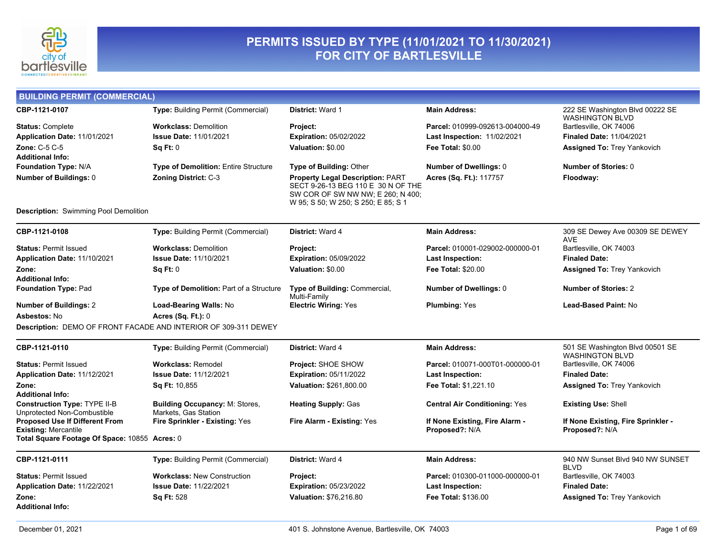

#### **PERMITS ISSUED BY TYPE (11/01/2021 TO 11/30/2021) FOR CITY OF BARTLESVILLE**

| <b>BUILDING PERMIT (COMMERCIAL)</b>                                |                                                               |                                                                                                                                                           |                                      |                                                           |
|--------------------------------------------------------------------|---------------------------------------------------------------|-----------------------------------------------------------------------------------------------------------------------------------------------------------|--------------------------------------|-----------------------------------------------------------|
| CBP-1121-0107                                                      | <b>Type: Building Permit (Commercial)</b>                     | <b>District: Ward 1</b>                                                                                                                                   | <b>Main Address:</b>                 | 222 SE Washington Blvd 00222 SE<br><b>WASHINGTON BLVD</b> |
| <b>Status: Complete</b>                                            | <b>Workclass: Demolition</b>                                  | Project:                                                                                                                                                  | Parcel: 010999-092613-004000-49      | Bartlesville, OK 74006                                    |
| Application Date: 11/01/2021                                       | <b>Issue Date: 11/01/2021</b>                                 | <b>Expiration: 05/02/2022</b>                                                                                                                             | <b>Last Inspection: 11/02/2021</b>   | <b>Finaled Date: 11/04/2021</b>                           |
| Zone: C-5 C-5                                                      | Sq Ft: 0                                                      | Valuation: \$0.00                                                                                                                                         | <b>Fee Total: \$0.00</b>             | <b>Assigned To: Trey Yankovich</b>                        |
| <b>Additional Info:</b>                                            |                                                               |                                                                                                                                                           |                                      |                                                           |
| Foundation Type: N/A                                               | Type of Demolition: Entire Structure                          | <b>Type of Building: Other</b>                                                                                                                            | <b>Number of Dwellings: 0</b>        | Number of Stories: 0                                      |
| Number of Buildings: 0                                             | <b>Zoning District: C-3</b>                                   | <b>Property Legal Description: PART</b><br>SECT 9-26-13 BEG 110 E 30 N OF THE<br>SW COR OF SW NW NW; E 260; N 400;<br>W 95; S 50; W 250; S 250; E 85; S 1 | Acres (Sq. Ft.): 117757              | Floodway:                                                 |
| <b>Description:</b> Swimming Pool Demolition                       |                                                               |                                                                                                                                                           |                                      |                                                           |
| CBP-1121-0108                                                      | Type: Building Permit (Commercial)                            | District: Ward 4                                                                                                                                          | <b>Main Address:</b>                 | 309 SE Dewey Ave 00309 SE DEWEY<br><b>AVE</b>             |
| <b>Status: Permit Issued</b>                                       | <b>Workclass: Demolition</b>                                  | Project:                                                                                                                                                  | Parcel: 010001-029002-000000-01      | Bartlesville, OK 74003                                    |
| Application Date: 11/10/2021                                       | <b>Issue Date: 11/10/2021</b>                                 | <b>Expiration: 05/09/2022</b>                                                                                                                             | Last Inspection:                     | <b>Finaled Date:</b>                                      |
| Zone:                                                              | Sq Ft: 0                                                      | Valuation: \$0.00                                                                                                                                         | <b>Fee Total: \$20.00</b>            | Assigned To: Trey Yankovich                               |
| <b>Additional Info:</b>                                            |                                                               |                                                                                                                                                           |                                      |                                                           |
| <b>Foundation Type: Pad</b>                                        | Type of Demolition: Part of a Structure                       | Type of Building: Commercial,<br>Multi-Family                                                                                                             | <b>Number of Dwellings: 0</b>        | <b>Number of Stories: 2</b>                               |
| <b>Number of Buildings: 2</b>                                      | Load-Bearing Walls: No                                        | <b>Electric Wiring: Yes</b>                                                                                                                               | <b>Plumbing: Yes</b>                 | <b>Lead-Based Paint: No</b>                               |
| Asbestos: No                                                       | Acres (Sq. Ft.): 0                                            |                                                                                                                                                           |                                      |                                                           |
| Description: DEMO OF FRONT FACADE AND INTERIOR OF 309-311 DEWEY    |                                                               |                                                                                                                                                           |                                      |                                                           |
| CBP-1121-0110                                                      | Type: Building Permit (Commercial)                            | District: Ward 4                                                                                                                                          | <b>Main Address:</b>                 | 501 SE Washington Blvd 00501 SE<br><b>WASHINGTON BLVD</b> |
| <b>Status: Permit Issued</b>                                       | <b>Workclass: Remodel</b>                                     | Project: SHOE SHOW                                                                                                                                        | Parcel: 010071-000T01-000000-01      | Bartlesville, OK 74006                                    |
| Application Date: 11/12/2021                                       | <b>Issue Date: 11/12/2021</b>                                 | <b>Expiration: 05/11/2022</b>                                                                                                                             | Last Inspection:                     | <b>Finaled Date:</b>                                      |
| Zone:<br><b>Additional Info:</b>                                   | Sq Ft: 10,855                                                 | Valuation: \$261,800.00                                                                                                                                   | Fee Total: \$1,221.10                | <b>Assigned To: Trey Yankovich</b>                        |
| <b>Construction Type: TYPE II-B</b><br>Unprotected Non-Combustible | <b>Building Occupancy: M: Stores,</b><br>Markets, Gas Station | <b>Heating Supply: Gas</b>                                                                                                                                | <b>Central Air Conditioning: Yes</b> | <b>Existing Use: Shell</b>                                |
| Proposed Use If Different From                                     | Fire Sprinkler - Existing: Yes                                | Fire Alarm - Existing: Yes                                                                                                                                | If None Existing, Fire Alarm -       | If None Existing, Fire Sprinkler -                        |
| <b>Existing: Mercantile</b>                                        |                                                               |                                                                                                                                                           | Proposed?: N/A                       | Proposed?: N/A                                            |
| Total Square Footage Of Space: 10855 Acres: 0                      |                                                               |                                                                                                                                                           |                                      |                                                           |
| CBP-1121-0111                                                      | Type: Building Permit (Commercial)                            | <b>District: Ward 4</b>                                                                                                                                   | <b>Main Address:</b>                 | 940 NW Sunset Blvd 940 NW SUNSET<br><b>BLVD</b>           |
| <b>Status: Permit Issued</b>                                       | <b>Workclass: New Construction</b>                            | Project:                                                                                                                                                  | Parcel: 010300-011000-000000-01      | Bartlesville, OK 74003                                    |
| Application Date: 11/22/2021                                       | <b>Issue Date: 11/22/2021</b>                                 | <b>Expiration: 05/23/2022</b>                                                                                                                             | Last Inspection:                     | <b>Finaled Date:</b>                                      |
| Zone:<br><b>Additional Info:</b>                                   | Sq Ft: 528                                                    | Valuation: \$76,216.80                                                                                                                                    | Fee Total: \$136.00                  | <b>Assigned To: Trey Yankovich</b>                        |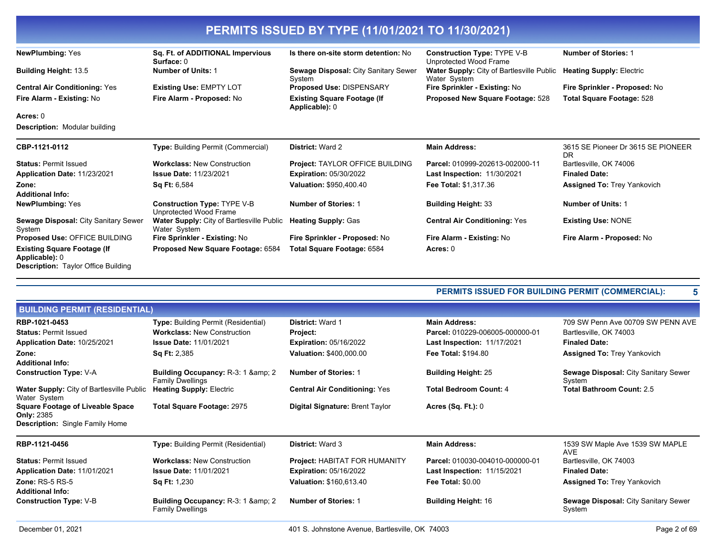| <b>PERMITS ISSUED BY TYPE (11/01/2021 TO 11/30/2021)</b>                                           |                                                                  |                                                      |                                                              |                                          |
|----------------------------------------------------------------------------------------------------|------------------------------------------------------------------|------------------------------------------------------|--------------------------------------------------------------|------------------------------------------|
| <b>NewPlumbing: Yes</b>                                                                            | Sq. Ft. of ADDITIONAL Impervious<br>Surface: 0                   | Is there on-site storm detention: No                 | <b>Construction Type: TYPE V-B</b><br>Unprotected Wood Frame | <b>Number of Stories: 1</b>              |
| <b>Building Height: 13.5</b>                                                                       | <b>Number of Units: 1</b>                                        | Sewage Disposal: City Sanitary Sewer<br>System       | Water Supply: City of Bartlesville Public<br>Water System    | <b>Heating Supply: Electric</b>          |
| <b>Central Air Conditioning: Yes</b>                                                               | <b>Existing Use: EMPTY LOT</b>                                   | <b>Proposed Use: DISPENSARY</b>                      | Fire Sprinkler - Existing: No                                | Fire Sprinkler - Proposed: No            |
| Fire Alarm - Existing: No                                                                          | Fire Alarm - Proposed: No                                        | <b>Existing Square Footage (If</b><br>Applicable): 0 | Proposed New Square Footage: 528                             | <b>Total Square Footage: 528</b>         |
| Acres: 0                                                                                           |                                                                  |                                                      |                                                              |                                          |
| <b>Description: Modular building</b>                                                               |                                                                  |                                                      |                                                              |                                          |
| CBP-1121-0112                                                                                      | <b>Type: Building Permit (Commercial)</b>                        | District: Ward 2                                     | <b>Main Address:</b>                                         | 3615 SE Pioneer Dr 3615 SE PIONEER<br>DR |
| <b>Status: Permit Issued</b>                                                                       | <b>Workclass: New Construction</b>                               | Project: TAYLOR OFFICE BUILDING                      | Parcel: 010999-202613-002000-11                              | Bartlesville, OK 74006                   |
| Application Date: 11/23/2021                                                                       | <b>Issue Date: 11/23/2021</b>                                    | <b>Expiration: 05/30/2022</b>                        | <b>Last Inspection: 11/30/2021</b>                           | <b>Finaled Date:</b>                     |
| Zone:<br><b>Additional Info:</b>                                                                   | <b>Sq Ft: 6,584</b>                                              | Valuation: \$950,400.40                              | <b>Fee Total: \$1,317.36</b>                                 | <b>Assigned To: Trey Yankovich</b>       |
| <b>NewPlumbing: Yes</b>                                                                            | <b>Construction Type: TYPE V-B</b><br>Unprotected Wood Frame     | <b>Number of Stories: 1</b>                          | <b>Building Height: 33</b>                                   | <b>Number of Units: 1</b>                |
| Sewage Disposal: City Sanitary Sewer<br>System                                                     | <b>Water Supply: City of Bartlesville Public</b><br>Water System | <b>Heating Supply: Gas</b>                           | <b>Central Air Conditioning: Yes</b>                         | <b>Existing Use: NONE</b>                |
| Proposed Use: OFFICE BUILDING                                                                      | Fire Sprinkler - Existing: No                                    | Fire Sprinkler - Proposed: No                        | Fire Alarm - Existing: No                                    | Fire Alarm - Proposed: No                |
| <b>Existing Square Footage (If</b><br>Applicable): 0<br><b>Description:</b> Taylor Office Building | Proposed New Square Footage: 6584                                | Total Square Footage: 6584                           | Acres: 0                                                     |                                          |

**PERMITS ISSUED FOR BUILDING PERMIT (COMMERCIAL): 5**

| <b>BUILDING PERMIT (RESIDENTIAL)</b>                                                                   |                                                                      |                                      |                                    |                                                       |
|--------------------------------------------------------------------------------------------------------|----------------------------------------------------------------------|--------------------------------------|------------------------------------|-------------------------------------------------------|
| RBP-1021-0453                                                                                          | <b>Type:</b> Building Permit (Residential)                           | <b>District: Ward 1</b>              | <b>Main Address:</b>               | 709 SW Penn Ave 00709 SW PENN AVE                     |
| <b>Status: Permit Issued</b>                                                                           | <b>Workclass: New Construction</b>                                   | Project:                             | Parcel: 010229-006005-000000-01    | Bartlesville, OK 74003                                |
| Application Date: 10/25/2021                                                                           | <b>Issue Date: 11/01/2021</b>                                        | <b>Expiration: 05/16/2022</b>        | <b>Last Inspection: 11/17/2021</b> | <b>Finaled Date:</b>                                  |
| Zone:                                                                                                  | <b>Sq Ft: 2,385</b>                                                  | <b>Valuation: \$400,000.00</b>       | <b>Fee Total: \$194.80</b>         | <b>Assigned To: Trey Yankovich</b>                    |
| <b>Additional Info:</b>                                                                                |                                                                      |                                      |                                    |                                                       |
| <b>Construction Type: V-A</b>                                                                          | <b>Building Occupancy: R-3: 1 &amp; 2</b><br><b>Family Dwellings</b> | <b>Number of Stories: 1</b>          | <b>Building Height: 25</b>         | <b>Sewage Disposal: City Sanitary Sewer</b><br>System |
| Water Supply: City of Bartlesville Public<br>Water System                                              | <b>Heating Supply: Electric</b>                                      | <b>Central Air Conditioning: Yes</b> | <b>Total Bedroom Count: 4</b>      | <b>Total Bathroom Count: 2.5</b>                      |
| <b>Square Footage of Liveable Space</b><br><b>Only: 2385</b><br><b>Description:</b> Single Family Home | <b>Total Square Footage: 2975</b>                                    | Digital Signature: Brent Taylor      | Acres $(Sq. Ft.): 0$               |                                                       |
| RBP-1121-0456                                                                                          | <b>Type:</b> Building Permit (Residential)                           | <b>District: Ward 3</b>              | <b>Main Address:</b>               | 1539 SW Maple Ave 1539 SW MAPLE<br><b>AVE</b>         |
| <b>Status: Permit Issued</b>                                                                           | <b>Workclass: New Construction</b>                                   | <b>Project: HABITAT FOR HUMANITY</b> | Parcel: 010030-004010-000000-01    | Bartlesville, OK 74003                                |
| Application Date: 11/01/2021                                                                           | <b>Issue Date: 11/01/2021</b>                                        | <b>Expiration: 05/16/2022</b>        | Last Inspection: 11/15/2021        | <b>Finaled Date:</b>                                  |
| Zone: $RS-5RS-5$<br><b>Additional Info:</b>                                                            | <b>Sq Ft:</b> 1,230                                                  | <b>Valuation: \$160,613.40</b>       | <b>Fee Total: \$0.00</b>           | <b>Assigned To: Trey Yankovich</b>                    |
| <b>Construction Type: V-B</b>                                                                          | <b>Building Occupancy: R-3: 1 &amp; 2</b><br><b>Family Dwellings</b> | <b>Number of Stories: 1</b>          | <b>Building Height: 16</b>         | <b>Sewage Disposal: City Sanitary Sewer</b><br>System |
|                                                                                                        |                                                                      |                                      |                                    |                                                       |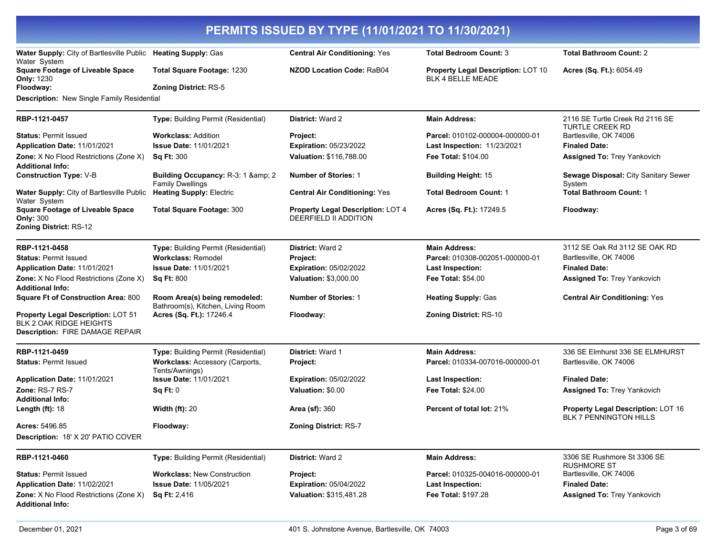| PERMITS ISSUED BY TYPE (11/01/2021 TO 11/30/2021)                                                       |                                                                               |                                                            |                                                                       |                                                                     |
|---------------------------------------------------------------------------------------------------------|-------------------------------------------------------------------------------|------------------------------------------------------------|-----------------------------------------------------------------------|---------------------------------------------------------------------|
| Water Supply: City of Bartlesville Public Heating Supply: Gas<br>Water System                           |                                                                               | <b>Central Air Conditioning: Yes</b>                       | <b>Total Bedroom Count: 3</b>                                         | <b>Total Bathroom Count: 2</b>                                      |
| <b>Square Footage of Liveable Space</b><br><b>Only: 1230</b>                                            | Total Square Footage: 1230                                                    | <b>NZOD Location Code: RaB04</b>                           | <b>Property Legal Description: LOT 10</b><br><b>BLK 4 BELLE MEADE</b> | Acres (Sq. Ft.): 6054.49                                            |
| Floodway:                                                                                               | <b>Zoning District: RS-5</b>                                                  |                                                            |                                                                       |                                                                     |
| Description: New Single Family Residential                                                              |                                                                               |                                                            |                                                                       |                                                                     |
| RBP-1121-0457                                                                                           | Type: Building Permit (Residential)                                           | <b>District: Ward 2</b>                                    | <b>Main Address:</b>                                                  | 2116 SE Turtle Creek Rd 2116 SE<br><b>TURTLE CREEK RD</b>           |
| <b>Status: Permit Issued</b>                                                                            | <b>Workclass: Addition</b>                                                    | Project:                                                   | Parcel: 010102-000004-000000-01                                       | Bartlesville, OK 74006                                              |
| Application Date: 11/01/2021                                                                            | <b>Issue Date: 11/01/2021</b>                                                 | <b>Expiration: 05/23/2022</b>                              | Last Inspection: 11/23/2021                                           | <b>Finaled Date:</b>                                                |
| Zone: X No Flood Restrictions (Zone X)<br><b>Additional Info:</b>                                       | <b>Sq Ft: 300</b>                                                             | Valuation: \$116,788.00                                    | <b>Fee Total: \$104.00</b>                                            | <b>Assigned To: Trey Yankovich</b>                                  |
| <b>Construction Type: V-B</b>                                                                           | Building Occupancy: R-3: 1 & 2<br><b>Family Dwellings</b>                     | <b>Number of Stories: 1</b>                                | <b>Building Height: 15</b>                                            | Sewage Disposal: City Sanitary Sewer<br>System                      |
| <b>Water Supply: City of Bartlesville Public</b><br>Water System                                        | <b>Heating Supply: Electric</b>                                               | <b>Central Air Conditioning: Yes</b>                       | <b>Total Bedroom Count: 1</b>                                         | <b>Total Bathroom Count: 1</b>                                      |
| <b>Square Footage of Liveable Space</b><br><b>Only: 300</b><br><b>Zoning District: RS-12</b>            | <b>Total Square Footage: 300</b>                                              | Property Legal Description: LOT 4<br>DEERFIELD II ADDITION | Acres (Sq. Ft.): 17249.5                                              | Floodway:                                                           |
|                                                                                                         |                                                                               |                                                            |                                                                       |                                                                     |
| RBP-1121-0458<br><b>Status: Permit Issued</b>                                                           | Type: Building Permit (Residential)<br><b>Workclass: Remodel</b>              | <b>District: Ward 2</b><br>Project:                        | <b>Main Address:</b><br>Parcel: 010308-002051-000000-01               | 3112 SE Oak Rd 3112 SE OAK RD<br>Bartlesville, OK 74006             |
| Application Date: 11/01/2021                                                                            | <b>Issue Date: 11/01/2021</b>                                                 | <b>Expiration: 05/02/2022</b>                              | <b>Last Inspection:</b>                                               | <b>Finaled Date:</b>                                                |
| Zone: X No Flood Restrictions (Zone X)                                                                  | <b>Sq Ft: 800</b>                                                             | Valuation: \$3,000.00                                      | <b>Fee Total: \$54.00</b>                                             | Assigned To: Trey Yankovich                                         |
| <b>Additional Info:</b>                                                                                 |                                                                               |                                                            |                                                                       |                                                                     |
| <b>Square Ft of Construction Area: 800</b>                                                              | Room Area(s) being remodeled:<br>Bathroom(s), Kitchen, Living Room            | <b>Number of Stories: 1</b>                                | <b>Heating Supply: Gas</b>                                            | <b>Central Air Conditioning: Yes</b>                                |
| Property Legal Description: LOT 51<br><b>BLK 2 OAK RIDGE HEIGHTS</b><br>Description: FIRE DAMAGE REPAIR | Acres (Sq. Ft.): 17246.4                                                      | Floodway:                                                  | <b>Zoning District: RS-10</b>                                         |                                                                     |
| RBP-1121-0459<br><b>Status: Permit Issued</b>                                                           | Type: Building Permit (Residential)<br><b>Workclass: Accessory (Carports,</b> | District: Ward 1<br>Project:                               | <b>Main Address:</b><br>Parcel: 010334-007016-000000-01               | 336 SE Elmhurst 336 SE ELMHURST<br>Bartlesville, OK 74006           |
| Application Date: 11/01/2021                                                                            | Tents/Awnings)<br><b>Issue Date: 11/01/2021</b>                               | <b>Expiration: 05/02/2022</b>                              | <b>Last Inspection:</b>                                               | <b>Finaled Date:</b>                                                |
| Zone: RS-7 RS-7                                                                                         | Sq Ft: 0                                                                      | Valuation: \$0.00                                          | Fee Total: \$24.00                                                    | Assigned To: Trey Yankovich                                         |
| <b>Additional Info:</b>                                                                                 |                                                                               |                                                            |                                                                       |                                                                     |
| Length $(ft)$ : 18                                                                                      | <b>Width (ft): 20</b>                                                         | <b>Area (sf): 360</b>                                      | <b>Percent of total lot: 21%</b>                                      | Property Legal Description: LOT 16<br><b>BLK 7 PENNINGTON HILLS</b> |
| Acres: 5496.85                                                                                          | Floodway:                                                                     | Zoning District: RS-7                                      |                                                                       |                                                                     |
| <b>Description: 18' X 20' PATIO COVER</b>                                                               |                                                                               |                                                            |                                                                       |                                                                     |
| RBP-1121-0460                                                                                           | Type: Building Permit (Residential)                                           | <b>District: Ward 2</b>                                    | <b>Main Address:</b>                                                  | 3306 SE Rushmore St 3306 SE<br>RUSHMORE ST                          |
| <b>Status: Permit Issued</b>                                                                            | <b>Workclass: New Construction</b>                                            | Project:                                                   | Parcel: 010325-004016-000000-01                                       | Bartlesville, OK 74006                                              |
| Application Date: 11/02/2021                                                                            | <b>Issue Date: 11/05/2021</b>                                                 | <b>Expiration: 05/04/2022</b>                              | <b>Last Inspection:</b>                                               | <b>Finaled Date:</b>                                                |
| <b>Zone:</b> X No Flood Restrictions (Zone X)<br><b>Additional Info:</b>                                | <b>Sq Ft: 2,416</b>                                                           | Valuation: \$315,481.28                                    | Fee Total: \$197.28                                                   | Assigned To: Trey Yankovich                                         |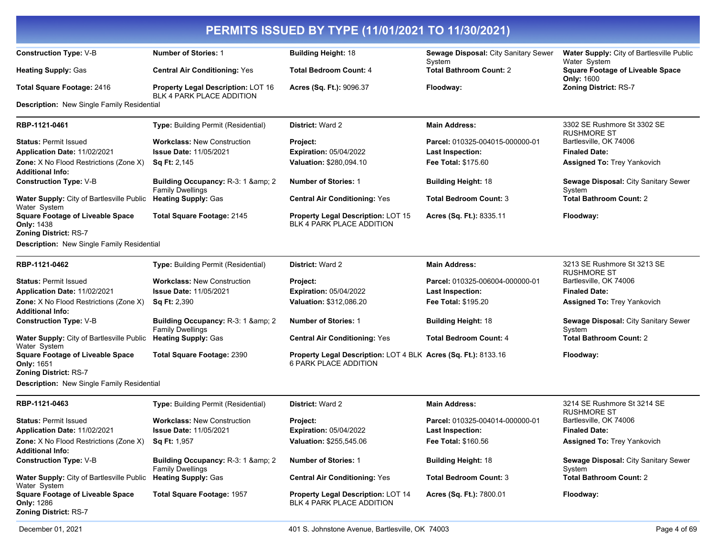| PERMITS ISSUED BY TYPE (11/01/2021 TO 11/30/2021)                                            |                                                                 |                                                                                         |                                                |                                                              |
|----------------------------------------------------------------------------------------------|-----------------------------------------------------------------|-----------------------------------------------------------------------------------------|------------------------------------------------|--------------------------------------------------------------|
| <b>Construction Type: V-B</b>                                                                | <b>Number of Stories: 1</b>                                     | <b>Building Height: 18</b>                                                              | Sewage Disposal: City Sanitary Sewer<br>System | Water Supply: City of Bartlesville Public<br>Water System    |
| <b>Heating Supply: Gas</b>                                                                   | <b>Central Air Conditioning: Yes</b>                            | <b>Total Bedroom Count: 4</b>                                                           | <b>Total Bathroom Count: 2</b>                 | <b>Square Footage of Liveable Space</b><br><b>Only: 1600</b> |
| <b>Total Square Footage: 2416</b>                                                            | Property Legal Description: LOT 16<br>BLK 4 PARK PLACE ADDITION | Acres (Sq. Ft.): 9096.37                                                                | Floodway:                                      | Zoning District: RS-7                                        |
| <b>Description:</b> New Single Family Residential                                            |                                                                 |                                                                                         |                                                |                                                              |
| RBP-1121-0461                                                                                | Type: Building Permit (Residential)                             | <b>District: Ward 2</b>                                                                 | <b>Main Address:</b>                           | 3302 SE Rushmore St 3302 SE<br><b>RUSHMORE ST</b>            |
| <b>Status: Permit Issued</b>                                                                 | <b>Workclass: New Construction</b>                              | Project:                                                                                | Parcel: 010325-004015-000000-01                | Bartlesville, OK 74006                                       |
| Application Date: 11/02/2021                                                                 | <b>Issue Date: 11/05/2021</b>                                   | <b>Expiration: 05/04/2022</b>                                                           | <b>Last Inspection:</b>                        | <b>Finaled Date:</b>                                         |
| <b>Zone:</b> X No Flood Restrictions (Zone X)                                                | <b>Sq Ft: 2,145</b>                                             | Valuation: \$280,094.10                                                                 | Fee Total: \$175.60                            | <b>Assigned To: Trey Yankovich</b>                           |
| <b>Additional Info:</b>                                                                      |                                                                 |                                                                                         |                                                |                                                              |
| <b>Construction Type: V-B</b>                                                                | Building Occupancy: R-3: 1 & amp; 2<br><b>Family Dwellings</b>  | <b>Number of Stories: 1</b>                                                             | <b>Building Height: 18</b>                     | Sewage Disposal: City Sanitary Sewer<br>System               |
| Water Supply: City of Bartlesville Public<br>Water System                                    | <b>Heating Supply: Gas</b>                                      | <b>Central Air Conditioning: Yes</b>                                                    | <b>Total Bedroom Count: 3</b>                  | <b>Total Bathroom Count: 2</b>                               |
| <b>Square Footage of Liveable Space</b><br><b>Only: 1438</b><br><b>Zoning District: RS-7</b> | <b>Total Square Footage: 2145</b>                               | <b>Property Legal Description: LOT 15</b><br>BLK 4 PARK PLACE ADDITION                  | Acres (Sq. Ft.): 8335.11                       | Floodway:                                                    |
| <b>Description:</b> New Single Family Residential                                            |                                                                 |                                                                                         |                                                |                                                              |
|                                                                                              |                                                                 |                                                                                         |                                                |                                                              |
| RBP-1121-0462                                                                                | Type: Building Permit (Residential)                             | <b>District: Ward 2</b>                                                                 | <b>Main Address:</b>                           | 3213 SE Rushmore St 3213 SE<br><b>RUSHMORE ST</b>            |
| <b>Status: Permit Issued</b>                                                                 | <b>Workclass: New Construction</b>                              | Project:                                                                                | Parcel: 010325-006004-000000-01                | Bartlesville, OK 74006                                       |
| Application Date: 11/02/2021                                                                 | <b>Issue Date: 11/05/2021</b>                                   | <b>Expiration: 05/04/2022</b>                                                           | <b>Last Inspection:</b>                        | <b>Finaled Date:</b>                                         |
| Zone: X No Flood Restrictions (Zone X)<br><b>Additional Info:</b>                            | Sq Ft: 2,390                                                    | Valuation: \$312,086.20                                                                 | Fee Total: \$195.20                            | <b>Assigned To: Trey Yankovich</b>                           |
| <b>Construction Type: V-B</b>                                                                | Building Occupancy: R-3: 1 & amp; 2<br><b>Family Dwellings</b>  | <b>Number of Stories: 1</b>                                                             | <b>Building Height: 18</b>                     | Sewage Disposal: City Sanitary Sewer<br>System               |
| Water Supply: City of Bartlesville Public Heating Supply: Gas<br>Water System                |                                                                 | <b>Central Air Conditioning: Yes</b>                                                    | <b>Total Bedroom Count: 4</b>                  | <b>Total Bathroom Count: 2</b>                               |
| <b>Square Footage of Liveable Space</b><br><b>Only: 1651</b>                                 | <b>Total Square Footage: 2390</b>                               | Property Legal Description: LOT 4 BLK Acres (Sq. Ft.): 8133.16<br>6 PARK PLACE ADDITION |                                                | Floodway:                                                    |
| <b>Zoning District: RS-7</b>                                                                 |                                                                 |                                                                                         |                                                |                                                              |
| <b>Description:</b> New Single Family Residential                                            |                                                                 |                                                                                         |                                                |                                                              |
| RBP-1121-0463                                                                                | <b>Type: Building Permit (Residential)</b>                      | District: Ward 2                                                                        | <b>Main Address:</b>                           | 3214 SE Rushmore St 3214 SE<br><b>RUSHMORE ST</b>            |
| <b>Status: Permit Issued</b>                                                                 | <b>Workclass: New Construction</b>                              | Project:                                                                                | Parcel: 010325-004014-000000-01                | Bartlesville, OK 74006                                       |
| Application Date: 11/02/2021                                                                 | <b>Issue Date: 11/05/2021</b>                                   | <b>Expiration: 05/04/2022</b>                                                           | <b>Last Inspection:</b>                        | <b>Finaled Date:</b>                                         |
| Zone: X No Flood Restrictions (Zone X)<br><b>Additional Info:</b>                            | <b>Sq Ft: 1,957</b>                                             | Valuation: \$255,545.06                                                                 | Fee Total: \$160.56                            | <b>Assigned To: Trey Yankovich</b>                           |
| <b>Construction Type: V-B</b>                                                                | Building Occupancy: R-3: 1 & amp; 2<br><b>Family Dwellings</b>  | <b>Number of Stories: 1</b>                                                             | <b>Building Height: 18</b>                     | Sewage Disposal: City Sanitary Sewer<br>System               |
| Water Supply: City of Bartlesville Public<br>Water System                                    | <b>Heating Supply: Gas</b>                                      | <b>Central Air Conditioning: Yes</b>                                                    | <b>Total Bedroom Count: 3</b>                  | <b>Total Bathroom Count: 2</b>                               |
| <b>Square Footage of Liveable Space</b><br><b>Only: 1286</b><br><b>Zoning District: RS-7</b> | <b>Total Square Footage: 1957</b>                               | <b>Property Legal Description: LOT 14</b><br>BLK 4 PARK PLACE ADDITION                  | Acres (Sq. Ft.): 7800.01                       | Floodway:                                                    |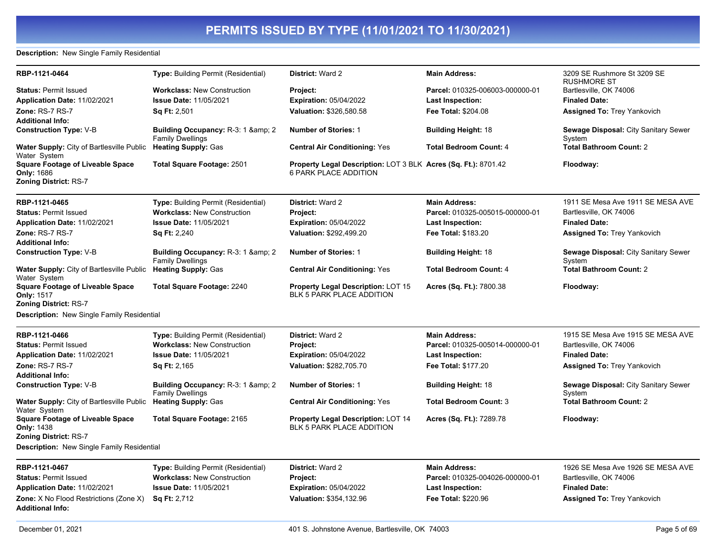#### **Description:** New Single Family Residential

| RBP-1121-0464                                                                         | <b>Type: Building Permit (Residential)</b>                     | <b>District: Ward 2</b>                                                                        | <b>Main Address:</b>            | 3209 SE Rushmore St 3209 SE<br><b>RUSHMORE ST</b>     |
|---------------------------------------------------------------------------------------|----------------------------------------------------------------|------------------------------------------------------------------------------------------------|---------------------------------|-------------------------------------------------------|
| <b>Status: Permit Issued</b>                                                          | <b>Workclass: New Construction</b>                             | Project:                                                                                       | Parcel: 010325-006003-000000-01 | Bartlesville, OK 74006                                |
| Application Date: 11/02/2021                                                          | <b>Issue Date: 11/05/2021</b>                                  | <b>Expiration: 05/04/2022</b>                                                                  | Last Inspection:                | <b>Finaled Date:</b>                                  |
| Zone: RS-7 RS-7                                                                       | Sq Ft: 2,501                                                   | Valuation: \$326,580.58                                                                        | Fee Total: \$204.08             | <b>Assigned To: Trey Yankovich</b>                    |
| <b>Additional Info:</b>                                                               |                                                                |                                                                                                |                                 |                                                       |
| <b>Construction Type: V-B</b>                                                         | Building Occupancy: R-3: 1 & amp; 2<br><b>Family Dwellings</b> | <b>Number of Stories: 1</b>                                                                    | <b>Building Height: 18</b>      | <b>Sewage Disposal: City Sanitary Sewer</b><br>System |
| <b>Water Supply:</b> City of Bartlesville Public<br>Water System                      | <b>Heating Supply: Gas</b>                                     | <b>Central Air Conditioning: Yes</b>                                                           | <b>Total Bedroom Count: 4</b>   | <b>Total Bathroom Count: 2</b>                        |
| <b>Square Footage of Liveable Space</b><br>Only: 1686<br><b>Zoning District: RS-7</b> | <b>Total Square Footage: 2501</b>                              | Property Legal Description: LOT 3 BLK Acres (Sq. Ft.): 8701.42<br><b>6 PARK PLACE ADDITION</b> |                                 | Floodway:                                             |
| RBP-1121-0465                                                                         | Type: Building Permit (Residential)                            | <b>District: Ward 2</b>                                                                        | <b>Main Address:</b>            | 1911 SE Mesa Ave 1911 SE MESA AVE                     |
| <b>Status: Permit Issued</b>                                                          | <b>Workclass: New Construction</b>                             | Project:                                                                                       | Parcel: 010325-005015-000000-01 | Bartlesville, OK 74006                                |
| Application Date: 11/02/2021                                                          | Issue Date: 11/05/2021                                         | <b>Expiration: 05/04/2022</b>                                                                  | Last Inspection:                | <b>Finaled Date:</b>                                  |
| Zone: RS-7 RS-7                                                                       | Sq Ft: 2,240                                                   | Valuation: \$292,499.20                                                                        | Fee Total: \$183.20             | Assigned To: Trey Yankovich                           |
| <b>Additional Info:</b>                                                               |                                                                |                                                                                                |                                 |                                                       |
| <b>Construction Type: V-B</b>                                                         | Building Occupancy: R-3: 1 & amp; 2<br><b>Family Dwellings</b> | <b>Number of Stories: 1</b>                                                                    | <b>Building Height: 18</b>      | <b>Sewage Disposal: City Sanitary Sewer</b><br>System |
| <b>Water Supply:</b> City of Bartlesville Public<br>Water System                      | <b>Heating Supply: Gas</b>                                     | <b>Central Air Conditioning: Yes</b>                                                           | <b>Total Bedroom Count: 4</b>   | <b>Total Bathroom Count: 2</b>                        |
| <b>Square Footage of Liveable Space</b><br>Only: 1517                                 | <b>Total Square Footage: 2240</b>                              | <b>Property Legal Description: LOT 15</b><br>BLK 5 PARK PLACE ADDITION                         | Acres (Sq. Ft.): 7800.38        | Floodway:                                             |
| <b>Zoning District: RS-7</b><br><b>Description:</b> New Single Family Residential     |                                                                |                                                                                                |                                 |                                                       |
| RBP-1121-0466                                                                         | <b>Type:</b> Building Permit (Residential)                     | District: Ward 2                                                                               | <b>Main Address:</b>            | 1915 SE Mesa Ave 1915 SE MESA AVE                     |
| <b>Status: Permit Issued</b>                                                          | <b>Workclass: New Construction</b>                             | Project:                                                                                       | Parcel: 010325-005014-000000-01 | Bartlesville, OK 74006                                |
| Application Date: 11/02/2021                                                          | <b>Issue Date: 11/05/2021</b>                                  | <b>Expiration: 05/04/2022</b>                                                                  | Last Inspection:                | <b>Finaled Date:</b>                                  |
| Zone: RS-7 RS-7                                                                       | Sq Ft: 2,165                                                   | Valuation: \$282,705.70                                                                        | Fee Total: \$177.20             | Assigned To: Trey Yankovich                           |
| <b>Additional Info:</b>                                                               |                                                                |                                                                                                |                                 |                                                       |
| <b>Construction Type: V-B</b>                                                         | Building Occupancy: R-3: 1 & amp; 2<br><b>Family Dwellings</b> | <b>Number of Stories: 1</b>                                                                    | <b>Building Height: 18</b>      | <b>Sewage Disposal: City Sanitary Sewer</b><br>System |
| <b>Water Supply:</b> City of Bartlesville Public<br>Water System                      | <b>Heating Supply: Gas</b>                                     | <b>Central Air Conditioning: Yes</b>                                                           | <b>Total Bedroom Count: 3</b>   | <b>Total Bathroom Count: 2</b>                        |
| <b>Square Footage of Liveable Space</b><br><b>Only: 1438</b>                          | Total Square Footage: 2165                                     | <b>Property Legal Description: LOT 14</b><br><b>BLK 5 PARK PLACE ADDITION</b>                  | Acres (Sq. Ft.): 7289.78        | Floodway:                                             |
| <b>Zoning District: RS-7</b>                                                          |                                                                |                                                                                                |                                 |                                                       |
| <b>Description:</b> New Single Family Residential                                     |                                                                |                                                                                                |                                 |                                                       |
| RBP-1121-0467                                                                         | <b>Type:</b> Building Permit (Residential)                     | <b>District: Ward 2</b>                                                                        | <b>Main Address:</b>            | 1926 SE Mesa Ave 1926 SE MESA AVE                     |
| <b>Status: Permit Issued</b>                                                          | <b>Workclass: New Construction</b>                             | Project:                                                                                       | Parcel: 010325-004026-000000-01 | Bartlesville, OK 74006                                |
| Application Date: 11/02/2021                                                          | <b>Issue Date: 11/05/2021</b>                                  | <b>Expiration: 05/04/2022</b>                                                                  | <b>Last Inspection:</b>         | <b>Finaled Date:</b>                                  |
| <b>Zone:</b> X No Flood Restrictions (Zone X)                                         | <b>Sq Ft: 2,712</b>                                            | Valuation: \$354,132.96                                                                        | Fee Total: \$220.96             | <b>Assigned To: Trey Yankovich</b>                    |

**Additional Info:**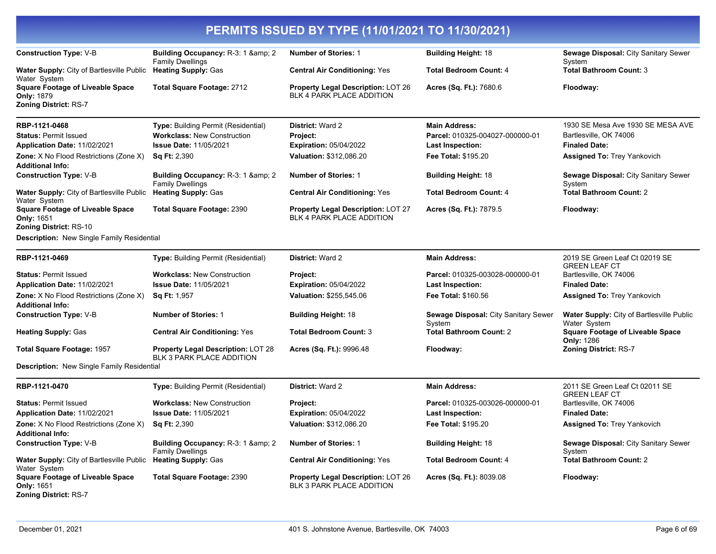| <b>Construction Type: V-B</b>                                                                | Building Occupancy: R-3: 1 & amp; 2                                    | <b>Number of Stories: 1</b>                                            | <b>Building Height: 18</b>                     | Sewage Disposal: City Sanitary Sewer                         |
|----------------------------------------------------------------------------------------------|------------------------------------------------------------------------|------------------------------------------------------------------------|------------------------------------------------|--------------------------------------------------------------|
|                                                                                              | <b>Family Dwellings</b>                                                |                                                                        |                                                | System                                                       |
| Water Supply: City of Bartlesville Public<br>Water System                                    | <b>Heating Supply: Gas</b>                                             | <b>Central Air Conditioning: Yes</b>                                   | <b>Total Bedroom Count: 4</b>                  | <b>Total Bathroom Count: 3</b>                               |
| <b>Square Footage of Liveable Space</b><br><b>Only: 1879</b><br><b>Zoning District: RS-7</b> | Total Square Footage: 2712                                             | Property Legal Description: LOT 26<br>BLK 4 PARK PLACE ADDITION        | Acres (Sq. Ft.): 7680.6                        | Floodway:                                                    |
| RBP-1121-0468                                                                                | Type: Building Permit (Residential)                                    | District: Ward 2                                                       | <b>Main Address:</b>                           | 1930 SE Mesa Ave 1930 SE MESA AVE                            |
| <b>Status: Permit Issued</b>                                                                 | <b>Workclass: New Construction</b>                                     | <b>Project:</b>                                                        | Parcel: 010325-004027-000000-01                | Bartlesville, OK 74006                                       |
| Application Date: 11/02/2021                                                                 | <b>Issue Date: 11/05/2021</b>                                          | <b>Expiration: 05/04/2022</b>                                          | <b>Last Inspection:</b>                        | <b>Finaled Date:</b>                                         |
| Zone: X No Flood Restrictions (Zone X)                                                       | <b>Sq Ft: 2,390</b>                                                    | Valuation: \$312,086.20                                                | Fee Total: \$195.20                            | <b>Assigned To: Trey Yankovich</b>                           |
| <b>Additional Info:</b>                                                                      |                                                                        |                                                                        |                                                |                                                              |
| <b>Construction Type: V-B</b>                                                                | Building Occupancy: R-3: 1 & amp; 2<br><b>Family Dwellings</b>         | <b>Number of Stories: 1</b>                                            | <b>Building Height: 18</b>                     | Sewage Disposal: City Sanitary Sewer<br>System               |
| <b>Water Supply:</b> City of Bartlesville Public<br>Water System                             | <b>Heating Supply: Gas</b>                                             | <b>Central Air Conditioning: Yes</b>                                   | <b>Total Bedroom Count: 4</b>                  | <b>Total Bathroom Count: 2</b>                               |
| <b>Square Footage of Liveable Space</b><br>Only: 1651<br><b>Zoning District: RS-10</b>       | <b>Total Square Footage: 2390</b>                                      | Property Legal Description: LOT 27<br><b>BLK 4 PARK PLACE ADDITION</b> | Acres (Sq. Ft.): 7879.5                        | Floodway:                                                    |
| <b>Description:</b> New Single Family Residential                                            |                                                                        |                                                                        |                                                |                                                              |
| RBP-1121-0469                                                                                | Type: Building Permit (Residential)                                    | <b>District: Ward 2</b>                                                | <b>Main Address:</b>                           | 2019 SE Green Leaf Ct 02019 SE<br><b>GREEN LEAF CT</b>       |
| <b>Status: Permit Issued</b>                                                                 | <b>Workclass: New Construction</b>                                     | Project:                                                               | Parcel: 010325-003028-000000-01                | Bartlesville, OK 74006                                       |
| Application Date: 11/02/2021                                                                 | <b>Issue Date: 11/05/2021</b>                                          | <b>Expiration: 05/04/2022</b>                                          | Last Inspection:                               | <b>Finaled Date:</b>                                         |
| Zone: X No Flood Restrictions (Zone X)<br><b>Additional Info:</b>                            | <b>Sq Ft: 1,957</b>                                                    | Valuation: \$255,545.06                                                | Fee Total: \$160.56                            | <b>Assigned To: Trey Yankovich</b>                           |
| <b>Construction Type: V-B</b>                                                                | <b>Number of Stories: 1</b>                                            | <b>Building Height: 18</b>                                             | Sewage Disposal: City Sanitary Sewer<br>Svstem | Water Supply: City of Bartlesville Public<br>Water System    |
| <b>Heating Supply: Gas</b>                                                                   | <b>Central Air Conditioning: Yes</b>                                   | <b>Total Bedroom Count: 3</b>                                          | <b>Total Bathroom Count: 2</b>                 | <b>Square Footage of Liveable Space</b><br><b>Only: 1286</b> |
| Total Square Footage: 1957                                                                   | <b>Property Legal Description: LOT 28</b><br>BLK 3 PARK PLACE ADDITION | Acres (Sq. Ft.): 9996.48                                               | Floodway:                                      | <b>Zoning District: RS-7</b>                                 |
| Description: New Single Family Residential                                                   |                                                                        |                                                                        |                                                |                                                              |
| RBP-1121-0470                                                                                | <b>Type: Building Permit (Residential)</b>                             | District: Ward 2                                                       | <b>Main Address:</b>                           | 2011 SE Green Leaf Ct 02011 SE<br><b>GREEN LEAF CT</b>       |
| <b>Status: Permit Issued</b>                                                                 | <b>Workclass: New Construction</b>                                     | Project:                                                               | Parcel: 010325-003026-000000-01                | Bartlesville, OK 74006                                       |
| Application Date: 11/02/2021                                                                 | <b>Issue Date: 11/05/2021</b>                                          | <b>Expiration: 05/04/2022</b>                                          | <b>Last Inspection:</b>                        | <b>Finaled Date:</b>                                         |
| Zone: X No Flood Restrictions (Zone X)<br><b>Additional Info:</b>                            | <b>Sq Ft: 2,390</b>                                                    | Valuation: \$312,086.20                                                | Fee Total: \$195.20                            | <b>Assigned To: Trey Yankovich</b>                           |
| <b>Construction Type: V-B</b>                                                                | Building Occupancy: R-3: 1 & amp; 2<br><b>Family Dwellings</b>         | <b>Number of Stories: 1</b>                                            | <b>Building Height: 18</b>                     | Sewage Disposal: City Sanitary Sewer<br>System               |
| <b>Water Supply: City of Bartlesville Public</b><br>Water System                             | <b>Heating Supply: Gas</b>                                             | <b>Central Air Conditioning: Yes</b>                                   | <b>Total Bedroom Count: 4</b>                  | <b>Total Bathroom Count: 2</b>                               |
| <b>Square Footage of Liveable Space</b><br><b>Only: 1651</b><br><b>Zoning District: RS-7</b> | Total Square Footage: 2390                                             | Property Legal Description: LOT 26<br>BLK 3 PARK PLACE ADDITION        | Acres (Sq. Ft.): 8039.08                       | Floodway:                                                    |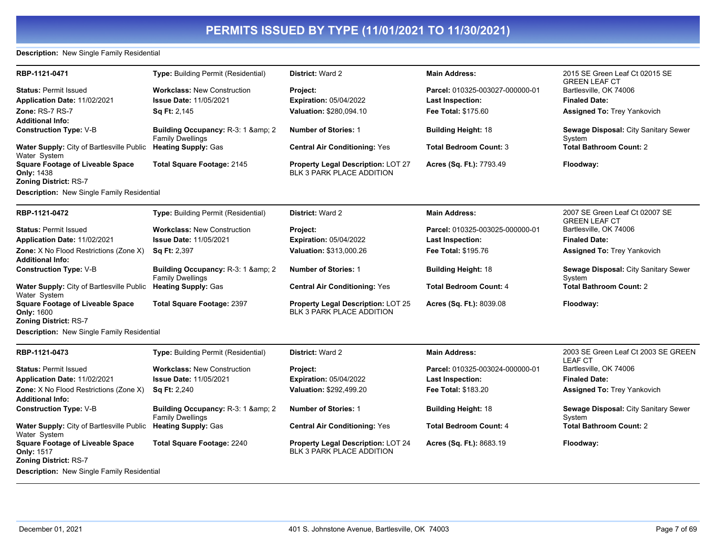#### **Description:** New Single Family Residential

| RBP-1121-0471                                                                         | <b>Type: Building Permit (Residential)</b>                                | <b>District: Ward 2</b>                                                | <b>Main Address:</b>            | 2015 SE Green Leaf Ct 02015 SE<br><b>GREEN LEAF CT</b> |
|---------------------------------------------------------------------------------------|---------------------------------------------------------------------------|------------------------------------------------------------------------|---------------------------------|--------------------------------------------------------|
| <b>Status: Permit Issued</b>                                                          | <b>Workclass: New Construction</b>                                        | Project:                                                               | Parcel: 010325-003027-000000-01 | Bartlesville, OK 74006                                 |
| Application Date: 11/02/2021                                                          | <b>Issue Date: 11/05/2021</b>                                             | <b>Expiration: 05/04/2022</b>                                          | <b>Last Inspection:</b>         | <b>Finaled Date:</b>                                   |
| <b>Zone: RS-7 RS-7</b>                                                                | Sq Ft: 2,145                                                              | Valuation: \$280,094.10                                                | <b>Fee Total: \$175.60</b>      | <b>Assigned To: Trey Yankovich</b>                     |
| Additional Info:                                                                      |                                                                           |                                                                        |                                 |                                                        |
| <b>Construction Type: V-B</b>                                                         | Building Occupancy: R-3: 1 & amp; 2<br><b>Family Dwellings</b>            | <b>Number of Stories: 1</b>                                            | <b>Building Height: 18</b>      | Sewage Disposal: City Sanitary Sewer<br>System         |
| Water Supply: City of Bartlesville Public<br>Water System                             | <b>Heating Supply: Gas</b>                                                | <b>Central Air Conditioning: Yes</b>                                   | <b>Total Bedroom Count: 3</b>   | <b>Total Bathroom Count: 2</b>                         |
| <b>Square Footage of Liveable Space</b>                                               | Total Square Footage: 2145                                                | <b>Property Legal Description: LOT 27</b>                              | Acres (Sq. Ft.): 7793.49        | Floodway:                                              |
| <b>Only:</b> 1438                                                                     |                                                                           | BLK 3 PARK PLACE ADDITION                                              |                                 |                                                        |
| <b>Zoning District: RS-7</b>                                                          |                                                                           |                                                                        |                                 |                                                        |
| Description: New Single Family Residential                                            |                                                                           |                                                                        |                                 |                                                        |
| RBP-1121-0472                                                                         | <b>Type: Building Permit (Residential)</b>                                | <b>District: Ward 2</b>                                                | <b>Main Address:</b>            | 2007 SE Green Leaf Ct 02007 SE<br><b>GREEN LEAF CT</b> |
| <b>Status: Permit Issued</b>                                                          | <b>Workclass: New Construction</b>                                        | Project:                                                               | Parcel: 010325-003025-000000-01 | Bartlesville, OK 74006                                 |
| Application Date: 11/02/2021                                                          | <b>Issue Date: 11/05/2021</b>                                             | <b>Expiration: 05/04/2022</b>                                          | <b>Last Inspection:</b>         | <b>Finaled Date:</b>                                   |
| Zone: X No Flood Restrictions (Zone X)                                                | <b>Sq Ft: 2,397</b>                                                       | Valuation: \$313,000.26                                                | <b>Fee Total: \$195.76</b>      | <b>Assigned To: Trey Yankovich</b>                     |
| Additional Info:                                                                      |                                                                           |                                                                        |                                 |                                                        |
| <b>Construction Type: V-B</b>                                                         | Building Occupancy: R-3: 1 & amp; 2<br><b>Family Dwellings</b>            | <b>Number of Stories: 1</b>                                            | <b>Building Height: 18</b>      | Sewage Disposal: City Sanitary Sewer<br>System         |
| Water Supply: City of Bartlesville Public<br>Water System                             | <b>Heating Supply: Gas</b>                                                | <b>Central Air Conditioning: Yes</b>                                   | <b>Total Bedroom Count: 4</b>   | <b>Total Bathroom Count: 2</b>                         |
| <b>Square Footage of Liveable Space</b>                                               | <b>Total Square Footage: 2397</b>                                         | Property Legal Description: LOT 25                                     | Acres (Sq. Ft.): 8039.08        | Floodway:                                              |
| Only: 1600<br><b>Zoning District: RS-7</b>                                            |                                                                           | BLK 3 PARK PLACE ADDITION                                              |                                 |                                                        |
| Description: New Single Family Residential                                            |                                                                           |                                                                        |                                 |                                                        |
|                                                                                       |                                                                           |                                                                        |                                 |                                                        |
| RBP-1121-0473                                                                         | Type: Building Permit (Residential)                                       | District: Ward 2                                                       | <b>Main Address:</b>            | 2003 SE Green Leaf Ct 2003 SE GREEN<br><b>LEAF CT</b>  |
| <b>Status: Permit Issued</b>                                                          | <b>Workclass: New Construction</b>                                        | Project:                                                               | Parcel: 010325-003024-000000-01 | Bartlesville, OK 74006                                 |
| Application Date: 11/02/2021                                                          | <b>Issue Date: 11/05/2021</b>                                             | <b>Expiration: 05/04/2022</b>                                          | <b>Last Inspection:</b>         | <b>Finaled Date:</b>                                   |
| <b>Zone:</b> X No Flood Restrictions (Zone X)                                         | <b>Sq Ft: 2,240</b>                                                       | Valuation: \$292,499.20                                                | Fee Total: \$183.20             | <b>Assigned To: Trey Yankovich</b>                     |
| Additional Info:                                                                      |                                                                           |                                                                        |                                 |                                                        |
| <b>Construction Type: V-B</b>                                                         | <b>Building Occupancy: R-3: 1 &amp; amp: 2</b><br><b>Family Dwellings</b> | <b>Number of Stories: 1</b>                                            | <b>Building Height: 18</b>      | Sewage Disposal: City Sanitary Sewer<br>System         |
| Water Supply: City of Bartlesville Public<br>Water System                             | <b>Heating Supply: Gas</b>                                                | <b>Central Air Conditioning: Yes</b>                                   | <b>Total Bedroom Count: 4</b>   | <b>Total Bathroom Count: 2</b>                         |
| <b>Square Footage of Liveable Space</b><br><b>Only: 1517</b><br>Zoning District: RS-7 | Total Square Footage: 2240                                                | Property Legal Description: LOT 24<br><b>BLK 3 PARK PLACE ADDITION</b> | Acres (Sq. Ft.): 8683.19        | Floodway:                                              |
| Description: New Single Family Residential                                            |                                                                           |                                                                        |                                 |                                                        |
|                                                                                       |                                                                           |                                                                        |                                 |                                                        |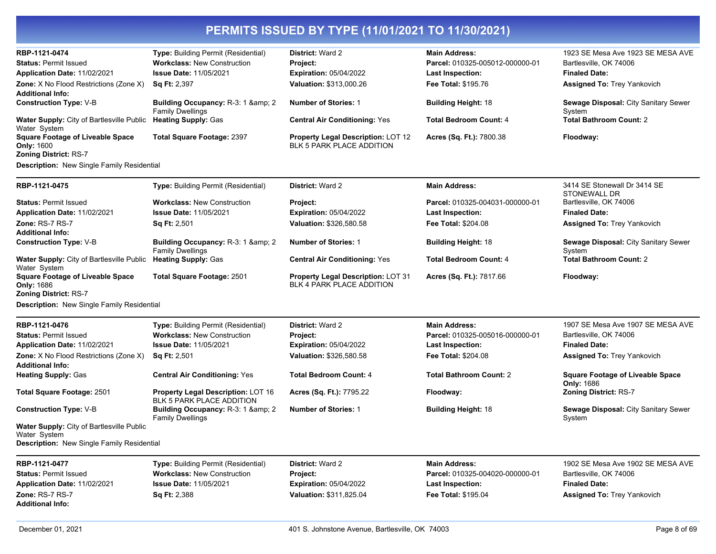| Type: Building Permit (Residential)<br>1923 SE Mesa Ave 1923 SE MESA AVE<br>RBP-1121-0474<br><b>District: Ward 2</b><br><b>Main Address:</b><br>Bartlesville, OK 74006<br><b>Workclass: New Construction</b><br>Parcel: 010325-005012-000000-01<br><b>Status: Permit Issued</b><br><b>Project:</b><br><b>Issue Date: 11/05/2021</b><br><b>Expiration: 05/04/2022</b><br><b>Finaled Date:</b><br>Application Date: 11/02/2021<br><b>Last Inspection:</b><br><b>Zone:</b> X No Flood Restrictions (Zone X)<br><b>Sq Ft: 2,397</b><br><b>Valuation: \$313,000.26</b><br><b>Fee Total: \$195.76</b><br><b>Assigned To: Trey Yankovich</b><br><b>Additional Info:</b><br><b>Construction Type: V-B</b><br>Building Occupancy: R-3: 1 & amp; 2<br><b>Number of Stories: 1</b><br>Sewage Disposal: City Sanitary Sewer<br><b>Building Height: 18</b><br><b>Family Dwellings</b><br>System<br>Water Supply: City of Bartlesville Public Heating Supply: Gas<br><b>Total Bathroom Count: 2</b><br><b>Central Air Conditioning: Yes</b><br><b>Total Bedroom Count: 4</b><br>Water System<br><b>Square Footage of Liveable Space</b><br><b>Total Square Footage: 2397</b><br><b>Property Legal Description: LOT 12</b><br>Acres (Sq. Ft.): 7800.38<br>Floodway:<br><b>BLK 5 PARK PLACE ADDITION</b><br><b>Only: 1600</b><br>Zoning District: RS-7<br>Description: New Single Family Residential<br>RBP-1121-0475<br>Type: Building Permit (Residential)<br>District: Ward 2<br><b>Main Address:</b><br>3414 SE Stonewall Dr 3414 SE<br>STONEWALL DR<br><b>Status: Permit Issued</b><br><b>Workclass: New Construction</b><br>Parcel: 010325-004031-000000-01<br>Bartlesville, OK 74006<br>Project:<br><b>Issue Date: 11/05/2021</b><br>Expiration: 05/04/2022<br><b>Finaled Date:</b><br>Application Date: 11/02/2021<br><b>Last Inspection:</b><br>Zone: RS-7 RS-7<br>Sq Ft: 2,501<br>Valuation: \$326,580.58<br>Fee Total: \$204.08<br><b>Assigned To: Trey Yankovich</b><br><b>Additional Info:</b><br><b>Construction Type: V-B</b><br>Building Occupancy: R-3: 1 & amp; 2<br><b>Number of Stories: 1</b><br>Sewage Disposal: City Sanitary Sewer<br><b>Building Height: 18</b><br><b>Family Dwellings</b><br>System<br><b>Total Bathroom Count: 2</b><br><b>Water Supply:</b> City of Bartlesville Public<br><b>Heating Supply: Gas</b><br><b>Central Air Conditioning: Yes</b><br><b>Total Bedroom Count: 4</b><br>Water System |                                         |                                   |                                    |                          |           |
|----------------------------------------------------------------------------------------------------------------------------------------------------------------------------------------------------------------------------------------------------------------------------------------------------------------------------------------------------------------------------------------------------------------------------------------------------------------------------------------------------------------------------------------------------------------------------------------------------------------------------------------------------------------------------------------------------------------------------------------------------------------------------------------------------------------------------------------------------------------------------------------------------------------------------------------------------------------------------------------------------------------------------------------------------------------------------------------------------------------------------------------------------------------------------------------------------------------------------------------------------------------------------------------------------------------------------------------------------------------------------------------------------------------------------------------------------------------------------------------------------------------------------------------------------------------------------------------------------------------------------------------------------------------------------------------------------------------------------------------------------------------------------------------------------------------------------------------------------------------------------------------------------------------------------------------------------------------------------------------------------------------------------------------------------------------------------------------------------------------------------------------------------------------------------------------------------------------------------------------------------------------------------------------------------------------------------------------------------------------------------------------------------------------------------|-----------------------------------------|-----------------------------------|------------------------------------|--------------------------|-----------|
|                                                                                                                                                                                                                                                                                                                                                                                                                                                                                                                                                                                                                                                                                                                                                                                                                                                                                                                                                                                                                                                                                                                                                                                                                                                                                                                                                                                                                                                                                                                                                                                                                                                                                                                                                                                                                                                                                                                                                                                                                                                                                                                                                                                                                                                                                                                                                                                                                            |                                         |                                   |                                    |                          |           |
|                                                                                                                                                                                                                                                                                                                                                                                                                                                                                                                                                                                                                                                                                                                                                                                                                                                                                                                                                                                                                                                                                                                                                                                                                                                                                                                                                                                                                                                                                                                                                                                                                                                                                                                                                                                                                                                                                                                                                                                                                                                                                                                                                                                                                                                                                                                                                                                                                            |                                         |                                   |                                    |                          |           |
|                                                                                                                                                                                                                                                                                                                                                                                                                                                                                                                                                                                                                                                                                                                                                                                                                                                                                                                                                                                                                                                                                                                                                                                                                                                                                                                                                                                                                                                                                                                                                                                                                                                                                                                                                                                                                                                                                                                                                                                                                                                                                                                                                                                                                                                                                                                                                                                                                            |                                         |                                   |                                    |                          |           |
|                                                                                                                                                                                                                                                                                                                                                                                                                                                                                                                                                                                                                                                                                                                                                                                                                                                                                                                                                                                                                                                                                                                                                                                                                                                                                                                                                                                                                                                                                                                                                                                                                                                                                                                                                                                                                                                                                                                                                                                                                                                                                                                                                                                                                                                                                                                                                                                                                            |                                         |                                   |                                    |                          |           |
|                                                                                                                                                                                                                                                                                                                                                                                                                                                                                                                                                                                                                                                                                                                                                                                                                                                                                                                                                                                                                                                                                                                                                                                                                                                                                                                                                                                                                                                                                                                                                                                                                                                                                                                                                                                                                                                                                                                                                                                                                                                                                                                                                                                                                                                                                                                                                                                                                            |                                         |                                   |                                    |                          |           |
|                                                                                                                                                                                                                                                                                                                                                                                                                                                                                                                                                                                                                                                                                                                                                                                                                                                                                                                                                                                                                                                                                                                                                                                                                                                                                                                                                                                                                                                                                                                                                                                                                                                                                                                                                                                                                                                                                                                                                                                                                                                                                                                                                                                                                                                                                                                                                                                                                            |                                         |                                   |                                    |                          |           |
|                                                                                                                                                                                                                                                                                                                                                                                                                                                                                                                                                                                                                                                                                                                                                                                                                                                                                                                                                                                                                                                                                                                                                                                                                                                                                                                                                                                                                                                                                                                                                                                                                                                                                                                                                                                                                                                                                                                                                                                                                                                                                                                                                                                                                                                                                                                                                                                                                            |                                         |                                   |                                    |                          |           |
|                                                                                                                                                                                                                                                                                                                                                                                                                                                                                                                                                                                                                                                                                                                                                                                                                                                                                                                                                                                                                                                                                                                                                                                                                                                                                                                                                                                                                                                                                                                                                                                                                                                                                                                                                                                                                                                                                                                                                                                                                                                                                                                                                                                                                                                                                                                                                                                                                            |                                         |                                   |                                    |                          |           |
|                                                                                                                                                                                                                                                                                                                                                                                                                                                                                                                                                                                                                                                                                                                                                                                                                                                                                                                                                                                                                                                                                                                                                                                                                                                                                                                                                                                                                                                                                                                                                                                                                                                                                                                                                                                                                                                                                                                                                                                                                                                                                                                                                                                                                                                                                                                                                                                                                            |                                         |                                   |                                    |                          |           |
|                                                                                                                                                                                                                                                                                                                                                                                                                                                                                                                                                                                                                                                                                                                                                                                                                                                                                                                                                                                                                                                                                                                                                                                                                                                                                                                                                                                                                                                                                                                                                                                                                                                                                                                                                                                                                                                                                                                                                                                                                                                                                                                                                                                                                                                                                                                                                                                                                            |                                         |                                   |                                    |                          |           |
|                                                                                                                                                                                                                                                                                                                                                                                                                                                                                                                                                                                                                                                                                                                                                                                                                                                                                                                                                                                                                                                                                                                                                                                                                                                                                                                                                                                                                                                                                                                                                                                                                                                                                                                                                                                                                                                                                                                                                                                                                                                                                                                                                                                                                                                                                                                                                                                                                            |                                         |                                   |                                    |                          |           |
|                                                                                                                                                                                                                                                                                                                                                                                                                                                                                                                                                                                                                                                                                                                                                                                                                                                                                                                                                                                                                                                                                                                                                                                                                                                                                                                                                                                                                                                                                                                                                                                                                                                                                                                                                                                                                                                                                                                                                                                                                                                                                                                                                                                                                                                                                                                                                                                                                            |                                         |                                   |                                    |                          |           |
|                                                                                                                                                                                                                                                                                                                                                                                                                                                                                                                                                                                                                                                                                                                                                                                                                                                                                                                                                                                                                                                                                                                                                                                                                                                                                                                                                                                                                                                                                                                                                                                                                                                                                                                                                                                                                                                                                                                                                                                                                                                                                                                                                                                                                                                                                                                                                                                                                            |                                         |                                   |                                    |                          |           |
|                                                                                                                                                                                                                                                                                                                                                                                                                                                                                                                                                                                                                                                                                                                                                                                                                                                                                                                                                                                                                                                                                                                                                                                                                                                                                                                                                                                                                                                                                                                                                                                                                                                                                                                                                                                                                                                                                                                                                                                                                                                                                                                                                                                                                                                                                                                                                                                                                            |                                         |                                   |                                    |                          |           |
|                                                                                                                                                                                                                                                                                                                                                                                                                                                                                                                                                                                                                                                                                                                                                                                                                                                                                                                                                                                                                                                                                                                                                                                                                                                                                                                                                                                                                                                                                                                                                                                                                                                                                                                                                                                                                                                                                                                                                                                                                                                                                                                                                                                                                                                                                                                                                                                                                            |                                         |                                   |                                    |                          |           |
|                                                                                                                                                                                                                                                                                                                                                                                                                                                                                                                                                                                                                                                                                                                                                                                                                                                                                                                                                                                                                                                                                                                                                                                                                                                                                                                                                                                                                                                                                                                                                                                                                                                                                                                                                                                                                                                                                                                                                                                                                                                                                                                                                                                                                                                                                                                                                                                                                            |                                         |                                   |                                    |                          |           |
|                                                                                                                                                                                                                                                                                                                                                                                                                                                                                                                                                                                                                                                                                                                                                                                                                                                                                                                                                                                                                                                                                                                                                                                                                                                                                                                                                                                                                                                                                                                                                                                                                                                                                                                                                                                                                                                                                                                                                                                                                                                                                                                                                                                                                                                                                                                                                                                                                            |                                         |                                   |                                    |                          |           |
|                                                                                                                                                                                                                                                                                                                                                                                                                                                                                                                                                                                                                                                                                                                                                                                                                                                                                                                                                                                                                                                                                                                                                                                                                                                                                                                                                                                                                                                                                                                                                                                                                                                                                                                                                                                                                                                                                                                                                                                                                                                                                                                                                                                                                                                                                                                                                                                                                            |                                         |                                   |                                    |                          |           |
|                                                                                                                                                                                                                                                                                                                                                                                                                                                                                                                                                                                                                                                                                                                                                                                                                                                                                                                                                                                                                                                                                                                                                                                                                                                                                                                                                                                                                                                                                                                                                                                                                                                                                                                                                                                                                                                                                                                                                                                                                                                                                                                                                                                                                                                                                                                                                                                                                            |                                         |                                   |                                    |                          |           |
|                                                                                                                                                                                                                                                                                                                                                                                                                                                                                                                                                                                                                                                                                                                                                                                                                                                                                                                                                                                                                                                                                                                                                                                                                                                                                                                                                                                                                                                                                                                                                                                                                                                                                                                                                                                                                                                                                                                                                                                                                                                                                                                                                                                                                                                                                                                                                                                                                            |                                         |                                   |                                    |                          |           |
|                                                                                                                                                                                                                                                                                                                                                                                                                                                                                                                                                                                                                                                                                                                                                                                                                                                                                                                                                                                                                                                                                                                                                                                                                                                                                                                                                                                                                                                                                                                                                                                                                                                                                                                                                                                                                                                                                                                                                                                                                                                                                                                                                                                                                                                                                                                                                                                                                            |                                         |                                   |                                    |                          |           |
| BLK 4 PARK PLACE ADDITION<br><b>Only: 1686</b>                                                                                                                                                                                                                                                                                                                                                                                                                                                                                                                                                                                                                                                                                                                                                                                                                                                                                                                                                                                                                                                                                                                                                                                                                                                                                                                                                                                                                                                                                                                                                                                                                                                                                                                                                                                                                                                                                                                                                                                                                                                                                                                                                                                                                                                                                                                                                                             | <b>Square Footage of Liveable Space</b> | <b>Total Square Footage: 2501</b> | Property Legal Description: LOT 31 | Acres (Sq. Ft.): 7817.66 | Floodway: |
| <b>Zoning District: RS-7</b>                                                                                                                                                                                                                                                                                                                                                                                                                                                                                                                                                                                                                                                                                                                                                                                                                                                                                                                                                                                                                                                                                                                                                                                                                                                                                                                                                                                                                                                                                                                                                                                                                                                                                                                                                                                                                                                                                                                                                                                                                                                                                                                                                                                                                                                                                                                                                                                               |                                         |                                   |                                    |                          |           |
| Description: New Single Family Residential                                                                                                                                                                                                                                                                                                                                                                                                                                                                                                                                                                                                                                                                                                                                                                                                                                                                                                                                                                                                                                                                                                                                                                                                                                                                                                                                                                                                                                                                                                                                                                                                                                                                                                                                                                                                                                                                                                                                                                                                                                                                                                                                                                                                                                                                                                                                                                                 |                                         |                                   |                                    |                          |           |
| RBP-1121-0476<br>Type: Building Permit (Residential)<br>1907 SE Mesa Ave 1907 SE MESA AVE<br><b>District: Ward 2</b><br><b>Main Address:</b>                                                                                                                                                                                                                                                                                                                                                                                                                                                                                                                                                                                                                                                                                                                                                                                                                                                                                                                                                                                                                                                                                                                                                                                                                                                                                                                                                                                                                                                                                                                                                                                                                                                                                                                                                                                                                                                                                                                                                                                                                                                                                                                                                                                                                                                                               |                                         |                                   |                                    |                          |           |
| Bartlesville, OK 74006<br><b>Status: Permit Issued</b><br><b>Workclass: New Construction</b><br>Project:<br>Parcel: 010325-005016-000000-01                                                                                                                                                                                                                                                                                                                                                                                                                                                                                                                                                                                                                                                                                                                                                                                                                                                                                                                                                                                                                                                                                                                                                                                                                                                                                                                                                                                                                                                                                                                                                                                                                                                                                                                                                                                                                                                                                                                                                                                                                                                                                                                                                                                                                                                                                |                                         |                                   |                                    |                          |           |
|                                                                                                                                                                                                                                                                                                                                                                                                                                                                                                                                                                                                                                                                                                                                                                                                                                                                                                                                                                                                                                                                                                                                                                                                                                                                                                                                                                                                                                                                                                                                                                                                                                                                                                                                                                                                                                                                                                                                                                                                                                                                                                                                                                                                                                                                                                                                                                                                                            |                                         |                                   |                                    |                          |           |
| <b>Expiration: 05/04/2022</b><br><b>Finaled Date:</b><br>Application Date: 11/02/2021<br><b>Issue Date: 11/05/2021</b><br>Last Inspection:                                                                                                                                                                                                                                                                                                                                                                                                                                                                                                                                                                                                                                                                                                                                                                                                                                                                                                                                                                                                                                                                                                                                                                                                                                                                                                                                                                                                                                                                                                                                                                                                                                                                                                                                                                                                                                                                                                                                                                                                                                                                                                                                                                                                                                                                                 |                                         |                                   |                                    |                          |           |
| Valuation: \$326,580.58<br><b>Zone:</b> X No Flood Restrictions (Zone X)<br><b>Sq Ft: 2,501</b><br>Fee Total: \$204.08<br><b>Assigned To: Trey Yankovich</b>                                                                                                                                                                                                                                                                                                                                                                                                                                                                                                                                                                                                                                                                                                                                                                                                                                                                                                                                                                                                                                                                                                                                                                                                                                                                                                                                                                                                                                                                                                                                                                                                                                                                                                                                                                                                                                                                                                                                                                                                                                                                                                                                                                                                                                                               |                                         |                                   |                                    |                          |           |
| <b>Additional Info:</b>                                                                                                                                                                                                                                                                                                                                                                                                                                                                                                                                                                                                                                                                                                                                                                                                                                                                                                                                                                                                                                                                                                                                                                                                                                                                                                                                                                                                                                                                                                                                                                                                                                                                                                                                                                                                                                                                                                                                                                                                                                                                                                                                                                                                                                                                                                                                                                                                    |                                         |                                   |                                    |                          |           |
| <b>Heating Supply: Gas</b><br><b>Central Air Conditioning: Yes</b><br><b>Total Bedroom Count: 4</b><br><b>Total Bathroom Count: 2</b><br><b>Square Footage of Liveable Space</b>                                                                                                                                                                                                                                                                                                                                                                                                                                                                                                                                                                                                                                                                                                                                                                                                                                                                                                                                                                                                                                                                                                                                                                                                                                                                                                                                                                                                                                                                                                                                                                                                                                                                                                                                                                                                                                                                                                                                                                                                                                                                                                                                                                                                                                           |                                         |                                   |                                    |                          |           |
| <b>Only: 1686</b>                                                                                                                                                                                                                                                                                                                                                                                                                                                                                                                                                                                                                                                                                                                                                                                                                                                                                                                                                                                                                                                                                                                                                                                                                                                                                                                                                                                                                                                                                                                                                                                                                                                                                                                                                                                                                                                                                                                                                                                                                                                                                                                                                                                                                                                                                                                                                                                                          |                                         |                                   |                                    |                          |           |
| Property Legal Description: LOT 16<br>Zoning District: RS-7<br>Total Square Footage: 2501<br>Acres (Sq. Ft.): 7795.22<br>Floodway:                                                                                                                                                                                                                                                                                                                                                                                                                                                                                                                                                                                                                                                                                                                                                                                                                                                                                                                                                                                                                                                                                                                                                                                                                                                                                                                                                                                                                                                                                                                                                                                                                                                                                                                                                                                                                                                                                                                                                                                                                                                                                                                                                                                                                                                                                         |                                         |                                   |                                    |                          |           |
| <b>BLK 5 PARK PLACE ADDITION</b><br><b>Construction Type: V-B</b><br>Building Occupancy: R-3: 1 & amp; 2<br><b>Number of Stories: 1</b><br><b>Building Height: 18</b><br>Sewage Disposal: City Sanitary Sewer                                                                                                                                                                                                                                                                                                                                                                                                                                                                                                                                                                                                                                                                                                                                                                                                                                                                                                                                                                                                                                                                                                                                                                                                                                                                                                                                                                                                                                                                                                                                                                                                                                                                                                                                                                                                                                                                                                                                                                                                                                                                                                                                                                                                              |                                         |                                   |                                    |                          |           |
| <b>Family Dwellings</b><br>System                                                                                                                                                                                                                                                                                                                                                                                                                                                                                                                                                                                                                                                                                                                                                                                                                                                                                                                                                                                                                                                                                                                                                                                                                                                                                                                                                                                                                                                                                                                                                                                                                                                                                                                                                                                                                                                                                                                                                                                                                                                                                                                                                                                                                                                                                                                                                                                          |                                         |                                   |                                    |                          |           |
| Water Supply: City of Bartlesville Public                                                                                                                                                                                                                                                                                                                                                                                                                                                                                                                                                                                                                                                                                                                                                                                                                                                                                                                                                                                                                                                                                                                                                                                                                                                                                                                                                                                                                                                                                                                                                                                                                                                                                                                                                                                                                                                                                                                                                                                                                                                                                                                                                                                                                                                                                                                                                                                  |                                         |                                   |                                    |                          |           |
| Water System                                                                                                                                                                                                                                                                                                                                                                                                                                                                                                                                                                                                                                                                                                                                                                                                                                                                                                                                                                                                                                                                                                                                                                                                                                                                                                                                                                                                                                                                                                                                                                                                                                                                                                                                                                                                                                                                                                                                                                                                                                                                                                                                                                                                                                                                                                                                                                                                               |                                         |                                   |                                    |                          |           |
| Description: New Single Family Residential                                                                                                                                                                                                                                                                                                                                                                                                                                                                                                                                                                                                                                                                                                                                                                                                                                                                                                                                                                                                                                                                                                                                                                                                                                                                                                                                                                                                                                                                                                                                                                                                                                                                                                                                                                                                                                                                                                                                                                                                                                                                                                                                                                                                                                                                                                                                                                                 |                                         |                                   |                                    |                          |           |
| RBP-1121-0477<br>Type: Building Permit (Residential)<br>District: Ward 2<br><b>Main Address:</b><br>1902 SE Mesa Ave 1902 SE MESA AVE                                                                                                                                                                                                                                                                                                                                                                                                                                                                                                                                                                                                                                                                                                                                                                                                                                                                                                                                                                                                                                                                                                                                                                                                                                                                                                                                                                                                                                                                                                                                                                                                                                                                                                                                                                                                                                                                                                                                                                                                                                                                                                                                                                                                                                                                                      |                                         |                                   |                                    |                          |           |
| Bartlesville, OK 74006<br><b>Status: Permit Issued</b><br><b>Workclass: New Construction</b><br>Parcel: 010325-004020-000000-01<br>Project:                                                                                                                                                                                                                                                                                                                                                                                                                                                                                                                                                                                                                                                                                                                                                                                                                                                                                                                                                                                                                                                                                                                                                                                                                                                                                                                                                                                                                                                                                                                                                                                                                                                                                                                                                                                                                                                                                                                                                                                                                                                                                                                                                                                                                                                                                |                                         |                                   |                                    |                          |           |
| Application Date: 11/02/2021<br><b>Issue Date: 11/05/2021</b><br><b>Finaled Date:</b><br><b>Expiration: 05/04/2022</b><br>Last Inspection:                                                                                                                                                                                                                                                                                                                                                                                                                                                                                                                                                                                                                                                                                                                                                                                                                                                                                                                                                                                                                                                                                                                                                                                                                                                                                                                                                                                                                                                                                                                                                                                                                                                                                                                                                                                                                                                                                                                                                                                                                                                                                                                                                                                                                                                                                 |                                         |                                   |                                    |                          |           |
| Zone: RS-7 RS-7<br>Valuation: \$311,825.04<br><b>Sq Ft: 2,388</b><br>Fee Total: \$195.04<br><b>Assigned To: Trey Yankovich</b>                                                                                                                                                                                                                                                                                                                                                                                                                                                                                                                                                                                                                                                                                                                                                                                                                                                                                                                                                                                                                                                                                                                                                                                                                                                                                                                                                                                                                                                                                                                                                                                                                                                                                                                                                                                                                                                                                                                                                                                                                                                                                                                                                                                                                                                                                             |                                         |                                   |                                    |                          |           |
| <b>Additional Info:</b>                                                                                                                                                                                                                                                                                                                                                                                                                                                                                                                                                                                                                                                                                                                                                                                                                                                                                                                                                                                                                                                                                                                                                                                                                                                                                                                                                                                                                                                                                                                                                                                                                                                                                                                                                                                                                                                                                                                                                                                                                                                                                                                                                                                                                                                                                                                                                                                                    |                                         |                                   |                                    |                          |           |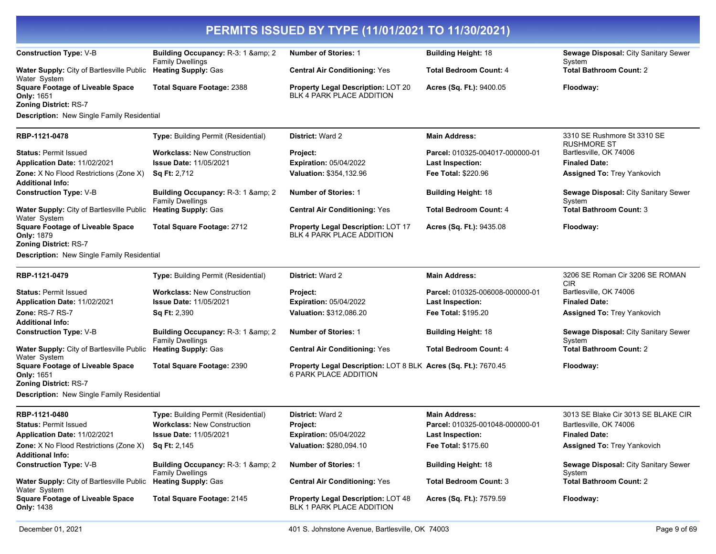| <b>Construction Type: V-B</b>                                                                | Building Occupancy: R-3: 1 & amp; 2<br><b>Family Dwellings</b>            | <b>Number of Stories: 1</b>                                                             | <b>Building Height: 18</b>      | Sewage Disposal: City Sanitary Sewer<br>System        |
|----------------------------------------------------------------------------------------------|---------------------------------------------------------------------------|-----------------------------------------------------------------------------------------|---------------------------------|-------------------------------------------------------|
| Water Supply: City of Bartlesville Public Heating Supply: Gas<br>Water System                |                                                                           | <b>Central Air Conditioning: Yes</b>                                                    | <b>Total Bedroom Count: 4</b>   | <b>Total Bathroom Count: 2</b>                        |
| <b>Square Footage of Liveable Space</b><br><b>Only: 1651</b><br><b>Zoning District: RS-7</b> | <b>Total Square Footage: 2388</b>                                         | Property Legal Description: LOT 20<br><b>BLK 4 PARK PLACE ADDITION</b>                  | Acres (Sq. Ft.): 9400.05        | Floodway:                                             |
| Description: New Single Family Residential                                                   |                                                                           |                                                                                         |                                 |                                                       |
| RBP-1121-0478                                                                                | <b>Type:</b> Building Permit (Residential)                                | <b>District: Ward 2</b>                                                                 | <b>Main Address:</b>            | 3310 SE Rushmore St 3310 SE<br><b>RUSHMORE ST</b>     |
| <b>Status: Permit Issued</b>                                                                 | <b>Workclass: New Construction</b>                                        | <b>Project:</b>                                                                         | Parcel: 010325-004017-000000-01 | Bartlesville, OK 74006                                |
| Application Date: 11/02/2021                                                                 | <b>Issue Date: 11/05/2021</b>                                             | <b>Expiration: 05/04/2022</b>                                                           | <b>Last Inspection:</b>         | <b>Finaled Date:</b>                                  |
| Zone: X No Flood Restrictions (Zone X)<br><b>Additional Info:</b>                            | <b>Sq Ft: 2,712</b>                                                       | Valuation: \$354,132.96                                                                 | Fee Total: \$220.96             | <b>Assigned To: Trey Yankovich</b>                    |
| <b>Construction Type: V-B</b>                                                                | <b>Building Occupancy: R-3: 1 &amp; amp; 2</b><br><b>Family Dwellings</b> | <b>Number of Stories: 1</b>                                                             | <b>Building Height: 18</b>      | Sewage Disposal: City Sanitary Sewer<br>System        |
| Water Supply: City of Bartlesville Public Heating Supply: Gas<br>Water System                |                                                                           | <b>Central Air Conditioning: Yes</b>                                                    | <b>Total Bedroom Count: 4</b>   | <b>Total Bathroom Count: 3</b>                        |
| <b>Square Footage of Liveable Space</b><br><b>Only: 1879</b><br>Zoning District: RS-7        | <b>Total Square Footage: 2712</b>                                         | Property Legal Description: LOT 17<br><b>BLK 4 PARK PLACE ADDITION</b>                  | Acres (Sq. Ft.): 9435.08        | Floodway:                                             |
| <b>Description:</b> New Single Family Residential                                            |                                                                           |                                                                                         |                                 |                                                       |
|                                                                                              |                                                                           |                                                                                         |                                 |                                                       |
| RBP-1121-0479                                                                                | Type: Building Permit (Residential)                                       | District: Ward 2                                                                        | <b>Main Address:</b>            | 3206 SE Roman Cir 3206 SE ROMAN<br><b>CIR</b>         |
| <b>Status: Permit Issued</b>                                                                 | <b>Workclass: New Construction</b>                                        | Project:                                                                                | Parcel: 010325-006008-000000-01 | Bartlesville, OK 74006                                |
| Application Date: 11/02/2021                                                                 | <b>Issue Date: 11/05/2021</b>                                             | <b>Expiration: 05/04/2022</b>                                                           | <b>Last Inspection:</b>         | <b>Finaled Date:</b>                                  |
| Zone: RS-7 RS-7                                                                              | Sq Ft: 2,390                                                              | Valuation: \$312,086.20                                                                 | <b>Fee Total: \$195.20</b>      | <b>Assigned To: Trey Yankovich</b>                    |
| <b>Additional Info:</b>                                                                      |                                                                           |                                                                                         |                                 |                                                       |
| <b>Construction Type: V-B</b>                                                                | <b>Building Occupancy: R-3: 1 &amp; amp; 2</b><br><b>Family Dwellings</b> | <b>Number of Stories: 1</b>                                                             | <b>Building Height: 18</b>      | <b>Sewage Disposal: City Sanitary Sewer</b><br>System |
| Water Supply: City of Bartlesville Public Heating Supply: Gas<br>Water System                |                                                                           | <b>Central Air Conditioning: Yes</b>                                                    | <b>Total Bedroom Count: 4</b>   | <b>Total Bathroom Count: 2</b>                        |
| <b>Square Footage of Liveable Space</b><br>Only: 1651<br><b>Zoning District: RS-7</b>        | <b>Total Square Footage: 2390</b>                                         | Property Legal Description: LOT 8 BLK Acres (Sq. Ft.): 7670.45<br>6 PARK PLACE ADDITION |                                 | Floodway:                                             |
| <b>Description:</b> New Single Family Residential                                            |                                                                           |                                                                                         |                                 |                                                       |
| RBP-1121-0480                                                                                |                                                                           | <b>District: Ward 2</b>                                                                 | <b>Main Address:</b>            | 3013 SE Blake Cir 3013 SE BLAKE CIR                   |
| <b>Status: Permit Issued</b>                                                                 | Type: Building Permit (Residential)<br><b>Workclass: New Construction</b> | Project:                                                                                | Parcel: 010325-001048-000000-01 | Bartlesville, OK 74006                                |
| Application Date: 11/02/2021                                                                 | <b>Issue Date: 11/05/2021</b>                                             | <b>Expiration: 05/04/2022</b>                                                           | <b>Last Inspection:</b>         | <b>Finaled Date:</b>                                  |
| <b>Zone:</b> X No Flood Restrictions (Zone X)                                                | <b>Sq Ft: 2,145</b>                                                       | Valuation: \$280,094.10                                                                 | <b>Fee Total: \$175.60</b>      | <b>Assigned To: Trey Yankovich</b>                    |
| <b>Additional Info:</b>                                                                      |                                                                           |                                                                                         |                                 |                                                       |
| <b>Construction Type: V-B</b>                                                                | <b>Building Occupancy: R-3: 1 &amp; amp; 2</b><br><b>Family Dwellings</b> | <b>Number of Stories: 1</b>                                                             | <b>Building Height: 18</b>      | <b>Sewage Disposal: City Sanitary Sewer</b><br>System |
| Water Supply: City of Bartlesville Public Heating Supply: Gas<br>Water System                |                                                                           | <b>Central Air Conditioning: Yes</b>                                                    | <b>Total Bedroom Count: 3</b>   | <b>Total Bathroom Count: 2</b>                        |
| <b>Square Footage of Liveable Space</b><br><b>Only: 1438</b>                                 | Total Square Footage: 2145                                                | <b>Property Legal Description: LOT 48</b><br>BLK 1 PARK PLACE ADDITION                  | Acres (Sq. Ft.): 7579.59        | Floodway:                                             |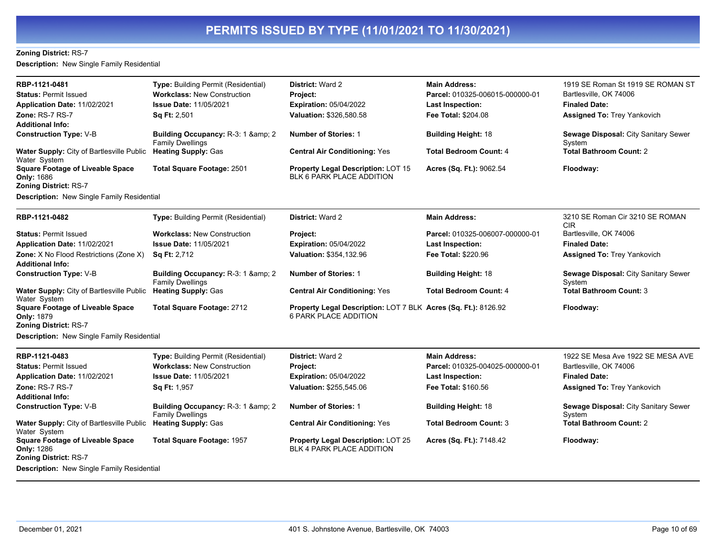#### **Zoning District:** RS-7

**Description:** New Single Family Residential

| RBP-1121-0481                                                                                | Type: Building Permit (Residential)                                 | <b>District: Ward 2</b>                                                                 | <b>Main Address:</b>                                       | 1919 SE Roman St 1919 SE ROMAN ST              |
|----------------------------------------------------------------------------------------------|---------------------------------------------------------------------|-----------------------------------------------------------------------------------------|------------------------------------------------------------|------------------------------------------------|
| <b>Status: Permit Issued</b><br>Application Date: 11/02/2021                                 | <b>Workclass: New Construction</b><br><b>Issue Date: 11/05/2021</b> | Project:<br><b>Expiration: 05/04/2022</b>                                               | Parcel: 010325-006015-000000-01<br><b>Last Inspection:</b> | Bartlesville, OK 74006<br><b>Finaled Date:</b> |
| <b>Zone: RS-7 RS-7</b>                                                                       | Sq Ft: 2,501                                                        | Valuation: \$326,580.58                                                                 | Fee Total: \$204.08                                        | <b>Assigned To: Trey Yankovich</b>             |
| Additional Info:                                                                             |                                                                     |                                                                                         |                                                            |                                                |
| <b>Construction Type: V-B</b>                                                                | Building Occupancy: R-3: 1 & amp: 2<br><b>Family Dwellings</b>      | <b>Number of Stories: 1</b>                                                             | <b>Building Height: 18</b>                                 | Sewage Disposal: City Sanitary Sewer<br>System |
| Water Supply: City of Bartlesville Public<br>Water System                                    | <b>Heating Supply: Gas</b>                                          | <b>Central Air Conditioning: Yes</b>                                                    | <b>Total Bedroom Count: 4</b>                              | <b>Total Bathroom Count: 2</b>                 |
| <b>Square Footage of Liveable Space</b><br><b>Only: 1686</b><br><b>Zoning District: RS-7</b> | <b>Total Square Footage: 2501</b>                                   | <b>Property Legal Description: LOT 15</b><br>BLK 6 PARK PLACE ADDITION                  | Acres (Sq. Ft.): 9062.54                                   | Floodway:                                      |
| <b>Description:</b> New Single Family Residential                                            |                                                                     |                                                                                         |                                                            |                                                |
| RBP-1121-0482                                                                                | Type: Building Permit (Residential)                                 | <b>District: Ward 2</b>                                                                 | <b>Main Address:</b>                                       | 3210 SE Roman Cir 3210 SE ROMAN<br><b>CIR</b>  |
| <b>Status: Permit Issued</b>                                                                 | <b>Workclass: New Construction</b>                                  | Project:                                                                                | Parcel: 010325-006007-000000-01                            | Bartlesville, OK 74006                         |
| Application Date: 11/02/2021                                                                 | <b>Issue Date: 11/05/2021</b>                                       | <b>Expiration: 05/04/2022</b>                                                           | <b>Last Inspection:</b>                                    | <b>Finaled Date:</b>                           |
| Zone: X No Flood Restrictions (Zone X)<br><b>Additional Info:</b>                            | <b>Sq Ft: 2,712</b>                                                 | Valuation: \$354,132.96                                                                 | <b>Fee Total: \$220.96</b>                                 | <b>Assigned To: Trey Yankovich</b>             |
| <b>Construction Type: V-B</b>                                                                | Building Occupancy: R-3: 1 & amp; 2<br><b>Family Dwellings</b>      | <b>Number of Stories: 1</b>                                                             | <b>Building Height: 18</b>                                 | Sewage Disposal: City Sanitary Sewer<br>System |
| Water Supply: City of Bartlesville Public<br>Water System                                    | <b>Heating Supply: Gas</b>                                          | <b>Central Air Conditioning: Yes</b>                                                    | <b>Total Bedroom Count: 4</b>                              | <b>Total Bathroom Count: 3</b>                 |
| <b>Square Footage of Liveable Space</b><br>Only: 1879<br><b>Zoning District: RS-7</b>        | Total Square Footage: 2712                                          | Property Legal Description: LOT 7 BLK Acres (Sq. Ft.): 8126.92<br>6 PARK PLACE ADDITION |                                                            | Floodway:                                      |
| Description: New Single Family Residential                                                   |                                                                     |                                                                                         |                                                            |                                                |
| RBP-1121-0483                                                                                | <b>Type: Building Permit (Residential)</b>                          | <b>District: Ward 2</b>                                                                 | <b>Main Address:</b>                                       | 1922 SE Mesa Ave 1922 SE MESA AVE              |
| <b>Status: Permit Issued</b>                                                                 | <b>Workclass: New Construction</b>                                  | Project:                                                                                | Parcel: 010325-004025-000000-01                            | Bartlesville, OK 74006                         |
| Application Date: 11/02/2021                                                                 | <b>Issue Date: 11/05/2021</b>                                       | <b>Expiration: 05/04/2022</b>                                                           | <b>Last Inspection:</b>                                    | <b>Finaled Date:</b>                           |
| Zone: RS-7 RS-7                                                                              | <b>Sq Ft: 1,957</b>                                                 | Valuation: \$255,545.06                                                                 | Fee Total: \$160.56                                        | <b>Assigned To: Trey Yankovich</b>             |
| Additional Info:                                                                             |                                                                     |                                                                                         |                                                            |                                                |
| <b>Construction Type: V-B</b>                                                                | Building Occupancy: R-3: 1 & amp; 2<br><b>Family Dwellings</b>      | <b>Number of Stories: 1</b>                                                             | <b>Building Height: 18</b>                                 | Sewage Disposal: City Sanitary Sewer<br>System |
| Water Supply: City of Bartlesville Public<br>Water System                                    | <b>Heating Supply: Gas</b>                                          | <b>Central Air Conditioning: Yes</b>                                                    | <b>Total Bedroom Count: 3</b>                              | <b>Total Bathroom Count: 2</b>                 |
| <b>Square Footage of Liveable Space</b><br>Only: 1286<br><b>Zoning District: RS-7</b>        | <b>Total Square Footage: 1957</b>                                   | <b>Property Legal Description: LOT 25</b><br><b>BLK 4 PARK PLACE ADDITION</b>           | Acres (Sq. Ft.): 7148.42                                   | Floodway:                                      |
| Description: New Single Family Residential                                                   |                                                                     |                                                                                         |                                                            |                                                |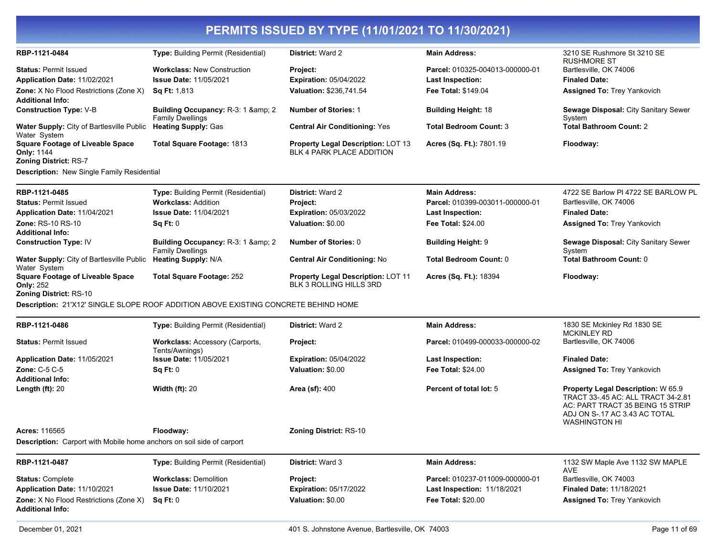| RBP-1121-0484                                                                         | Type: Building Permit (Residential)                                                 | <b>District: Ward 2</b>                                                       | <b>Main Address:</b>            | 3210 SE Rushmore St 3210 SE<br><b>RUSHMORE ST</b>                                                                                                                     |
|---------------------------------------------------------------------------------------|-------------------------------------------------------------------------------------|-------------------------------------------------------------------------------|---------------------------------|-----------------------------------------------------------------------------------------------------------------------------------------------------------------------|
| <b>Status: Permit Issued</b>                                                          | <b>Workclass: New Construction</b>                                                  | Project:                                                                      | Parcel: 010325-004013-000000-01 | Bartlesville, OK 74006                                                                                                                                                |
| Application Date: 11/02/2021                                                          | <b>Issue Date: 11/05/2021</b>                                                       | <b>Expiration: 05/04/2022</b>                                                 | <b>Last Inspection:</b>         | <b>Finaled Date:</b>                                                                                                                                                  |
| <b>Zone:</b> X No Flood Restrictions (Zone X)<br>Additional Info:                     | <b>Sq Ft: 1,813</b>                                                                 | Valuation: \$236,741.54                                                       | <b>Fee Total: \$149.04</b>      | <b>Assigned To: Trey Yankovich</b>                                                                                                                                    |
| <b>Construction Type: V-B</b>                                                         | Building Occupancy: R-3: 1 & amp; 2<br><b>Family Dwellings</b>                      | <b>Number of Stories: 1</b>                                                   | <b>Building Height: 18</b>      | Sewage Disposal: City Sanitary Sewer<br>System                                                                                                                        |
| Water Supply: City of Bartlesville Public<br>Water System                             | <b>Heating Supply: Gas</b>                                                          | <b>Central Air Conditioning: Yes</b>                                          | <b>Total Bedroom Count: 3</b>   | <b>Total Bathroom Count: 2</b>                                                                                                                                        |
| <b>Square Footage of Liveable Space</b><br>Only: 1144                                 | Total Square Footage: 1813                                                          | <b>Property Legal Description: LOT 13</b><br><b>BLK 4 PARK PLACE ADDITION</b> | Acres (Sq. Ft.): 7801.19        | Floodway:                                                                                                                                                             |
| Zoning District: RS-7<br>Description: New Single Family Residential                   |                                                                                     |                                                                               |                                 |                                                                                                                                                                       |
| RBP-1121-0485                                                                         | Type: Building Permit (Residential)                                                 | District: Ward 2                                                              | <b>Main Address:</b>            | 4722 SE Barlow PI 4722 SE BARLOW PL                                                                                                                                   |
| <b>Status: Permit Issued</b>                                                          | <b>Workclass: Addition</b>                                                          | Project:                                                                      | Parcel: 010399-003011-000000-01 | Bartlesville, OK 74006                                                                                                                                                |
| Application Date: 11/04/2021                                                          | <b>Issue Date: 11/04/2021</b>                                                       | Expiration: 05/03/2022                                                        | Last Inspection:                | <b>Finaled Date:</b>                                                                                                                                                  |
| Zone: RS-10 RS-10                                                                     | Sq Ft: 0                                                                            | Valuation: \$0.00                                                             | <b>Fee Total: \$24.00</b>       | <b>Assigned To: Trey Yankovich</b>                                                                                                                                    |
| <b>Additional Info:</b>                                                               |                                                                                     |                                                                               |                                 |                                                                                                                                                                       |
| <b>Construction Type: IV</b>                                                          | Building Occupancy: R-3: 1 & amp; 2<br><b>Family Dwellings</b>                      | Number of Stories: 0                                                          | <b>Building Height: 9</b>       | Sewage Disposal: City Sanitary Sewer<br>System                                                                                                                        |
| Water Supply: City of Bartlesville Public<br>Water System                             | <b>Heating Supply: N/A</b>                                                          | <b>Central Air Conditioning: No</b>                                           | Total Bedroom Count: 0          | <b>Total Bathroom Count: 0</b>                                                                                                                                        |
| <b>Square Footage of Liveable Space</b><br>Only: 252<br><b>Zoning District: RS-10</b> | <b>Total Square Footage: 252</b>                                                    | <b>Property Legal Description: LOT 11</b><br>BLK 3 ROLLING HILLS 3RD          | Acres (Sq. Ft.): 18394          | Floodway:                                                                                                                                                             |
|                                                                                       | Description: 21'X12' SINGLE SLOPE ROOF ADDITION ABOVE EXISTING CONCRETE BEHIND HOME |                                                                               |                                 |                                                                                                                                                                       |
| RBP-1121-0486                                                                         | <b>Type: Building Permit (Residential)</b>                                          | District: Ward 2                                                              | <b>Main Address:</b>            | 1830 SE Mckinley Rd 1830 SE                                                                                                                                           |
| <b>Status: Permit Issued</b>                                                          | <b>Workclass: Accessory (Carports,</b><br>Tents/Awnings)                            | Project:                                                                      | Parcel: 010499-000033-000000-02 | <b>MCKINLEY RD</b><br>Bartlesville, OK 74006                                                                                                                          |
| Application Date: 11/05/2021                                                          | <b>Issue Date: 11/05/2021</b>                                                       | <b>Expiration: 05/04/2022</b>                                                 | <b>Last Inspection:</b>         | <b>Finaled Date:</b>                                                                                                                                                  |
| Zone: C-5 C-5                                                                         | Sq Ft: 0                                                                            | Valuation: \$0.00                                                             | <b>Fee Total: \$24.00</b>       | <b>Assigned To: Trey Yankovich</b>                                                                                                                                    |
| Additional Info:                                                                      |                                                                                     |                                                                               |                                 |                                                                                                                                                                       |
| Length $(ft)$ : 20                                                                    | <b>Width (ft): 20</b>                                                               | Area (sf): 400                                                                | Percent of total lot: 5         | Property Legal Description: W 65.9<br>TRACT 33-.45 AC: ALL TRACT 34-2.81<br>AC: PART TRACT 35 BEING 15 STRIP<br>ADJ ON S-.17 AC 3.43 AC TOTAL<br><b>WASHINGTON HI</b> |
| Acres: 116565                                                                         | Floodway:                                                                           | <b>Zoning District: RS-10</b>                                                 |                                 |                                                                                                                                                                       |
| <b>Description:</b> Carport with Mobile home anchors on soil side of carport          |                                                                                     |                                                                               |                                 |                                                                                                                                                                       |
| RBP-1121-0487                                                                         | <b>Type: Building Permit (Residential)</b>                                          | <b>District: Ward 3</b>                                                       | <b>Main Address:</b>            | 1132 SW Maple Ave 1132 SW MAPLE                                                                                                                                       |
| <b>Status: Complete</b>                                                               | <b>Workclass: Demolition</b>                                                        | Project:                                                                      | Parcel: 010237-011009-000000-01 | AVE<br>Bartlesville, OK 74003                                                                                                                                         |
| Application Date: 11/10/2021                                                          | <b>Issue Date: 11/10/2021</b>                                                       | Expiration: 05/17/2022                                                        | Last Inspection: 11/18/2021     | Finaled Date: 11/18/2021                                                                                                                                              |
| Zone: X No Flood Restrictions (Zone X)<br><b>Additional Info:</b>                     | Sq Ft: 0                                                                            | Valuation: \$0.00                                                             | Fee Total: \$20.00              | <b>Assigned To: Trey Yankovich</b>                                                                                                                                    |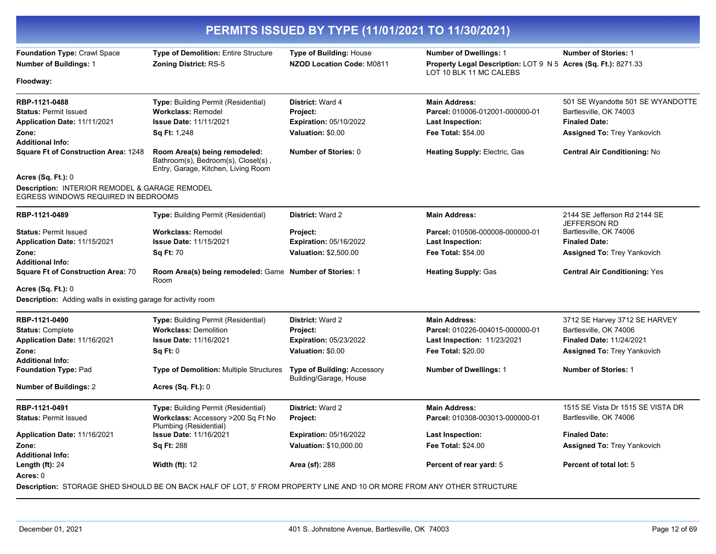| PERMITS ISSUED BY TYPE (11/01/2021 TO 11/30/2021)                                     |                                                                                                                        |                                                       |                                                                                                  |                                                     |
|---------------------------------------------------------------------------------------|------------------------------------------------------------------------------------------------------------------------|-------------------------------------------------------|--------------------------------------------------------------------------------------------------|-----------------------------------------------------|
| Foundation Type: Crawl Space                                                          | Type of Demolition: Entire Structure                                                                                   | <b>Type of Building: House</b>                        | <b>Number of Dwellings: 1</b>                                                                    | <b>Number of Stories: 1</b>                         |
| <b>Number of Buildings: 1</b>                                                         | <b>Zoning District: RS-5</b>                                                                                           | <b>NZOD Location Code: M0811</b>                      | <b>Property Legal Description: LOT 9 N 5 Acres (Sq. Ft.): 8271.33</b><br>LOT 10 BLK 11 MC CALEBS |                                                     |
| Floodway:                                                                             |                                                                                                                        |                                                       |                                                                                                  |                                                     |
| RBP-1121-0488                                                                         | Type: Building Permit (Residential)                                                                                    | District: Ward 4                                      | <b>Main Address:</b>                                                                             | 501 SE Wyandotte 501 SE WYANDOTTE                   |
| <b>Status: Permit Issued</b>                                                          | <b>Workclass: Remodel</b>                                                                                              | <b>Project:</b>                                       | Parcel: 010006-012001-000000-01                                                                  | Bartlesville, OK 74003                              |
| Application Date: 11/11/2021                                                          | <b>Issue Date: 11/11/2021</b>                                                                                          | <b>Expiration: 05/10/2022</b>                         | <b>Last Inspection:</b>                                                                          | <b>Finaled Date:</b>                                |
| Zone:                                                                                 | <b>Sq Ft: 1,248</b>                                                                                                    | Valuation: \$0.00                                     | <b>Fee Total: \$54.00</b>                                                                        | Assigned To: Trey Yankovich                         |
| <b>Additional Info:</b>                                                               |                                                                                                                        |                                                       |                                                                                                  |                                                     |
| <b>Square Ft of Construction Area: 1248</b>                                           | Room Area(s) being remodeled:<br>Bathroom(s), Bedroom(s), Closet(s),<br>Entry, Garage, Kitchen, Living Room            | <b>Number of Stories: 0</b>                           | <b>Heating Supply: Electric, Gas</b>                                                             | <b>Central Air Conditioning: No</b>                 |
| <b>Acres (Sq. Ft.): 0</b>                                                             |                                                                                                                        |                                                       |                                                                                                  |                                                     |
| Description: INTERIOR REMODEL & GARAGE REMODEL<br>EGRESS WINDOWS REQUIRED IN BEDROOMS |                                                                                                                        |                                                       |                                                                                                  |                                                     |
| RBP-1121-0489                                                                         | Type: Building Permit (Residential)                                                                                    | District: Ward 2                                      | <b>Main Address:</b>                                                                             | 2144 SE Jefferson Rd 2144 SE<br><b>JEFFERSON RD</b> |
| <b>Status: Permit Issued</b>                                                          | <b>Workclass: Remodel</b>                                                                                              | Project:                                              | Parcel: 010506-000008-000000-01                                                                  | Bartlesville, OK 74006                              |
| Application Date: 11/15/2021                                                          | <b>Issue Date: 11/15/2021</b>                                                                                          | <b>Expiration: 05/16/2022</b>                         | <b>Last Inspection:</b>                                                                          | <b>Finaled Date:</b>                                |
| Zone:                                                                                 | <b>Sq Ft: 70</b>                                                                                                       | Valuation: \$2,500.00                                 | <b>Fee Total: \$54.00</b>                                                                        | <b>Assigned To: Trey Yankovich</b>                  |
| <b>Additional Info:</b>                                                               |                                                                                                                        |                                                       |                                                                                                  |                                                     |
| <b>Square Ft of Construction Area: 70</b>                                             | Room Area(s) being remodeled: Game Number of Stories: 1<br>Room                                                        |                                                       | <b>Heating Supply: Gas</b>                                                                       | <b>Central Air Conditioning: Yes</b>                |
| <b>Acres (Sq. Ft.): 0</b>                                                             |                                                                                                                        |                                                       |                                                                                                  |                                                     |
| <b>Description:</b> Adding walls in existing garage for activity room                 |                                                                                                                        |                                                       |                                                                                                  |                                                     |
| RBP-1121-0490                                                                         | <b>Type: Building Permit (Residential)</b>                                                                             | <b>District: Ward 2</b>                               | <b>Main Address:</b>                                                                             | 3712 SE Harvey 3712 SE HARVEY                       |
| <b>Status: Complete</b>                                                               | <b>Workclass: Demolition</b>                                                                                           | Project:                                              | Parcel: 010226-004015-000000-01                                                                  | Bartlesville, OK 74006                              |
| Application Date: 11/16/2021                                                          | <b>Issue Date: 11/16/2021</b>                                                                                          | <b>Expiration: 05/23/2022</b>                         | <b>Last Inspection: 11/23/2021</b>                                                               | Finaled Date: 11/24/2021                            |
| Zone:                                                                                 | Sq Ft: 0                                                                                                               | Valuation: \$0.00                                     | <b>Fee Total: \$20.00</b>                                                                        | <b>Assigned To: Trey Yankovich</b>                  |
| <b>Additional Info:</b>                                                               |                                                                                                                        |                                                       |                                                                                                  |                                                     |
| <b>Foundation Type: Pad</b>                                                           | <b>Type of Demolition: Multiple Structures</b>                                                                         | Type of Building: Accessory<br>Building/Garage, House | <b>Number of Dwellings: 1</b>                                                                    | <b>Number of Stories: 1</b>                         |
| <b>Number of Buildings: 2</b>                                                         | <b>Acres (Sq. Ft.): 0</b>                                                                                              |                                                       |                                                                                                  |                                                     |
| RBP-1121-0491                                                                         | Type: Building Permit (Residential)                                                                                    | <b>District: Ward 2</b>                               | <b>Main Address:</b>                                                                             | 1515 SE Vista Dr 1515 SE VISTA DR                   |
| <b>Status: Permit Issued</b>                                                          | Workclass: Accessory >200 Sq Ft No<br>Plumbing (Residential)                                                           | <b>Project:</b>                                       | Parcel: 010308-003013-000000-01                                                                  | Bartlesville, OK 74006                              |
| Application Date: 11/16/2021                                                          | <b>Issue Date: 11/16/2021</b>                                                                                          | <b>Expiration: 05/16/2022</b>                         | <b>Last Inspection:</b>                                                                          | <b>Finaled Date:</b>                                |
| Zone:                                                                                 | <b>Sq Ft: 288</b>                                                                                                      | Valuation: \$10,000.00                                | <b>Fee Total: \$24.00</b>                                                                        | <b>Assigned To: Trey Yankovich</b>                  |
| <b>Additional Info:</b>                                                               |                                                                                                                        |                                                       |                                                                                                  |                                                     |
| Length $(ft)$ : 24<br>Acres: 0                                                        | <b>Width (ft): 12</b>                                                                                                  | <b>Area (sf): 288</b>                                 | Percent of rear yard: 5                                                                          | Percent of total lot: 5                             |
|                                                                                       | Description: STORAGE SHED SHOULD BE ON BACK HALF OF LOT, 5' FROM PROPERTY LINE AND 10 OR MORE FROM ANY OTHER STRUCTURE |                                                       |                                                                                                  |                                                     |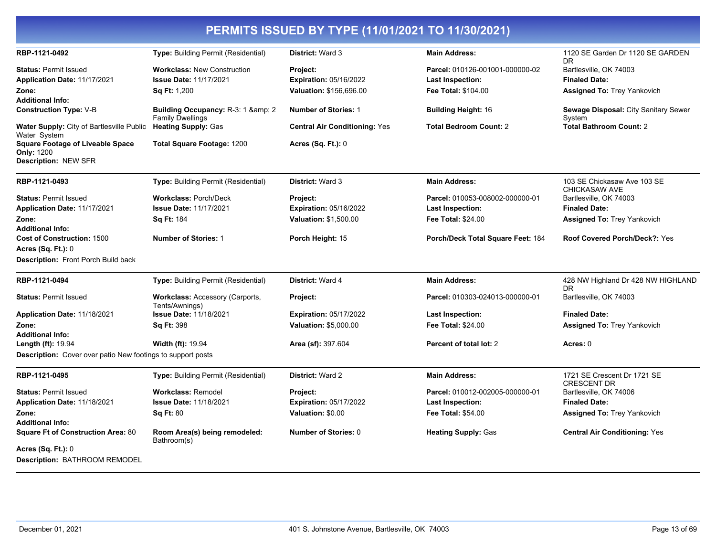| RBP-1121-0492                                                                                                      | Type: Building Permit (Residential)                                                 | District: Ward 3                                              | <b>Main Address:</b>                                                              | 1120 SE Garden Dr 1120 SE GARDEN                                                            |
|--------------------------------------------------------------------------------------------------------------------|-------------------------------------------------------------------------------------|---------------------------------------------------------------|-----------------------------------------------------------------------------------|---------------------------------------------------------------------------------------------|
| <b>Status: Permit Issued</b><br>Application Date: 11/17/2021<br>Zone:<br><b>Additional Info:</b>                   | <b>Workclass: New Construction</b><br><b>Issue Date: 11/17/2021</b><br>Sq Ft: 1,200 | Project:<br>Expiration: 05/16/2022<br>Valuation: \$156,696.00 | Parcel: 010126-001001-000000-02<br>Last Inspection:<br><b>Fee Total: \$104.00</b> | DR.<br>Bartlesville, OK 74003<br><b>Finaled Date:</b><br><b>Assigned To: Trey Yankovich</b> |
| <b>Construction Type: V-B</b>                                                                                      | Building Occupancy: R-3: 1 & 2                                                      | <b>Number of Stories: 1</b>                                   | <b>Building Height: 16</b>                                                        | Sewage Disposal: City Sanitary Sewer                                                        |
| Water Supply: City of Bartlesville Public<br>Water System                                                          | <b>Family Dwellings</b><br><b>Heating Supply: Gas</b>                               | <b>Central Air Conditioning: Yes</b>                          | <b>Total Bedroom Count: 2</b>                                                     | System<br><b>Total Bathroom Count: 2</b>                                                    |
| <b>Square Footage of Liveable Space</b><br><b>Only: 1200</b><br>Description: NEW SFR                               | <b>Total Square Footage: 1200</b>                                                   | <b>Acres (Sq. Ft.): 0</b>                                     |                                                                                   |                                                                                             |
| RBP-1121-0493                                                                                                      | <b>Type:</b> Building Permit (Residential)                                          | <b>District: Ward 3</b>                                       | <b>Main Address:</b>                                                              | 103 SE Chickasaw Ave 103 SE<br><b>CHICKASAW AVE</b>                                         |
| <b>Status: Permit Issued</b>                                                                                       | <b>Workclass: Porch/Deck</b>                                                        | <b>Project:</b>                                               | Parcel: 010053-008002-000000-01                                                   | Bartlesville, OK 74003                                                                      |
| Application Date: 11/17/2021                                                                                       | <b>Issue Date: 11/17/2021</b>                                                       | <b>Expiration: 05/16/2022</b>                                 | <b>Last Inspection:</b>                                                           | <b>Finaled Date:</b>                                                                        |
| Zone:                                                                                                              | Sq Ft: 184                                                                          | Valuation: \$1,500.00                                         | Fee Total: \$24.00                                                                | <b>Assigned To: Trey Yankovich</b>                                                          |
| <b>Additional Info:</b><br>Cost of Construction: 1500<br>Acres (Sq. Ft.): 0<br>Description: Front Porch Build back | <b>Number of Stories: 1</b>                                                         | Porch Height: 15                                              | Porch/Deck Total Square Feet: 184                                                 | Roof Covered Porch/Deck?: Yes                                                               |
| RBP-1121-0494                                                                                                      | <b>Type:</b> Building Permit (Residential)                                          | <b>District: Ward 4</b>                                       | <b>Main Address:</b>                                                              | 428 NW Highland Dr 428 NW HIGHLAND<br>DR.                                                   |
| <b>Status: Permit Issued</b>                                                                                       | <b>Workclass: Accessory (Carports,</b><br>Tents/Awnings)                            | Project:                                                      | Parcel: 010303-024013-000000-01                                                   | Bartlesville, OK 74003                                                                      |
| Application Date: 11/18/2021                                                                                       | <b>Issue Date: 11/18/2021</b>                                                       | <b>Expiration: 05/17/2022</b>                                 | <b>Last Inspection:</b>                                                           | <b>Finaled Date:</b>                                                                        |
| Zone:<br>Additional Info:                                                                                          | <b>Sq Ft: 398</b>                                                                   | Valuation: \$5,000.00                                         | <b>Fee Total: \$24.00</b>                                                         | <b>Assigned To: Trey Yankovich</b>                                                          |
| <b>Length (ft): 19.94</b>                                                                                          | <b>Width (ft): 19.94</b>                                                            | Area (sf): 397.604                                            | Percent of total lot: 2                                                           | Acres: 0                                                                                    |
| <b>Description:</b> Cover over patio New footings to support posts                                                 |                                                                                     |                                                               |                                                                                   |                                                                                             |
| RBP-1121-0495                                                                                                      | Type: Building Permit (Residential)                                                 | District: Ward 2                                              | <b>Main Address:</b>                                                              | 1721 SE Crescent Dr 1721 SE<br><b>CRESCENT DR</b>                                           |
| <b>Status: Permit Issued</b>                                                                                       | <b>Workclass: Remodel</b>                                                           | Project:                                                      | Parcel: 010012-002005-000000-01                                                   | Bartlesville, OK 74006                                                                      |
| Application Date: 11/18/2021                                                                                       | <b>Issue Date: 11/18/2021</b>                                                       | <b>Expiration: 05/17/2022</b>                                 | <b>Last Inspection:</b>                                                           | <b>Finaled Date:</b>                                                                        |
| Zone:<br><b>Additional Info:</b>                                                                                   | <b>Sq Ft: 80</b>                                                                    | Valuation: \$0.00                                             | <b>Fee Total: \$54.00</b>                                                         | Assigned To: Trey Yankovich                                                                 |
| <b>Square Ft of Construction Area: 80</b>                                                                          | Room Area(s) being remodeled:<br>Bathroom(s)                                        | Number of Stories: 0                                          | <b>Heating Supply: Gas</b>                                                        | <b>Central Air Conditioning: Yes</b>                                                        |
| Acres (Sq. Ft.): 0                                                                                                 |                                                                                     |                                                               |                                                                                   |                                                                                             |
| Description: BATHROOM REMODEL                                                                                      |                                                                                     |                                                               |                                                                                   |                                                                                             |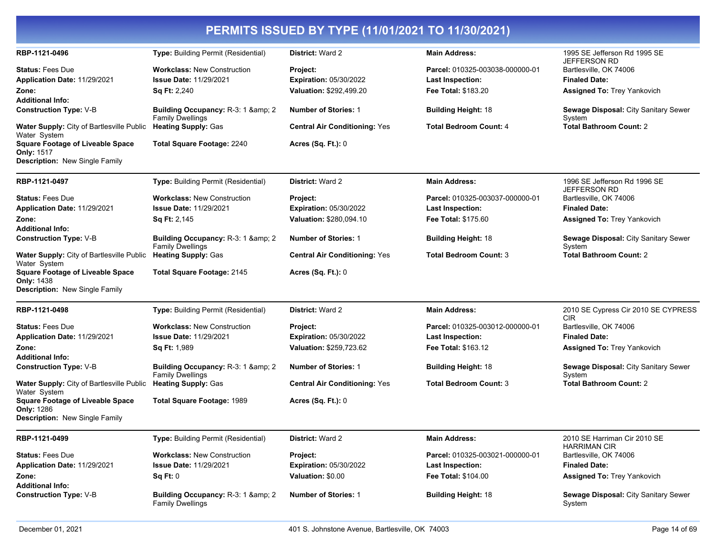| RBP-1121-0496                                                                                  | Type: Building Permit (Residential)                            | District: Ward 2                     | <b>Main Address:</b>            | 1995 SE Jefferson Rd 1995 SE<br><b>JEFFERSON RD</b>   |
|------------------------------------------------------------------------------------------------|----------------------------------------------------------------|--------------------------------------|---------------------------------|-------------------------------------------------------|
| <b>Status: Fees Due</b>                                                                        | <b>Workclass: New Construction</b>                             | Project:                             | Parcel: 010325-003038-000000-01 | Bartlesville, OK 74006                                |
| Application Date: 11/29/2021                                                                   | <b>Issue Date: 11/29/2021</b>                                  | <b>Expiration: 05/30/2022</b>        | <b>Last Inspection:</b>         | <b>Finaled Date:</b>                                  |
| Zone:                                                                                          | <b>Sq Ft: 2,240</b>                                            | Valuation: \$292,499.20              | <b>Fee Total: \$183.20</b>      | <b>Assigned To: Trey Yankovich</b>                    |
| <b>Additional Info:</b>                                                                        |                                                                |                                      |                                 |                                                       |
| <b>Construction Type: V-B</b>                                                                  | Building Occupancy: R-3: 1 & amp; 2<br><b>Family Dwellings</b> | <b>Number of Stories: 1</b>          | <b>Building Height: 18</b>      | <b>Sewage Disposal: City Sanitary Sewer</b><br>System |
| <b>Water Supply: City of Bartlesville Public</b><br>Water System                               | <b>Heating Supply: Gas</b>                                     | <b>Central Air Conditioning: Yes</b> | <b>Total Bedroom Count: 4</b>   | <b>Total Bathroom Count: 2</b>                        |
| <b>Square Footage of Liveable Space</b><br><b>Only: 1517</b>                                   | Total Square Footage: 2240                                     | <b>Acres (Sq. Ft.): 0</b>            |                                 |                                                       |
| Description: New Single Family                                                                 |                                                                |                                      |                                 |                                                       |
| RBP-1121-0497                                                                                  | <b>Type:</b> Building Permit (Residential)                     | District: Ward 2                     | <b>Main Address:</b>            | 1996 SE Jefferson Rd 1996 SE<br>JEFFERSON RD          |
| <b>Status: Fees Due</b>                                                                        | <b>Workclass: New Construction</b>                             | Project:                             | Parcel: 010325-003037-000000-01 | Bartlesville, OK 74006                                |
| Application Date: 11/29/2021                                                                   | <b>Issue Date: 11/29/2021</b>                                  | <b>Expiration: 05/30/2022</b>        | <b>Last Inspection:</b>         | <b>Finaled Date:</b>                                  |
| Zone:                                                                                          | <b>Sq Ft: 2,145</b>                                            | Valuation: \$280,094.10              | Fee Total: \$175.60             | Assigned To: Trey Yankovich                           |
| <b>Additional Info:</b>                                                                        |                                                                |                                      |                                 |                                                       |
| <b>Construction Type: V-B</b>                                                                  | Building Occupancy: R-3: 1 & amp; 2<br><b>Family Dwellings</b> | <b>Number of Stories: 1</b>          | <b>Building Height: 18</b>      | <b>Sewage Disposal: City Sanitary Sewer</b><br>System |
| Water Supply: City of Bartlesville Public<br>Water System                                      | <b>Heating Supply: Gas</b>                                     | <b>Central Air Conditioning: Yes</b> | <b>Total Bedroom Count: 3</b>   | <b>Total Bathroom Count: 2</b>                        |
| <b>Square Footage of Liveable Space</b><br>Only: 1438<br><b>Description:</b> New Single Family | Total Square Footage: 2145                                     | Acres (Sq. Ft.): 0                   |                                 |                                                       |
| RBP-1121-0498                                                                                  | <b>Type:</b> Building Permit (Residential)                     | <b>District: Ward 2</b>              | <b>Main Address:</b>            | 2010 SE Cypress Cir 2010 SE CYPRESS                   |
| <b>Status: Fees Due</b>                                                                        | <b>Workclass: New Construction</b>                             | Project:                             | Parcel: 010325-003012-000000-01 | <b>CIR</b><br>Bartlesville, OK 74006                  |
| Application Date: 11/29/2021                                                                   | <b>Issue Date: 11/29/2021</b>                                  | <b>Expiration: 05/30/2022</b>        | <b>Last Inspection:</b>         | <b>Finaled Date:</b>                                  |
| Zone:                                                                                          |                                                                |                                      |                                 |                                                       |
| <b>Additional Info:</b>                                                                        | Sq Ft: 1,989                                                   | Valuation: \$259,723.62              | <b>Fee Total: \$163.12</b>      | <b>Assigned To: Trey Yankovich</b>                    |
| <b>Construction Type: V-B</b>                                                                  | Building Occupancy: R-3: 1 & amp; 2<br><b>Family Dwellings</b> | <b>Number of Stories: 1</b>          | <b>Building Height: 18</b>      | <b>Sewage Disposal: City Sanitary Sewer</b><br>System |
| Water Supply: City of Bartlesville Public<br>Water System                                      | <b>Heating Supply: Gas</b>                                     | <b>Central Air Conditioning: Yes</b> | <b>Total Bedroom Count: 3</b>   | <b>Total Bathroom Count: 2</b>                        |
| <b>Square Footage of Liveable Space</b><br>Only: 1286<br><b>Description:</b> New Single Family | Total Square Footage: 1989                                     | <b>Acres (Sq. Ft.): 0</b>            |                                 |                                                       |
| RBP-1121-0499                                                                                  | <b>Type:</b> Building Permit (Residential)                     | District: Ward 2                     | <b>Main Address:</b>            | 2010 SE Harriman Cir 2010 SE                          |
|                                                                                                |                                                                |                                      |                                 | <b>HARRIMAN CIR</b>                                   |
| <b>Status: Fees Due</b>                                                                        | <b>Workclass: New Construction</b>                             | Project:                             | Parcel: 010325-003021-000000-01 | Bartlesville, OK 74006                                |
| Application Date: 11/29/2021                                                                   | <b>Issue Date: 11/29/2021</b>                                  | Expiration: 05/30/2022               | <b>Last Inspection:</b>         | <b>Finaled Date:</b>                                  |
| Zone:<br><b>Additional Info:</b>                                                               | Sq Ft: 0                                                       | Valuation: \$0.00                    | <b>Fee Total: \$104.00</b>      | <b>Assigned To: Trey Yankovich</b>                    |
| <b>Construction Type: V-B</b>                                                                  | Building Occupancy: R-3: 1 & amp; 2<br><b>Family Dwellings</b> | <b>Number of Stories: 1</b>          | <b>Building Height: 18</b>      | <b>Sewage Disposal: City Sanitary Sewer</b><br>System |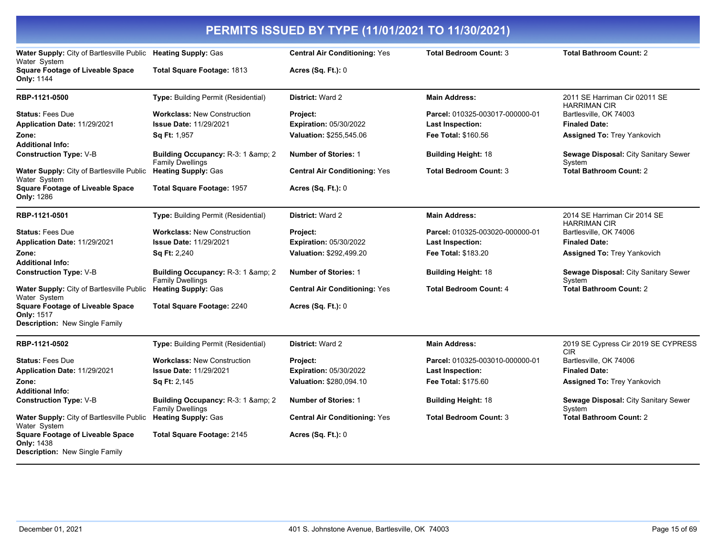| PERMITS ISSUED BY TYPE (11/01/2021 TO 11/30/2021)                                                     |                                                                           |                                      |                                 |                                                      |
|-------------------------------------------------------------------------------------------------------|---------------------------------------------------------------------------|--------------------------------------|---------------------------------|------------------------------------------------------|
| Water Supply: City of Bartlesville Public                                                             | <b>Heating Supply: Gas</b>                                                | <b>Central Air Conditioning: Yes</b> | <b>Total Bedroom Count: 3</b>   | <b>Total Bathroom Count: 2</b>                       |
| Water System<br><b>Square Footage of Liveable Space</b><br><b>Only: 1144</b>                          | Total Square Footage: 1813                                                | Acres $(Sq. Ft.): 0$                 |                                 |                                                      |
| RBP-1121-0500                                                                                         | <b>Type:</b> Building Permit (Residential)                                | <b>District: Ward 2</b>              | <b>Main Address:</b>            | 2011 SE Harriman Cir 02011 SE<br><b>HARRIMAN CIR</b> |
| <b>Status: Fees Due</b>                                                                               | <b>Workclass: New Construction</b>                                        | Project:                             | Parcel: 010325-003017-000000-01 | Bartlesville, OK 74003                               |
| Application Date: 11/29/2021                                                                          | <b>Issue Date: 11/29/2021</b>                                             | Expiration: 05/30/2022               | Last Inspection:                | <b>Finaled Date:</b>                                 |
| Zone:<br><b>Additional Info:</b>                                                                      | Sq Ft: 1,957                                                              | Valuation: \$255,545.06              | Fee Total: \$160.56             | <b>Assigned To: Trey Yankovich</b>                   |
| <b>Construction Type: V-B</b>                                                                         | Building Occupancy: R-3: 1 & 2<br><b>Family Dwellings</b>                 | <b>Number of Stories: 1</b>          | <b>Building Height: 18</b>      | Sewage Disposal: City Sanitary Sewer<br>System       |
| Water Supply: City of Bartlesville Public<br>Water System                                             | <b>Heating Supply: Gas</b>                                                | <b>Central Air Conditioning: Yes</b> | <b>Total Bedroom Count: 3</b>   | <b>Total Bathroom Count: 2</b>                       |
| <b>Square Footage of Liveable Space</b><br><b>Only: 1286</b>                                          | <b>Total Square Footage: 1957</b>                                         | <b>Acres (Sq. Ft.): 0</b>            |                                 |                                                      |
| RBP-1121-0501                                                                                         | Type: Building Permit (Residential)                                       | <b>District: Ward 2</b>              | <b>Main Address:</b>            | 2014 SE Harriman Cir 2014 SE<br><b>HARRIMAN CIR</b>  |
| <b>Status: Fees Due</b>                                                                               | <b>Workclass: New Construction</b>                                        | Project:                             | Parcel: 010325-003020-000000-01 | Bartlesville, OK 74006                               |
| <b>Application Date: 11/29/2021</b>                                                                   | <b>Issue Date: 11/29/2021</b>                                             | Expiration: 05/30/2022               | Last Inspection:                | <b>Finaled Date:</b>                                 |
| Zone:                                                                                                 | <b>Sq Ft: 2,240</b>                                                       | Valuation: \$292,499.20              | <b>Fee Total: \$183.20</b>      | <b>Assigned To: Trey Yankovich</b>                   |
| Additional Info:                                                                                      |                                                                           |                                      |                                 |                                                      |
| <b>Construction Type: V-B</b>                                                                         | <b>Building Occupancy: R-3: 1 &amp; amp; 2</b><br><b>Family Dwellings</b> | <b>Number of Stories: 1</b>          | <b>Building Height: 18</b>      | Sewage Disposal: City Sanitary Sewer<br>System       |
| Water Supply: City of Bartlesville Public<br>Water System                                             | <b>Heating Supply: Gas</b>                                                | <b>Central Air Conditioning: Yes</b> | <b>Total Bedroom Count: 4</b>   | <b>Total Bathroom Count: 2</b>                       |
| <b>Square Footage of Liveable Space</b><br>Only: 1517                                                 | <b>Total Square Footage: 2240</b>                                         | Acres $(Sq. Ft.): 0$                 |                                 |                                                      |
| <b>Description:</b> New Single Family                                                                 |                                                                           |                                      |                                 |                                                      |
| RBP-1121-0502                                                                                         | Type: Building Permit (Residential)                                       | <b>District: Ward 2</b>              | <b>Main Address:</b>            | 2019 SE Cypress Cir 2019 SE CYPRESS<br><b>CIR</b>    |
| <b>Status: Fees Due</b>                                                                               | <b>Workclass: New Construction</b>                                        | Project:                             | Parcel: 010325-003010-000000-01 | Bartlesville, OK 74006                               |
| Application Date: 11/29/2021                                                                          | <b>Issue Date: 11/29/2021</b>                                             | <b>Expiration: 05/30/2022</b>        | Last Inspection:                | <b>Finaled Date:</b>                                 |
| Zone:<br>Additional Info:                                                                             | Sq Ft: 2,145                                                              | Valuation: \$280,094.10              | Fee Total: \$175.60             | <b>Assigned To: Trey Yankovich</b>                   |
| <b>Construction Type: V-B</b>                                                                         | Building Occupancy: R-3: 1 & 2<br><b>Family Dwellings</b>                 | <b>Number of Stories: 1</b>          | <b>Building Height: 18</b>      | Sewage Disposal: City Sanitary Sewer<br>System       |
| Water Supply: City of Bartlesville Public<br>Water System                                             | <b>Heating Supply: Gas</b>                                                | <b>Central Air Conditioning: Yes</b> | <b>Total Bedroom Count: 3</b>   | <b>Total Bathroom Count: 2</b>                       |
| <b>Square Footage of Liveable Space</b><br><b>Only: 1438</b><br><b>Description:</b> New Single Family | Total Square Footage: 2145                                                | <b>Acres (Sq. Ft.): 0</b>            |                                 |                                                      |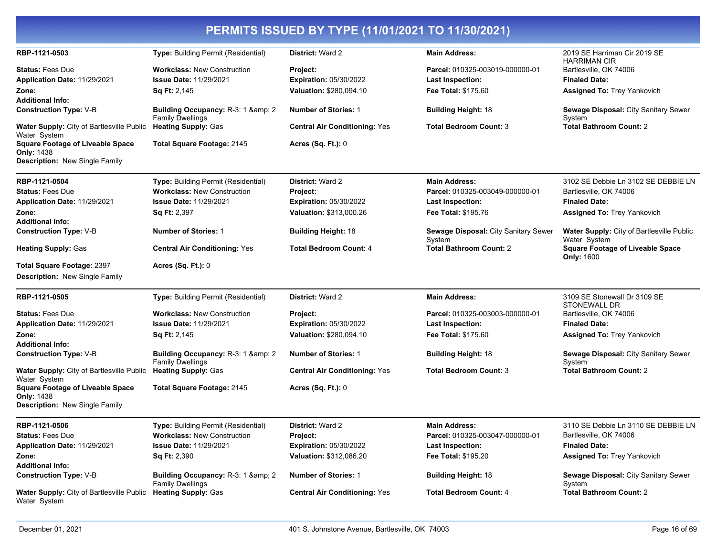| RBP-1121-0503                                                                                         | <b>Type:</b> Building Permit (Residential)                                | <b>District: Ward 2</b>                   | <b>Main Address:</b>                                       | 2019 SE Harriman Cir 2019 SE<br><b>HARRIMAN CIR</b>              |
|-------------------------------------------------------------------------------------------------------|---------------------------------------------------------------------------|-------------------------------------------|------------------------------------------------------------|------------------------------------------------------------------|
| <b>Status: Fees Due</b><br><b>Application Date: 11/29/2021</b>                                        | <b>Workclass: New Construction</b><br><b>Issue Date: 11/29/2021</b>       | Project:<br><b>Expiration: 05/30/2022</b> | Parcel: 010325-003019-000000-01<br><b>Last Inspection:</b> | Bartlesville, OK 74006<br><b>Finaled Date:</b>                   |
| Zone:                                                                                                 | <b>Sq Ft: 2,145</b>                                                       | Valuation: \$280,094.10                   | Fee Total: \$175.60                                        | <b>Assigned To: Trey Yankovich</b>                               |
| <b>Additional Info:</b>                                                                               |                                                                           |                                           |                                                            |                                                                  |
| <b>Construction Type: V-B</b>                                                                         | <b>Building Occupancy: R-3: 1 &amp; amp; 2</b><br><b>Family Dwellings</b> | <b>Number of Stories: 1</b>               | <b>Building Height: 18</b>                                 | Sewage Disposal: City Sanitary Sewer<br>System                   |
| <b>Water Supply:</b> City of Bartlesville Public<br>Water System                                      | <b>Heating Supply: Gas</b>                                                | <b>Central Air Conditioning: Yes</b>      | <b>Total Bedroom Count: 3</b>                              | <b>Total Bathroom Count: 2</b>                                   |
| <b>Square Footage of Liveable Space</b><br><b>Only: 1438</b><br>Description: New Single Family        | Total Square Footage: 2145                                                | Acres $(Sq. Ft.): 0$                      |                                                            |                                                                  |
| RBP-1121-0504                                                                                         | <b>Type: Building Permit (Residential)</b>                                | <b>District: Ward 2</b>                   | <b>Main Address:</b>                                       | 3102 SE Debbie Ln 3102 SE DEBBIE LN                              |
| <b>Status: Fees Due</b>                                                                               | <b>Workclass: New Construction</b>                                        | Project:                                  | Parcel: 010325-003049-000000-01                            | Bartlesville, OK 74006                                           |
| Application Date: 11/29/2021                                                                          | <b>Issue Date: 11/29/2021</b>                                             | <b>Expiration: 05/30/2022</b>             | Last Inspection:                                           | <b>Finaled Date:</b>                                             |
| Zone:<br><b>Additional Info:</b>                                                                      | <b>Sq Ft: 2,397</b>                                                       | Valuation: \$313,000.26                   | <b>Fee Total: \$195.76</b>                                 | <b>Assigned To: Trey Yankovich</b>                               |
| <b>Construction Type: V-B</b>                                                                         | <b>Number of Stories: 1</b>                                               | <b>Building Height: 18</b>                | Sewage Disposal: City Sanitary Sewer<br>System             | <b>Water Supply: City of Bartlesville Public</b><br>Water System |
| <b>Heating Supply: Gas</b>                                                                            | <b>Central Air Conditioning: Yes</b>                                      | <b>Total Bedroom Count: 4</b>             | <b>Total Bathroom Count: 2</b>                             | <b>Square Footage of Liveable Space</b><br><b>Only: 1600</b>     |
| Total Square Footage: 2397                                                                            | <b>Acres (Sq. Ft.): 0</b>                                                 |                                           |                                                            |                                                                  |
| <b>Description: New Single Family</b>                                                                 |                                                                           |                                           |                                                            |                                                                  |
| RBP-1121-0505                                                                                         | <b>Type:</b> Building Permit (Residential)                                | <b>District: Ward 2</b>                   | <b>Main Address:</b>                                       | 3109 SE Stonewall Dr 3109 SE<br>STONEWALL DR                     |
| <b>Status: Fees Due</b>                                                                               | <b>Workclass: New Construction</b>                                        | Project:                                  | Parcel: 010325-003003-000000-01                            | Bartlesville, OK 74006                                           |
| Application Date: 11/29/2021                                                                          | <b>Issue Date: 11/29/2021</b>                                             | <b>Expiration: 05/30/2022</b>             | <b>Last Inspection:</b>                                    | <b>Finaled Date:</b>                                             |
| Zone:                                                                                                 | <b>Sq Ft: 2,145</b>                                                       | Valuation: \$280,094.10                   | <b>Fee Total: \$175.60</b>                                 | <b>Assigned To: Trey Yankovich</b>                               |
| <b>Additional Info:</b>                                                                               |                                                                           |                                           |                                                            |                                                                  |
| <b>Construction Type: V-B</b>                                                                         | Building Occupancy: R-3: 1 & amp; 2<br><b>Family Dwellings</b>            | <b>Number of Stories: 1</b>               | <b>Building Height: 18</b>                                 | Sewage Disposal: City Sanitary Sewer<br>System                   |
| <b>Water Supply: City of Bartlesville Public</b><br>Water System                                      | <b>Heating Supply: Gas</b>                                                | <b>Central Air Conditioning: Yes</b>      | <b>Total Bedroom Count: 3</b>                              | <b>Total Bathroom Count: 2</b>                                   |
| <b>Square Footage of Liveable Space</b><br><b>Only: 1438</b><br><b>Description: New Single Family</b> | Total Square Footage: 2145                                                | <b>Acres (Sq. Ft.): 0</b>                 |                                                            |                                                                  |
| RBP-1121-0506                                                                                         | <b>Type: Building Permit (Residential)</b>                                | District: Ward 2                          | <b>Main Address:</b>                                       | 3110 SE Debbie Ln 3110 SE DEBBIE LN                              |
| <b>Status: Fees Due</b>                                                                               | <b>Workclass: New Construction</b>                                        | Project:                                  | Parcel: 010325-003047-000000-01                            | Bartlesville, OK 74006                                           |
| Application Date: 11/29/2021                                                                          | <b>Issue Date: 11/29/2021</b>                                             | <b>Expiration: 05/30/2022</b>             | <b>Last Inspection:</b>                                    | <b>Finaled Date:</b>                                             |
| Zone:<br><b>Additional Info:</b>                                                                      | <b>Sq Ft: 2,390</b>                                                       | Valuation: \$312,086.20                   | Fee Total: \$195.20                                        | <b>Assigned To: Trey Yankovich</b>                               |
| <b>Construction Type: V-B</b>                                                                         | Building Occupancy: R-3: 1 & amp; 2<br><b>Family Dwellings</b>            | <b>Number of Stories: 1</b>               | <b>Building Height: 18</b>                                 | <b>Sewage Disposal: City Sanitary Sewer</b><br>System            |
| Water Supply: City of Bartlesville Public Heating Supply: Gas<br>Water System                         |                                                                           | <b>Central Air Conditioning: Yes</b>      | <b>Total Bedroom Count: 4</b>                              | <b>Total Bathroom Count: 2</b>                                   |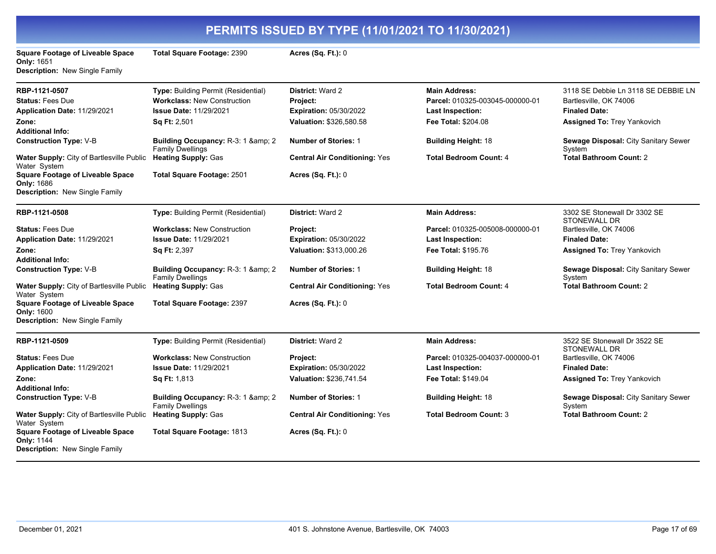|                                                                                         | PERMITS ISSUED BY TYPE (11/01/2021 TO 11/30/2021)              |                                      |                                 |                                                     |  |
|-----------------------------------------------------------------------------------------|----------------------------------------------------------------|--------------------------------------|---------------------------------|-----------------------------------------------------|--|
| <b>Square Footage of Liveable Space</b><br>Only: 1651<br>Description: New Single Family | <b>Total Square Footage: 2390</b>                              | Acres (Sq. Ft.): 0                   |                                 |                                                     |  |
| RBP-1121-0507                                                                           | Type: Building Permit (Residential)                            | District: Ward 2                     | <b>Main Address:</b>            | 3118 SE Debbie Ln 3118 SE DEBBIE LN                 |  |
| <b>Status: Fees Due</b>                                                                 | <b>Workclass: New Construction</b>                             | Project:                             | Parcel: 010325-003045-000000-01 | Bartlesville, OK 74006                              |  |
| Application Date: 11/29/2021                                                            | <b>Issue Date: 11/29/2021</b>                                  | Expiration: 05/30/2022               | Last Inspection:                | <b>Finaled Date:</b>                                |  |
| Zone:<br><b>Additional Info:</b>                                                        | Sq Ft: 2,501                                                   | Valuation: \$326,580.58              | Fee Total: \$204.08             | <b>Assigned To: Trey Yankovich</b>                  |  |
| <b>Construction Type: V-B</b>                                                           | Building Occupancy: R-3: 1 & amp: 2<br><b>Family Dwellings</b> | <b>Number of Stories: 1</b>          | <b>Building Height: 18</b>      | Sewage Disposal: City Sanitary Sewer<br>System      |  |
| Water Supply: City of Bartlesville Public<br>Water System                               | <b>Heating Supply: Gas</b>                                     | <b>Central Air Conditioning: Yes</b> | <b>Total Bedroom Count: 4</b>   | <b>Total Bathroom Count: 2</b>                      |  |
| <b>Square Footage of Liveable Space</b><br>Only: 1686<br>Description: New Single Family | <b>Total Square Footage: 2501</b>                              | <b>Acres (Sq. Ft.): 0</b>            |                                 |                                                     |  |
| RBP-1121-0508                                                                           | Type: Building Permit (Residential)                            | District: Ward 2                     | <b>Main Address:</b>            | 3302 SE Stonewall Dr 3302 SE<br>STONEWALL DR        |  |
| <b>Status: Fees Due</b>                                                                 | <b>Workclass: New Construction</b>                             | Project:                             | Parcel: 010325-005008-000000-01 | Bartlesville, OK 74006                              |  |
| Application Date: 11/29/2021                                                            | <b>Issue Date: 11/29/2021</b>                                  | <b>Expiration: 05/30/2022</b>        | <b>Last Inspection:</b>         | <b>Finaled Date:</b>                                |  |
| Zone:                                                                                   | Sq Ft: 2,397                                                   | Valuation: \$313,000.26              | Fee Total: \$195.76             | <b>Assigned To: Trey Yankovich</b>                  |  |
| <b>Additional Info:</b>                                                                 |                                                                |                                      |                                 |                                                     |  |
| <b>Construction Type:</b> V-B                                                           | Building Occupancy: R-3: 1 & amp; 2<br><b>Family Dwellings</b> | <b>Number of Stories: 1</b>          | <b>Building Height: 18</b>      | Sewage Disposal: City Sanitary Sewer<br>System      |  |
| Water Supply: City of Bartlesville Public<br>Water System                               | <b>Heating Supply: Gas</b>                                     | <b>Central Air Conditioning: Yes</b> | <b>Total Bedroom Count: 4</b>   | <b>Total Bathroom Count: 2</b>                      |  |
| <b>Square Footage of Liveable Space</b><br><b>Only: 1600</b>                            | <b>Total Square Footage: 2397</b>                              | <b>Acres (Sq. Ft.): 0</b>            |                                 |                                                     |  |
| Description: New Single Family                                                          |                                                                |                                      |                                 |                                                     |  |
| RBP-1121-0509                                                                           | Type: Building Permit (Residential)                            | District: Ward 2                     | <b>Main Address:</b>            | 3522 SE Stonewall Dr 3522 SE<br><b>STONEWALL DR</b> |  |
| <b>Status: Fees Due</b>                                                                 | <b>Workclass: New Construction</b>                             | Project:                             | Parcel: 010325-004037-000000-01 | Bartlesville, OK 74006                              |  |
| Application Date: 11/29/2021                                                            | <b>Issue Date: 11/29/2021</b>                                  | <b>Expiration: 05/30/2022</b>        | Last Inspection:                | <b>Finaled Date:</b>                                |  |
| Zone:<br><b>Additional Info:</b>                                                        | <b>Sq Ft: 1,813</b>                                            | Valuation: \$236,741.54              | <b>Fee Total: \$149.04</b>      | <b>Assigned To: Trey Yankovich</b>                  |  |
| <b>Construction Type: V-B</b>                                                           | Building Occupancy: R-3: 1 & 2<br><b>Family Dwellings</b>      | <b>Number of Stories: 1</b>          | <b>Building Height: 18</b>      | Sewage Disposal: City Sanitary Sewer<br>System      |  |
| Water Supply: City of Bartlesville Public<br>Water System                               | <b>Heating Supply: Gas</b>                                     | <b>Central Air Conditioning: Yes</b> | <b>Total Bedroom Count: 3</b>   | <b>Total Bathroom Count: 2</b>                      |  |
| <b>Square Footage of Liveable Space</b><br>Only: 1144<br>Description: New Single Family | Total Square Footage: 1813                                     | <b>Acres (Sq. Ft.): 0</b>            |                                 |                                                     |  |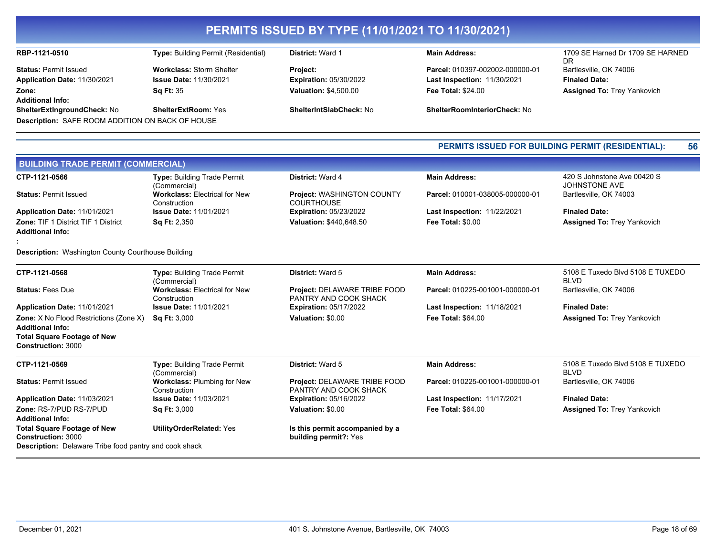| RBP-1121-0510                                           | <b>Type: Building Permit (Residential)</b> | <b>District: Ward 1</b>        | <b>Main Address:</b>                | 1709 SE Harned Dr 1709 SE HARNED   |
|---------------------------------------------------------|--------------------------------------------|--------------------------------|-------------------------------------|------------------------------------|
|                                                         |                                            |                                |                                     | DR.                                |
| <b>Status: Permit Issued</b>                            | <b>Workclass: Storm Shelter</b>            | <b>Project:</b>                | Parcel: 010397-002002-000000-01     | Bartlesville, OK 74006             |
| Application Date: 11/30/2021                            | <b>Issue Date: 11/30/2021</b>              | <b>Expiration: 05/30/2022</b>  | <b>Last Inspection: 11/30/2021</b>  | <b>Finaled Date:</b>               |
| Zone:                                                   | <b>Sa Ft: 35</b>                           | <b>Valuation: \$4,500.00</b>   | <b>Fee Total: \$24.00</b>           | <b>Assigned To: Trey Yankovich</b> |
| <b>Additional Info:</b>                                 |                                            |                                |                                     |                                    |
| <b>ShelterExtIngroundCheck: No</b>                      | <b>ShelterExtRoom: Yes</b>                 | <b>ShelterIntSlabCheck: No</b> | <b>ShelterRoomInteriorCheck: No</b> |                                    |
| <b>Description: SAFE ROOM ADDITION ON BACK OF HOUSE</b> |                                            |                                |                                     |                                    |
|                                                         |                                            |                                |                                     |                                    |

#### **PERMITS ISSUED FOR BUILDING PERMIT (RESIDENTIAL): 56**

| <b>BUILDING TRADE PERMIT (COMMERCIAL)</b>                                                                                 |                                                      |                                                          |                                    |                                                 |
|---------------------------------------------------------------------------------------------------------------------------|------------------------------------------------------|----------------------------------------------------------|------------------------------------|-------------------------------------------------|
| CTP-1121-0566                                                                                                             | <b>Type: Building Trade Permit</b><br>(Commercial)   | <b>District: Ward 4</b>                                  | <b>Main Address:</b>               | 420 S Johnstone Ave 00420 S<br>JOHNSTONE AVE    |
| <b>Status: Permit Issued</b>                                                                                              | <b>Workclass: Electrical for New</b><br>Construction | <b>Project: WASHINGTON COUNTY</b><br><b>COURTHOUSE</b>   | Parcel: 010001-038005-000000-01    | Bartlesville, OK 74003                          |
| Application Date: 11/01/2021                                                                                              | <b>Issue Date: 11/01/2021</b>                        | <b>Expiration: 05/23/2022</b>                            | Last Inspection: 11/22/2021        | <b>Finaled Date:</b>                            |
| <b>Zone: TIF 1 District TIF 1 District</b><br><b>Additional Info:</b>                                                     | Sq Ft: 2,350                                         | Valuation: \$440,648.50                                  | <b>Fee Total: \$0.00</b>           | <b>Assigned To: Trey Yankovich</b>              |
| <b>Description:</b> Washington County Courthouse Building                                                                 |                                                      |                                                          |                                    |                                                 |
| CTP-1121-0568                                                                                                             | Type: Building Trade Permit<br>(Commercial)          | <b>District: Ward 5</b>                                  | <b>Main Address:</b>               | 5108 E Tuxedo Blvd 5108 E TUXEDO<br><b>BLVD</b> |
| <b>Status: Fees Due</b>                                                                                                   | <b>Workclass: Electrical for New</b><br>Construction | Project: DELAWARE TRIBE FOOD<br>PANTRY AND COOK SHACK    | Parcel: 010225-001001-000000-01    | Bartlesville, OK 74006                          |
| Application Date: 11/01/2021                                                                                              | <b>Issue Date: 11/01/2021</b>                        | <b>Expiration: 05/17/2022</b>                            | <b>Last Inspection: 11/18/2021</b> | <b>Finaled Date:</b>                            |
| <b>Zone:</b> X No Flood Restrictions (Zone X)<br><b>Additional Info:</b>                                                  | <b>Sq Ft: 3,000</b>                                  | Valuation: \$0.00                                        | <b>Fee Total: \$64.00</b>          | <b>Assigned To: Trey Yankovich</b>              |
| <b>Total Square Footage of New</b><br><b>Construction: 3000</b>                                                           |                                                      |                                                          |                                    |                                                 |
| CTP-1121-0569                                                                                                             | <b>Type: Building Trade Permit</b><br>(Commercial)   | <b>District: Ward 5</b>                                  | <b>Main Address:</b>               | 5108 E Tuxedo Blvd 5108 E TUXEDO<br><b>BLVD</b> |
| <b>Status: Permit Issued</b>                                                                                              | <b>Workclass: Plumbing for New</b><br>Construction   | Project: DELAWARE TRIBE FOOD<br>PANTRY AND COOK SHACK    | Parcel: 010225-001001-000000-01    | Bartlesville, OK 74006                          |
| Application Date: 11/03/2021                                                                                              | <b>Issue Date: 11/03/2021</b>                        | <b>Expiration: 05/16/2022</b>                            | <b>Last Inspection: 11/17/2021</b> | <b>Finaled Date:</b>                            |
| Zone: RS-7/PUD RS-7/PUD<br><b>Additional Info:</b>                                                                        | <b>Sq Ft: 3,000</b>                                  | Valuation: \$0.00                                        | <b>Fee Total: \$64.00</b>          | <b>Assigned To: Trey Yankovich</b>              |
| <b>Total Square Footage of New</b><br>Construction: 3000<br><b>Description:</b> Delaware Tribe food pantry and cook shack | <b>UtilityOrderRelated: Yes</b>                      | Is this permit accompanied by a<br>building permit?: Yes |                                    |                                                 |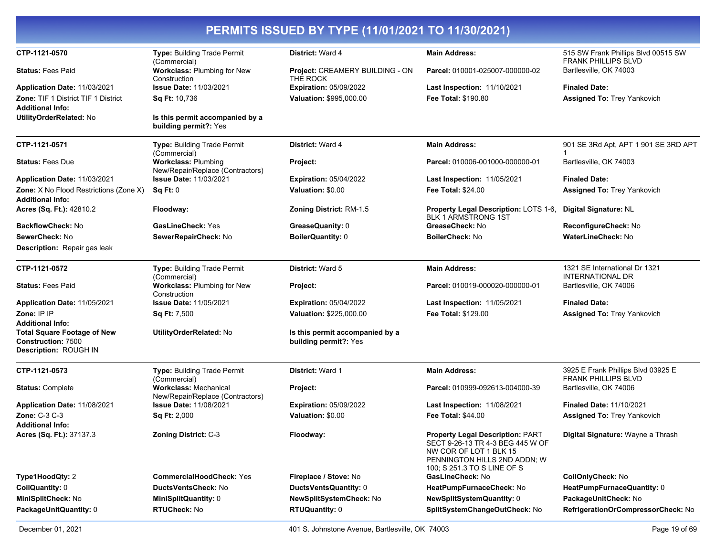| PERMITS ISSUED BY TYPE (11/01/2021 TO 11/30/2021)                                                                   |                                                                  |                                                          |                                                                                                                                                                      |                                                                   |
|---------------------------------------------------------------------------------------------------------------------|------------------------------------------------------------------|----------------------------------------------------------|----------------------------------------------------------------------------------------------------------------------------------------------------------------------|-------------------------------------------------------------------|
| CTP-1121-0570                                                                                                       | <b>Type: Building Trade Permit</b><br>(Commercial)               | District: Ward 4                                         | <b>Main Address:</b>                                                                                                                                                 | 515 SW Frank Phillips Blvd 00515 SW<br><b>FRANK PHILLIPS BLVD</b> |
| <b>Status: Fees Paid</b>                                                                                            | Workclass: Plumbing for New<br>Construction                      | Project: CREAMERY BUILDING - ON<br>THE ROCK              | Parcel: 010001-025007-000000-02                                                                                                                                      | Bartlesville, OK 74003                                            |
| Application Date: 11/03/2021                                                                                        | <b>Issue Date: 11/03/2021</b>                                    | <b>Expiration: 05/09/2022</b>                            | Last Inspection: 11/10/2021                                                                                                                                          | <b>Finaled Date:</b>                                              |
| <b>Zone: TIF 1 District TIF 1 District</b>                                                                          | Sq Ft: 10,736                                                    | Valuation: \$995,000.00                                  | <b>Fee Total: \$190.80</b>                                                                                                                                           | <b>Assigned To: Trey Yankovich</b>                                |
| <b>Additional Info:</b>                                                                                             |                                                                  |                                                          |                                                                                                                                                                      |                                                                   |
| UtilityOrderRelated: No                                                                                             | Is this permit accompanied by a<br>building permit?: Yes         |                                                          |                                                                                                                                                                      |                                                                   |
| CTP-1121-0571                                                                                                       | Type: Building Trade Permit<br>(Commercial)                      | <b>District: Ward 4</b>                                  | <b>Main Address:</b>                                                                                                                                                 | 901 SE 3Rd Apt, APT 1 901 SE 3RD APT                              |
| <b>Status: Fees Due</b>                                                                                             | <b>Workclass: Plumbing</b><br>New/Repair/Replace (Contractors)   | Project:                                                 | Parcel: 010006-001000-000000-01                                                                                                                                      | Bartlesville, OK 74003                                            |
| Application Date: 11/03/2021                                                                                        | <b>Issue Date: 11/03/2021</b>                                    | <b>Expiration: 05/04/2022</b>                            | <b>Last Inspection: 11/05/2021</b>                                                                                                                                   | <b>Finaled Date:</b>                                              |
| <b>Zone:</b> X No Flood Restrictions (Zone X)                                                                       | Sq Ft: 0                                                         | Valuation: \$0.00                                        | <b>Fee Total: \$24.00</b>                                                                                                                                            | <b>Assigned To: Trey Yankovich</b>                                |
| <b>Additional Info:</b><br>Acres (Sq. Ft.): 42810.2                                                                 | Floodway:                                                        | Zoning District: RM-1.5                                  | Property Legal Description: LOTS 1-6,<br><b>BLK 1 ARMSTRONG 1ST</b>                                                                                                  | Digital Signature: NL                                             |
| <b>BackflowCheck: No</b>                                                                                            | <b>GasLineCheck: Yes</b>                                         | GreaseQuanity: 0                                         | GreaseCheck: No                                                                                                                                                      | ReconfigureCheck: No                                              |
| SewerCheck: No                                                                                                      | SewerRepairCheck: No                                             | <b>BoilerQuantity: 0</b>                                 | BoilerCheck: No                                                                                                                                                      | WaterLineCheck: No                                                |
| Description: Repair gas leak                                                                                        |                                                                  |                                                          |                                                                                                                                                                      |                                                                   |
| CTP-1121-0572                                                                                                       | Type: Building Trade Permit<br>(Commercial)                      | District: Ward 5                                         | <b>Main Address:</b>                                                                                                                                                 | 1321 SE International Dr 1321<br><b>INTERNATIONAL DR</b>          |
| <b>Status: Fees Paid</b>                                                                                            | Workclass: Plumbing for New<br>Construction                      | Project:                                                 | Parcel: 010019-000020-000000-01                                                                                                                                      | Bartlesville, OK 74006                                            |
| Application Date: 11/05/2021                                                                                        | <b>Issue Date: 11/05/2021</b>                                    | <b>Expiration: 05/04/2022</b>                            | Last Inspection: 11/05/2021                                                                                                                                          | <b>Finaled Date:</b>                                              |
| Zone: IP IP                                                                                                         | Sq Ft: 7,500                                                     | Valuation: \$225,000.00                                  | Fee Total: \$129.00                                                                                                                                                  | <b>Assigned To: Trey Yankovich</b>                                |
| <b>Additional Info:</b><br><b>Total Square Footage of New</b><br><b>Construction: 7500</b><br>Description: ROUGH IN | UtilityOrderRelated: No                                          | Is this permit accompanied by a<br>building permit?: Yes |                                                                                                                                                                      |                                                                   |
| CTP-1121-0573                                                                                                       | Type: Building Trade Permit<br>(Commercial)                      | <b>District: Ward 1</b>                                  | <b>Main Address:</b>                                                                                                                                                 | 3925 E Frank Phillips Blvd 03925 E<br><b>FRANK PHILLIPS BLVD</b>  |
| <b>Status: Complete</b>                                                                                             | <b>Workclass: Mechanical</b><br>New/Repair/Replace (Contractors) | Project:                                                 | Parcel: 010999-092613-004000-39                                                                                                                                      | Bartlesville, OK 74006                                            |
| Application Date: 11/08/2021                                                                                        | <b>Issue Date: 11/08/2021</b>                                    | <b>Expiration: 05/09/2022</b>                            | Last Inspection: 11/08/2021                                                                                                                                          | <b>Finaled Date: 11/10/2021</b>                                   |
| Zone: C-3 C-3<br><b>Additional Info:</b>                                                                            | <b>Sq Ft: 2,000</b>                                              | Valuation: \$0.00                                        | <b>Fee Total: \$44.00</b>                                                                                                                                            | <b>Assigned To: Trey Yankovich</b>                                |
| Acres (Sq. Ft.): 37137.3                                                                                            | Zoning District: C-3                                             | Floodway:                                                | <b>Property Legal Description: PART</b><br>SECT 9-26-13 TR 4-3 BEG 445 W OF<br>NW COR OF LOT 1 BLK 15<br>PENNINGTON HILLS 2ND ADDN; W<br>100; S 251.3 TO S LINE OF S | Digital Signature: Wayne a Thrash                                 |
| Type1HoodQty: 2                                                                                                     | <b>CommercialHoodCheck: Yes</b>                                  | Fireplace / Stove: No                                    | GasLineCheck: No                                                                                                                                                     | CoilOnlyCheck: No                                                 |
| CoilQuantity: 0                                                                                                     | DuctsVentsCheck: No                                              | DuctsVentsQuantity: 0                                    | HeatPumpFurnaceCheck: No                                                                                                                                             | HeatPumpFurnaceQuantity: 0                                        |
| MiniSplitCheck: No                                                                                                  | MiniSplitQuantity: 0                                             | NewSplitSystemCheck: No                                  | NewSplitSystemQuantity: 0                                                                                                                                            | PackageUnitCheck: No                                              |
| PackageUnitQuantity: 0                                                                                              | <b>RTUCheck: No</b>                                              | <b>RTUQuantity: 0</b>                                    | SplitSystemChangeOutCheck: No                                                                                                                                        | RefrigerationOrCompressorCheck: No                                |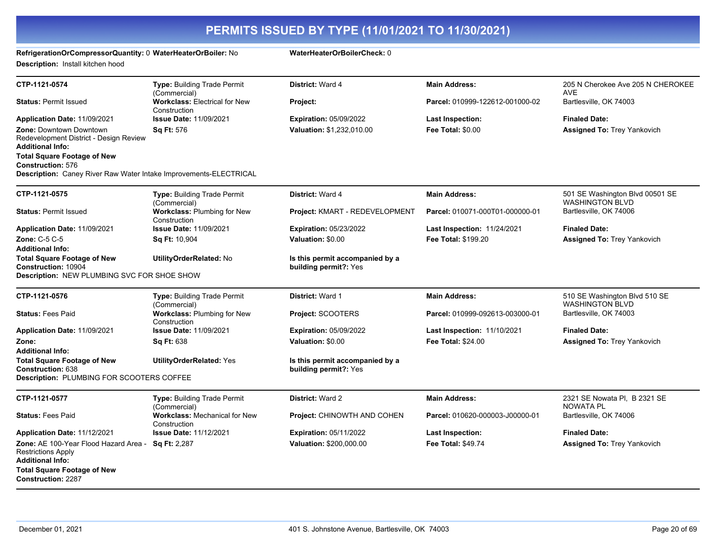#### **RefrigerationOrCompressorQuantity:** 0 **WaterHeaterOrBoiler:** No **WaterHeaterOrBoilerCheck:** 0

**Description:** Install kitchen hood

| CTP-1121-0574                                                                                                                       | <b>Type: Building Trade Permit</b><br>(Commercial)          | District: Ward 4                                         | <b>Main Address:</b>               | 205 N Cherokee Ave 205 N CHEROKEE<br><b>AVE</b>           |
|-------------------------------------------------------------------------------------------------------------------------------------|-------------------------------------------------------------|----------------------------------------------------------|------------------------------------|-----------------------------------------------------------|
| <b>Status: Permit Issued</b>                                                                                                        | <b>Workclass: Electrical for New</b><br>Construction        | Project:                                                 | Parcel: 010999-122612-001000-02    | Bartlesville, OK 74003                                    |
| Application Date: 11/09/2021                                                                                                        | Issue Date: 11/09/2021                                      | <b>Expiration: 05/09/2022</b>                            | Last Inspection:                   | <b>Finaled Date:</b>                                      |
| <b>Zone: Downtown Downtown</b><br>Redevelopment District - Design Review<br>Additional Info:                                        | <b>Sq Ft: 576</b>                                           | Valuation: \$1,232,010.00                                | Fee Total: \$0.00                  | <b>Assigned To: Trey Yankovich</b>                        |
| <b>Total Square Footage of New</b><br><b>Construction: 576</b><br>Description: Caney River Raw Water Intake Improvements-ELECTRICAL |                                                             |                                                          |                                    |                                                           |
|                                                                                                                                     |                                                             |                                                          |                                    |                                                           |
| CTP-1121-0575                                                                                                                       | Type: Building Trade Permit<br>(Commercial)                 | District: Ward 4                                         | <b>Main Address:</b>               | 501 SE Washington Blvd 00501 SE<br><b>WASHINGTON BLVD</b> |
| <b>Status: Permit Issued</b>                                                                                                        | Workclass: Plumbing for New<br>Construction                 | Project: KMART - REDEVELOPMENT                           | Parcel: 010071-000T01-000000-01    | Bartlesville, OK 74006                                    |
| Application Date: 11/09/2021                                                                                                        | <b>Issue Date: 11/09/2021</b>                               | <b>Expiration: 05/23/2022</b>                            | <b>Last Inspection: 11/24/2021</b> | <b>Finaled Date:</b>                                      |
| <b>Zone: C-5 C-5</b><br>Additional Info:                                                                                            | <b>Sq Ft: 10,904</b>                                        | Valuation: \$0.00                                        | Fee Total: \$199.20                | <b>Assigned To: Trey Yankovich</b>                        |
| <b>Total Square Footage of New</b><br><b>Construction: 10904</b><br>Description: NEW PLUMBING SVC FOR SHOE SHOW                     | UtilityOrderRelated: No                                     | Is this permit accompanied by a<br>building permit?: Yes |                                    |                                                           |
| CTP-1121-0576                                                                                                                       | <b>Type: Building Trade Permit</b>                          | <b>District: Ward 1</b>                                  | <b>Main Address:</b>               | 510 SE Washington Blvd 510 SE                             |
| <b>Status: Fees Paid</b>                                                                                                            | (Commercial)<br>Workclass: Plumbing for New<br>Construction | Project: SCOOTERS                                        | Parcel: 010999-092613-003000-01    | <b>WASHINGTON BLVD</b><br>Bartlesville, OK 74003          |
| Application Date: 11/09/2021                                                                                                        | <b>Issue Date: 11/09/2021</b>                               | <b>Expiration: 05/09/2022</b>                            | <b>Last Inspection: 11/10/2021</b> | <b>Finaled Date:</b>                                      |
| Zone:<br><b>Additional Info:</b>                                                                                                    | Sq Ft: 638                                                  | Valuation: \$0.00                                        | Fee Total: \$24.00                 | <b>Assigned To: Trey Yankovich</b>                        |
| <b>Total Square Footage of New</b><br><b>Construction:</b> 638<br>Description: PLUMBING FOR SCOOTERS COFFEE                         | <b>UtilityOrderRelated: Yes</b>                             | Is this permit accompanied by a<br>building permit?: Yes |                                    |                                                           |
|                                                                                                                                     |                                                             |                                                          |                                    |                                                           |
| CTP-1121-0577                                                                                                                       | <b>Type: Building Trade Permit</b><br>(Commercial)          | <b>District: Ward 2</b>                                  | <b>Main Address:</b>               | 2321 SE Nowata PI, B 2321 SE<br><b>NOWATA PL</b>          |
| <b>Status: Fees Paid</b>                                                                                                            | <b>Workclass: Mechanical for New</b><br>Construction        | Project: CHINOWTH AND COHEN                              | Parcel: 010620-000003-J00000-01    | Bartlesville, OK 74006                                    |
| Application Date: 11/12/2021                                                                                                        | <b>Issue Date: 11/12/2021</b>                               | <b>Expiration: 05/11/2022</b>                            | <b>Last Inspection:</b>            | <b>Finaled Date:</b>                                      |
| Zone: AE 100-Year Flood Hazard Area -<br>Restrictions Apply<br><b>Additional Info:</b><br><b>Total Square Footage of New</b>        | <b>Sq Ft: 2,287</b>                                         | Valuation: \$200,000.00                                  | <b>Fee Total: \$49.74</b>          | <b>Assigned To: Trey Yankovich</b>                        |
| <b>Construction: 2287</b>                                                                                                           |                                                             |                                                          |                                    |                                                           |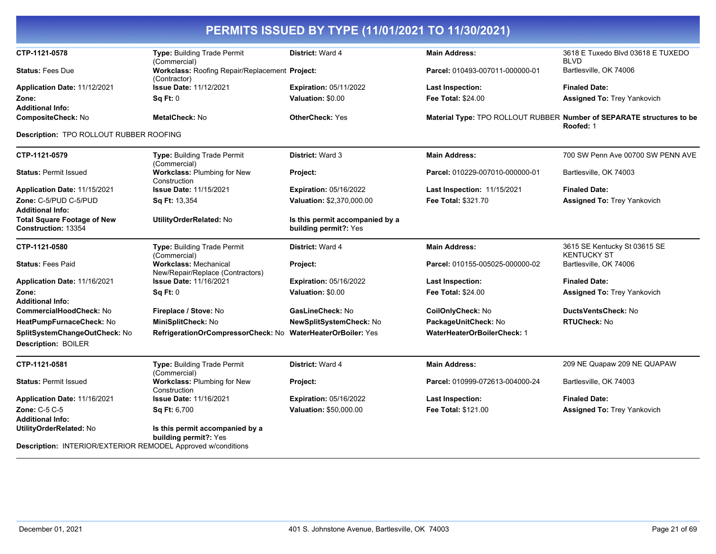| CTP-1121-0578                                                       | Type: Building Trade Permit                                      | <b>District: Ward 4</b>                                  | <b>Main Address:</b>               | 3618 E Tuxedo Blvd 03618 E TUXEDO                                                  |
|---------------------------------------------------------------------|------------------------------------------------------------------|----------------------------------------------------------|------------------------------------|------------------------------------------------------------------------------------|
|                                                                     | (Commercial)                                                     |                                                          |                                    | <b>BLVD</b>                                                                        |
| <b>Status: Fees Due</b>                                             | Workclass: Roofing Repair/Replacement Project:<br>(Contractor)   |                                                          | Parcel: 010493-007011-000000-01    | Bartlesville, OK 74006                                                             |
| Application Date: 11/12/2021                                        | <b>Issue Date: 11/12/2021</b>                                    | <b>Expiration: 05/11/2022</b>                            | <b>Last Inspection:</b>            | <b>Finaled Date:</b>                                                               |
| Zone:                                                               | <b>Sq Ft: 0</b>                                                  | Valuation: \$0.00                                        | <b>Fee Total: \$24.00</b>          | <b>Assigned To: Trey Yankovich</b>                                                 |
| <b>Additional Info:</b>                                             |                                                                  |                                                          |                                    |                                                                                    |
| CompositeCheck: No                                                  | MetalCheck: No                                                   | <b>OtherCheck: Yes</b>                                   |                                    | Material Type: TPO ROLLOUT RUBBER Number of SEPARATE structures to be<br>Roofed: 1 |
| <b>Description: TPO ROLLOUT RUBBER ROOFING</b>                      |                                                                  |                                                          |                                    |                                                                                    |
| CTP-1121-0579                                                       | <b>Type: Building Trade Permit</b><br>(Commercial)               | <b>District: Ward 3</b>                                  | <b>Main Address:</b>               | 700 SW Penn Ave 00700 SW PENN AVE                                                  |
| <b>Status: Permit Issued</b>                                        | Workclass: Plumbing for New<br>Construction                      | Project:                                                 | Parcel: 010229-007010-000000-01    | Bartlesville, OK 74003                                                             |
| Application Date: 11/15/2021                                        | <b>Issue Date: 11/15/2021</b>                                    | <b>Expiration: 05/16/2022</b>                            | <b>Last Inspection: 11/15/2021</b> | <b>Finaled Date:</b>                                                               |
| Zone: C-5/PUD C-5/PUD                                               | Sq Ft: 13,354                                                    | Valuation: \$2,370,000.00                                | Fee Total: \$321.70                | <b>Assigned To: Trey Yankovich</b>                                                 |
| <b>Additional Info:</b>                                             |                                                                  |                                                          |                                    |                                                                                    |
| <b>Total Square Footage of New</b><br>Construction: 13354           | UtilityOrderRelated: No                                          | Is this permit accompanied by a<br>building permit?: Yes |                                    |                                                                                    |
| CTP-1121-0580                                                       | Type: Building Trade Permit<br>(Commercial)                      | <b>District: Ward 4</b>                                  | <b>Main Address:</b>               | 3615 SE Kentucky St 03615 SE<br>KENTUCKY ST                                        |
| <b>Status: Fees Paid</b>                                            | <b>Workclass: Mechanical</b><br>New/Repair/Replace (Contractors) | Project:                                                 | Parcel: 010155-005025-000000-02    | Bartlesville, OK 74006                                                             |
| Application Date: 11/16/2021                                        | <b>Issue Date: 11/16/2021</b>                                    | <b>Expiration: 05/16/2022</b>                            | <b>Last Inspection:</b>            | <b>Finaled Date:</b>                                                               |
| Zone:                                                               | Sq Ft: 0                                                         | Valuation: \$0.00                                        | <b>Fee Total: \$24.00</b>          | <b>Assigned To: Trey Yankovich</b>                                                 |
| <b>Additional Info:</b>                                             |                                                                  |                                                          |                                    |                                                                                    |
| <b>CommercialHoodCheck: No</b>                                      | Fireplace / Stove: No                                            | GasLineCheck: No                                         | CoilOnlyCheck: No                  | DuctsVentsCheck: No                                                                |
| HeatPumpFurnaceCheck: No                                            | MiniSplitCheck: No                                               | NewSplitSystemCheck: No                                  | PackageUnitCheck: No               | <b>RTUCheck: No</b>                                                                |
| SplitSystemChangeOutCheck: No                                       | RefrigerationOrCompressorCheck: No WaterHeaterOrBoiler: Yes      |                                                          | <b>WaterHeaterOrBoilerCheck: 1</b> |                                                                                    |
| <b>Description: BOILER</b>                                          |                                                                  |                                                          |                                    |                                                                                    |
| CTP-1121-0581                                                       | Type: Building Trade Permit<br>(Commercial)                      | <b>District: Ward 4</b>                                  | <b>Main Address:</b>               | 209 NE Quapaw 209 NE QUAPAW                                                        |
| <b>Status: Permit Issued</b>                                        | <b>Workclass: Plumbing for New</b><br>Construction               | Project:                                                 | Parcel: 010999-072613-004000-24    | Bartlesville, OK 74003                                                             |
| Application Date: 11/16/2021                                        | <b>Issue Date: 11/16/2021</b>                                    | <b>Expiration: 05/16/2022</b>                            | <b>Last Inspection:</b>            | <b>Finaled Date:</b>                                                               |
| <b>Zone: C-5 C-5</b>                                                | <b>Sq Ft: 6,700</b>                                              | <b>Valuation: \$50,000.00</b>                            | Fee Total: \$121.00                | <b>Assigned To: Trey Yankovich</b>                                                 |
| <b>Additional Info:</b>                                             |                                                                  |                                                          |                                    |                                                                                    |
| UtilityOrderRelated: No                                             | Is this permit accompanied by a<br>building permit?: Yes         |                                                          |                                    |                                                                                    |
| <b>Description: INTERIOR/EXTERIOR REMODEL Approved w/conditions</b> |                                                                  |                                                          |                                    |                                                                                    |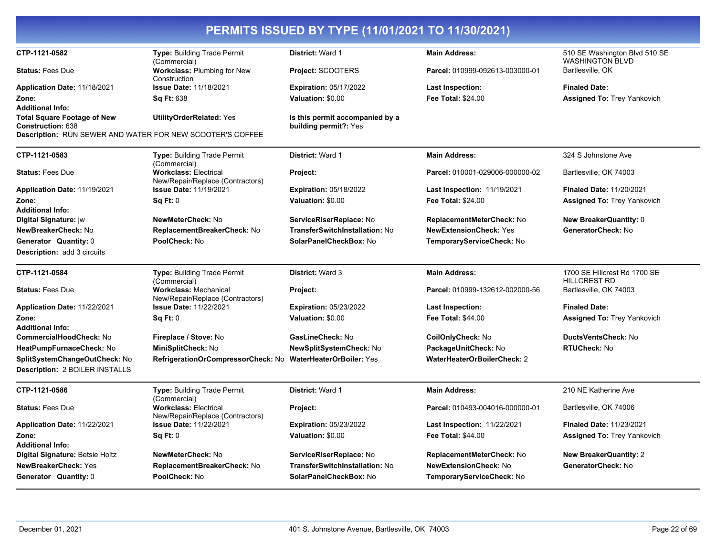|                                                           |                                                                                   | PERMITS ISSUED BY TYPE (11/01/2021 TO 11/30/2021)        |                                                            |                                                         |
|-----------------------------------------------------------|-----------------------------------------------------------------------------------|----------------------------------------------------------|------------------------------------------------------------|---------------------------------------------------------|
| CTP-1121-0582                                             | Type: Building Trade Permit<br>(Commercial)                                       | District: Ward 1                                         | <b>Main Address:</b>                                       | 510 SE Washington Blvd 510 SE<br><b>WASHINGTON BLVD</b> |
| <b>Status: Fees Due</b>                                   | <b>Workclass: Plumbing for New</b><br>Construction                                | <b>Project: SCOOTERS</b>                                 | Parcel: 010999-092613-003000-01                            | Bartlesville, OK                                        |
| Application Date: 11/18/2021                              | <b>Issue Date: 11/18/2021</b>                                                     | <b>Expiration: 05/17/2022</b>                            | <b>Last Inspection:</b>                                    | <b>Finaled Date:</b>                                    |
| Zone:                                                     | <b>Sq Ft: 638</b>                                                                 | Valuation: \$0.00                                        | Fee Total: \$24.00                                         | <b>Assigned To: Trey Yankovich</b>                      |
| <b>Additional Info:</b>                                   |                                                                                   |                                                          |                                                            |                                                         |
| <b>Total Square Footage of New</b><br>Construction: 638   | <b>UtilityOrderRelated: Yes</b>                                                   | Is this permit accompanied by a<br>building permit?: Yes |                                                            |                                                         |
| Description: RUN SEWER AND WATER FOR NEW SCOOTER'S COFFEE |                                                                                   |                                                          |                                                            |                                                         |
| CTP-1121-0583                                             | <b>Type: Building Trade Permit</b><br>(Commercial)                                | District: Ward 1                                         | <b>Main Address:</b>                                       | 324 S Johnstone Ave                                     |
| <b>Status: Fees Due</b>                                   | <b>Workclass: Electrical</b><br>New/Repair/Replace (Contractors)                  | Project:                                                 | Parcel: 010001-029006-000000-02                            | Bartlesville, OK 74003                                  |
| Application Date: 11/19/2021                              | <b>Issue Date: 11/19/2021</b>                                                     | <b>Expiration: 05/18/2022</b>                            | Last Inspection: 11/19/2021                                | <b>Finaled Date: 11/20/2021</b>                         |
| Zone:                                                     | Sq Ft: 0                                                                          | Valuation: \$0.00                                        | <b>Fee Total: \$24.00</b>                                  | <b>Assigned To: Trey Yankovich</b>                      |
| <b>Additional Info:</b>                                   |                                                                                   |                                                          |                                                            |                                                         |
| Digital Signature: jw                                     | NewMeterCheck: No                                                                 | ServiceRiserReplace: No                                  | ReplacementMeterCheck: No                                  | <b>New BreakerQuantity: 0</b>                           |
| NewBreakerCheck: No<br>Generator Quantity: 0              | ReplacementBreakerCheck: No<br>PoolCheck: No                                      | TransferSwitchInstallation: No<br>SolarPanelCheckBox: No | <b>NewExtensionCheck: Yes</b><br>TemporaryServiceCheck: No | GeneratorCheck: No                                      |
| <b>Description: add 3 circuits</b>                        |                                                                                   |                                                          |                                                            |                                                         |
|                                                           |                                                                                   |                                                          |                                                            |                                                         |
| CTP-1121-0584                                             | <b>Type: Building Trade Permit</b><br>(Commercial)                                | District: Ward 3                                         | <b>Main Address:</b>                                       | 1700 SE Hillcrest Rd 1700 SE<br><b>HILLCREST RD</b>     |
| <b>Status: Fees Due</b>                                   | <b>Workclass: Mechanical</b><br>New/Repair/Replace (Contractors)                  | Project:                                                 | Parcel: 010999-132612-002000-56                            | Bartlesville, OK 74003                                  |
| Application Date: 11/22/2021                              | <b>Issue Date: 11/22/2021</b>                                                     | <b>Expiration: 05/23/2022</b>                            | Last Inspection:                                           | <b>Finaled Date:</b>                                    |
| Zone:                                                     | Sa Ft: 0                                                                          | Valuation: \$0.00                                        | Fee Total: \$44.00                                         | <b>Assigned To: Trey Yankovich</b>                      |
| <b>Additional Info:</b>                                   |                                                                                   |                                                          |                                                            | DuctsVentsCheck: No                                     |
| <b>CommercialHoodCheck: No</b>                            | Fireplace / Stove: No                                                             | GasLineCheck: No                                         | CoilOnlyCheck: No                                          | <b>RTUCheck: No</b>                                     |
| HeatPumpFurnaceCheck: No<br>SplitSystemChangeOutCheck: No | MiniSplitCheck: No<br>RefrigerationOrCompressorCheck: No WaterHeaterOrBoiler: Yes | NewSplitSystemCheck: No                                  | PackageUnitCheck: No<br><b>WaterHeaterOrBoilerCheck: 2</b> |                                                         |
| <b>Description: 2 BOILER INSTALLS</b>                     |                                                                                   |                                                          |                                                            |                                                         |
| CTP-1121-0586                                             | Type: Building Trade Permit                                                       | District: Ward 1                                         | <b>Main Address:</b>                                       | 210 NE Katherine Ave                                    |
| <b>Status: Fees Due</b>                                   | (Commercial)<br><b>Workclass: Electrical</b><br>New/Repair/Replace (Contractors)  | Project:                                                 | Parcel: 010493-004016-000000-01                            | Bartlesville, OK 74006                                  |
| Application Date: 11/22/2021                              | <b>Issue Date: 11/22/2021</b>                                                     | <b>Expiration: 05/23/2022</b>                            | <b>Last Inspection: 11/22/2021</b>                         | <b>Finaled Date: 11/23/2021</b>                         |
| Zone:                                                     | Sq Ft: 0                                                                          | Valuation: \$0.00                                        | Fee Total: \$44.00                                         | <b>Assigned To: Trey Yankovich</b>                      |
| <b>Additional Info:</b>                                   |                                                                                   |                                                          |                                                            |                                                         |
| Digital Signature: Betsie Holtz                           | <b>NewMeterCheck: No</b>                                                          | ServiceRiserReplace: No                                  | ReplacementMeterCheck: No                                  | <b>New BreakerQuantity: 2</b>                           |
| <b>NewBreakerCheck: Yes</b>                               | ReplacementBreakerCheck: No                                                       | TransferSwitchInstallation: No                           | <b>NewExtensionCheck: No</b>                               | GeneratorCheck: No                                      |
| Generator Quantity: 0                                     | PoolCheck: No                                                                     | SolarPanelCheckBox: No                                   | TemporaryServiceCheck: No                                  |                                                         |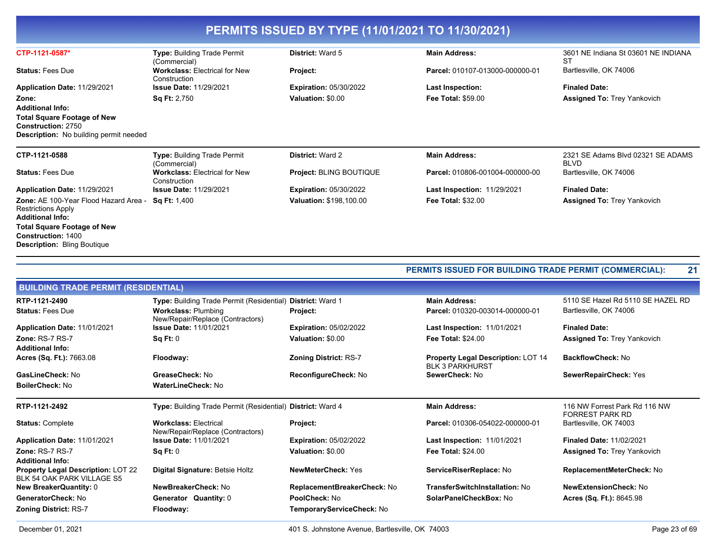| Type: Building Trade Permit<br>(Commercial)          | <b>District: Ward 5</b>        | <b>Main Address:</b>               | 3601 NE Indiana St 03601 NE INDIANA<br>ST        |
|------------------------------------------------------|--------------------------------|------------------------------------|--------------------------------------------------|
| <b>Workclass: Electrical for New</b><br>Construction | <b>Project:</b>                | Parcel: 010107-013000-000000-01    | Bartlesville, OK 74006                           |
| <b>Issue Date: 11/29/2021</b>                        | <b>Expiration: 05/30/2022</b>  | Last Inspection:                   | <b>Finaled Date:</b>                             |
| <b>Sq Ft: 2,750</b>                                  | Valuation: \$0.00              | <b>Fee Total: \$59.00</b>          | <b>Assigned To: Trey Yankovich</b>               |
|                                                      |                                |                                    |                                                  |
|                                                      |                                |                                    |                                                  |
| <b>Type: Building Trade Permit</b>                   | <b>District: Ward 2</b>        | <b>Main Address:</b>               | 2321 SE Adams Blvd 02321 SE ADAMS<br><b>BLVD</b> |
| <b>Workclass: Electrical for New</b><br>Construction | <b>Project: BLING BOUTIQUE</b> | Parcel: 010806-001004-000000-00    | Bartlesville, OK 74006                           |
| <b>Issue Date: 11/29/2021</b>                        | <b>Expiration: 05/30/2022</b>  | <b>Last Inspection: 11/29/2021</b> | <b>Finaled Date:</b>                             |
| <b>Sq Ft:</b> 1,400                                  | <b>Valuation: \$198,100.00</b> | <b>Fee Total: \$32.00</b>          | <b>Assigned To: Trey Yankovich</b>               |
|                                                      | (Commercial)                   |                                    |                                                  |

|                                                                         |                                                                  |                               | PERMITS ISSUED FOR BUILDING TRADE PERMIT (COMMERCIAL):              | 21                                                      |
|-------------------------------------------------------------------------|------------------------------------------------------------------|-------------------------------|---------------------------------------------------------------------|---------------------------------------------------------|
| <b>BUILDING TRADE PERMIT (RESIDENTIAL)</b>                              |                                                                  |                               |                                                                     |                                                         |
| RTP-1121-2490                                                           | Type: Building Trade Permit (Residential)                        | <b>District: Ward 1</b>       | <b>Main Address:</b>                                                | 5110 SE Hazel Rd 5110 SE HAZEL RD                       |
| <b>Status: Fees Due</b>                                                 | <b>Workclass: Plumbing</b><br>New/Repair/Replace (Contractors)   | Project:                      | Parcel: 010320-003014-000000-01                                     | Bartlesville, OK 74006                                  |
| Application Date: 11/01/2021                                            | <b>Issue Date: 11/01/2021</b>                                    | <b>Expiration: 05/02/2022</b> | <b>Last Inspection: 11/01/2021</b>                                  | <b>Finaled Date:</b>                                    |
| Zone: RS-7 RS-7<br><b>Additional Info:</b>                              | Sq Ft: 0                                                         | Valuation: \$0.00             | <b>Fee Total: \$24.00</b>                                           | <b>Assigned To: Trey Yankovich</b>                      |
| Acres (Sq. Ft.): 7663.08                                                | Floodway:                                                        | <b>Zoning District: RS-7</b>  | <b>Property Legal Description: LOT 14</b><br><b>BLK 3 PARKHURST</b> | <b>BackflowCheck: No</b>                                |
| GasLineCheck: No                                                        | GreaseCheck: No                                                  | ReconfigureCheck: No          | SewerCheck: No                                                      | SewerRepairCheck: Yes                                   |
| <b>BoilerCheck: No</b>                                                  | WaterLineCheck: No                                               |                               |                                                                     |                                                         |
| RTP-1121-2492                                                           | Type: Building Trade Permit (Residential) District: Ward 4       |                               | <b>Main Address:</b>                                                | 116 NW Forrest Park Rd 116 NW<br><b>FORREST PARK RD</b> |
| <b>Status: Complete</b>                                                 | <b>Workclass: Electrical</b><br>New/Repair/Replace (Contractors) | Project:                      | Parcel: 010306-054022-000000-01                                     | Bartlesville, OK 74003                                  |
| Application Date: 11/01/2021                                            | <b>Issue Date: 11/01/2021</b>                                    | <b>Expiration: 05/02/2022</b> | <b>Last Inspection: 11/01/2021</b>                                  | <b>Finaled Date: 11/02/2021</b>                         |
| Zone: RS-7 RS-7                                                         | Sq Ft: 0                                                         | Valuation: \$0.00             | <b>Fee Total: \$24.00</b>                                           | <b>Assigned To: Trey Yankovich</b>                      |
| <b>Additional Info:</b>                                                 |                                                                  |                               |                                                                     |                                                         |
| <b>Property Legal Description: LOT 22</b><br>BLK 54 OAK PARK VILLAGE S5 | Digital Signature: Betsie Holtz                                  | <b>NewMeterCheck: Yes</b>     | ServiceRiserReplace: No                                             | ReplacementMeterCheck: No                               |
| <b>New BreakerQuantity: 0</b>                                           | NewBreakerCheck: No                                              | ReplacementBreakerCheck: No   | TransferSwitchInstallation: No                                      | <b>NewExtensionCheck: No</b>                            |
| GeneratorCheck: No                                                      | Generator Quantity: 0                                            | PoolCheck: No                 | SolarPanelCheckBox: No                                              | Acres (Sq. Ft.): 8645.98                                |
| <b>Zoning District: RS-7</b>                                            | Floodway:                                                        | TemporaryServiceCheck: No     |                                                                     |                                                         |
|                                                                         |                                                                  |                               |                                                                     |                                                         |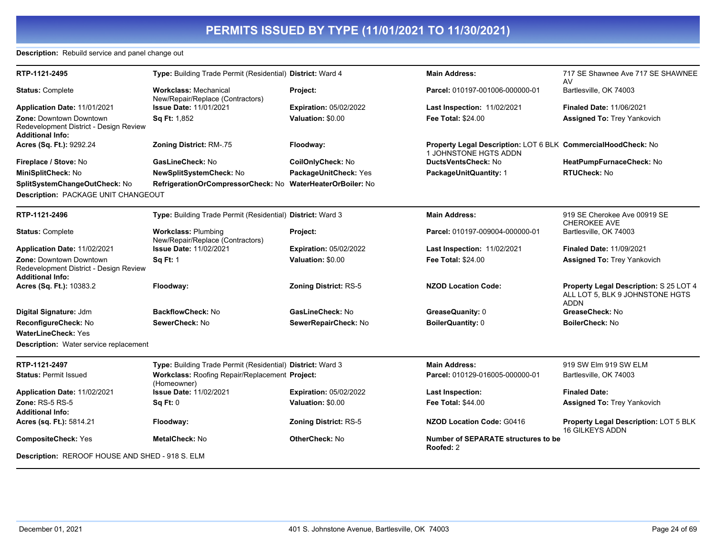**Description:** Rebuild service and panel change out

| RTP-1121-2495                                                                                       | Type: Building Trade Permit (Residential) District: Ward 4       |                               | <b>Main Address:</b>                                                                   | 717 SE Shawnee Ave 717 SE SHAWNEE<br>AV                                                  |
|-----------------------------------------------------------------------------------------------------|------------------------------------------------------------------|-------------------------------|----------------------------------------------------------------------------------------|------------------------------------------------------------------------------------------|
| <b>Status: Complete</b>                                                                             | <b>Workclass: Mechanical</b><br>New/Repair/Replace (Contractors) | Project:                      | Parcel: 010197-001006-000000-01                                                        | Bartlesville, OK 74003                                                                   |
| Application Date: 11/01/2021                                                                        | <b>Issue Date: 11/01/2021</b>                                    | <b>Expiration: 05/02/2022</b> | <b>Last Inspection: 11/02/2021</b>                                                     | <b>Finaled Date: 11/06/2021</b>                                                          |
| <b>Zone: Downtown Downtown</b><br>Redevelopment District - Design Review<br><b>Additional Info:</b> | Sq Ft: 1,852                                                     | Valuation: \$0.00             | <b>Fee Total: \$24.00</b>                                                              | <b>Assigned To: Trey Yankovich</b>                                                       |
| Acres (Sq. Ft.): 9292.24                                                                            | <b>Zoning District: RM-.75</b>                                   | Floodway:                     | Property Legal Description: LOT 6 BLK CommercialHoodCheck: No<br>1 JOHNSTONE HGTS ADDN |                                                                                          |
| Fireplace / Stove: No                                                                               | GasLineCheck: No                                                 | CoilOnlyCheck: No             | <b>DuctsVentsCheck: No</b>                                                             | HeatPumpFurnaceCheck: No                                                                 |
| MiniSplitCheck: No                                                                                  | NewSplitSystemCheck: No                                          | PackageUnitCheck: Yes         | PackageUnitQuantity: 1                                                                 | <b>RTUCheck: No</b>                                                                      |
| SplitSystemChangeOutCheck: No                                                                       | RefrigerationOrCompressorCheck: No WaterHeaterOrBoiler: No       |                               |                                                                                        |                                                                                          |
| Description: PACKAGE UNIT CHANGEOUT                                                                 |                                                                  |                               |                                                                                        |                                                                                          |
| RTP-1121-2496                                                                                       | Type: Building Trade Permit (Residential) District: Ward 3       |                               | <b>Main Address:</b>                                                                   | 919 SE Cherokee Ave 00919 SE<br><b>CHEROKEE AVE</b>                                      |
| <b>Status: Complete</b>                                                                             | <b>Workclass: Plumbing</b><br>New/Repair/Replace (Contractors)   | Project:                      | Parcel: 010197-009004-000000-01                                                        | Bartlesville, OK 74003                                                                   |
| Application Date: 11/02/2021                                                                        | <b>Issue Date: 11/02/2021</b>                                    | <b>Expiration: 05/02/2022</b> | Last Inspection: 11/02/2021                                                            | Finaled Date: 11/09/2021                                                                 |
| <b>Zone: Downtown Downtown</b><br>Redevelopment District - Design Review<br><b>Additional Info:</b> | <b>Sq Ft: 1</b>                                                  | Valuation: \$0.00             | <b>Fee Total: \$24.00</b>                                                              | <b>Assigned To: Trey Yankovich</b>                                                       |
| Acres (Sq. Ft.): 10383.2                                                                            | Floodway:                                                        | <b>Zoning District: RS-5</b>  | <b>NZOD Location Code:</b>                                                             | Property Legal Description: S 25 LOT 4<br>ALL LOT 5. BLK 9 JOHNSTONE HGTS<br><b>ADDN</b> |
| Digital Signature: Jdm                                                                              | <b>BackflowCheck: No</b>                                         | GasLineCheck: No              | GreaseQuanity: 0                                                                       | GreaseCheck: No                                                                          |
| ReconfigureCheck: No                                                                                | SewerCheck: No                                                   | SewerRepairCheck: No          | <b>BoilerQuantity: 0</b>                                                               | <b>BoilerCheck: No</b>                                                                   |
| <b>WaterLineCheck: Yes</b>                                                                          |                                                                  |                               |                                                                                        |                                                                                          |
| <b>Description:</b> Water service replacement                                                       |                                                                  |                               |                                                                                        |                                                                                          |
| RTP-1121-2497                                                                                       | Type: Building Trade Permit (Residential) District: Ward 3       |                               | <b>Main Address:</b>                                                                   | 919 SW Elm 919 SW ELM                                                                    |
| <b>Status: Permit Issued</b>                                                                        | Workclass: Roofing Repair/Replacement Project:<br>(Homeowner)    |                               | Parcel: 010129-016005-000000-01                                                        | Bartlesville, OK 74003                                                                   |
| Application Date: 11/02/2021                                                                        | <b>Issue Date: 11/02/2021</b>                                    | <b>Expiration: 05/02/2022</b> | Last Inspection:                                                                       | <b>Finaled Date:</b>                                                                     |
| Zone: $RS-5RS-5$<br><b>Additional Info:</b>                                                         | Sq Ft: 0                                                         | Valuation: \$0.00             | <b>Fee Total: \$44.00</b>                                                              | <b>Assigned To: Trey Yankovich</b>                                                       |
| Acres (sq. Ft.): 5814.21                                                                            | Floodway:                                                        | <b>Zoning District: RS-5</b>  | <b>NZOD Location Code: G0416</b>                                                       | <b>Property Legal Description: LOT 5 BLK</b><br><b>16 GILKEYS ADDN</b>                   |
| <b>CompositeCheck: Yes</b>                                                                          | <b>MetalCheck: No</b>                                            | <b>OtherCheck: No</b>         | <b>Number of SEPARATE structures to be</b><br>Roofed: 2                                |                                                                                          |
| Description: REROOF HOUSE AND SHED - 918 S. ELM                                                     |                                                                  |                               |                                                                                        |                                                                                          |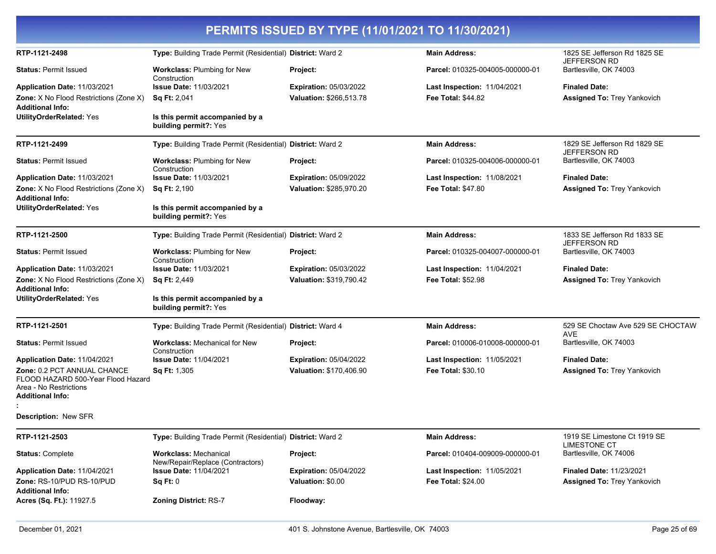|                                                                                                                        |                                                                  | PERMITS ISSUED BY TYPE (11/01/2021 TO 11/30/2021)        |                                                          |                                                            |
|------------------------------------------------------------------------------------------------------------------------|------------------------------------------------------------------|----------------------------------------------------------|----------------------------------------------------------|------------------------------------------------------------|
| RTP-1121-2498                                                                                                          | Type: Building Trade Permit (Residential) District: Ward 2       |                                                          | <b>Main Address:</b>                                     | 1825 SE Jefferson Rd 1825 SE<br>JEFFERSON RD               |
| <b>Status: Permit Issued</b>                                                                                           | <b>Workclass: Plumbing for New</b><br>Construction               | Project:                                                 | Parcel: 010325-004005-000000-01                          | Bartlesville, OK 74003                                     |
| Application Date: 11/03/2021<br>Zone: X No Flood Restrictions (Zone X)<br>Additional Info:                             | <b>Issue Date: 11/03/2021</b><br><b>Sq Ft: 2,041</b>             | <b>Expiration: 05/03/2022</b><br>Valuation: \$266,513.78 | Last Inspection: 11/04/2021<br><b>Fee Total: \$44.82</b> | <b>Finaled Date:</b><br><b>Assigned To: Trey Yankovich</b> |
| <b>UtilityOrderRelated: Yes</b>                                                                                        | Is this permit accompanied by a<br>building permit?: Yes         |                                                          |                                                          |                                                            |
| RTP-1121-2499                                                                                                          | Type: Building Trade Permit (Residential) District: Ward 2       |                                                          | <b>Main Address:</b>                                     | 1829 SE Jefferson Rd 1829 SE<br>JEFFERSON RD               |
| <b>Status: Permit Issued</b>                                                                                           | Workclass: Plumbing for New<br>Construction                      | <b>Project:</b>                                          | Parcel: 010325-004006-000000-01                          | Bartlesville, OK 74003                                     |
| Application Date: 11/03/2021                                                                                           | <b>Issue Date: 11/03/2021</b>                                    | <b>Expiration: 05/09/2022</b>                            | <b>Last Inspection: 11/08/2021</b>                       | <b>Finaled Date:</b>                                       |
| Zone: X No Flood Restrictions (Zone X)<br><b>Additional Info:</b>                                                      | <b>Sq Ft: 2,190</b>                                              | Valuation: \$285,970.20                                  | <b>Fee Total: \$47.80</b>                                | <b>Assigned To: Trey Yankovich</b>                         |
| <b>UtilityOrderRelated: Yes</b>                                                                                        | Is this permit accompanied by a<br>building permit?: Yes         |                                                          |                                                          |                                                            |
| RTP-1121-2500                                                                                                          | Type: Building Trade Permit (Residential) District: Ward 2       |                                                          | <b>Main Address:</b>                                     | 1833 SE Jefferson Rd 1833 SE<br>JEFFERSON RD               |
| <b>Status: Permit Issued</b>                                                                                           | <b>Workclass: Plumbing for New</b><br>Construction               | <b>Project:</b>                                          | Parcel: 010325-004007-000000-01                          | Bartlesville, OK 74003                                     |
| Application Date: 11/03/2021                                                                                           | <b>Issue Date: 11/03/2021</b>                                    | <b>Expiration: 05/03/2022</b>                            | Last Inspection: 11/04/2021                              | <b>Finaled Date:</b>                                       |
| <b>Zone:</b> X No Flood Restrictions (Zone X)<br>Additional Info:                                                      | <b>Sq Ft: 2,449</b>                                              | Valuation: \$319.790.42                                  | <b>Fee Total: \$52.98</b>                                | <b>Assigned To: Trey Yankovich</b>                         |
| <b>UtilityOrderRelated: Yes</b>                                                                                        | Is this permit accompanied by a<br>building permit?: Yes         |                                                          |                                                          |                                                            |
| RTP-1121-2501                                                                                                          | Type: Building Trade Permit (Residential) District: Ward 4       |                                                          | <b>Main Address:</b>                                     | 529 SE Choctaw Ave 529 SE CHOCTAW<br>AVE                   |
| <b>Status: Permit Issued</b>                                                                                           | <b>Workclass: Mechanical for New</b><br>Construction             | Project:                                                 | Parcel: 010006-010008-000000-01                          | Bartlesville, OK 74003                                     |
| Application Date: 11/04/2021                                                                                           | <b>Issue Date: 11/04/2021</b>                                    | <b>Expiration: 05/04/2022</b>                            | Last Inspection: 11/05/2021                              | <b>Finaled Date:</b>                                       |
| <b>Zone: 0.2 PCT ANNUAL CHANCE</b><br>FLOOD HAZARD 500-Year Flood Hazard<br>Area - No Restrictions<br>Additional Info: | Sq Ft: 1,305                                                     | Valuation: \$170,406.90                                  | <b>Fee Total: \$30.10</b>                                | <b>Assigned To: Trey Yankovich</b>                         |
| <b>Description: New SFR</b>                                                                                            |                                                                  |                                                          |                                                          |                                                            |
| RTP-1121-2503                                                                                                          | Type: Building Trade Permit (Residential) District: Ward 2       |                                                          | <b>Main Address:</b>                                     | 1919 SE Limestone Ct 1919 SE<br><b>LIMESTONE CT</b>        |
| <b>Status: Complete</b>                                                                                                | <b>Workclass: Mechanical</b><br>New/Repair/Replace (Contractors) | Project:                                                 | Parcel: 010404-009009-000000-01                          | Bartlesville, OK 74006                                     |
| Application Date: 11/04/2021                                                                                           | <b>Issue Date: 11/04/2021</b>                                    | <b>Expiration: 05/04/2022</b>                            | Last Inspection: 11/05/2021                              | <b>Finaled Date: 11/23/2021</b>                            |
| Zone: RS-10/PUD RS-10/PUD<br>Additional Info:                                                                          | Sq Ft: 0                                                         | Valuation: \$0.00                                        | <b>Fee Total: \$24.00</b>                                | <b>Assigned To: Trey Yankovich</b>                         |
| Acres (Sq. Ft.): 11927.5                                                                                               | <b>Zoning District: RS-7</b>                                     | Floodway:                                                |                                                          |                                                            |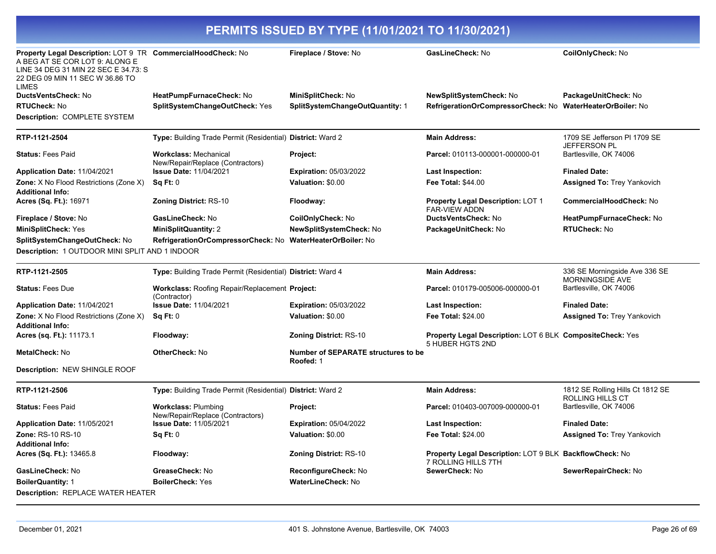| Property Legal Description: LOT 9 TR CommercialHoodCheck: No<br>A BEG AT SE COR LOT 9: ALONG E<br>LINE 34 DEG 31 MIN 22 SEC E 34.73: S |                                                                  | Fireplace / Stove: No                                   | GasLineCheck: No                                                                     | CoilOnlyCheck: No                                    |
|----------------------------------------------------------------------------------------------------------------------------------------|------------------------------------------------------------------|---------------------------------------------------------|--------------------------------------------------------------------------------------|------------------------------------------------------|
| 22 DEG 09 MIN 11 SEC W 36.86 TO<br>LIMES                                                                                               |                                                                  |                                                         |                                                                                      |                                                      |
| DuctsVentsCheck: No                                                                                                                    | HeatPumpFurnaceCheck: No                                         | MiniSplitCheck: No                                      | NewSplitSystemCheck: No                                                              | PackageUnitCheck: No                                 |
| <b>RTUCheck: No</b>                                                                                                                    | SplitSystemChangeOutCheck: Yes                                   | SplitSystemChangeOutQuantity: 1                         | RefrigerationOrCompressorCheck: No                                                   | <b>WaterHeaterOrBoiler: No</b>                       |
| Description: COMPLETE SYSTEM                                                                                                           |                                                                  |                                                         |                                                                                      |                                                      |
| RTP-1121-2504                                                                                                                          | Type: Building Trade Permit (Residential) District: Ward 2       |                                                         | <b>Main Address:</b>                                                                 | 1709 SE Jefferson PI 1709 SE<br>JEFFERSON PL         |
| <b>Status: Fees Paid</b>                                                                                                               | <b>Workclass: Mechanical</b><br>New/Repair/Replace (Contractors) | Project:                                                | Parcel: 010113-000001-000000-01                                                      | Bartlesville, OK 74006                               |
| Application Date: 11/04/2021                                                                                                           | <b>Issue Date: 11/04/2021</b>                                    | <b>Expiration: 05/03/2022</b>                           | Last Inspection:                                                                     | <b>Finaled Date:</b>                                 |
| <b>Zone:</b> X No Flood Restrictions (Zone X)<br><b>Additional Info:</b>                                                               | Sq Ft: 0                                                         | Valuation: \$0.00                                       | <b>Fee Total: \$44.00</b>                                                            | <b>Assigned To: Trey Yankovich</b>                   |
| <b>Acres (Sq. Ft.): 16971</b>                                                                                                          | <b>Zoning District: RS-10</b>                                    | Floodway:                                               | <b>Property Legal Description: LOT 1</b><br><b>FAR-VIEW ADDN</b>                     | <b>CommercialHoodCheck: No</b>                       |
| Fireplace / Stove: No                                                                                                                  | GasLineCheck: No                                                 | CoilOnlyCheck: No                                       | <b>DuctsVentsCheck: No</b>                                                           | HeatPumpFurnaceCheck: No                             |
| <b>MiniSplitCheck: Yes</b>                                                                                                             | <b>MiniSplitQuantity: 2</b>                                      | <b>NewSplitSystemCheck: No</b>                          | PackageUnitCheck: No                                                                 | RTUCheck: No                                         |
| SplitSystemChangeOutCheck: No                                                                                                          | RefrigerationOrCompressorCheck: No WaterHeaterOrBoiler: No       |                                                         |                                                                                      |                                                      |
| Description: 1 OUTDOOR MINI SPLIT AND 1 INDOOR                                                                                         |                                                                  |                                                         |                                                                                      |                                                      |
| RTP-1121-2505                                                                                                                          | Type: Building Trade Permit (Residential) District: Ward 4       |                                                         | <b>Main Address:</b>                                                                 | 336 SE Morningside Ave 336 SE<br>MORNINGSIDE AVE     |
| <b>Status: Fees Due</b>                                                                                                                | Workclass: Roofing Repair/Replacement Project:<br>(Contractor)   |                                                         | Parcel: 010179-005006-000000-01                                                      | Bartlesville, OK 74006                               |
| Application Date: 11/04/2021                                                                                                           | <b>Issue Date: 11/04/2021</b>                                    | <b>Expiration: 05/03/2022</b>                           | <b>Last Inspection:</b>                                                              | <b>Finaled Date:</b>                                 |
| Zone: X No Flood Restrictions (Zone X)<br><b>Additional Info:</b>                                                                      | Sq Ft: 0                                                         | Valuation: \$0.00                                       | <b>Fee Total: \$24.00</b>                                                            | <b>Assigned To: Trey Yankovich</b>                   |
| <b>Acres (sq. Ft.): 11173.1</b>                                                                                                        | Floodway:                                                        | <b>Zoning District: RS-10</b>                           | <b>Property Legal Description: LOT 6 BLK CompositeCheck: Yes</b><br>5 HUBER HGTS 2ND |                                                      |
| <b>MetalCheck: No</b>                                                                                                                  | <b>OtherCheck: No</b>                                            | <b>Number of SEPARATE structures to be</b><br>Roofed: 1 |                                                                                      |                                                      |
| Description: NEW SHINGLE ROOF                                                                                                          |                                                                  |                                                         |                                                                                      |                                                      |
| RTP-1121-2506                                                                                                                          | Type: Building Trade Permit (Residential) District: Ward 2       |                                                         | <b>Main Address:</b>                                                                 | 1812 SE Rolling Hills Ct 1812 SE<br>ROLLING HILLS CT |
| <b>Status: Fees Paid</b>                                                                                                               | <b>Workclass: Plumbing</b><br>New/Repair/Replace (Contractors)   | Project:                                                | Parcel: 010403-007009-000000-01                                                      | Bartlesville, OK 74006                               |
| <b>Application Date: 11/05/2021</b>                                                                                                    | <b>Issue Date: 11/05/2021</b>                                    | <b>Expiration: 05/04/2022</b>                           | Last Inspection:                                                                     | <b>Finaled Date:</b>                                 |
| Zone: RS-10 RS-10                                                                                                                      | Sq Ft: 0                                                         | Valuation: \$0.00                                       | <b>Fee Total: \$24.00</b>                                                            | Assigned To: Trey Yankovich                          |
| Additional Info:                                                                                                                       |                                                                  |                                                         |                                                                                      |                                                      |
| <b>Acres (Sq. Ft.):</b> 13465.8                                                                                                        | Floodway:                                                        | <b>Zoning District: RS-10</b>                           | Property Legal Description: LOT 9 BLK BackflowCheck: No<br>7 ROLLING HILLS 7TH       |                                                      |
| GasLineCheck: No                                                                                                                       | GreaseCheck: No                                                  | ReconfigureCheck: No                                    | SewerCheck: No                                                                       | SewerRepairCheck: No                                 |
| <b>BoilerQuantity: 1</b>                                                                                                               | <b>BoilerCheck: Yes</b>                                          | <b>WaterLineCheck: No</b>                               |                                                                                      |                                                      |
| Description: REPLACE WATER HEATER                                                                                                      |                                                                  |                                                         |                                                                                      |                                                      |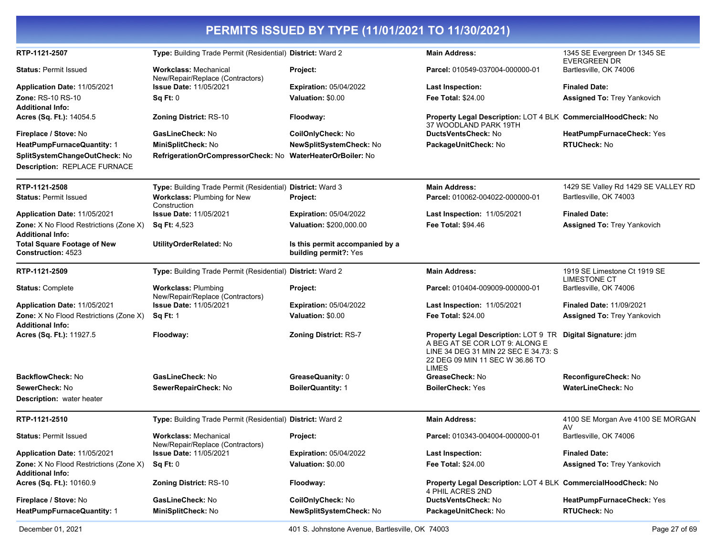|                                                                 |                                                                  | PERMITS ISSUED BY TYPE (11/01/2021 TO 11/30/2021)        |                                                                                                                                                                                          |                                                     |
|-----------------------------------------------------------------|------------------------------------------------------------------|----------------------------------------------------------|------------------------------------------------------------------------------------------------------------------------------------------------------------------------------------------|-----------------------------------------------------|
| RTP-1121-2507                                                   | Type: Building Trade Permit (Residential) District: Ward 2       |                                                          | <b>Main Address:</b>                                                                                                                                                                     | 1345 SE Evergreen Dr 1345 SE<br><b>EVERGREEN DR</b> |
| <b>Status: Permit Issued</b>                                    | <b>Workclass: Mechanical</b><br>New/Repair/Replace (Contractors) | Project:                                                 | Parcel: 010549-037004-000000-01                                                                                                                                                          | Bartlesville, OK 74006                              |
| <b>Application Date: 11/05/2021</b>                             | <b>Issue Date: 11/05/2021</b>                                    | <b>Expiration: 05/04/2022</b>                            | <b>Last Inspection:</b>                                                                                                                                                                  | <b>Finaled Date:</b>                                |
| Zone: RS-10 RS-10                                               | Sq Ft: 0                                                         | Valuation: \$0.00                                        | Fee Total: \$24.00                                                                                                                                                                       | <b>Assigned To: Trey Yankovich</b>                  |
| <b>Additional Info:</b>                                         |                                                                  |                                                          |                                                                                                                                                                                          |                                                     |
| Acres (Sq. Ft.): 14054.5                                        | <b>Zoning District: RS-10</b>                                    | Floodway:                                                | Property Legal Description: LOT 4 BLK CommercialHoodCheck: No<br>37 WOODLAND PARK 19TH                                                                                                   |                                                     |
| Fireplace / Stove: No                                           | GasLineCheck: No                                                 | CoilOnlyCheck: No                                        | DuctsVentsCheck: No                                                                                                                                                                      | HeatPumpFurnaceCheck: Yes                           |
| HeatPumpFurnaceQuantity: 1                                      | <b>MiniSplitCheck: No</b>                                        | <b>NewSplitSystemCheck: No</b>                           | PackageUnitCheck: No                                                                                                                                                                     | <b>RTUCheck: No</b>                                 |
| SplitSystemChangeOutCheck: No<br>Description: REPLACE FURNACE   | RefrigerationOrCompressorCheck: No WaterHeaterOrBoiler: No       |                                                          |                                                                                                                                                                                          |                                                     |
| RTP-1121-2508                                                   | Type: Building Trade Permit (Residential) District: Ward 3       |                                                          | <b>Main Address:</b>                                                                                                                                                                     | 1429 SE Valley Rd 1429 SE VALLEY RD                 |
| <b>Status: Permit Issued</b>                                    | Workclass: Plumbing for New<br>Construction                      | Project:                                                 | Parcel: 010062-004022-000000-01                                                                                                                                                          | Bartlesville, OK 74003                              |
| Application Date: 11/05/2021                                    | <b>Issue Date: 11/05/2021</b>                                    | <b>Expiration: 05/04/2022</b>                            | Last Inspection: 11/05/2021                                                                                                                                                              | <b>Finaled Date:</b>                                |
| Zone: X No Flood Restrictions (Zone X)<br>Additional Info:      | <b>Sq Ft: 4,523</b>                                              | Valuation: \$200,000.00                                  | Fee Total: \$94.46                                                                                                                                                                       | <b>Assigned To: Trey Yankovich</b>                  |
| <b>Total Square Footage of New</b><br><b>Construction: 4523</b> | UtilityOrderRelated: No                                          | Is this permit accompanied by a<br>building permit?: Yes |                                                                                                                                                                                          |                                                     |
| RTP-1121-2509                                                   | Type: Building Trade Permit (Residential) District: Ward 2       |                                                          | <b>Main Address:</b>                                                                                                                                                                     | 1919 SE Limestone Ct 1919 SE<br><b>LIMESTONE CT</b> |
| <b>Status: Complete</b>                                         | <b>Workclass: Plumbing</b><br>New/Repair/Replace (Contractors)   | Project:                                                 | Parcel: 010404-009009-000000-01                                                                                                                                                          | Bartlesville, OK 74006                              |
| <b>Application Date: 11/05/2021</b>                             | <b>Issue Date: 11/05/2021</b>                                    | <b>Expiration: 05/04/2022</b>                            | <b>Last Inspection: 11/05/2021</b>                                                                                                                                                       | <b>Finaled Date: 11/09/2021</b>                     |
| Zone: X No Flood Restrictions (Zone X)<br>Additional Info:      | <b>Sq Ft: 1</b>                                                  | Valuation: \$0.00                                        | <b>Fee Total: \$24.00</b>                                                                                                                                                                | <b>Assigned To: Trey Yankovich</b>                  |
| Acres (Sq. Ft.): 11927.5                                        | Floodway:                                                        | <b>Zoning District: RS-7</b>                             | Property Legal Description: LOT 9 TR Digital Signature: jdm<br>A BEG AT SE COR LOT 9: ALONG E<br>LINE 34 DEG 31 MIN 22 SEC E 34.73: S<br>22 DEG 09 MIN 11 SEC W 36.86 TO<br><b>LIMES</b> |                                                     |
| <b>BackflowCheck: No</b>                                        | GasLineCheck: No                                                 | GreaseQuanity: 0                                         | GreaseCheck: No                                                                                                                                                                          | ReconfigureCheck: No                                |
| SewerCheck: No                                                  | SewerRepairCheck: No                                             | <b>BoilerQuantity: 1</b>                                 | <b>BoilerCheck: Yes</b>                                                                                                                                                                  | WaterLineCheck: No                                  |
| <b>Description:</b> water heater                                |                                                                  |                                                          |                                                                                                                                                                                          |                                                     |
| RTP-1121-2510                                                   | Type: Building Trade Permit (Residential) District: Ward 2       |                                                          | <b>Main Address:</b>                                                                                                                                                                     | 4100 SE Morgan Ave 4100 SE MORGAN<br>AV             |
| <b>Status:</b> Permit Issued                                    | <b>Workclass: Mechanical</b><br>New/Repair/Replace (Contractors) | Project:                                                 | Parcel: 010343-004004-000000-01                                                                                                                                                          | Bartlesville, OK 74006                              |
| Application Date: 11/05/2021                                    | <b>Issue Date: 11/05/2021</b>                                    | <b>Expiration: 05/04/2022</b>                            | <b>Last Inspection:</b>                                                                                                                                                                  | <b>Finaled Date:</b>                                |
| Zone: X No Flood Restrictions (Zone X)<br>Additional Info:      | Sq Ft: 0                                                         | Valuation: \$0.00                                        | Fee Total: \$24.00                                                                                                                                                                       | <b>Assigned To: Trey Yankovich</b>                  |
| Acres (Sq. Ft.): 10160.9                                        | <b>Zoning District: RS-10</b>                                    | Floodway:                                                | Property Legal Description: LOT 4 BLK CommercialHoodCheck: No<br>4 PHIL ACRES 2ND                                                                                                        |                                                     |
| Fireplace / Stove: No                                           | GasLineCheck: No                                                 | CoilOnlyCheck: No                                        | DuctsVentsCheck: No                                                                                                                                                                      | HeatPumpFurnaceCheck: Yes                           |
| HeatPumpFurnaceQuantity: 1                                      | MiniSplitCheck: No                                               | NewSplitSystemCheck: No                                  | PackageUnitCheck: No                                                                                                                                                                     | RTUCheck: No                                        |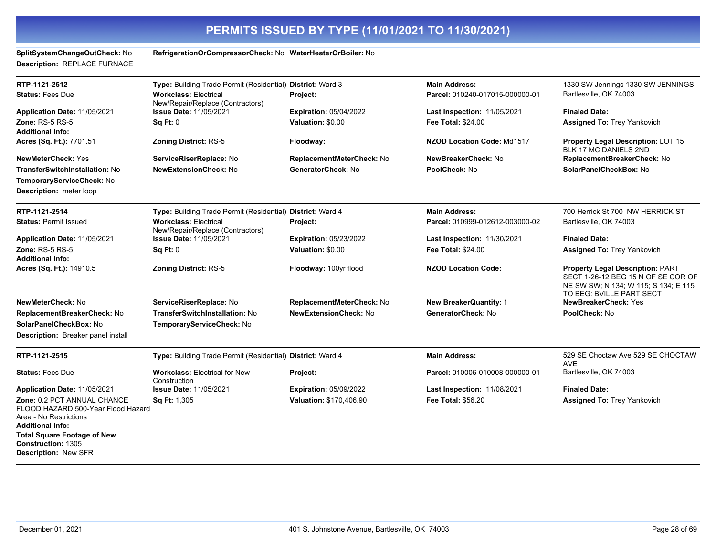| SplitSystemChangeOutCheck: No<br>Description: REPLACE FURNACE                                                          | RefrigerationOrCompressorCheck: No WaterHeaterOrBoiler: No       |                               |                                    |                                                                                                                                                   |
|------------------------------------------------------------------------------------------------------------------------|------------------------------------------------------------------|-------------------------------|------------------------------------|---------------------------------------------------------------------------------------------------------------------------------------------------|
| RTP-1121-2512                                                                                                          | Type: Building Trade Permit (Residential) District: Ward 3       |                               | <b>Main Address:</b>               | 1330 SW Jennings 1330 SW JENNINGS                                                                                                                 |
| <b>Status: Fees Due</b>                                                                                                | <b>Workclass: Electrical</b><br>New/Repair/Replace (Contractors) | Project:                      | Parcel: 010240-017015-000000-01    | Bartlesville, OK 74003                                                                                                                            |
| Application Date: 11/05/2021                                                                                           | <b>Issue Date: 11/05/2021</b>                                    | <b>Expiration: 05/04/2022</b> | <b>Last Inspection: 11/05/2021</b> | <b>Finaled Date:</b>                                                                                                                              |
| Zone: $RS-5RS-5$<br><b>Additional Info:</b>                                                                            | Sq Ft: 0                                                         | Valuation: \$0.00             | <b>Fee Total: \$24.00</b>          | <b>Assigned To: Trey Yankovich</b>                                                                                                                |
| Acres (Sq. Ft.): 7701.51                                                                                               | <b>Zoning District: RS-5</b>                                     | Floodway:                     | NZOD Location Code: Md1517         | Property Legal Description: LOT 15<br>BLK 17 MC DANIELS 2ND                                                                                       |
| <b>NewMeterCheck: Yes</b>                                                                                              | ServiceRiserReplace: No                                          | ReplacementMeterCheck: No     | NewBreakerCheck: No                | ReplacementBreakerCheck: No                                                                                                                       |
| <b>TransferSwitchInstallation: No</b>                                                                                  | <b>NewExtensionCheck: No</b>                                     | GeneratorCheck: No            | PoolCheck: No                      | SolarPanelCheckBox: No                                                                                                                            |
| TemporaryServiceCheck: No                                                                                              |                                                                  |                               |                                    |                                                                                                                                                   |
| Description: meter loop                                                                                                |                                                                  |                               |                                    |                                                                                                                                                   |
| RTP-1121-2514                                                                                                          | Type: Building Trade Permit (Residential) District: Ward 4       |                               | <b>Main Address:</b>               | 700 Herrick St 700 NW HERRICK ST                                                                                                                  |
| <b>Status: Permit Issued</b>                                                                                           | <b>Workclass: Electrical</b><br>New/Repair/Replace (Contractors) | Project:                      | Parcel: 010999-012612-003000-02    | Bartlesville, OK 74003                                                                                                                            |
| Application Date: 11/05/2021                                                                                           | <b>Issue Date: 11/05/2021</b>                                    | <b>Expiration: 05/23/2022</b> | <b>Last Inspection: 11/30/2021</b> | <b>Finaled Date:</b>                                                                                                                              |
| Zone: RS-5 RS-5<br><b>Additional Info:</b>                                                                             | Sq Ft: 0                                                         | Valuation: \$0.00             | Fee Total: \$24.00                 | <b>Assigned To: Trey Yankovich</b>                                                                                                                |
| Acres (Sq. Ft.): 14910.5                                                                                               | <b>Zoning District: RS-5</b>                                     | Floodway: 100yr flood         | <b>NZOD Location Code:</b>         | <b>Property Legal Description: PART</b><br>SECT 1-26-12 BEG 15 N OF SE COR OF<br>NE SW SW; N 134; W 115; S 134; E 115<br>TO BEG: BVILLE PART SECT |
| NewMeterCheck: No                                                                                                      | ServiceRiserReplace: No                                          | ReplacementMeterCheck: No     | <b>New BreakerQuantity: 1</b>      | NewBreakerCheck: Yes                                                                                                                              |
| ReplacementBreakerCheck: No                                                                                            | TransferSwitchInstallation: No                                   | <b>NewExtensionCheck: No</b>  | GeneratorCheck: No                 | PoolCheck: No                                                                                                                                     |
| SolarPanelCheckBox: No                                                                                                 | TemporaryServiceCheck: No                                        |                               |                                    |                                                                                                                                                   |
| Description: Breaker panel install                                                                                     |                                                                  |                               |                                    |                                                                                                                                                   |
| RTP-1121-2515                                                                                                          | Type: Building Trade Permit (Residential) District: Ward 4       |                               | <b>Main Address:</b>               | 529 SE Choctaw Ave 529 SE CHOCTAW<br><b>AVE</b>                                                                                                   |
| <b>Status: Fees Due</b>                                                                                                | <b>Workclass: Electrical for New</b><br>Construction             | Project:                      | Parcel: 010006-010008-000000-01    | Bartlesville, OK 74003                                                                                                                            |
| Application Date: 11/05/2021                                                                                           | <b>Issue Date: 11/05/2021</b>                                    | <b>Expiration: 05/09/2022</b> | Last Inspection: 11/08/2021        | <b>Finaled Date:</b>                                                                                                                              |
| Zone: 0.2 PCT ANNUAL CHANCE<br>FLOOD HAZARD 500-Year Flood Hazard<br>Area - No Restrictions<br><b>Additional Info:</b> | Sq Ft: 1,305                                                     | Valuation: \$170,406.90       | Fee Total: \$56.20                 | <b>Assigned To: Trey Yankovich</b>                                                                                                                |
| <b>Total Square Footage of New</b><br>Construction: 1305<br><b>Description: New SFR</b>                                |                                                                  |                               |                                    |                                                                                                                                                   |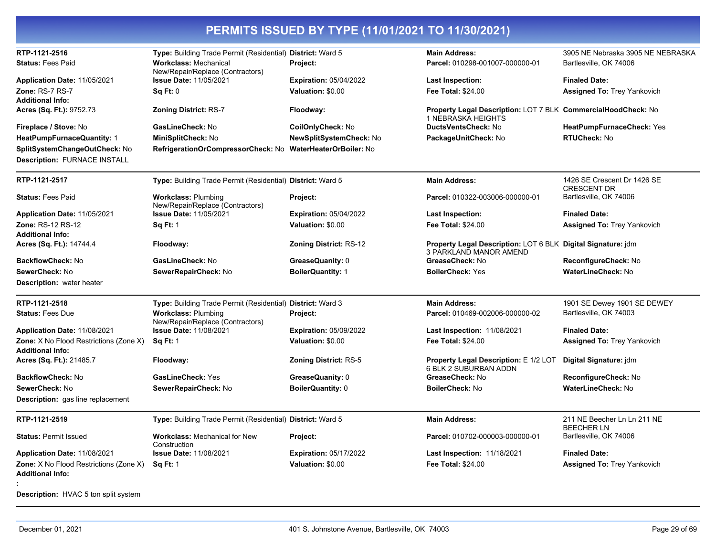| RTP-1121-2516                                                            | Type: Building Trade Permit (Residential) District: Ward 5       |                               | <b>Main Address:</b>                                                                          | 3905 NE Nebraska 3905 NE NEBRASKA                 |
|--------------------------------------------------------------------------|------------------------------------------------------------------|-------------------------------|-----------------------------------------------------------------------------------------------|---------------------------------------------------|
| <b>Status: Fees Paid</b>                                                 | <b>Workclass: Mechanical</b><br>New/Repair/Replace (Contractors) | Project:                      | Parcel: 010298-001007-000000-01                                                               | Bartlesville, OK 74006                            |
| Application Date: 11/05/2021                                             | Issue Date: 11/05/2021                                           | <b>Expiration: 05/04/2022</b> | Last Inspection:                                                                              | <b>Finaled Date:</b>                              |
| Zone: RS-7 RS-7<br><b>Additional Info:</b>                               | Sq Ft: 0                                                         | Valuation: \$0.00             | Fee Total: \$24.00                                                                            | Assigned To: Trey Yankovich                       |
| Acres (Sq. Ft.): 9752.73                                                 | <b>Zoning District: RS-7</b>                                     | Floodway:                     | Property Legal Description: LOT 7 BLK CommercialHoodCheck: No<br>1 NEBRASKA HEIGHTS           |                                                   |
| Fireplace / Stove: No                                                    | GasLineCheck: No                                                 | CoilOnlyCheck: No             | DuctsVentsCheck: No                                                                           | HeatPumpFurnaceCheck: Yes                         |
| <b>HeatPumpFurnaceQuantity: 1</b>                                        | MiniSplitCheck: No                                               | NewSplitSystemCheck: No       | PackageUnitCheck: No                                                                          | <b>RTUCheck: No</b>                               |
| SplitSystemChangeOutCheck: No<br><b>Description: FURNACE INSTALL</b>     | RefrigerationOrCompressorCheck: No WaterHeaterOrBoiler: No       |                               |                                                                                               |                                                   |
| RTP-1121-2517                                                            | Type: Building Trade Permit (Residential) District: Ward 5       |                               | <b>Main Address:</b>                                                                          | 1426 SE Crescent Dr 1426 SE<br><b>CRESCENT DR</b> |
| <b>Status: Fees Paid</b>                                                 | <b>Workclass: Plumbing</b><br>New/Repair/Replace (Contractors)   | Project:                      | Parcel: 010322-003006-000000-01                                                               | Bartlesville, OK 74006                            |
| Application Date: 11/05/2021                                             | <b>Issue Date: 11/05/2021</b>                                    | <b>Expiration: 05/04/2022</b> | <b>Last Inspection:</b>                                                                       | <b>Finaled Date:</b>                              |
| Zone: RS-12 RS-12<br><b>Additional Info:</b>                             | <b>Sq Ft: 1</b>                                                  | Valuation: \$0.00             | Fee Total: \$24.00                                                                            | <b>Assigned To: Trey Yankovich</b>                |
| Acres (Sq. Ft.): 14744.4                                                 | Floodway:                                                        | <b>Zoning District: RS-12</b> | Property Legal Description: LOT 6 BLK Digital Signature: jdm<br><b>3 PARKLAND MANOR AMEND</b> |                                                   |
| <b>BackflowCheck: No</b>                                                 | GasLineCheck: No                                                 | GreaseQuanity: 0              | GreaseCheck: No                                                                               | ReconfigureCheck: No                              |
| SewerCheck: No                                                           | SewerRepairCheck: No                                             | <b>BoilerQuantity: 1</b>      | <b>BoilerCheck: Yes</b>                                                                       | WaterLineCheck: No                                |
| <b>Description:</b> water heater                                         |                                                                  |                               |                                                                                               |                                                   |
| RTP-1121-2518                                                            | Type: Building Trade Permit (Residential) District: Ward 3       |                               | <b>Main Address:</b>                                                                          | 1901 SE Dewey 1901 SE DEWEY                       |
| <b>Status: Fees Due</b>                                                  | <b>Workclass: Plumbing</b><br>New/Repair/Replace (Contractors)   | Project:                      | Parcel: 010469-002006-000000-02                                                               | Bartlesville, OK 74003                            |
| Application Date: 11/08/2021                                             | <b>Issue Date: 11/08/2021</b>                                    | <b>Expiration: 05/09/2022</b> | <b>Last Inspection: 11/08/2021</b>                                                            | <b>Finaled Date:</b>                              |
| <b>Zone:</b> X No Flood Restrictions (Zone X)<br><b>Additional Info:</b> | <b>Sq Ft: 1</b>                                                  | Valuation: \$0.00             | Fee Total: \$24.00                                                                            | <b>Assigned To: Trey Yankovich</b>                |
| Acres (Sq. Ft.): 21485.7                                                 | Floodway:                                                        | <b>Zoning District: RS-5</b>  | <b>Property Legal Description: E 1/2 LOT</b><br>6 BLK 2 SUBURBAN ADDN                         | Digital Signature: jdm                            |
| <b>BackflowCheck: No</b>                                                 | <b>GasLineCheck: Yes</b>                                         | GreaseQuanity: 0              | GreaseCheck: No                                                                               | ReconfigureCheck: No                              |
| SewerCheck: No                                                           | SewerRepairCheck: No                                             | BoilerQuantity: 0             | BoilerCheck: No                                                                               | <b>WaterLineCheck: No</b>                         |
| <b>Description:</b> gas line replacement                                 |                                                                  |                               |                                                                                               |                                                   |
| RTP-1121-2519                                                            | Type: Building Trade Permit (Residential) District: Ward 5       |                               | <b>Main Address:</b>                                                                          | 211 NE Beecher Ln Ln 211 NE<br><b>BEECHER LN</b>  |
| <b>Status: Permit Issued</b>                                             | <b>Workclass: Mechanical for New</b><br>Construction             | Project:                      | Parcel: 010702-000003-000000-01                                                               | Bartlesville, OK 74006                            |
| Application Date: 11/08/2021                                             | <b>Issue Date: 11/08/2021</b>                                    | <b>Expiration: 05/17/2022</b> | Last Inspection: 11/18/2021                                                                   | <b>Finaled Date:</b>                              |
| <b>Zone:</b> X No Flood Restrictions (Zone X)<br><b>Additional Info:</b> | <b>Sq Ft: 1</b>                                                  | Valuation: \$0.00             | <b>Fee Total: \$24.00</b>                                                                     | <b>Assigned To: Trey Yankovich</b>                |
| <b>Description:</b> HVAC 5 ton split system                              |                                                                  |                               |                                                                                               |                                                   |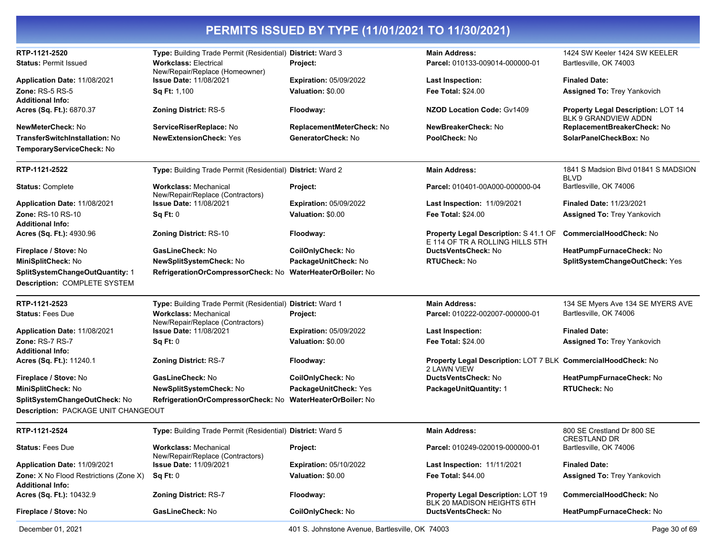| RTP-1121-2520<br><b>Status: Permit Issued</b>                            | Type: Building Trade Permit (Residential) District: Ward 3<br><b>Workclass: Electrical</b><br>New/Repair/Replace (Homeowner) | Project:                                        | <b>Main Address:</b><br>Parcel: 010133-009014-000000-01                      | 1424 SW Keeler 1424 SW KEELER<br>Bartlesville, OK 74003                  |
|--------------------------------------------------------------------------|------------------------------------------------------------------------------------------------------------------------------|-------------------------------------------------|------------------------------------------------------------------------------|--------------------------------------------------------------------------|
| Application Date: 11/08/2021                                             | <b>Issue Date: 11/08/2021</b>                                                                                                | <b>Expiration: 05/09/2022</b>                   | <b>Last Inspection:</b>                                                      | <b>Finaled Date:</b>                                                     |
| <b>Zone: RS-5 RS-5</b>                                                   | Sq Ft: 1,100                                                                                                                 | Valuation: \$0.00                               | <b>Fee Total: \$24.00</b>                                                    | <b>Assigned To: Trey Yankovich</b>                                       |
| <b>Additional Info:</b><br>Acres (Sq. Ft.): 6870.37                      | <b>Zoning District: RS-5</b>                                                                                                 | Floodway:                                       | <b>NZOD Location Code: Gv1409</b>                                            | <b>Property Legal Description: LOT 14</b><br><b>BLK 9 GRANDVIEW ADDN</b> |
| NewMeterCheck: No                                                        | ServiceRiserReplace: No                                                                                                      | ReplacementMeterCheck: No                       | NewBreakerCheck: No                                                          | ReplacementBreakerCheck: No                                              |
| <b>TransferSwitchInstallation: No</b><br>TemporaryServiceCheck: No       | <b>NewExtensionCheck: Yes</b>                                                                                                | GeneratorCheck: No                              | PoolCheck: No                                                                | SolarPanelCheckBox: No                                                   |
| RTP-1121-2522                                                            | Type: Building Trade Permit (Residential) District: Ward 2                                                                   |                                                 | <b>Main Address:</b>                                                         | 1841 S Madsion Blvd 01841 S MADSION<br>BLVD                              |
| <b>Status: Complete</b>                                                  | <b>Workclass: Mechanical</b><br>New/Repair/Replace (Contractors)                                                             | Project:                                        | Parcel: 010401-00A000-000000-04                                              | Bartlesville, OK 74006                                                   |
| Application Date: 11/08/2021                                             | <b>Issue Date: 11/08/2021</b>                                                                                                | <b>Expiration: 05/09/2022</b>                   | Last Inspection: 11/09/2021                                                  | <b>Finaled Date: 11/23/2021</b>                                          |
| Zone: RS-10 RS-10<br><b>Additional Info:</b>                             | Sq Ft: 0                                                                                                                     | Valuation: \$0.00                               | <b>Fee Total: \$24.00</b>                                                    | <b>Assigned To: Trey Yankovich</b>                                       |
| Acres (Sq. Ft.): 4930.96                                                 | <b>Zoning District: RS-10</b>                                                                                                | Floodway:                                       | Property Legal Description: S 41.1 OF<br>E 114 OF TR A ROLLING HILLS 5TH     | CommercialHoodCheck: No                                                  |
| Fireplace / Stove: No                                                    | GasLineCheck: No                                                                                                             | CoilOnlyCheck: No                               | DuctsVentsCheck: No                                                          | HeatPumpFurnaceCheck: No                                                 |
| MiniSplitCheck: No                                                       | NewSplitSystemCheck: No                                                                                                      | PackageUnitCheck: No                            | RTUCheck: No                                                                 | SplitSystemChangeOutCheck: Yes                                           |
| SplitSystemChangeOutQuantity: 1<br>Description: COMPLETE SYSTEM          | RefrigerationOrCompressorCheck: No                                                                                           | <b>WaterHeaterOrBoiler: No</b>                  |                                                                              |                                                                          |
| RTP-1121-2523                                                            | Type: Building Trade Permit (Residential) District: Ward 1                                                                   |                                                 | <b>Main Address:</b>                                                         | 134 SE Myers Ave 134 SE MYERS AVE                                        |
| <b>Status: Fees Due</b>                                                  | <b>Workclass: Mechanical</b><br>New/Repair/Replace (Contractors)                                                             | Project:                                        | Parcel: 010222-002007-000000-01                                              | Bartlesville, OK 74006                                                   |
| Application Date: 11/08/2021                                             | <b>Issue Date: 11/08/2021</b>                                                                                                | <b>Expiration: 05/09/2022</b>                   | <b>Last Inspection:</b>                                                      | <b>Finaled Date:</b>                                                     |
| Zone: RS-7 RS-7<br><b>Additional Info:</b>                               | Sq Ft: 0                                                                                                                     | Valuation: \$0.00                               | <b>Fee Total: \$24.00</b>                                                    | <b>Assigned To: Trey Yankovich</b>                                       |
| Acres (Sq. Ft.): 11240.1                                                 | <b>Zoning District: RS-7</b>                                                                                                 | Floodway:                                       | Property Legal Description: LOT 7 BLK CommercialHoodCheck: No<br>2 LAWN VIEW |                                                                          |
| Fireplace / Stove: No                                                    | GasLineCheck: No                                                                                                             | CoilOnlyCheck: No                               | <b>DuctsVentsCheck: No</b>                                                   | HeatPumpFurnaceCheck: No                                                 |
| MiniSplitCheck: No                                                       | <b>NewSplitSystemCheck: No</b>                                                                                               | PackageUnitCheck: Yes                           | PackageUnitQuantity: 1                                                       | <b>RTUCheck: No</b>                                                      |
| SplitSystemChangeOutCheck: No                                            | RefrigerationOrCompressorCheck: No WaterHeaterOrBoiler: No                                                                   |                                                 |                                                                              |                                                                          |
| <b>Description: PACKAGE UNIT CHANGEOUT</b>                               |                                                                                                                              |                                                 |                                                                              |                                                                          |
| RTP-1121-2524                                                            | Type: Building Trade Permit (Residential) District: Ward 5                                                                   |                                                 | <b>Main Address:</b>                                                         | 800 SE Crestland Dr 800 SE<br><b>CRESTLAND DR</b>                        |
| <b>Status: Fees Due</b>                                                  | <b>Workclass: Mechanical</b><br>New/Repair/Replace (Contractors)                                                             | Project:                                        | Parcel: 010249-020019-000000-01                                              | Bartlesville, OK 74006                                                   |
| Application Date: 11/09/2021                                             | <b>Issue Date: 11/09/2021</b>                                                                                                | <b>Expiration: 05/10/2022</b>                   | <b>Last Inspection: 11/11/2021</b>                                           | <b>Finaled Date:</b>                                                     |
| <b>Zone:</b> X No Flood Restrictions (Zone X)<br><b>Additional Info:</b> | Sq Ft: 0                                                                                                                     | Valuation: \$0.00                               | Fee Total: \$44.00                                                           | <b>Assigned To: Trey Yankovich</b>                                       |
| Acres (Sq. Ft.): 10432.9                                                 | <b>Zoning District: RS-7</b>                                                                                                 | Floodway:                                       | <b>Property Legal Description: LOT 19</b><br>BLK 20 MADISON HEIGHTS 6TH      | CommercialHoodCheck: No                                                  |
| Fireplace / Stove: No                                                    | GasLineCheck: No                                                                                                             | CoilOnlyCheck: No                               | DuctsVentsCheck: No                                                          | HeatPumpFurnaceCheck: No                                                 |
| December 01, 2021                                                        |                                                                                                                              | 401 S. Johnstone Avenue, Bartlesville, OK 74003 |                                                                              | Page 30 of 69                                                            |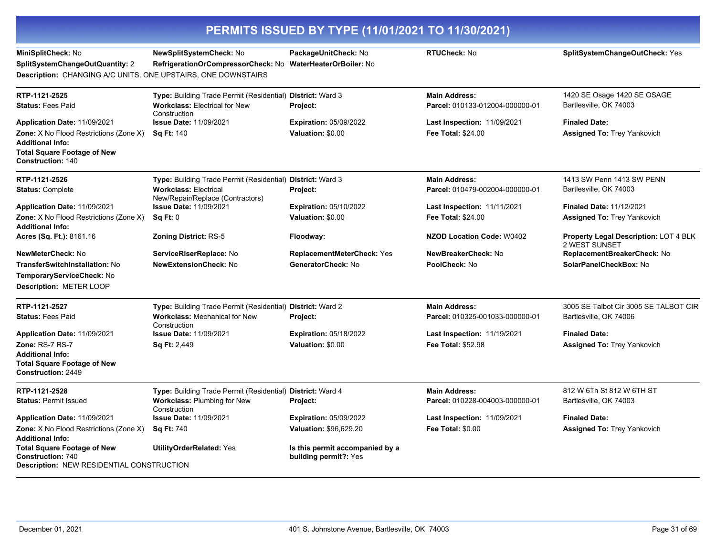| PERMITS ISSUED BY TYPE (11/01/2021 TO 11/30/2021)                                                                                   |                                                                                                    |                                                          |                                                         |                                                        |
|-------------------------------------------------------------------------------------------------------------------------------------|----------------------------------------------------------------------------------------------------|----------------------------------------------------------|---------------------------------------------------------|--------------------------------------------------------|
| MiniSplitCheck: No<br>SplitSystemChangeOutQuantity: 2<br>Description: CHANGING A/C UNITS, ONE UPSTAIRS, ONE DOWNSTAIRS              | NewSplitSystemCheck: No<br>RefrigerationOrCompressorCheck: No WaterHeaterOrBoiler: No              | PackageUnitCheck: No                                     | <b>RTUCheck: No</b>                                     | SplitSystemChangeOutCheck: Yes                         |
| RTP-1121-2525<br><b>Status: Fees Paid</b>                                                                                           | Type: Building Trade Permit (Residential) District: Ward 3<br><b>Workclass: Electrical for New</b> | Project:                                                 | <b>Main Address:</b><br>Parcel: 010133-012004-000000-01 | 1420 SE Osage 1420 SE OSAGE<br>Bartlesville, OK 74003  |
| Application Date: 11/09/2021                                                                                                        | Construction<br><b>Issue Date: 11/09/2021</b>                                                      | <b>Expiration: 05/09/2022</b>                            | <b>Last Inspection: 11/09/2021</b>                      | <b>Finaled Date:</b>                                   |
| Zone: X No Flood Restrictions (Zone X)<br><b>Additional Info:</b><br><b>Total Square Footage of New</b><br><b>Construction: 140</b> | <b>Sq Ft: 140</b>                                                                                  | Valuation: \$0.00                                        | Fee Total: \$24.00                                      | <b>Assigned To: Trey Yankovich</b>                     |
| RTP-1121-2526                                                                                                                       | Type: Building Trade Permit (Residential) District: Ward 3                                         |                                                          | <b>Main Address:</b>                                    | 1413 SW Penn 1413 SW PENN                              |
| <b>Status: Complete</b>                                                                                                             | <b>Workclass: Electrical</b><br>New/Repair/Replace (Contractors)                                   | Project:                                                 | Parcel: 010479-002004-000000-01                         | Bartlesville, OK 74003                                 |
| Application Date: 11/09/2021                                                                                                        | <b>Issue Date: 11/09/2021</b>                                                                      | <b>Expiration: 05/10/2022</b>                            | Last Inspection: 11/11/2021                             | <b>Finaled Date: 11/12/2021</b>                        |
| <b>Zone:</b> X No Flood Restrictions (Zone X)<br><b>Additional Info:</b>                                                            | Sq Ft: 0                                                                                           | Valuation: \$0.00                                        | <b>Fee Total: \$24.00</b>                               | <b>Assigned To: Trey Yankovich</b>                     |
| Acres (Sq. Ft.): 8161.16                                                                                                            | <b>Zoning District: RS-5</b>                                                                       | Floodway:                                                | <b>NZOD Location Code: W0402</b>                        | Property Legal Description: LOT 4 BLK<br>2 WEST SUNSET |
| NewMeterCheck: No                                                                                                                   | ServiceRiserReplace: No                                                                            | ReplacementMeterCheck: Yes                               | NewBreakerCheck: No                                     | ReplacementBreakerCheck: No                            |
| TransferSwitchInstallation: No                                                                                                      | <b>NewExtensionCheck: No</b>                                                                       | GeneratorCheck: No                                       | PoolCheck: No                                           | SolarPanelCheckBox: No                                 |
| TemporaryServiceCheck: No<br><b>Description: METER LOOP</b>                                                                         |                                                                                                    |                                                          |                                                         |                                                        |
| RTP-1121-2527                                                                                                                       | Type: Building Trade Permit (Residential) District: Ward 2                                         |                                                          | <b>Main Address:</b>                                    | 3005 SE Talbot Cir 3005 SE TALBOT CIR                  |
| <b>Status: Fees Paid</b>                                                                                                            | <b>Workclass: Mechanical for New</b><br>Construction                                               | Project:                                                 | Parcel: 010325-001033-000000-01                         | Bartlesville, OK 74006                                 |
| Application Date: 11/09/2021                                                                                                        | <b>Issue Date: 11/09/2021</b>                                                                      | <b>Expiration: 05/18/2022</b>                            | <b>Last Inspection: 11/19/2021</b>                      | <b>Finaled Date:</b>                                   |
| Zone: RS-7 RS-7<br><b>Additional Info:</b><br><b>Total Square Footage of New</b><br><b>Construction: 2449</b>                       | <b>Sq Ft: 2,449</b>                                                                                | Valuation: \$0.00                                        | <b>Fee Total: \$52.98</b>                               | <b>Assigned To: Trey Yankovich</b>                     |
| RTP-1121-2528                                                                                                                       | Type: Building Trade Permit (Residential) District: Ward 4                                         |                                                          | <b>Main Address:</b>                                    | 812 W 6Th St 812 W 6TH ST                              |
| <b>Status: Permit Issued</b>                                                                                                        | <b>Workclass: Plumbing for New</b><br>Construction                                                 | Project:                                                 | Parcel: 010228-004003-000000-01                         | Bartlesville, OK 74003                                 |
| Application Date: 11/09/2021                                                                                                        | <b>Issue Date: 11/09/2021</b>                                                                      | <b>Expiration: 05/09/2022</b>                            | <b>Last Inspection: 11/09/2021</b>                      | <b>Finaled Date:</b>                                   |
| Zone: X No Flood Restrictions (Zone X)<br><b>Additional Info:</b>                                                                   | <b>Sq Ft: 740</b>                                                                                  | Valuation: \$96,629.20                                   | <b>Fee Total: \$0.00</b>                                | <b>Assigned To: Trey Yankovich</b>                     |
| <b>Total Square Footage of New</b><br><b>Construction: 740</b><br><b>Description: NEW RESIDENTIAL CONSTRUCTION</b>                  | <b>UtilityOrderRelated: Yes</b>                                                                    | Is this permit accompanied by a<br>building permit?: Yes |                                                         |                                                        |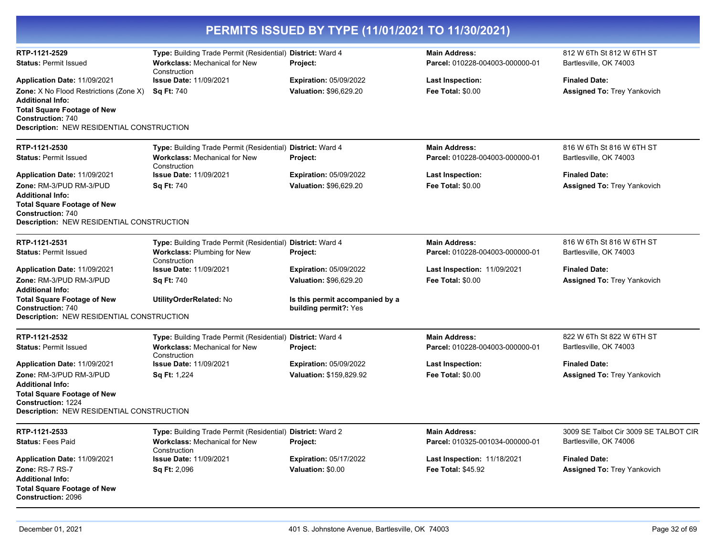|                                                                                                                                                                                         |                                                                                                                           | PERMITS ISSUED BY TYPE (11/01/2021 TO 11/30/2021)        |                                                         |                                                                 |
|-----------------------------------------------------------------------------------------------------------------------------------------------------------------------------------------|---------------------------------------------------------------------------------------------------------------------------|----------------------------------------------------------|---------------------------------------------------------|-----------------------------------------------------------------|
| RTP-1121-2529<br><b>Status: Permit Issued</b>                                                                                                                                           | Type: Building Trade Permit (Residential) District: Ward 4<br><b>Workclass: Mechanical for New</b><br>Construction        | Project:                                                 | <b>Main Address:</b><br>Parcel: 010228-004003-000000-01 | 812 W 6Th St 812 W 6TH ST<br>Bartlesville, OK 74003             |
| Application Date: 11/09/2021                                                                                                                                                            | <b>Issue Date: 11/09/2021</b>                                                                                             | <b>Expiration: 05/09/2022</b>                            | <b>Last Inspection:</b>                                 | <b>Finaled Date:</b>                                            |
| <b>Zone:</b> X No Flood Restrictions (Zone X)<br><b>Additional Info:</b><br><b>Total Square Footage of New</b><br><b>Construction: 740</b><br>Description: NEW RESIDENTIAL CONSTRUCTION | <b>Sq Ft: 740</b>                                                                                                         | Valuation: \$96.629.20                                   | <b>Fee Total: \$0.00</b>                                | <b>Assigned To: Trey Yankovich</b>                              |
| RTP-1121-2530                                                                                                                                                                           | Type: Building Trade Permit (Residential) District: Ward 4                                                                |                                                          | <b>Main Address:</b>                                    | 816 W 6Th St 816 W 6TH ST                                       |
| <b>Status: Permit Issued</b>                                                                                                                                                            | <b>Workclass: Mechanical for New</b><br>Construction                                                                      | Project:                                                 | Parcel: 010228-004003-000000-01                         | Bartlesville, OK 74003                                          |
| Application Date: 11/09/2021                                                                                                                                                            | <b>Issue Date: 11/09/2021</b>                                                                                             | <b>Expiration: 05/09/2022</b>                            | <b>Last Inspection:</b>                                 | <b>Finaled Date:</b>                                            |
| Zone: RM-3/PUD RM-3/PUD<br><b>Additional Info:</b><br><b>Total Square Footage of New</b><br><b>Construction: 740</b><br>Description: NEW RESIDENTIAL CONSTRUCTION                       | Sq Ft: 740                                                                                                                | <b>Valuation: \$96,629.20</b>                            | <b>Fee Total: \$0.00</b>                                | <b>Assigned To: Trey Yankovich</b>                              |
| RTP-1121-2531                                                                                                                                                                           | Type: Building Trade Permit (Residential) District: Ward 4                                                                |                                                          | <b>Main Address:</b>                                    | 816 W 6Th St 816 W 6TH ST                                       |
| <b>Status: Permit Issued</b>                                                                                                                                                            | Workclass: Plumbing for New<br>Construction                                                                               | Project:                                                 | Parcel: 010228-004003-000000-01                         | Bartlesville, OK 74003                                          |
| Application Date: 11/09/2021                                                                                                                                                            | <b>Issue Date: 11/09/2021</b>                                                                                             | <b>Expiration: 05/09/2022</b>                            | Last Inspection: 11/09/2021                             | <b>Finaled Date:</b>                                            |
| Zone: RM-3/PUD RM-3/PUD<br><b>Additional Info:</b>                                                                                                                                      | Sq Ft: 740                                                                                                                | Valuation: \$96,629.20                                   | <b>Fee Total: \$0.00</b>                                | <b>Assigned To: Trey Yankovich</b>                              |
| <b>Total Square Footage of New</b><br><b>Construction: 740</b><br><b>Description: NEW RESIDENTIAL CONSTRUCTION</b>                                                                      | UtilityOrderRelated: No                                                                                                   | Is this permit accompanied by a<br>building permit?: Yes |                                                         |                                                                 |
| RTP-1121-2532                                                                                                                                                                           | Type: Building Trade Permit (Residential) District: Ward 4                                                                |                                                          | <b>Main Address:</b>                                    | 822 W 6Th St 822 W 6TH ST                                       |
| <b>Status: Permit Issued</b>                                                                                                                                                            | <b>Workclass: Mechanical for New</b><br>Construction                                                                      | Project:                                                 | Parcel: 010228-004003-000000-01                         | Bartlesville, OK 74003                                          |
| Application Date: 11/09/2021                                                                                                                                                            | <b>Issue Date: 11/09/2021</b>                                                                                             | <b>Expiration: 05/09/2022</b>                            | <b>Last Inspection:</b>                                 | <b>Finaled Date:</b>                                            |
| Zone: RM-3/PUD RM-3/PUD<br><b>Additional Info:</b><br><b>Total Square Footage of New</b><br><b>Construction: 1224</b><br>Description: NEW RESIDENTIAL CONSTRUCTION                      | <b>Sq Ft: 1,224</b>                                                                                                       | Valuation: \$159,829.92                                  | <b>Fee Total: \$0.00</b>                                | <b>Assigned To: Trey Yankovich</b>                              |
|                                                                                                                                                                                         |                                                                                                                           |                                                          |                                                         |                                                                 |
| RTP-1121-2533<br><b>Status: Fees Paid</b>                                                                                                                                               | <b>Type:</b> Building Trade Permit (Residential) District: Ward 2<br><b>Workclass: Mechanical for New</b><br>Construction | Project:                                                 | <b>Main Address:</b><br>Parcel: 010325-001034-000000-01 | 3009 SE Talbot Cir 3009 SE TALBOT CIR<br>Bartlesville, OK 74006 |
| Application Date: 11/09/2021                                                                                                                                                            | <b>Issue Date: 11/09/2021</b>                                                                                             | <b>Expiration: 05/17/2022</b>                            | Last Inspection: 11/18/2021                             | <b>Finaled Date:</b>                                            |
| Zone: RS-7 RS-7<br><b>Additional Info:</b><br><b>Total Square Footage of New</b><br><b>Construction: 2096</b>                                                                           | Sq Ft: 2,096                                                                                                              | Valuation: \$0.00                                        | <b>Fee Total: \$45.92</b>                               | <b>Assigned To: Trey Yankovich</b>                              |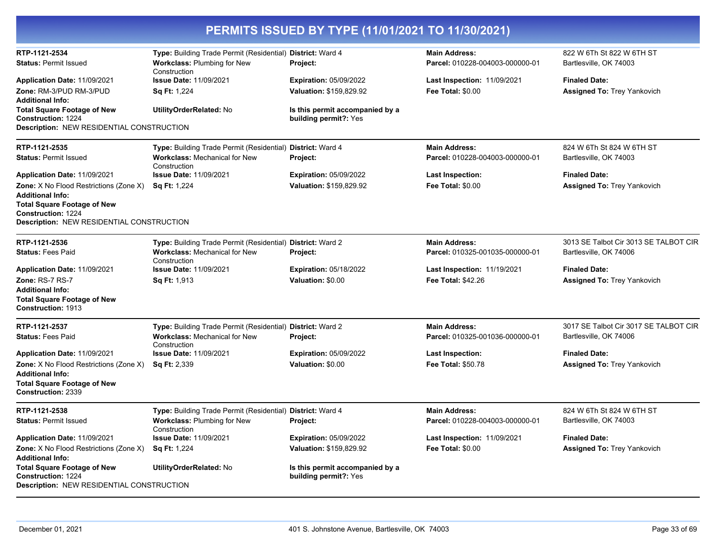| PERMITS ISSUED BY TYPE (11/01/2021 TO 11/30/2021)                                                                                                                                        |                                                                                                                    |                                                          |                                                         |                                                     |
|------------------------------------------------------------------------------------------------------------------------------------------------------------------------------------------|--------------------------------------------------------------------------------------------------------------------|----------------------------------------------------------|---------------------------------------------------------|-----------------------------------------------------|
| RTP-1121-2534                                                                                                                                                                            | Type: Building Trade Permit (Residential) District: Ward 4                                                         |                                                          | <b>Main Address:</b>                                    | 822 W 6Th St 822 W 6TH ST                           |
| <b>Status: Permit Issued</b>                                                                                                                                                             | <b>Workclass: Plumbing for New</b><br>Construction                                                                 | Project:                                                 | Parcel: 010228-004003-000000-01                         | Bartlesville, OK 74003                              |
| Application Date: 11/09/2021                                                                                                                                                             | <b>Issue Date: 11/09/2021</b>                                                                                      | <b>Expiration: 05/09/2022</b>                            | Last Inspection: 11/09/2021                             | <b>Finaled Date:</b>                                |
| Zone: RM-3/PUD RM-3/PUD                                                                                                                                                                  | <b>Sq Ft: 1,224</b>                                                                                                | Valuation: \$159,829.92                                  | <b>Fee Total: \$0.00</b>                                | <b>Assigned To: Trey Yankovich</b>                  |
| <b>Additional Info:</b><br><b>Total Square Footage of New</b><br><b>Construction: 1224</b><br><b>Description: NEW RESIDENTIAL CONSTRUCTION</b>                                           | UtilityOrderRelated: No                                                                                            | Is this permit accompanied by a<br>building permit?: Yes |                                                         |                                                     |
|                                                                                                                                                                                          |                                                                                                                    |                                                          |                                                         |                                                     |
| RTP-1121-2535<br><b>Status: Permit Issued</b>                                                                                                                                            | Type: Building Trade Permit (Residential) District: Ward 4<br><b>Workclass: Mechanical for New</b><br>Construction | <b>Project:</b>                                          | <b>Main Address:</b><br>Parcel: 010228-004003-000000-01 | 824 W 6Th St 824 W 6TH ST<br>Bartlesville, OK 74003 |
| Application Date: 11/09/2021                                                                                                                                                             | <b>Issue Date: 11/09/2021</b>                                                                                      | <b>Expiration: 05/09/2022</b>                            | Last Inspection:                                        | <b>Finaled Date:</b>                                |
| Zone: X No Flood Restrictions (Zone X)<br><b>Additional Info:</b><br><b>Total Square Footage of New</b><br><b>Construction: 1224</b><br><b>Description: NEW RESIDENTIAL CONSTRUCTION</b> | <b>Sq Ft: 1,224</b>                                                                                                | Valuation: \$159,829.92                                  | <b>Fee Total: \$0.00</b>                                | <b>Assigned To: Trey Yankovich</b>                  |
| RTP-1121-2536                                                                                                                                                                            | Type: Building Trade Permit (Residential) District: Ward 2                                                         |                                                          | <b>Main Address:</b>                                    | 3013 SE Talbot Cir 3013 SE TALBOT CIR               |
| <b>Status: Fees Paid</b>                                                                                                                                                                 | <b>Workclass: Mechanical for New</b><br>Construction                                                               | Project:                                                 | Parcel: 010325-001035-000000-01                         | Bartlesville, OK 74006                              |
| Application Date: 11/09/2021                                                                                                                                                             | <b>Issue Date: 11/09/2021</b>                                                                                      | <b>Expiration: 05/18/2022</b>                            | <b>Last Inspection: 11/19/2021</b>                      | <b>Finaled Date:</b>                                |
| Zone: RS-7 RS-7<br><b>Additional Info:</b><br><b>Total Square Footage of New</b><br>Construction: 1913                                                                                   | Sq Ft: 1,913                                                                                                       | Valuation: \$0.00                                        | Fee Total: \$42.26                                      | <b>Assigned To: Trey Yankovich</b>                  |
| RTP-1121-2537                                                                                                                                                                            | Type: Building Trade Permit (Residential) District: Ward 2                                                         |                                                          | <b>Main Address:</b>                                    | 3017 SE Talbot Cir 3017 SE TALBOT CIR               |
| <b>Status: Fees Paid</b>                                                                                                                                                                 | <b>Workclass: Mechanical for New</b><br>Construction                                                               | Project:                                                 | Parcel: 010325-001036-000000-01                         | Bartlesville, OK 74006                              |
| Application Date: 11/09/2021                                                                                                                                                             | <b>Issue Date: 11/09/2021</b>                                                                                      | <b>Expiration: 05/09/2022</b>                            | Last Inspection:                                        | <b>Finaled Date:</b>                                |
| <b>Zone:</b> X No Flood Restrictions (Zone X)<br><b>Additional Info:</b><br><b>Total Square Footage of New</b><br>Construction: 2339                                                     | <b>Sq Ft: 2,339</b>                                                                                                | Valuation: \$0.00                                        | <b>Fee Total: \$50.78</b>                               | <b>Assigned To: Trey Yankovich</b>                  |
| RTP-1121-2538                                                                                                                                                                            | Type: Building Trade Permit (Residential) District: Ward 4                                                         |                                                          | <b>Main Address:</b>                                    | 824 W 6Th St 824 W 6TH ST                           |
| <b>Status: Permit Issued</b>                                                                                                                                                             | <b>Workclass: Plumbing for New</b><br>Construction                                                                 | Project:                                                 | Parcel: 010228-004003-000000-01                         | Bartlesville, OK 74003                              |
| Application Date: 11/09/2021                                                                                                                                                             | <b>Issue Date: 11/09/2021</b>                                                                                      | <b>Expiration: 05/09/2022</b>                            | <b>Last Inspection: 11/09/2021</b>                      | <b>Finaled Date:</b>                                |
| <b>Zone:</b> X No Flood Restrictions (Zone X)<br><b>Additional Info:</b>                                                                                                                 | <b>Sq Ft: 1,224</b>                                                                                                | Valuation: \$159,829.92                                  | <b>Fee Total: \$0.00</b>                                | <b>Assigned To: Trey Yankovich</b>                  |
| <b>Total Square Footage of New</b><br>Construction: 1224<br><b>Description: NEW RESIDENTIAL CONSTRUCTION</b>                                                                             | UtilityOrderRelated: No                                                                                            | Is this permit accompanied by a<br>building permit?: Yes |                                                         |                                                     |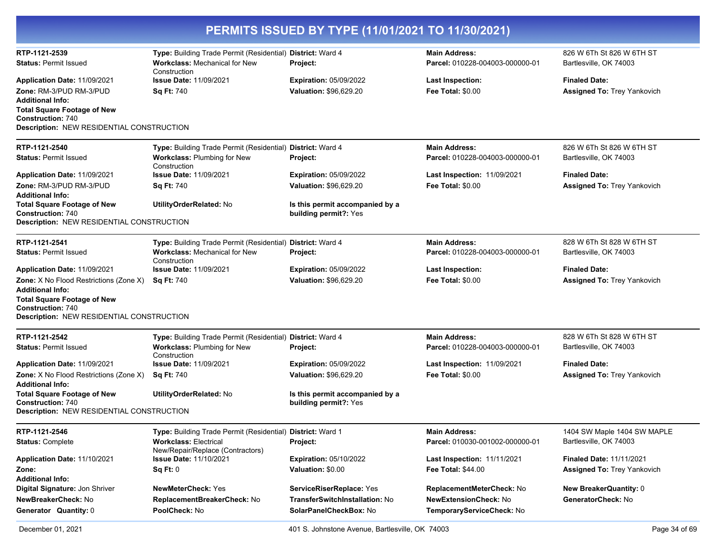| PERMITS ISSUED BY TYPE (11/01/2021 TO 11/30/2021)                                                                                                                 |                                                                                                                    |                                                          |                                                         |                                                     |  |
|-------------------------------------------------------------------------------------------------------------------------------------------------------------------|--------------------------------------------------------------------------------------------------------------------|----------------------------------------------------------|---------------------------------------------------------|-----------------------------------------------------|--|
| RTP-1121-2539<br><b>Status: Permit Issued</b>                                                                                                                     | Type: Building Trade Permit (Residential) District: Ward 4<br><b>Workclass: Mechanical for New</b><br>Construction | Project:                                                 | <b>Main Address:</b><br>Parcel: 010228-004003-000000-01 | 826 W 6Th St 826 W 6TH ST<br>Bartlesville, OK 74003 |  |
| Application Date: 11/09/2021                                                                                                                                      | <b>Issue Date: 11/09/2021</b>                                                                                      | <b>Expiration: 05/09/2022</b>                            | <b>Last Inspection:</b>                                 | <b>Finaled Date:</b>                                |  |
| Zone: RM-3/PUD RM-3/PUD<br><b>Additional Info:</b><br><b>Total Square Footage of New</b><br><b>Construction: 740</b><br>Description: NEW RESIDENTIAL CONSTRUCTION | Sq Ft: 740                                                                                                         | <b>Valuation: \$96,629.20</b>                            | <b>Fee Total: \$0.00</b>                                | <b>Assigned To: Trey Yankovich</b>                  |  |
| RTP-1121-2540                                                                                                                                                     | Type: Building Trade Permit (Residential) District: Ward 4                                                         |                                                          | <b>Main Address:</b>                                    | 826 W 6Th St 826 W 6TH ST                           |  |
| <b>Status: Permit Issued</b>                                                                                                                                      | Workclass: Plumbing for New<br>Construction                                                                        | Project:                                                 | Parcel: 010228-004003-000000-01                         | Bartlesville, OK 74003                              |  |
| Application Date: 11/09/2021                                                                                                                                      | <b>Issue Date: 11/09/2021</b>                                                                                      | <b>Expiration: 05/09/2022</b>                            | Last Inspection: 11/09/2021                             | <b>Finaled Date:</b>                                |  |
| Zone: RM-3/PUD RM-3/PUD                                                                                                                                           | <b>Sq Ft: 740</b>                                                                                                  | Valuation: \$96,629.20                                   | <b>Fee Total: \$0.00</b>                                | <b>Assigned To: Trey Yankovich</b>                  |  |
| <b>Additional Info:</b><br><b>Total Square Footage of New</b><br><b>Construction: 740</b>                                                                         | UtilityOrderRelated: No                                                                                            | Is this permit accompanied by a<br>building permit?: Yes |                                                         |                                                     |  |
| <b>Description: NEW RESIDENTIAL CONSTRUCTION</b>                                                                                                                  |                                                                                                                    |                                                          |                                                         |                                                     |  |
| RTP-1121-2541                                                                                                                                                     | Type: Building Trade Permit (Residential)                                                                          | District: Ward 4                                         | <b>Main Address:</b>                                    | 828 W 6Th St 828 W 6TH ST                           |  |
| <b>Status: Permit Issued</b>                                                                                                                                      | <b>Workclass: Mechanical for New</b><br>Construction                                                               | Project:                                                 | Parcel: 010228-004003-000000-01                         | Bartlesville, OK 74003                              |  |
| Application Date: 11/09/2021                                                                                                                                      | <b>Issue Date: 11/09/2021</b>                                                                                      | <b>Expiration: 05/09/2022</b>                            | <b>Last Inspection:</b>                                 | <b>Finaled Date:</b>                                |  |
| <b>Zone:</b> X No Flood Restrictions (Zone X)<br><b>Additional Info:</b>                                                                                          | <b>Sq Ft: 740</b>                                                                                                  | <b>Valuation: \$96,629.20</b>                            | <b>Fee Total: \$0.00</b>                                | <b>Assigned To: Trey Yankovich</b>                  |  |
| <b>Total Square Footage of New</b><br><b>Construction: 740</b><br><b>Description: NEW RESIDENTIAL CONSTRUCTION</b>                                                |                                                                                                                    |                                                          |                                                         |                                                     |  |
| RTP-1121-2542                                                                                                                                                     | Type: Building Trade Permit (Residential) District: Ward 4                                                         |                                                          | <b>Main Address:</b>                                    | 828 W 6Th St 828 W 6TH ST                           |  |
| <b>Status: Permit Issued</b>                                                                                                                                      | <b>Workclass: Plumbing for New</b><br>Construction                                                                 | Project:                                                 | Parcel: 010228-004003-000000-01                         | Bartlesville, OK 74003                              |  |
| Application Date: 11/09/2021                                                                                                                                      | <b>Issue Date: 11/09/2021</b>                                                                                      | <b>Expiration: 05/09/2022</b>                            | Last Inspection: 11/09/2021                             | <b>Finaled Date:</b>                                |  |
| Zone: X No Flood Restrictions (Zone X)<br><b>Additional Info:</b>                                                                                                 | <b>Sq Ft: 740</b>                                                                                                  | Valuation: \$96,629.20                                   | <b>Fee Total: \$0.00</b>                                | <b>Assigned To: Trey Yankovich</b>                  |  |
| <b>Total Square Footage of New</b><br><b>Construction: 740</b><br>Description: NEW RESIDENTIAL CONSTRUCTION                                                       | UtilityOrderRelated: No                                                                                            | Is this permit accompanied by a<br>building permit?: Yes |                                                         |                                                     |  |
| RTP-1121-2546                                                                                                                                                     | Type: Building Trade Permit (Residential) District: Ward 1                                                         |                                                          | <b>Main Address:</b>                                    | 1404 SW Maple 1404 SW MAPLE                         |  |
| <b>Status: Complete</b>                                                                                                                                           | <b>Workclass: Electrical</b><br>New/Repair/Replace (Contractors)                                                   | Project:                                                 | Parcel: 010030-001002-000000-01                         | Bartlesville, OK 74003                              |  |
| Application Date: 11/10/2021                                                                                                                                      | <b>Issue Date: 11/10/2021</b>                                                                                      | <b>Expiration: 05/10/2022</b>                            | Last Inspection: 11/11/2021                             | <b>Finaled Date: 11/11/2021</b>                     |  |
| Zone:<br><b>Additional Info:</b>                                                                                                                                  | Sq Ft: 0                                                                                                           | Valuation: \$0.00                                        | Fee Total: \$44.00                                      | <b>Assigned To: Trey Yankovich</b>                  |  |
| Digital Signature: Jon Shriver                                                                                                                                    | <b>NewMeterCheck: Yes</b>                                                                                          | ServiceRiserReplace: Yes                                 | ReplacementMeterCheck: No                               | <b>New BreakerQuantity: 0</b>                       |  |
| NewBreakerCheck: No                                                                                                                                               | ReplacementBreakerCheck: No                                                                                        | TransferSwitchInstallation: No                           | <b>NewExtensionCheck: No</b>                            | GeneratorCheck: No                                  |  |
| Generator Quantity: 0                                                                                                                                             | PoolCheck: No                                                                                                      | SolarPanelCheckBox: No                                   | TemporaryServiceCheck: No                               |                                                     |  |

 $\overline{\phantom{0}}$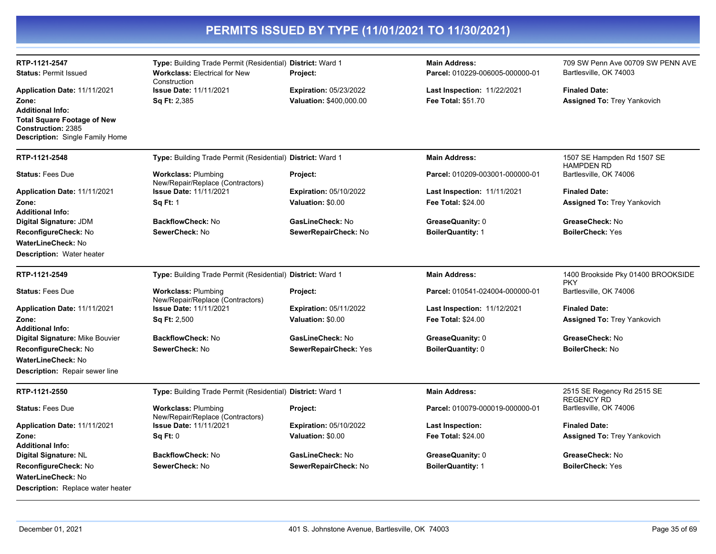| RTP-1121-2547<br><b>Status: Permit Issued</b>                                                                                          | Type: Building Trade Permit (Residential) District: Ward 1<br><b>Workclass: Electrical for New</b> | <b>Project:</b>               | <b>Main Address:</b><br>Parcel: 010229-006005-000000-01 | 709 SW Penn Ave 00709 SW PENN AVE<br>Bartlesville, OK 74003 |
|----------------------------------------------------------------------------------------------------------------------------------------|----------------------------------------------------------------------------------------------------|-------------------------------|---------------------------------------------------------|-------------------------------------------------------------|
| Application Date: 11/11/2021                                                                                                           | Construction<br><b>Issue Date: 11/11/2021</b>                                                      | <b>Expiration: 05/23/2022</b> | Last Inspection: 11/22/2021                             | <b>Finaled Date:</b>                                        |
| Zone:<br><b>Additional Info:</b><br><b>Total Square Footage of New</b><br>Construction: 2385<br><b>Description:</b> Single Family Home | <b>Sq Ft: 2,385</b>                                                                                | Valuation: \$400,000.00       | Fee Total: \$51.70                                      | <b>Assigned To: Trey Yankovich</b>                          |
| RTP-1121-2548                                                                                                                          | Type: Building Trade Permit (Residential) District: Ward 1                                         |                               | <b>Main Address:</b>                                    | 1507 SE Hampden Rd 1507 SE                                  |
| <b>Status: Fees Due</b>                                                                                                                | <b>Workclass: Plumbing</b><br>New/Repair/Replace (Contractors)                                     | Project:                      | Parcel: 010209-003001-000000-01                         | <b>HAMPDEN RD</b><br>Bartlesville, OK 74006                 |
| Application Date: 11/11/2021                                                                                                           | <b>Issue Date: 11/11/2021</b>                                                                      | <b>Expiration: 05/10/2022</b> | <b>Last Inspection: 11/11/2021</b>                      | <b>Finaled Date:</b>                                        |
| Zone:<br><b>Additional Info:</b>                                                                                                       | <b>Sq Ft: 1</b>                                                                                    | Valuation: \$0.00             | <b>Fee Total: \$24.00</b>                               | <b>Assigned To: Trey Yankovich</b>                          |
| Digital Signature: JDM                                                                                                                 | <b>BackflowCheck: No</b>                                                                           | GasLineCheck: No              | GreaseQuanity: 0                                        | GreaseCheck: No                                             |
| ReconfigureCheck: No                                                                                                                   | SewerCheck: No                                                                                     | SewerRepairCheck: No          | <b>BoilerQuantity: 1</b>                                | <b>BoilerCheck: Yes</b>                                     |
| <b>WaterLineCheck: No</b><br><b>Description: Water heater</b>                                                                          |                                                                                                    |                               |                                                         |                                                             |
| RTP-1121-2549                                                                                                                          | Type: Building Trade Permit (Residential) District: Ward 1                                         |                               | <b>Main Address:</b>                                    | 1400 Brookside Pky 01400 BROOKSIDE<br><b>PKY</b>            |
| <b>Status: Fees Due</b>                                                                                                                | <b>Workclass: Plumbing</b><br>New/Repair/Replace (Contractors)                                     | Project:                      | Parcel: 010541-024004-000000-01                         | Bartlesville, OK 74006                                      |
| Application Date: 11/11/2021                                                                                                           | <b>Issue Date: 11/11/2021</b>                                                                      | <b>Expiration: 05/11/2022</b> | <b>Last Inspection: 11/12/2021</b>                      | <b>Finaled Date:</b>                                        |
| Zone:<br><b>Additional Info:</b>                                                                                                       | <b>Sq Ft: 2,500</b>                                                                                | Valuation: \$0.00             | <b>Fee Total: \$24.00</b>                               | <b>Assigned To: Trey Yankovich</b>                          |
| Digital Signature: Mike Bouvier                                                                                                        | <b>BackflowCheck: No</b>                                                                           | GasLineCheck: No              | GreaseQuanity: 0                                        | GreaseCheck: No                                             |
| ReconfigureCheck: No                                                                                                                   | SewerCheck: No                                                                                     | SewerRepairCheck: Yes         | BoilerQuantity: 0                                       | BoilerCheck: No                                             |
| <b>WaterLineCheck: No</b>                                                                                                              |                                                                                                    |                               |                                                         |                                                             |
| <b>Description:</b> Repair sewer line                                                                                                  |                                                                                                    |                               |                                                         |                                                             |
| RTP-1121-2550                                                                                                                          | Type: Building Trade Permit (Residential) District: Ward 1                                         |                               | <b>Main Address:</b>                                    | 2515 SE Regency Rd 2515 SE<br><b>REGENCY RD</b>             |
| <b>Status: Fees Due</b>                                                                                                                | <b>Workclass: Plumbing</b><br>New/Repair/Replace (Contractors)                                     | Project:                      | Parcel: 010079-000019-000000-01                         | Bartlesville, OK 74006                                      |
| Application Date: 11/11/2021                                                                                                           | <b>Issue Date: 11/11/2021</b>                                                                      | <b>Expiration: 05/10/2022</b> | <b>Last Inspection:</b>                                 | <b>Finaled Date:</b>                                        |
| Zone:<br><b>Additional Info:</b>                                                                                                       | Sq Ft: 0                                                                                           | Valuation: \$0.00             | Fee Total: \$24.00                                      | <b>Assigned To: Trey Yankovich</b>                          |
| Digital Signature: NL                                                                                                                  | BackflowCheck: No                                                                                  | GasLineCheck: No              | GreaseQuanity: 0                                        | GreaseCheck: No                                             |
| ReconfigureCheck: No                                                                                                                   | SewerCheck: No                                                                                     | SewerRepairCheck: No          | <b>BoilerQuantity: 1</b>                                | <b>BoilerCheck: Yes</b>                                     |
| <b>WaterLineCheck: No</b>                                                                                                              |                                                                                                    |                               |                                                         |                                                             |
| <b>Description:</b> Replace water heater                                                                                               |                                                                                                    |                               |                                                         |                                                             |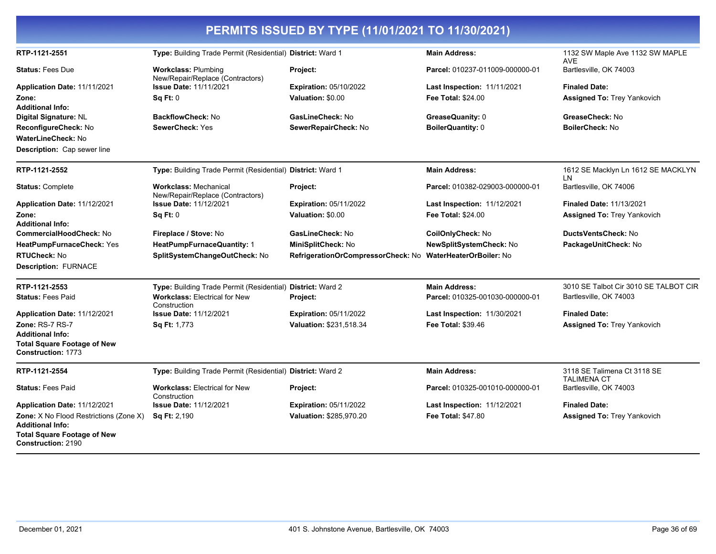| PERMITS ISSUED BY TYPE (11/01/2021 TO 11/30/2021)                                                                                    |                                                                  |                                    |                                    |                                                   |
|--------------------------------------------------------------------------------------------------------------------------------------|------------------------------------------------------------------|------------------------------------|------------------------------------|---------------------------------------------------|
| RTP-1121-2551                                                                                                                        | Type: Building Trade Permit (Residential) District: Ward 1       |                                    | <b>Main Address:</b>               | 1132 SW Maple Ave 1132 SW MAPLE<br><b>AVE</b>     |
| <b>Status: Fees Due</b>                                                                                                              | <b>Workclass: Plumbing</b><br>New/Repair/Replace (Contractors)   | Project:                           | Parcel: 010237-011009-000000-01    | Bartlesville, OK 74003                            |
| Application Date: 11/11/2021                                                                                                         | <b>Issue Date: 11/11/2021</b>                                    | <b>Expiration: 05/10/2022</b>      | <b>Last Inspection: 11/11/2021</b> | <b>Finaled Date:</b>                              |
| Zone:                                                                                                                                | <b>Sq Ft: 0</b>                                                  | Valuation: \$0.00                  | <b>Fee Total: \$24.00</b>          | <b>Assigned To: Trey Yankovich</b>                |
| <b>Additional Info:</b>                                                                                                              |                                                                  |                                    |                                    |                                                   |
| Digital Signature: NL                                                                                                                | <b>BackflowCheck: No</b><br><b>SewerCheck: Yes</b>               | GasLineCheck: No                   | GreaseQuanity: 0                   | GreaseCheck: No<br><b>BoilerCheck: No</b>         |
| ReconfigureCheck: No<br>WaterLineCheck: No                                                                                           |                                                                  | SewerRepairCheck: No               | <b>BoilerQuantity: 0</b>           |                                                   |
| Description: Cap sewer line                                                                                                          |                                                                  |                                    |                                    |                                                   |
| RTP-1121-2552                                                                                                                        | Type: Building Trade Permit (Residential) District: Ward 1       |                                    | <b>Main Address:</b>               | 1612 SE Macklyn Ln 1612 SE MACKLYN                |
| <b>Status: Complete</b>                                                                                                              | <b>Workclass: Mechanical</b><br>New/Repair/Replace (Contractors) | Project:                           | Parcel: 010382-029003-000000-01    | LN<br>Bartlesville, OK 74006                      |
| Application Date: 11/12/2021                                                                                                         | <b>Issue Date: 11/12/2021</b>                                    | <b>Expiration: 05/11/2022</b>      | <b>Last Inspection: 11/12/2021</b> | <b>Finaled Date: 11/13/2021</b>                   |
| Zone:                                                                                                                                | <b>Sq Ft: 0</b>                                                  | Valuation: \$0.00                  | <b>Fee Total: \$24.00</b>          | <b>Assigned To: Trey Yankovich</b>                |
| Additional Info:                                                                                                                     |                                                                  |                                    |                                    |                                                   |
| CommercialHoodCheck: No                                                                                                              | Fireplace / Stove: No                                            | GasLineCheck: No                   | CoilOnlyCheck: No                  | DuctsVentsCheck: No                               |
| HeatPumpFurnaceCheck: Yes                                                                                                            | HeatPumpFurnaceQuantity: 1                                       | MiniSplitCheck: No                 | NewSplitSystemCheck: No            | PackageUnitCheck: No                              |
| <b>RTUCheck: No</b>                                                                                                                  | SplitSystemChangeOutCheck: No                                    | RefrigerationOrCompressorCheck: No | <b>WaterHeaterOrBoiler: No</b>     |                                                   |
| <b>Description: FURNACE</b>                                                                                                          |                                                                  |                                    |                                    |                                                   |
| RTP-1121-2553                                                                                                                        | Type: Building Trade Permit (Residential) District: Ward 2       |                                    | <b>Main Address:</b>               | 3010 SE Talbot Cir 3010 SE TALBOT CIR             |
| <b>Status: Fees Paid</b>                                                                                                             | <b>Workclass: Electrical for New</b><br>Construction             | Project:                           | Parcel: 010325-001030-000000-01    | Bartlesville, OK 74003                            |
| Application Date: 11/12/2021                                                                                                         | <b>Issue Date: 11/12/2021</b>                                    | <b>Expiration: 05/11/2022</b>      | <b>Last Inspection: 11/30/2021</b> | <b>Finaled Date:</b>                              |
| Zone: RS-7 RS-7                                                                                                                      | <b>Sq Ft: 1,773</b>                                              | Valuation: \$231,518.34            | <b>Fee Total: \$39.46</b>          | <b>Assigned To: Trey Yankovich</b>                |
| Additional Info:                                                                                                                     |                                                                  |                                    |                                    |                                                   |
| <b>Total Square Footage of New</b><br>Construction: 1773                                                                             |                                                                  |                                    |                                    |                                                   |
| RTP-1121-2554                                                                                                                        | Type: Building Trade Permit (Residential) District: Ward 2       |                                    | <b>Main Address:</b>               | 3118 SE Talimena Ct 3118 SE<br><b>TALIMENA CT</b> |
| <b>Status:</b> Fees Paid                                                                                                             | <b>Workclass: Electrical for New</b><br>Construction             | Project:                           | Parcel: 010325-001010-000000-01    | Bartlesville, OK 74003                            |
| Application Date: 11/12/2021                                                                                                         | <b>Issue Date: 11/12/2021</b>                                    | <b>Expiration: 05/11/2022</b>      | <b>Last Inspection: 11/12/2021</b> | <b>Finaled Date:</b>                              |
| <b>Zone:</b> X No Flood Restrictions (Zone X)<br>Additional Info:<br><b>Total Square Footage of New</b><br><b>Construction: 2190</b> | Sq Ft: 2,190                                                     | Valuation: \$285,970.20            | <b>Fee Total: \$47.80</b>          | <b>Assigned To: Trey Yankovich</b>                |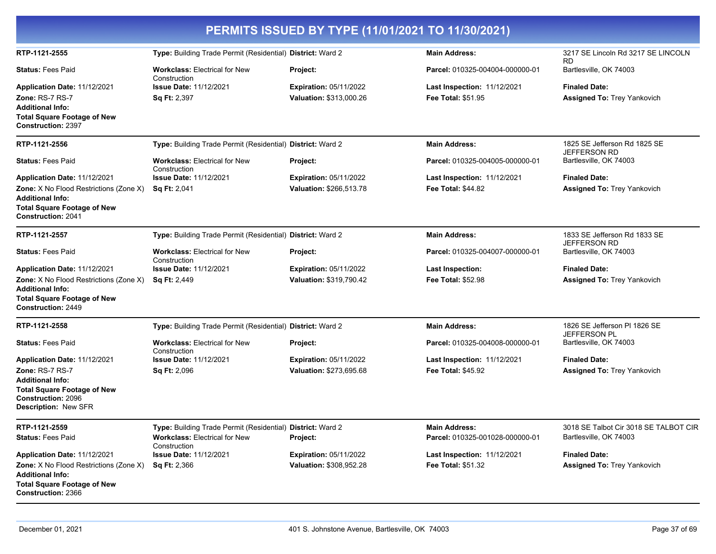| PERMITS ISSUED BY TYPE (11/01/2021 TO 11/30/2021)                                                                                             |                                                            |                                                          |                                                          |                                                            |  |
|-----------------------------------------------------------------------------------------------------------------------------------------------|------------------------------------------------------------|----------------------------------------------------------|----------------------------------------------------------|------------------------------------------------------------|--|
| RTP-1121-2555                                                                                                                                 | Type: Building Trade Permit (Residential) District: Ward 2 |                                                          | <b>Main Address:</b>                                     | 3217 SE Lincoln Rd 3217 SE LINCOLN<br><b>RD</b>            |  |
| <b>Status: Fees Paid</b>                                                                                                                      | <b>Workclass: Electrical for New</b><br>Construction       | Project:                                                 | Parcel: 010325-004004-000000-01                          | Bartlesville, OK 74003                                     |  |
| Application Date: 11/12/2021<br>Zone: RS-7 RS-7<br><b>Additional Info:</b><br><b>Total Square Footage of New</b><br><b>Construction: 2397</b> | <b>Issue Date: 11/12/2021</b><br><b>Sq Ft: 2,397</b>       | <b>Expiration: 05/11/2022</b><br>Valuation: \$313,000.26 | Last Inspection: 11/12/2021<br><b>Fee Total: \$51.95</b> | <b>Finaled Date:</b><br><b>Assigned To: Trey Yankovich</b> |  |
| RTP-1121-2556                                                                                                                                 | Type: Building Trade Permit (Residential) District: Ward 2 |                                                          | <b>Main Address:</b>                                     | 1825 SE Jefferson Rd 1825 SE<br><b>JEFFERSON RD</b>        |  |
| <b>Status: Fees Paid</b>                                                                                                                      | <b>Workclass: Electrical for New</b><br>Construction       | Project:                                                 | Parcel: 010325-004005-000000-01                          | Bartlesville, OK 74003                                     |  |
| Application Date: 11/12/2021                                                                                                                  | <b>Issue Date: 11/12/2021</b>                              | <b>Expiration: 05/11/2022</b>                            | <b>Last Inspection: 11/12/2021</b>                       | <b>Finaled Date:</b>                                       |  |
| <b>Zone:</b> X No Flood Restrictions (Zone X)<br><b>Additional Info:</b><br><b>Total Square Footage of New</b><br><b>Construction: 2041</b>   | <b>Sq Ft: 2,041</b>                                        | Valuation: \$266,513.78                                  | <b>Fee Total: \$44.82</b>                                | <b>Assigned To: Trey Yankovich</b>                         |  |
| RTP-1121-2557                                                                                                                                 | Type: Building Trade Permit (Residential) District: Ward 2 |                                                          | <b>Main Address:</b>                                     | 1833 SE Jefferson Rd 1833 SE<br><b>JEFFERSON RD</b>        |  |
| <b>Status: Fees Paid</b>                                                                                                                      | <b>Workclass: Electrical for New</b><br>Construction       | <b>Project:</b>                                          | Parcel: 010325-004007-000000-01                          | Bartlesville, OK 74003                                     |  |
| Application Date: 11/12/2021                                                                                                                  | <b>Issue Date: 11/12/2021</b>                              | <b>Expiration: 05/11/2022</b>                            | <b>Last Inspection:</b>                                  | <b>Finaled Date:</b>                                       |  |
| <b>Zone:</b> X No Flood Restrictions (Zone X)<br><b>Additional Info:</b><br><b>Total Square Footage of New</b><br><b>Construction: 2449</b>   | <b>Sq Ft: 2,449</b>                                        | Valuation: \$319,790.42                                  | <b>Fee Total: \$52.98</b>                                | Assigned To: Trey Yankovich                                |  |
| RTP-1121-2558                                                                                                                                 | Type: Building Trade Permit (Residential) District: Ward 2 |                                                          | <b>Main Address:</b>                                     | 1826 SE Jefferson PI 1826 SE<br><b>JEFFERSON PL</b>        |  |
| <b>Status: Fees Paid</b>                                                                                                                      | <b>Workclass: Electrical for New</b><br>Construction       | Project:                                                 | Parcel: 010325-004008-000000-01                          | Bartlesville, OK 74003                                     |  |
| Application Date: 11/12/2021                                                                                                                  | <b>Issue Date: 11/12/2021</b>                              | <b>Expiration: 05/11/2022</b>                            | <b>Last Inspection: 11/12/2021</b>                       | <b>Finaled Date:</b>                                       |  |
| Zone: RS-7 RS-7<br><b>Additional Info:</b><br><b>Total Square Footage of New</b><br><b>Construction: 2096</b><br>Description: New SFR         | <b>Sq Ft: 2,096</b>                                        | Valuation: \$273,695.68                                  | <b>Fee Total: \$45.92</b>                                | <b>Assigned To: Trey Yankovich</b>                         |  |
| RTP-1121-2559                                                                                                                                 | Type: Building Trade Permit (Residential) District: Ward 2 |                                                          | <b>Main Address:</b>                                     | 3018 SE Talbot Cir 3018 SE TALBOT CIR                      |  |
| <b>Status: Fees Paid</b>                                                                                                                      | <b>Workclass: Electrical for New</b><br>Construction       | Project:                                                 | Parcel: 010325-001028-000000-01                          | Bartlesville, OK 74003                                     |  |
| Application Date: 11/12/2021                                                                                                                  | <b>Issue Date: 11/12/2021</b>                              | <b>Expiration: 05/11/2022</b>                            | Last Inspection: 11/12/2021                              | <b>Finaled Date:</b>                                       |  |
| <b>Zone:</b> X No Flood Restrictions (Zone X)<br><b>Additional Info:</b><br><b>Total Square Footage of New</b><br><b>Construction: 2366</b>   | <b>Sq Ft: 2,366</b>                                        | Valuation: \$308,952.28                                  | <b>Fee Total: \$51.32</b>                                | <b>Assigned To: Trey Yankovich</b>                         |  |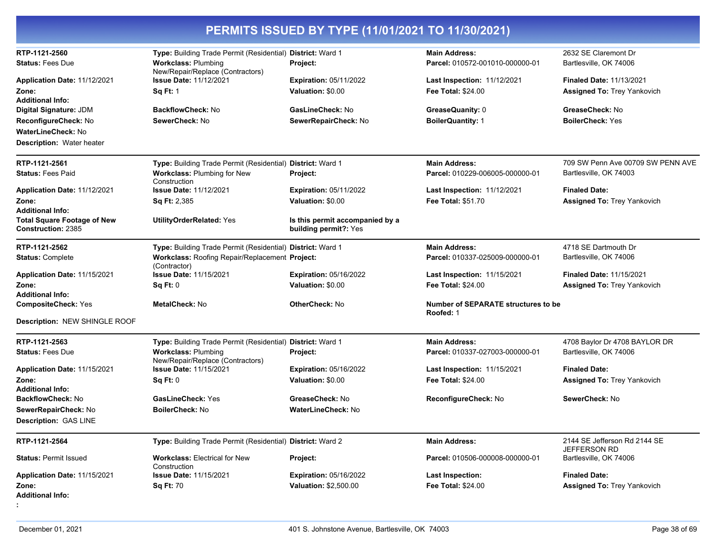| RTP-1121-2560                                            | Type: Building Trade Permit (Residential) District: Ward 1                           |                                                          | <b>Main Address:</b>                                            | 2632 SE Claremont Dr                                                  |
|----------------------------------------------------------|--------------------------------------------------------------------------------------|----------------------------------------------------------|-----------------------------------------------------------------|-----------------------------------------------------------------------|
| <b>Status: Fees Due</b>                                  | <b>Workclass: Plumbing</b>                                                           | <b>Project:</b>                                          | Parcel: 010572-001010-000000-01                                 | Bartlesville, OK 74006                                                |
| Application Date: 11/12/2021<br>Zone:                    | New/Repair/Replace (Contractors)<br><b>Issue Date: 11/12/2021</b><br><b>Sq Ft: 1</b> | <b>Expiration: 05/11/2022</b><br>Valuation: \$0.00       | <b>Last Inspection: 11/12/2021</b><br><b>Fee Total: \$24.00</b> | <b>Finaled Date: 11/13/2021</b><br><b>Assigned To: Trey Yankovich</b> |
| <b>Additional Info:</b><br>Digital Signature: JDM        | <b>BackflowCheck: No</b>                                                             | GasLineCheck: No                                         | GreaseQuanity: 0                                                | GreaseCheck: No                                                       |
| ReconfigureCheck: No                                     | SewerCheck: No                                                                       | SewerRepairCheck: No                                     | <b>BoilerQuantity: 1</b>                                        | <b>BoilerCheck: Yes</b>                                               |
| <b>WaterLineCheck: No</b>                                |                                                                                      |                                                          |                                                                 |                                                                       |
| <b>Description: Water heater</b>                         |                                                                                      |                                                          |                                                                 |                                                                       |
| RTP-1121-2561                                            | Type: Building Trade Permit (Residential) District: Ward 1                           |                                                          | <b>Main Address:</b>                                            | 709 SW Penn Ave 00709 SW PENN AVE                                     |
| <b>Status: Fees Paid</b>                                 | <b>Workclass: Plumbing for New</b><br>Construction                                   | Project:                                                 | Parcel: 010229-006005-000000-01                                 | Bartlesville, OK 74003                                                |
| Application Date: 11/12/2021                             | <b>Issue Date: 11/12/2021</b>                                                        | <b>Expiration: 05/11/2022</b>                            | <b>Last Inspection: 11/12/2021</b>                              | <b>Finaled Date:</b>                                                  |
| Zone:                                                    | <b>Sq Ft: 2,385</b>                                                                  | Valuation: \$0.00                                        | <b>Fee Total: \$51.70</b>                                       | <b>Assigned To: Trey Yankovich</b>                                    |
| <b>Additional Info:</b>                                  |                                                                                      |                                                          |                                                                 |                                                                       |
| <b>Total Square Footage of New</b><br>Construction: 2385 | <b>UtilityOrderRelated: Yes</b>                                                      | Is this permit accompanied by a<br>building permit?: Yes |                                                                 |                                                                       |
| RTP-1121-2562                                            | Type: Building Trade Permit (Residential) District: Ward 1                           |                                                          | <b>Main Address:</b>                                            | 4718 SE Dartmouth Dr                                                  |
| <b>Status: Complete</b>                                  | Workclass: Roofing Repair/Replacement Project:<br>(Contractor)                       |                                                          | Parcel: 010337-025009-000000-01                                 | Bartlesville, OK 74006                                                |
| Application Date: 11/15/2021                             | <b>Issue Date: 11/15/2021</b>                                                        | <b>Expiration: 05/16/2022</b>                            | <b>Last Inspection: 11/15/2021</b>                              | <b>Finaled Date: 11/15/2021</b>                                       |
| Zone:                                                    | Sq Ft: 0                                                                             | Valuation: \$0.00                                        | <b>Fee Total: \$24.00</b>                                       | <b>Assigned To: Trey Yankovich</b>                                    |
| <b>Additional Info:</b>                                  |                                                                                      |                                                          |                                                                 |                                                                       |
| <b>CompositeCheck: Yes</b>                               | <b>MetalCheck: No</b>                                                                | <b>OtherCheck: No</b>                                    | Number of SEPARATE structures to be<br>Roofed: 1                |                                                                       |
| Description: NEW SHINGLE ROOF                            |                                                                                      |                                                          |                                                                 |                                                                       |
| RTP-1121-2563                                            | Type: Building Trade Permit (Residential) District: Ward 1                           |                                                          | <b>Main Address:</b>                                            | 4708 Baylor Dr 4708 BAYLOR DR                                         |
| <b>Status: Fees Due</b>                                  | <b>Workclass: Plumbing</b><br>New/Repair/Replace (Contractors)                       | Project:                                                 | Parcel: 010337-027003-000000-01                                 | Bartlesville, OK 74006                                                |
| Application Date: 11/15/2021                             | Issue Date: 11/15/2021                                                               | <b>Expiration: 05/16/2022</b>                            | <b>Last Inspection: 11/15/2021</b>                              | <b>Finaled Date:</b>                                                  |
| Zone:                                                    | Sq Ft: 0                                                                             | Valuation: \$0.00                                        | <b>Fee Total: \$24.00</b>                                       | <b>Assigned To: Trey Yankovich</b>                                    |
| <b>Additional Info:</b>                                  |                                                                                      |                                                          |                                                                 |                                                                       |
| BackflowCheck: No                                        | <b>GasLineCheck: Yes</b>                                                             | GreaseCheck: No                                          | ReconfigureCheck: No                                            | SewerCheck: No                                                        |
| SewerRepairCheck: No                                     | <b>BoilerCheck: No</b>                                                               | <b>WaterLineCheck: No</b>                                |                                                                 |                                                                       |
| <b>Description: GAS LINE</b>                             |                                                                                      |                                                          |                                                                 |                                                                       |
| RTP-1121-2564                                            | Type: Building Trade Permit (Residential) District: Ward 2                           |                                                          | <b>Main Address:</b>                                            | 2144 SE Jefferson Rd 2144 SE<br>JEFFERSON RD                          |
| <b>Status: Permit Issued</b>                             | <b>Workclass: Electrical for New</b><br>Construction                                 | Project:                                                 | Parcel: 010506-000008-000000-01                                 | Bartlesville, OK 74006                                                |
| Application Date: 11/15/2021                             | <b>Issue Date: 11/15/2021</b>                                                        | <b>Expiration: 05/16/2022</b>                            | Last Inspection:                                                | <b>Finaled Date:</b>                                                  |
| Zone:<br><b>Additional Info:</b>                         | <b>Sq Ft: 70</b>                                                                     | Valuation: \$2,500.00                                    | <b>Fee Total: \$24.00</b>                                       | <b>Assigned To: Trey Yankovich</b>                                    |
|                                                          |                                                                                      |                                                          |                                                                 |                                                                       |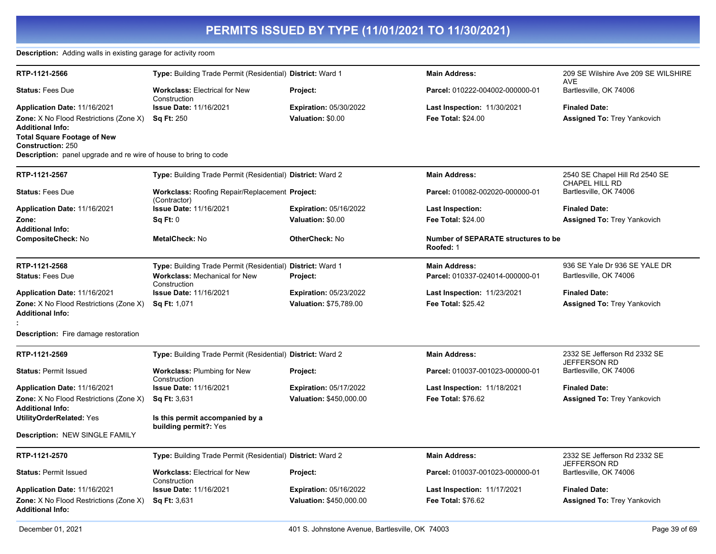#### **Description:** Adding walls in existing garage for activity room

| RTP-1121-2566                                                           | Type: Building Trade Permit (Residential) District: Ward 1     |                               | <b>Main Address:</b>                                    | 209 SE Wilshire Ave 209 SE WILSHIRE<br><b>AVE</b>       |
|-------------------------------------------------------------------------|----------------------------------------------------------------|-------------------------------|---------------------------------------------------------|---------------------------------------------------------|
| <b>Status: Fees Due</b>                                                 | <b>Workclass: Electrical for New</b><br>Construction           | Project:                      | Parcel: 010222-004002-000000-01                         | Bartlesville, OK 74006                                  |
| Application Date: 11/16/2021                                            | <b>Issue Date: 11/16/2021</b>                                  | <b>Expiration: 05/30/2022</b> | <b>Last Inspection: 11/30/2021</b>                      | <b>Finaled Date:</b>                                    |
| <b>Zone:</b> X No Flood Restrictions (Zone X)                           | <b>Sq Ft: 250</b>                                              | Valuation: \$0.00             | Fee Total: \$24.00                                      | <b>Assigned To: Trey Yankovich</b>                      |
| <b>Additional Info:</b>                                                 |                                                                |                               |                                                         |                                                         |
| <b>Total Square Footage of New</b>                                      |                                                                |                               |                                                         |                                                         |
| <b>Construction: 250</b>                                                |                                                                |                               |                                                         |                                                         |
| <b>Description:</b> panel upgrade and re wire of house to bring to code |                                                                |                               |                                                         |                                                         |
| RTP-1121-2567                                                           | Type: Building Trade Permit (Residential) District: Ward 2     |                               | <b>Main Address:</b>                                    | 2540 SE Chapel Hill Rd 2540 SE<br><b>CHAPEL HILL RD</b> |
| <b>Status: Fees Due</b>                                                 | Workclass: Roofing Repair/Replacement Project:<br>(Contractor) |                               | Parcel: 010082-002020-000000-01                         | Bartlesville, OK 74006                                  |
| Application Date: 11/16/2021                                            | <b>Issue Date: 11/16/2021</b>                                  | <b>Expiration: 05/16/2022</b> | Last Inspection:                                        | <b>Finaled Date:</b>                                    |
| Zone:                                                                   | Sq Ft: 0                                                       | Valuation: \$0.00             | Fee Total: \$24.00                                      | <b>Assigned To: Trey Yankovich</b>                      |
| <b>Additional Info:</b>                                                 |                                                                |                               |                                                         |                                                         |
| <b>CompositeCheck: No</b>                                               | <b>MetalCheck: No</b>                                          | <b>OtherCheck: No</b>         | <b>Number of SEPARATE structures to be</b><br>Roofed: 1 |                                                         |
| RTP-1121-2568                                                           | Type: Building Trade Permit (Residential) District: Ward 1     |                               | <b>Main Address:</b>                                    | 936 SE Yale Dr 936 SE YALE DR                           |
| <b>Status: Fees Due</b>                                                 | <b>Workclass: Mechanical for New</b><br>Construction           | Project:                      | Parcel: 010337-024014-000000-01                         | Bartlesville, OK 74006                                  |
| Application Date: 11/16/2021                                            | <b>Issue Date: 11/16/2021</b>                                  | <b>Expiration: 05/23/2022</b> | <b>Last Inspection: 11/23/2021</b>                      | <b>Finaled Date:</b>                                    |
| <b>Zone:</b> X No Flood Restrictions (Zone X)                           | <b>Sq Ft: 1,071</b>                                            | <b>Valuation: \$75.789.00</b> | <b>Fee Total: \$25.42</b>                               | Assigned To: Trey Yankovich                             |
| <b>Additional Info:</b>                                                 |                                                                |                               |                                                         |                                                         |
|                                                                         |                                                                |                               |                                                         |                                                         |
| <b>Description:</b> Fire damage restoration                             |                                                                |                               |                                                         |                                                         |
| RTP-1121-2569                                                           | Type: Building Trade Permit (Residential) District: Ward 2     |                               | <b>Main Address:</b>                                    | 2332 SE Jefferson Rd 2332 SE                            |
| <b>Status: Permit Issued</b>                                            | <b>Workclass: Plumbing for New</b>                             | Project:                      | Parcel: 010037-001023-000000-01                         | <b>JEFFERSON RD</b><br>Bartlesville, OK 74006           |
|                                                                         | Construction                                                   |                               |                                                         |                                                         |
| Application Date: 11/16/2021                                            | <b>Issue Date: 11/16/2021</b>                                  | <b>Expiration: 05/17/2022</b> | Last Inspection: 11/18/2021                             | <b>Finaled Date:</b>                                    |
| <b>Zone:</b> X No Flood Restrictions (Zone X)                           | <b>Sq Ft: 3,631</b>                                            | Valuation: \$450,000.00       | <b>Fee Total: \$76.62</b>                               | <b>Assigned To: Trey Yankovich</b>                      |
| <b>Additional Info:</b>                                                 |                                                                |                               |                                                         |                                                         |
| UtilityOrderRelated: Yes                                                | Is this permit accompanied by a                                |                               |                                                         |                                                         |
|                                                                         | building permit?: Yes                                          |                               |                                                         |                                                         |
| <b>Description: NEW SINGLE FAMILY</b>                                   |                                                                |                               |                                                         |                                                         |
| RTP-1121-2570                                                           | Type: Building Trade Permit (Residential) District: Ward 2     |                               | <b>Main Address:</b>                                    | 2332 SE Jefferson Rd 2332 SE<br>JEFFERSON RD            |
| <b>Status: Permit Issued</b>                                            | <b>Workclass: Electrical for New</b><br>Construction           | Project:                      | Parcel: 010037-001023-000000-01                         | Bartlesville, OK 74006                                  |
| Application Date: 11/16/2021                                            | <b>Issue Date: 11/16/2021</b>                                  | <b>Expiration: 05/16/2022</b> | <b>Last Inspection: 11/17/2021</b>                      | <b>Finaled Date:</b>                                    |
| <b>Zone:</b> X No Flood Restrictions (Zone X)                           | Sq Ft: 3,631                                                   | Valuation: \$450,000.00       | Fee Total: \$76.62                                      | <b>Assigned To: Trey Yankovich</b>                      |
| <b>Additional Info:</b>                                                 |                                                                |                               |                                                         |                                                         |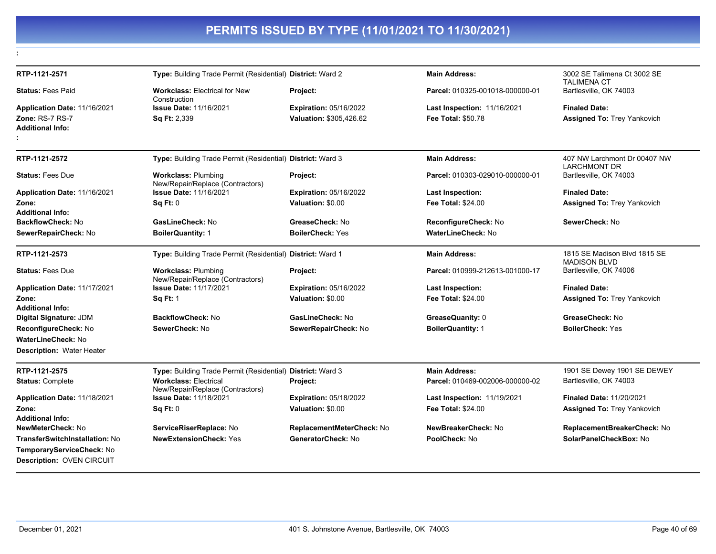| RTP-1121-2571                                                                            | Type: Building Trade Permit (Residential) District: Ward 2       |                               | <b>Main Address:</b>               | 3002 SE Talimena Ct 3002 SE<br><b>TALIMENA CT</b>   |
|------------------------------------------------------------------------------------------|------------------------------------------------------------------|-------------------------------|------------------------------------|-----------------------------------------------------|
| <b>Status: Fees Paid</b>                                                                 | <b>Workclass: Electrical for New</b><br>Construction             | Project:                      | Parcel: 010325-001018-000000-01    | Bartlesville, OK 74003                              |
| Application Date: 11/16/2021                                                             | <b>Issue Date: 11/16/2021</b>                                    | <b>Expiration: 05/16/2022</b> | <b>Last Inspection: 11/16/2021</b> | <b>Finaled Date:</b>                                |
| <b>Zone: RS-7 RS-7</b><br><b>Additional Info:</b>                                        | <b>Sq Ft: 2,339</b>                                              | Valuation: \$305,426.62       | <b>Fee Total: \$50.78</b>          | <b>Assigned To: Trey Yankovich</b>                  |
| RTP-1121-2572                                                                            | Type: Building Trade Permit (Residential) District: Ward 3       |                               | <b>Main Address:</b>               | 407 NW Larchmont Dr 00407 NW<br><b>LARCHMONT DR</b> |
| <b>Status: Fees Due</b>                                                                  | <b>Workclass: Plumbing</b><br>New/Repair/Replace (Contractors)   | Project:                      | Parcel: 010303-029010-000000-01    | Bartlesville, OK 74003                              |
| <b>Application Date: 11/16/2021</b>                                                      | <b>Issue Date: 11/16/2021</b>                                    | <b>Expiration: 05/16/2022</b> | <b>Last Inspection:</b>            | <b>Finaled Date:</b>                                |
| Zone:<br><b>Additional Info:</b>                                                         | <b>Sq Ft: 0</b>                                                  | Valuation: \$0.00             | <b>Fee Total: \$24.00</b>          | <b>Assigned To: Trey Yankovich</b>                  |
| <b>BackflowCheck: No</b>                                                                 | GasLineCheck: No                                                 | GreaseCheck: No               | ReconfigureCheck: No               | SewerCheck: No                                      |
| SewerRepairCheck: No                                                                     | <b>BoilerQuantity: 1</b>                                         | <b>BoilerCheck: Yes</b>       | WaterLineCheck: No                 |                                                     |
| RTP-1121-2573                                                                            | Type: Building Trade Permit (Residential) District: Ward 1       |                               | <b>Main Address:</b>               | 1815 SE Madison Blvd 1815 SE<br><b>MADISON BLVD</b> |
| <b>Status: Fees Due</b>                                                                  | <b>Workclass: Plumbing</b><br>New/Repair/Replace (Contractors)   | Project:                      | Parcel: 010999-212613-001000-17    | Bartlesville, OK 74006                              |
| Application Date: 11/17/2021                                                             | <b>Issue Date: 11/17/2021</b>                                    | <b>Expiration: 05/16/2022</b> | <b>Last Inspection:</b>            | <b>Finaled Date:</b>                                |
| Zone:                                                                                    | <b>Sq Ft: 1</b>                                                  | Valuation: \$0.00             | <b>Fee Total: \$24.00</b>          | <b>Assigned To: Trey Yankovich</b>                  |
| <b>Additional Info:</b>                                                                  |                                                                  |                               |                                    |                                                     |
| Digital Signature: JDM                                                                   | <b>BackflowCheck: No</b>                                         | GasLineCheck: No              | GreaseQuanity: 0                   | GreaseCheck: No                                     |
| ReconfigureCheck: No                                                                     | SewerCheck: No                                                   | SewerRepairCheck: No          | <b>BoilerQuantity: 1</b>           | <b>BoilerCheck: Yes</b>                             |
| WaterLineCheck: No<br><b>Description: Water Heater</b>                                   |                                                                  |                               |                                    |                                                     |
| RTP-1121-2575                                                                            | Type: Building Trade Permit (Residential) District: Ward 3       |                               | <b>Main Address:</b>               | 1901 SE Dewey 1901 SE DEWEY                         |
| <b>Status: Complete</b>                                                                  | <b>Workclass: Electrical</b><br>New/Repair/Replace (Contractors) | Project:                      | Parcel: 010469-002006-000000-02    | Bartlesville, OK 74003                              |
| Application Date: 11/18/2021                                                             | <b>Issue Date: 11/18/2021</b>                                    | <b>Expiration: 05/18/2022</b> | <b>Last Inspection: 11/19/2021</b> | <b>Finaled Date: 11/20/2021</b>                     |
| Zone:<br><b>Additional Info:</b>                                                         | <b>Sq Ft: 0</b>                                                  | Valuation: \$0.00             | <b>Fee Total: \$24.00</b>          | <b>Assigned To: Trey Yankovich</b>                  |
| <b>NewMeterCheck: No</b>                                                                 | ServiceRiserReplace: No                                          | ReplacementMeterCheck: No     | NewBreakerCheck: No                | ReplacementBreakerCheck: No                         |
| TransferSwitchInstallation: No<br>TemporaryServiceCheck: No<br>Description: OVEN CIRCUIT | <b>NewExtensionCheck: Yes</b>                                    | GeneratorCheck: No            | PoolCheck: No                      | SolarPanelCheckBox: No                              |
|                                                                                          |                                                                  |                               |                                    |                                                     |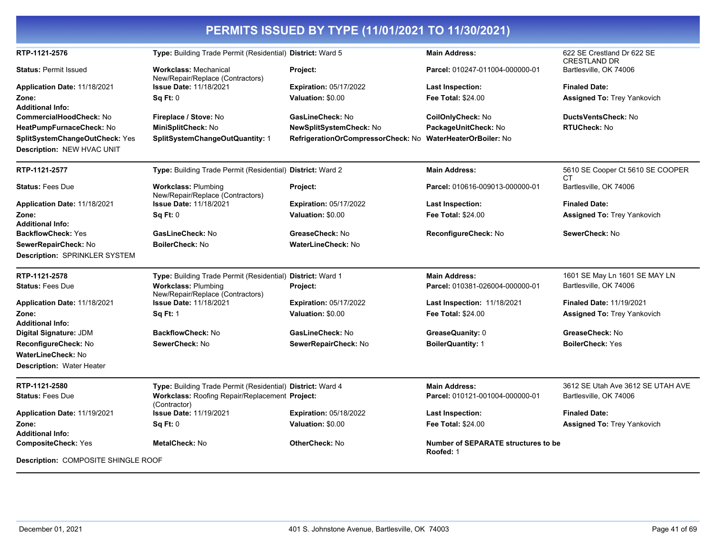| PERMITS ISSUED BY TYPE (11/01/2021 TO 11/30/2021)            |                                                                  |                                    |                                                         |                                                   |  |  |
|--------------------------------------------------------------|------------------------------------------------------------------|------------------------------------|---------------------------------------------------------|---------------------------------------------------|--|--|
| RTP-1121-2576                                                | Type: Building Trade Permit (Residential) District: Ward 5       |                                    | <b>Main Address:</b>                                    | 622 SE Crestland Dr 622 SE<br><b>CRESTLAND DR</b> |  |  |
| <b>Status: Permit Issued</b>                                 | <b>Workclass: Mechanical</b><br>New/Repair/Replace (Contractors) | Project:                           | Parcel: 010247-011004-000000-01                         | Bartlesville, OK 74006                            |  |  |
| Application Date: 11/18/2021                                 | <b>Issue Date: 11/18/2021</b>                                    | <b>Expiration: 05/17/2022</b>      | <b>Last Inspection:</b>                                 | <b>Finaled Date:</b>                              |  |  |
| Zone:                                                        | Sq Ft: 0                                                         | Valuation: \$0.00                  | <b>Fee Total: \$24.00</b>                               | <b>Assigned To: Trey Yankovich</b>                |  |  |
| <b>Additional Info:</b>                                      |                                                                  |                                    |                                                         |                                                   |  |  |
| CommercialHoodCheck: No                                      | Fireplace / Stove: No                                            | GasLineCheck: No                   | CoilOnlyCheck: No                                       | DuctsVentsCheck: No                               |  |  |
| HeatPumpFurnaceCheck: No                                     | MiniSplitCheck: No                                               | <b>NewSplitSystemCheck: No</b>     | PackageUnitCheck: No                                    | <b>RTUCheck: No</b>                               |  |  |
| SplitSystemChangeOutCheck: Yes<br>Description: NEW HVAC UNIT | SplitSystemChangeOutQuantity: 1                                  | RefrigerationOrCompressorCheck: No | <b>WaterHeaterOrBoiler: No</b>                          |                                                   |  |  |
| RTP-1121-2577                                                | Type: Building Trade Permit (Residential) District: Ward 2       |                                    | <b>Main Address:</b>                                    | 5610 SE Cooper Ct 5610 SE COOPER<br>СT            |  |  |
| <b>Status: Fees Due</b>                                      | <b>Workclass: Plumbing</b><br>New/Repair/Replace (Contractors)   | Project:                           | Parcel: 010616-009013-000000-01                         | Bartlesville, OK 74006                            |  |  |
| Application Date: 11/18/2021                                 | <b>Issue Date: 11/18/2021</b>                                    | <b>Expiration: 05/17/2022</b>      | <b>Last Inspection:</b>                                 | <b>Finaled Date:</b>                              |  |  |
| Zone:                                                        | Sq Ft: 0                                                         | Valuation: \$0.00                  | <b>Fee Total: \$24.00</b>                               | <b>Assigned To: Trey Yankovich</b>                |  |  |
| <b>Additional Info:</b>                                      |                                                                  |                                    |                                                         |                                                   |  |  |
| <b>BackflowCheck: Yes</b>                                    | GasLineCheck: No                                                 | GreaseCheck: No                    | ReconfigureCheck: No                                    | SewerCheck: No                                    |  |  |
| SewerRepairCheck: No                                         | <b>BoilerCheck: No</b>                                           | <b>WaterLineCheck: No</b>          |                                                         |                                                   |  |  |
| Description: SPRINKLER SYSTEM                                |                                                                  |                                    |                                                         |                                                   |  |  |
| RTP-1121-2578                                                | Type: Building Trade Permit (Residential) District: Ward 1       |                                    | <b>Main Address:</b>                                    | 1601 SE May Ln 1601 SE MAY LN                     |  |  |
| <b>Status: Fees Due</b>                                      | <b>Workclass: Plumbing</b><br>New/Repair/Replace (Contractors)   | Project:                           | Parcel: 010381-026004-000000-01                         | Bartlesville, OK 74006                            |  |  |
| Application Date: 11/18/2021                                 | <b>Issue Date: 11/18/2021</b>                                    | <b>Expiration: 05/17/2022</b>      | <b>Last Inspection: 11/18/2021</b>                      | <b>Finaled Date: 11/19/2021</b>                   |  |  |
| Zone:                                                        | <b>Sq Ft: 1</b>                                                  | Valuation: \$0.00                  | Fee Total: \$24.00                                      | <b>Assigned To: Trey Yankovich</b>                |  |  |
| <b>Additional Info:</b>                                      |                                                                  |                                    |                                                         |                                                   |  |  |
| Digital Signature: JDM                                       | <b>BackflowCheck: No</b>                                         | GasLineCheck: No                   | GreaseQuanity: 0                                        | GreaseCheck: No                                   |  |  |
| ReconfigureCheck: No                                         | SewerCheck: No                                                   | SewerRepairCheck: No               | <b>BoilerQuantity: 1</b>                                | <b>BoilerCheck: Yes</b>                           |  |  |
| <b>WaterLineCheck: No</b>                                    |                                                                  |                                    |                                                         |                                                   |  |  |
| <b>Description: Water Heater</b>                             |                                                                  |                                    |                                                         |                                                   |  |  |
| RTP-1121-2580                                                | Type: Building Trade Permit (Residential) District: Ward 4       |                                    | <b>Main Address:</b>                                    | 3612 SE Utah Ave 3612 SE UTAH AVE                 |  |  |
| <b>Status: Fees Due</b>                                      | Workclass: Roofing Repair/Replacement Project:<br>(Contractor)   |                                    | Parcel: 010121-001004-000000-01                         | Bartlesville, OK 74006                            |  |  |
| Application Date: 11/19/2021                                 | <b>Issue Date: 11/19/2021</b>                                    | <b>Expiration: 05/18/2022</b>      | <b>Last Inspection:</b>                                 | <b>Finaled Date:</b>                              |  |  |
| Zone:                                                        | Sq Ft: 0                                                         | Valuation: \$0.00                  | <b>Fee Total: \$24.00</b>                               | <b>Assigned To: Trey Yankovich</b>                |  |  |
| <b>Additional Info:</b>                                      |                                                                  |                                    |                                                         |                                                   |  |  |
| <b>CompositeCheck: Yes</b>                                   | <b>MetalCheck: No</b>                                            | <b>OtherCheck: No</b>              | <b>Number of SEPARATE structures to be</b><br>Roofed: 1 |                                                   |  |  |
| <b>Description: COMPOSITE SHINGLE ROOF</b>                   |                                                                  |                                    |                                                         |                                                   |  |  |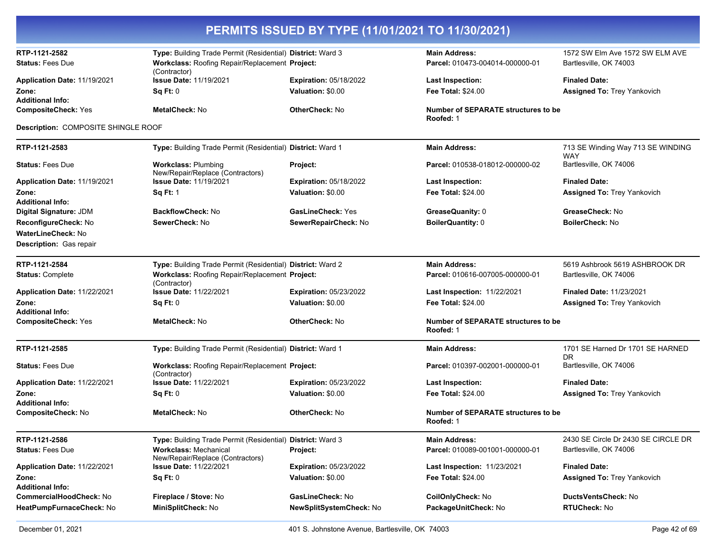| PERMITS ISSUED BY TYPE (11/01/2021 TO 11/30/2021)     |                                                                                                              |                               |                                                         |                                                           |  |
|-------------------------------------------------------|--------------------------------------------------------------------------------------------------------------|-------------------------------|---------------------------------------------------------|-----------------------------------------------------------|--|
| RTP-1121-2582<br><b>Status: Fees Due</b>              | Type: Building Trade Permit (Residential) District: Ward 3<br>Workclass: Roofing Repair/Replacement Project: |                               | <b>Main Address:</b><br>Parcel: 010473-004014-000000-01 | 1572 SW Elm Ave 1572 SW ELM AVE<br>Bartlesville, OK 74003 |  |
| Application Date: 11/19/2021                          | (Contractor)<br><b>Issue Date: 11/19/2021</b>                                                                | <b>Expiration: 05/18/2022</b> | <b>Last Inspection:</b>                                 | <b>Finaled Date:</b>                                      |  |
| Zone:<br><b>Additional Info:</b>                      | Sq Ft: 0                                                                                                     | Valuation: \$0.00             | <b>Fee Total: \$24.00</b>                               | <b>Assigned To: Trey Yankovich</b>                        |  |
| <b>CompositeCheck: Yes</b>                            | <b>MetalCheck: No</b>                                                                                        | <b>OtherCheck: No</b>         | Number of SEPARATE structures to be<br>Roofed: 1        |                                                           |  |
| Description: COMPOSITE SHINGLE ROOF                   |                                                                                                              |                               |                                                         |                                                           |  |
| RTP-1121-2583                                         | Type: Building Trade Permit (Residential) District: Ward 1                                                   |                               | <b>Main Address:</b>                                    | 713 SE Winding Way 713 SE WINDING                         |  |
| <b>Status: Fees Due</b>                               | <b>Workclass: Plumbing</b>                                                                                   | Project:                      | Parcel: 010538-018012-000000-02                         | <b>WAY</b><br>Bartlesville, OK 74006                      |  |
| Application Date: 11/19/2021                          | New/Repair/Replace (Contractors)<br><b>Issue Date: 11/19/2021</b>                                            | <b>Expiration: 05/18/2022</b> | Last Inspection:                                        | <b>Finaled Date:</b>                                      |  |
| Zone:                                                 | <b>Sq Ft: 1</b>                                                                                              | Valuation: \$0.00             | <b>Fee Total: \$24.00</b>                               | <b>Assigned To: Trey Yankovich</b>                        |  |
| <b>Additional Info:</b><br>Digital Signature: JDM     | <b>BackflowCheck: No</b>                                                                                     | <b>GasLineCheck: Yes</b>      | GreaseQuanity: 0                                        | GreaseCheck: No                                           |  |
| ReconfigureCheck: No                                  | SewerCheck: No                                                                                               | SewerRepairCheck: No          | <b>BoilerQuantity: 0</b>                                | BoilerCheck: No                                           |  |
| <b>WaterLineCheck: No</b>                             |                                                                                                              |                               |                                                         |                                                           |  |
| <b>Description: Gas repair</b>                        |                                                                                                              |                               |                                                         |                                                           |  |
| RTP-1121-2584                                         | Type: Building Trade Permit (Residential) District: Ward 2                                                   |                               | <b>Main Address:</b>                                    | 5619 Ashbrook 5619 ASHBROOK DR                            |  |
| <b>Status: Complete</b>                               | Workclass: Roofing Repair/Replacement Project:<br>(Contractor)                                               |                               | Parcel: 010616-007005-000000-01                         | Bartlesville, OK 74006                                    |  |
| Application Date: 11/22/2021                          | <b>Issue Date: 11/22/2021</b>                                                                                | <b>Expiration: 05/23/2022</b> | Last Inspection: 11/22/2021                             | Finaled Date: 11/23/2021                                  |  |
| Zone:                                                 | Sq Ft: 0                                                                                                     | Valuation: \$0.00             | <b>Fee Total: \$24.00</b>                               | <b>Assigned To: Trey Yankovich</b>                        |  |
| <b>Additional Info:</b><br><b>CompositeCheck: Yes</b> | <b>MetalCheck: No</b>                                                                                        | <b>OtherCheck: No</b>         | Number of SEPARATE structures to be                     |                                                           |  |
|                                                       |                                                                                                              |                               | Roofed: 1                                               |                                                           |  |
| RTP-1121-2585                                         | Type: Building Trade Permit (Residential) District: Ward 1                                                   |                               | <b>Main Address:</b>                                    | 1701 SE Harned Dr 1701 SE HARNED<br>DR.                   |  |
| <b>Status: Fees Due</b>                               | Workclass: Roofing Repair/Replacement Project:<br>(Contractor)                                               |                               | Parcel: 010397-002001-000000-01                         | Bartlesville, OK 74006                                    |  |
| Application Date: 11/22/2021                          | <b>Issue Date: 11/22/2021</b>                                                                                | <b>Expiration: 05/23/2022</b> | <b>Last Inspection:</b>                                 | <b>Finaled Date:</b>                                      |  |
| Zone:<br><b>Additional Info:</b>                      | Sq Ft: 0                                                                                                     | Valuation: \$0.00             | <b>Fee Total: \$24.00</b>                               | Assigned To: Trey Yankovich                               |  |
| <b>CompositeCheck: No</b>                             | <b>MetalCheck: No</b>                                                                                        | <b>OtherCheck: No</b>         | <b>Number of SEPARATE structures to be</b><br>Roofed: 1 |                                                           |  |
| RTP-1121-2586                                         | Type: Building Trade Permit (Residential) District: Ward 3                                                   |                               | <b>Main Address:</b>                                    | 2430 SE Circle Dr 2430 SE CIRCLE DR                       |  |
| <b>Status: Fees Due</b>                               | <b>Workclass: Mechanical</b><br>New/Repair/Replace (Contractors)                                             | Project:                      | Parcel: 010089-001001-000000-01                         | Bartlesville, OK 74006                                    |  |
| Application Date: 11/22/2021                          | <b>Issue Date: 11/22/2021</b>                                                                                | Expiration: 05/23/2022        | <b>Last Inspection: 11/23/2021</b>                      | <b>Finaled Date:</b>                                      |  |
| Zone:<br><b>Additional Info:</b>                      | Sq Ft: 0                                                                                                     | Valuation: \$0.00             | Fee Total: \$24.00                                      | <b>Assigned To: Trey Yankovich</b>                        |  |
| <b>CommercialHoodCheck: No</b>                        | Fireplace / Stove: No                                                                                        | GasLineCheck: No              | CoilOnlyCheck: No                                       | DuctsVentsCheck: No                                       |  |
| HeatPumpFurnaceCheck: No                              | MiniSplitCheck: No                                                                                           | NewSplitSystemCheck: No       | PackageUnitCheck: No                                    | RTUCheck: No                                              |  |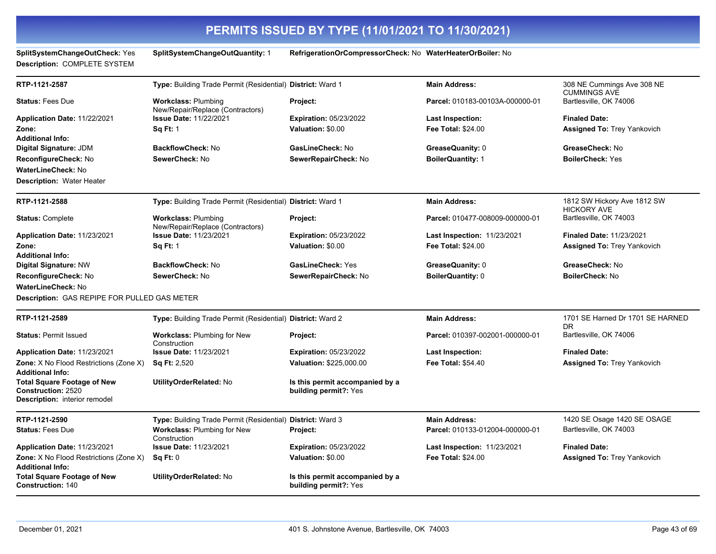**SplitSystemChangeOutCheck:** Yes **SplitSystemChangeOutQuantity:** 1 **RefrigerationOrCompressorCheck:** No **WaterHeaterOrBoiler:** No **Description:** COMPLETE SYSTEM **RTP-1121-2587 Type:** Building Trade Permit (Residential) **District:** Ward 1 **Main Address:** 308 NE Cummings Ave 308 NE CUMMINGS AVE **Status:** Fees Due **Workclass:** Plumbing New/Repair/Replace (Contractors) **Project: Parcel:** 010183-00103A-000000-01 Bartlesville, OK 74006 **Application Date:** 11/22/2021 **Zone: Issue Date:** 11/22/2021 **Sq Ft:** 1 **Expiration:** 05/23/2022 **Valuation:** \$0.00 **Last Inspection: Fee Total:** \$24.00 **Finaled Date: Assigned To:** Trey Yankovich **Additional Info: Digital Signature:** JDM **BackflowCheck:** No **GasLineCheck:** No **GreaseQuanity:** 0 **GreaseCheck:** No **ReconfigureCheck:** No **SewerCheck:** No **SewerRepairCheck:** No **BoilerQuantity:** 1 **BoilerCheck:** Yes **WaterLineCheck:** No **Description:** Water Heater **RTP-1121-2588 Type:** Building Trade Permit (Residential) **District:** Ward 1 **Main Address:** 1812 SW Hickory Ave 1812 SW HICKORY AVE **Status:** Complete **Workclass:** Plumbing New/Repair/Replace (Contractors) **Project: Parcel:** 010477-008009-000000-01 Bartlesville, OK 74003 **Application Date:** 11/23/2021 **Zone: Issue Date:** 11/23/2021 **Sq Ft:** 1 **Expiration:** 05/23/2022 **Valuation:** \$0.00 **Last Inspection:** 11/23/2021 **Fee Total:** \$24.00 **Finaled Date:** 11/23/2021 **Assigned To:** Trey Yankovich **Additional Info: Digital Signature:** NW **BackflowCheck:** No **GasLineCheck:** Yes **GreaseQuanity:** 0 **GreaseCheck:** No **ReconfigureCheck:** No **SewerCheck:** No **SewerRepairCheck:** No **BoilerQuantity:** 0 **BoilerCheck:** No **WaterLineCheck:** No **Description:** GAS REPIPE FOR PULLED GAS METER **RTP-1121-2589 Type:** Building Trade Permit (Residential) **District:** Ward 2 **Main Address:** 1701 SE Harned Dr 1701 SE HARNED DR<br>Bartlesville, OK 74006 **Status: Permit Issued Workclass: Plumbing for New** Construction **Project:** Project: Parcel: 010397-002001-000000-01 **Application Date:** 11/23/2021 **Zone:** X No Flood Restrictions (Zone X) **Issue Date:** 11/23/2021 **Sq Ft:** 2,520 **Expiration:** 05/23/2022 **Valuation:** \$225,000.00 **Last Inspection: Fee Total:** \$54.40 **Finaled Date: Assigned To:** Trey Yankovich **Additional Info: Total Square Footage of New Construction:** 2520 **UtilityOrderRelated:** No **Is this permit accompanied by a building permit?:** Yes **Description:** interior remodel **RTP-1121-2590 Type:** Building Trade Permit (Residential) **District:** Ward 3 **Main Address:** 1420 SE Osage 1420 SE OSAGE **Status:** Fees Due **Workclass:** Plumbing for New Construction **Project: Parcel:** 010133-012004-000000-01 Bartlesville, OK 74003 **Application Date:** 11/23/2021 **Zone:** X No Flood Restrictions (Zone X) **Issue Date:** 11/23/2021 **Sq Ft:** 0 **Expiration:** 05/23/2022 **Valuation:** \$0.00 **Last Inspection:** 11/23/2021 **Fee Total:** \$24.00 **Finaled Date: Assigned To:** Trey Yankovich **Additional Info: Total Square Footage of New Construction:** 140 **UtilityOrderRelated:** No **Is this permit accompanied by a building permit?:** Yes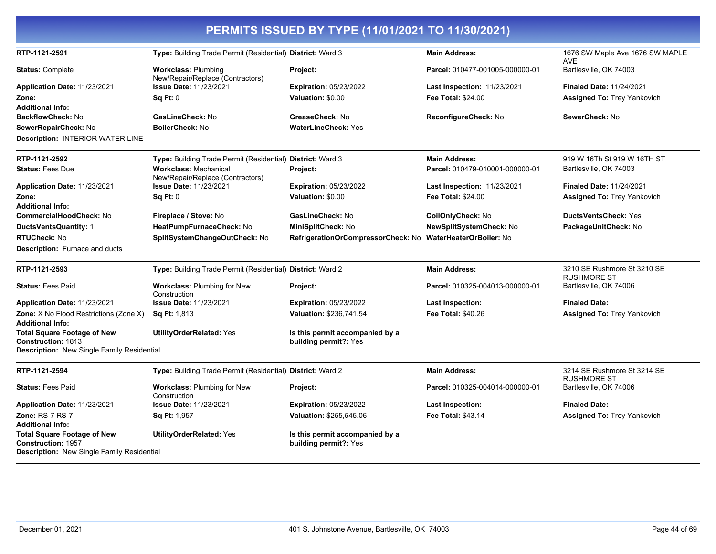|                                                                                                               |                                                                  | PERMITS ISSUED BY TYPE (11/01/2021 TO 11/30/2021)          |                                    |                                                   |
|---------------------------------------------------------------------------------------------------------------|------------------------------------------------------------------|------------------------------------------------------------|------------------------------------|---------------------------------------------------|
| RTP-1121-2591                                                                                                 | Type: Building Trade Permit (Residential) District: Ward 3       |                                                            | <b>Main Address:</b>               | 1676 SW Maple Ave 1676 SW MAPLE<br><b>AVE</b>     |
| <b>Status: Complete</b>                                                                                       | <b>Workclass: Plumbing</b><br>New/Repair/Replace (Contractors)   | Project:                                                   | Parcel: 010477-001005-000000-01    | Bartlesville, OK 74003                            |
| Application Date: 11/23/2021                                                                                  | <b>Issue Date: 11/23/2021</b>                                    | <b>Expiration: 05/23/2022</b>                              | <b>Last Inspection: 11/23/2021</b> | <b>Finaled Date: 11/24/2021</b>                   |
| Zone:                                                                                                         | Sq Ft: 0                                                         | Valuation: \$0.00                                          | Fee Total: \$24.00                 | <b>Assigned To: Trey Yankovich</b>                |
| <b>Additional Info:</b>                                                                                       |                                                                  |                                                            |                                    |                                                   |
| <b>BackflowCheck: No</b>                                                                                      | GasLineCheck: No                                                 | GreaseCheck: No                                            | ReconfigureCheck: No               | SewerCheck: No                                    |
| SewerRepairCheck: No                                                                                          | <b>BoilerCheck: No</b>                                           | <b>WaterLineCheck: Yes</b>                                 |                                    |                                                   |
| <b>Description: INTERIOR WATER LINE</b>                                                                       |                                                                  |                                                            |                                    |                                                   |
| RTP-1121-2592                                                                                                 | Type: Building Trade Permit (Residential) District: Ward 3       |                                                            | <b>Main Address:</b>               | 919 W 16Th St 919 W 16TH ST                       |
| <b>Status: Fees Due</b>                                                                                       | <b>Workclass: Mechanical</b><br>New/Repair/Replace (Contractors) | Project:                                                   | Parcel: 010479-010001-000000-01    | Bartlesville, OK 74003                            |
| Application Date: 11/23/2021                                                                                  | <b>Issue Date: 11/23/2021</b>                                    | <b>Expiration: 05/23/2022</b>                              | <b>Last Inspection: 11/23/2021</b> | <b>Finaled Date: 11/24/2021</b>                   |
| Zone:<br><b>Additional Info:</b>                                                                              | Sq Ft: 0                                                         | Valuation: \$0.00                                          | Fee Total: \$24.00                 | Assigned To: Trey Yankovich                       |
| CommercialHoodCheck: No                                                                                       | Fireplace / Stove: No                                            | GasLineCheck: No                                           | CoilOnlyCheck: No                  | <b>DuctsVentsCheck: Yes</b>                       |
| <b>DuctsVentsQuantity: 1</b>                                                                                  | HeatPumpFurnaceCheck: No                                         | MiniSplitCheck: No                                         | NewSplitSystemCheck: No            | PackageUnitCheck: No                              |
| <b>RTUCheck: No</b>                                                                                           | SplitSystemChangeOutCheck: No                                    | RefrigerationOrCompressorCheck: No WaterHeaterOrBoiler: No |                                    |                                                   |
| <b>Description:</b> Furnace and ducts                                                                         |                                                                  |                                                            |                                    |                                                   |
| RTP-1121-2593                                                                                                 | Type: Building Trade Permit (Residential) District: Ward 2       |                                                            | <b>Main Address:</b>               | 3210 SE Rushmore St 3210 SE<br><b>RUSHMORE ST</b> |
| <b>Status: Fees Paid</b>                                                                                      | <b>Workclass: Plumbing for New</b><br>Construction               | Project:                                                   | Parcel: 010325-004013-000000-01    | Bartlesville, OK 74006                            |
| Application Date: 11/23/2021                                                                                  | <b>Issue Date: 11/23/2021</b>                                    | <b>Expiration: 05/23/2022</b>                              | Last Inspection:                   | <b>Finaled Date:</b>                              |
| Zone: X No Flood Restrictions (Zone X)<br><b>Additional Info:</b>                                             | <b>Sq Ft: 1,813</b>                                              | Valuation: \$236,741.54                                    | Fee Total: \$40.26                 | <b>Assigned To: Trey Yankovich</b>                |
| <b>Total Square Footage of New</b><br>Construction: 1813                                                      | <b>UtilityOrderRelated: Yes</b>                                  | Is this permit accompanied by a<br>building permit?: Yes   |                                    |                                                   |
| <b>Description:</b> New Single Family Residential                                                             |                                                                  |                                                            |                                    |                                                   |
| RTP-1121-2594                                                                                                 | Type: Building Trade Permit (Residential) District: Ward 2       |                                                            | <b>Main Address:</b>               | 3214 SE Rushmore St 3214 SE<br><b>RUSHMORE ST</b> |
| <b>Status: Fees Paid</b>                                                                                      | Workclass: Plumbing for New<br>Construction                      | Project:                                                   | Parcel: 010325-004014-000000-01    | Bartlesville, OK 74006                            |
| Application Date: 11/23/2021                                                                                  | <b>Issue Date: 11/23/2021</b>                                    | <b>Expiration: 05/23/2022</b>                              | Last Inspection:                   | <b>Finaled Date:</b>                              |
| Zone: RS-7 RS-7                                                                                               | Sq Ft: 1,957                                                     | Valuation: \$255,545.06                                    | <b>Fee Total: \$43.14</b>          | <b>Assigned To: Trey Yankovich</b>                |
| <b>Additional Info:</b>                                                                                       |                                                                  |                                                            |                                    |                                                   |
| <b>Total Square Footage of New</b><br><b>Construction: 1957</b><br>Description: New Single Family Residential | <b>UtilityOrderRelated: Yes</b>                                  | Is this permit accompanied by a<br>building permit?: Yes   |                                    |                                                   |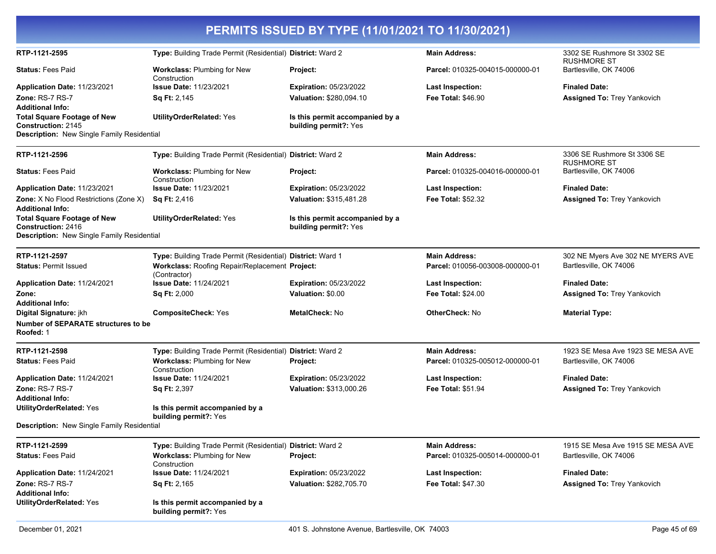|                                                                                                               |                                                                | PERMITS ISSUED BY TYPE (11/01/2021 TO 11/30/2021)        |                                 |                                                   |
|---------------------------------------------------------------------------------------------------------------|----------------------------------------------------------------|----------------------------------------------------------|---------------------------------|---------------------------------------------------|
| RTP-1121-2595                                                                                                 | Type: Building Trade Permit (Residential) District: Ward 2     |                                                          | <b>Main Address:</b>            | 3302 SE Rushmore St 3302 SE<br><b>RUSHMORE ST</b> |
| <b>Status: Fees Paid</b>                                                                                      | <b>Workclass: Plumbing for New</b><br>Construction             | <b>Project:</b>                                          | Parcel: 010325-004015-000000-01 | Bartlesville, OK 74006                            |
| Application Date: 11/23/2021                                                                                  | <b>Issue Date: 11/23/2021</b>                                  | <b>Expiration: 05/23/2022</b>                            | <b>Last Inspection:</b>         | <b>Finaled Date:</b>                              |
| Zone: RS-7 RS-7                                                                                               | <b>Sq Ft: 2,145</b>                                            | Valuation: \$280,094.10                                  | <b>Fee Total: \$46.90</b>       | Assigned To: Trey Yankovich                       |
| <b>Additional Info:</b>                                                                                       |                                                                |                                                          |                                 |                                                   |
| <b>Total Square Footage of New</b><br><b>Construction: 2145</b><br>Description: New Single Family Residential | <b>UtilityOrderRelated: Yes</b>                                | Is this permit accompanied by a<br>building permit?: Yes |                                 |                                                   |
| RTP-1121-2596                                                                                                 | Type: Building Trade Permit (Residential) District: Ward 2     |                                                          | <b>Main Address:</b>            | 3306 SE Rushmore St 3306 SE                       |
|                                                                                                               |                                                                |                                                          |                                 | <b>RUSHMORE ST</b>                                |
| <b>Status: Fees Paid</b>                                                                                      | Workclass: Plumbing for New<br>Construction                    | Project:                                                 | Parcel: 010325-004016-000000-01 | Bartlesville, OK 74006                            |
| Application Date: 11/23/2021                                                                                  | <b>Issue Date: 11/23/2021</b>                                  | <b>Expiration: 05/23/2022</b>                            | <b>Last Inspection:</b>         | <b>Finaled Date:</b>                              |
| <b>Zone:</b> X No Flood Restrictions (Zone X)                                                                 | <b>Sq Ft: 2,416</b>                                            | Valuation: \$315,481.28                                  | <b>Fee Total: \$52.32</b>       | Assigned To: Trey Yankovich                       |
| <b>Additional Info:</b>                                                                                       |                                                                |                                                          |                                 |                                                   |
| <b>Total Square Footage of New</b><br><b>Construction: 2416</b>                                               | <b>UtilityOrderRelated: Yes</b>                                | Is this permit accompanied by a<br>building permit?: Yes |                                 |                                                   |
| Description: New Single Family Residential                                                                    |                                                                |                                                          |                                 |                                                   |
| RTP-1121-2597                                                                                                 | Type: Building Trade Permit (Residential) District: Ward 1     |                                                          | <b>Main Address:</b>            | 302 NE Myers Ave 302 NE MYERS AVE                 |
| <b>Status: Permit Issued</b>                                                                                  | Workclass: Roofing Repair/Replacement Project:<br>(Contractor) |                                                          | Parcel: 010056-003008-000000-01 | Bartlesville, OK 74006                            |
| Application Date: 11/24/2021                                                                                  | <b>Issue Date: 11/24/2021</b>                                  | <b>Expiration: 05/23/2022</b>                            | <b>Last Inspection:</b>         | <b>Finaled Date:</b>                              |
| Zone:                                                                                                         | <b>Sq Ft: 2,000</b>                                            | Valuation: \$0.00                                        | <b>Fee Total: \$24.00</b>       | <b>Assigned To: Trey Yankovich</b>                |
| <b>Additional Info:</b>                                                                                       |                                                                |                                                          |                                 |                                                   |
| Digital Signature: jkh                                                                                        | <b>CompositeCheck: Yes</b>                                     | MetalCheck: No                                           | <b>OtherCheck: No</b>           | <b>Material Type:</b>                             |
| <b>Number of SEPARATE structures to be</b><br>Roofed: 1                                                       |                                                                |                                                          |                                 |                                                   |
| RTP-1121-2598                                                                                                 | Type: Building Trade Permit (Residential) District: Ward 2     |                                                          | <b>Main Address:</b>            | 1923 SE Mesa Ave 1923 SE MESA AVE                 |
| <b>Status: Fees Paid</b>                                                                                      | Workclass: Plumbing for New<br>Construction                    | Project:                                                 | Parcel: 010325-005012-000000-01 | Bartlesville, OK 74006                            |
| Application Date: 11/24/2021                                                                                  | <b>Issue Date: 11/24/2021</b>                                  | <b>Expiration: 05/23/2022</b>                            | <b>Last Inspection:</b>         | <b>Finaled Date:</b>                              |
| Zone: RS-7 RS-7<br><b>Additional Info:</b>                                                                    | <b>Sq Ft: 2,397</b>                                            | Valuation: \$313,000.26                                  | <b>Fee Total: \$51.94</b>       | Assigned To: Trey Yankovich                       |
| <b>UtilityOrderRelated: Yes</b>                                                                               | Is this permit accompanied by a<br>building permit?: Yes       |                                                          |                                 |                                                   |
| Description: New Single Family Residential                                                                    |                                                                |                                                          |                                 |                                                   |
| RTP-1121-2599                                                                                                 | Type: Building Trade Permit (Residential) District: Ward 2     |                                                          | <b>Main Address:</b>            | 1915 SE Mesa Ave 1915 SE MESA AVE                 |
| <b>Status: Fees Paid</b>                                                                                      | <b>Workclass: Plumbing for New</b><br>Construction             | Project:                                                 | Parcel: 010325-005014-000000-01 | Bartlesville, OK 74006                            |
| Application Date: 11/24/2021                                                                                  | <b>Issue Date: 11/24/2021</b>                                  | Expiration: 05/23/2022                                   | <b>Last Inspection:</b>         | <b>Finaled Date:</b>                              |
| Zone: RS-7 RS-7                                                                                               | <b>Sq Ft: 2,165</b>                                            | Valuation: \$282,705.70                                  | <b>Fee Total: \$47.30</b>       | Assigned To: Trey Yankovich                       |
| <b>Additional Info:</b>                                                                                       |                                                                |                                                          |                                 |                                                   |
| <b>UtilityOrderRelated: Yes</b>                                                                               | Is this permit accompanied by a<br>building permit?: Yes       |                                                          |                                 |                                                   |
| December 01, 2021                                                                                             |                                                                | 401 S. Johnstone Avenue, Bartlesville, OK 74003          |                                 | Page 45 of 69                                     |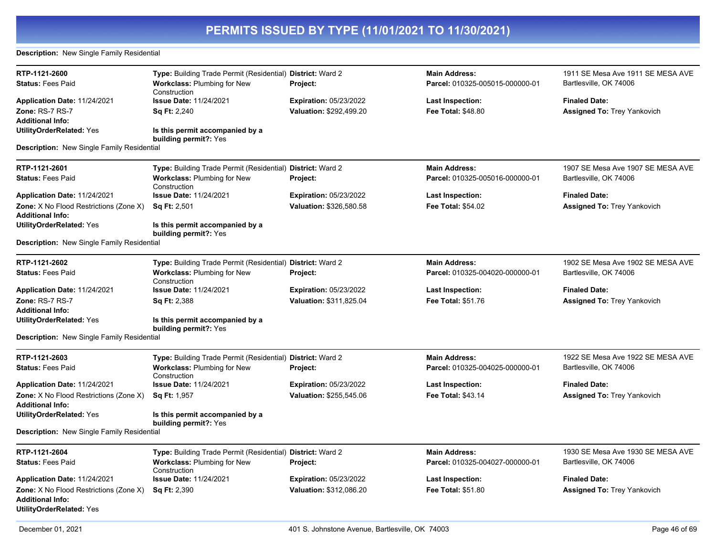#### **Description:** New Single Family Residential

| RTP-1121-2600                                                                                               | Type: Building Trade Permit (Residential) District: Ward 2 |                               | <b>Main Address:</b>            | 1911 SE Mesa Ave 1911 SE MESA AVE  |
|-------------------------------------------------------------------------------------------------------------|------------------------------------------------------------|-------------------------------|---------------------------------|------------------------------------|
| <b>Status: Fees Paid</b>                                                                                    | <b>Workclass: Plumbing for New</b><br>Construction         | Project:                      | Parcel: 010325-005015-000000-01 | Bartlesville, OK 74006             |
| Application Date: 11/24/2021                                                                                | <b>Issue Date: 11/24/2021</b>                              | Expiration: 05/23/2022        | <b>Last Inspection:</b>         | <b>Finaled Date:</b>               |
| Zone: RS-7 RS-7                                                                                             | <b>Sq Ft: 2,240</b>                                        | Valuation: \$292,499.20       | <b>Fee Total: \$48.80</b>       | <b>Assigned To: Trey Yankovich</b> |
| <b>Additional Info:</b>                                                                                     |                                                            |                               |                                 |                                    |
| <b>UtilityOrderRelated: Yes</b>                                                                             | Is this permit accompanied by a<br>building permit?: Yes   |                               |                                 |                                    |
| <b>Description:</b> New Single Family Residential                                                           |                                                            |                               |                                 |                                    |
| RTP-1121-2601                                                                                               | Type: Building Trade Permit (Residential) District: Ward 2 |                               | <b>Main Address:</b>            | 1907 SE Mesa Ave 1907 SE MESA AVE  |
| <b>Status: Fees Paid</b>                                                                                    | Workclass: Plumbing for New<br>Construction                | <b>Project:</b>               | Parcel: 010325-005016-000000-01 | Bartlesville, OK 74006             |
| Application Date: 11/24/2021                                                                                | <b>Issue Date: 11/24/2021</b>                              | <b>Expiration: 05/23/2022</b> | <b>Last Inspection:</b>         | <b>Finaled Date:</b>               |
| <b>Zone:</b> X No Flood Restrictions (Zone X)<br><b>Additional Info:</b>                                    | Sq Ft: 2,501                                               | Valuation: \$326,580.58       | <b>Fee Total: \$54.02</b>       | Assigned To: Trey Yankovich        |
| <b>UtilityOrderRelated: Yes</b>                                                                             | Is this permit accompanied by a<br>building permit?: Yes   |                               |                                 |                                    |
| <b>Description:</b> New Single Family Residential                                                           |                                                            |                               |                                 |                                    |
| RTP-1121-2602                                                                                               | Type: Building Trade Permit (Residential) District: Ward 2 |                               | <b>Main Address:</b>            | 1902 SE Mesa Ave 1902 SE MESA AVE  |
| <b>Status: Fees Paid</b>                                                                                    | <b>Workclass: Plumbing for New</b><br>Construction         | <b>Project:</b>               | Parcel: 010325-004020-000000-01 | Bartlesville, OK 74006             |
| Application Date: 11/24/2021                                                                                | <b>Issue Date: 11/24/2021</b>                              | <b>Expiration: 05/23/2022</b> | <b>Last Inspection:</b>         | <b>Finaled Date:</b>               |
| Zone: RS-7 RS-7                                                                                             | <b>Sq Ft: 2,388</b>                                        | Valuation: \$311,825.04       | Fee Total: \$51.76              | <b>Assigned To: Trey Yankovich</b> |
| <b>Additional Info:</b>                                                                                     |                                                            |                               |                                 |                                    |
| <b>UtilityOrderRelated: Yes</b>                                                                             | Is this permit accompanied by a<br>building permit?: Yes   |                               |                                 |                                    |
| Description: New Single Family Residential                                                                  |                                                            |                               |                                 |                                    |
| RTP-1121-2603                                                                                               | Type: Building Trade Permit (Residential) District: Ward 2 |                               | <b>Main Address:</b>            | 1922 SE Mesa Ave 1922 SE MESA AVE  |
| <b>Status: Fees Paid</b>                                                                                    | <b>Workclass: Plumbing for New</b><br>Construction         | Project:                      | Parcel: 010325-004025-000000-01 | Bartlesville, OK 74006             |
| Application Date: 11/24/2021                                                                                | Issue Date: 11/24/2021                                     | Expiration: 05/23/2022        | Last Inspection:                | <b>Finaled Date:</b>               |
| <b>Zone:</b> X No Flood Restrictions (Zone X)                                                               | <b>Sq Ft: 1,957</b>                                        | Valuation: \$255,545.06       | <b>Fee Total: \$43.14</b>       | <b>Assigned To: Trey Yankovich</b> |
| <b>Additional Info:</b>                                                                                     |                                                            |                               |                                 |                                    |
| <b>UtilityOrderRelated: Yes</b>                                                                             | Is this permit accompanied by a<br>building permit?: Yes   |                               |                                 |                                    |
| <b>Description:</b> New Single Family Residential                                                           |                                                            |                               |                                 |                                    |
| RTP-1121-2604                                                                                               | Type: Building Trade Permit (Residential) District: Ward 2 |                               | <b>Main Address:</b>            | 1930 SE Mesa Ave 1930 SE MESA AVE  |
| <b>Status: Fees Paid</b>                                                                                    | <b>Workclass: Plumbing for New</b><br>Construction         | Project:                      | Parcel: 010325-004027-000000-01 | Bartlesville, OK 74006             |
| Application Date: 11/24/2021                                                                                | <b>Issue Date: 11/24/2021</b>                              | <b>Expiration: 05/23/2022</b> | <b>Last Inspection:</b>         | <b>Finaled Date:</b>               |
| <b>Zone:</b> X No Flood Restrictions (Zone X)<br><b>Additional Info:</b><br><b>UtilityOrderRelated: Yes</b> | <b>Sq Ft: 2,390</b>                                        | Valuation: \$312,086.20       | Fee Total: \$51.80              | <b>Assigned To: Trey Yankovich</b> |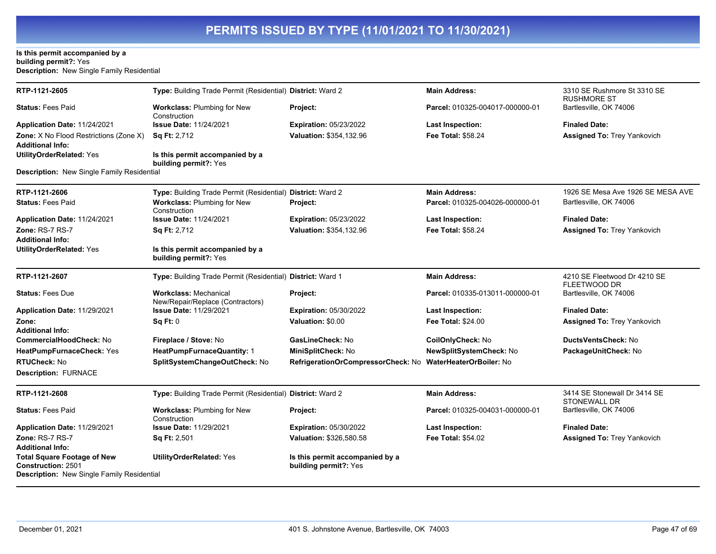#### **Is this permit accompanied by a building permit?:** Yes **Description:** New Single Family Residential

| RTP-1121-2605                                                                                                 | Type: Building Trade Permit (Residential) District: Ward 2       |                                                            | <b>Main Address:</b>            | 3310 SE Rushmore St 3310 SE<br><b>RUSHMORE ST</b>   |
|---------------------------------------------------------------------------------------------------------------|------------------------------------------------------------------|------------------------------------------------------------|---------------------------------|-----------------------------------------------------|
| <b>Status: Fees Paid</b>                                                                                      | <b>Workclass: Plumbing for New</b><br>Construction               | Project:                                                   | Parcel: 010325-004017-000000-01 | Bartlesville, OK 74006                              |
| Application Date: 11/24/2021                                                                                  | <b>Issue Date: 11/24/2021</b>                                    | Expiration: 05/23/2022                                     | <b>Last Inspection:</b>         | <b>Finaled Date:</b>                                |
| Zone: X No Flood Restrictions (Zone X)<br><b>Additional Info:</b>                                             | <b>Sq Ft: 2,712</b>                                              | Valuation: \$354,132.96                                    | Fee Total: \$58.24              | <b>Assigned To: Trey Yankovich</b>                  |
| <b>UtilityOrderRelated: Yes</b>                                                                               | Is this permit accompanied by a<br>building permit?: Yes         |                                                            |                                 |                                                     |
| Description: New Single Family Residential                                                                    |                                                                  |                                                            |                                 |                                                     |
| RTP-1121-2606                                                                                                 | Type: Building Trade Permit (Residential) District: Ward 2       |                                                            | <b>Main Address:</b>            | 1926 SE Mesa Ave 1926 SE MESA AVE                   |
| <b>Status: Fees Paid</b>                                                                                      | Workclass: Plumbing for New<br>Construction                      | Project:                                                   | Parcel: 010325-004026-000000-01 | Bartlesville, OK 74006                              |
| Application Date: 11/24/2021                                                                                  | <b>Issue Date: 11/24/2021</b>                                    | <b>Expiration: 05/23/2022</b>                              | <b>Last Inspection:</b>         | <b>Finaled Date:</b>                                |
| <b>Zone: RS-7 RS-7</b>                                                                                        | Sq Ft: 2,712                                                     | Valuation: \$354,132.96                                    | <b>Fee Total: \$58.24</b>       | <b>Assigned To: Trey Yankovich</b>                  |
| <b>Additional Info:</b>                                                                                       |                                                                  |                                                            |                                 |                                                     |
| <b>UtilityOrderRelated: Yes</b>                                                                               | Is this permit accompanied by a<br>building permit?: Yes         |                                                            |                                 |                                                     |
| RTP-1121-2607                                                                                                 | Type: Building Trade Permit (Residential) District: Ward 1       |                                                            | <b>Main Address:</b>            | 4210 SE Fleetwood Dr 4210 SE<br><b>FLEETWOOD DR</b> |
| <b>Status: Fees Due</b>                                                                                       | <b>Workclass: Mechanical</b><br>New/Repair/Replace (Contractors) | Project:                                                   | Parcel: 010335-013011-000000-01 | Bartlesville, OK 74006                              |
| Application Date: 11/29/2021                                                                                  | <b>Issue Date: 11/29/2021</b>                                    | <b>Expiration: 05/30/2022</b>                              | Last Inspection:                | <b>Finaled Date:</b>                                |
| Zone:                                                                                                         | Sq Ft: 0                                                         | Valuation: \$0.00                                          | <b>Fee Total: \$24.00</b>       | <b>Assigned To: Trey Yankovich</b>                  |
| <b>Additional Info:</b>                                                                                       |                                                                  |                                                            |                                 |                                                     |
| <b>CommercialHoodCheck: No</b>                                                                                | Fireplace / Stove: No                                            | GasLineCheck: No                                           | CoilOnlyCheck: No               | DuctsVentsCheck: No                                 |
| HeatPumpFurnaceCheck: Yes                                                                                     | HeatPumpFurnaceQuantity: 1                                       | MiniSplitCheck: No                                         | NewSplitSystemCheck: No         | PackageUnitCheck: No                                |
| <b>RTUCheck: No</b>                                                                                           | SplitSystemChangeOutCheck: No                                    | RefrigerationOrCompressorCheck: No WaterHeaterOrBoiler: No |                                 |                                                     |
| <b>Description: FURNACE</b>                                                                                   |                                                                  |                                                            |                                 |                                                     |
| RTP-1121-2608                                                                                                 | Type: Building Trade Permit (Residential) District: Ward 2       |                                                            | <b>Main Address:</b>            | 3414 SE Stonewall Dr 3414 SE<br><b>STONEWALL DR</b> |
| <b>Status: Fees Paid</b>                                                                                      | <b>Workclass: Plumbing for New</b><br>Construction               | Project:                                                   | Parcel: 010325-004031-000000-01 | Bartlesville, OK 74006                              |
| Application Date: 11/29/2021                                                                                  | <b>Issue Date: 11/29/2021</b>                                    | <b>Expiration: 05/30/2022</b>                              | <b>Last Inspection:</b>         | <b>Finaled Date:</b>                                |
| Zone: RS-7 RS-7<br><b>Additional Info:</b>                                                                    | Sq Ft: 2,501                                                     | Valuation: \$326,580.58                                    | <b>Fee Total: \$54.02</b>       | <b>Assigned To: Trey Yankovich</b>                  |
| <b>Total Square Footage of New</b><br><b>Construction: 2501</b><br>Description: New Single Family Residential | <b>UtilityOrderRelated: Yes</b>                                  | Is this permit accompanied by a<br>building permit?: Yes   |                                 |                                                     |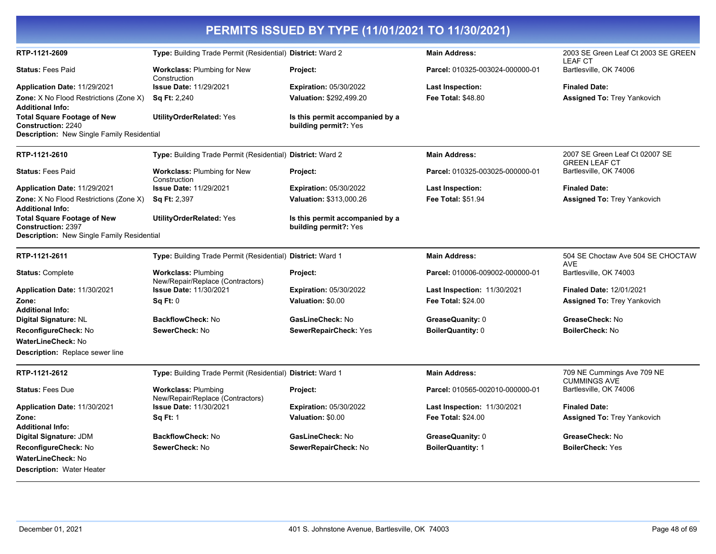| PERMITS ISSUED BY TYPE (11/01/2021 TO 11/30/2021)                                                                                               |                                                                |                                                          |                                    |                                                       |
|-------------------------------------------------------------------------------------------------------------------------------------------------|----------------------------------------------------------------|----------------------------------------------------------|------------------------------------|-------------------------------------------------------|
| RTP-1121-2609                                                                                                                                   | Type: Building Trade Permit (Residential) District: Ward 2     |                                                          | <b>Main Address:</b>               | 2003 SE Green Leaf Ct 2003 SE GREEN<br><b>LEAF CT</b> |
| <b>Status: Fees Paid</b>                                                                                                                        | <b>Workclass: Plumbing for New</b><br>Construction             | Project:                                                 | Parcel: 010325-003024-000000-01    | Bartlesville, OK 74006                                |
| Application Date: 11/29/2021                                                                                                                    | <b>Issue Date: 11/29/2021</b>                                  | <b>Expiration: 05/30/2022</b>                            | Last Inspection:                   | <b>Finaled Date:</b>                                  |
| <b>Zone:</b> X No Flood Restrictions (Zone X)                                                                                                   | <b>Sq Ft: 2,240</b>                                            | Valuation: \$292,499.20                                  | <b>Fee Total: \$48.80</b>          | <b>Assigned To: Trey Yankovich</b>                    |
| <b>Additional Info:</b><br><b>Total Square Footage of New</b><br><b>Construction: 2240</b><br><b>Description:</b> New Single Family Residential | <b>UtilityOrderRelated: Yes</b>                                | Is this permit accompanied by a<br>building permit?: Yes |                                    |                                                       |
| RTP-1121-2610                                                                                                                                   | Type: Building Trade Permit (Residential) District: Ward 2     |                                                          | <b>Main Address:</b>               | 2007 SE Green Leaf Ct 02007 SE                        |
| <b>Status: Fees Paid</b>                                                                                                                        | <b>Workclass: Plumbing for New</b>                             | Project:                                                 | Parcel: 010325-003025-000000-01    | <b>GREEN LEAF CT</b><br>Bartlesville, OK 74006        |
| Application Date: 11/29/2021                                                                                                                    | Construction<br><b>Issue Date: 11/29/2021</b>                  | <b>Expiration: 05/30/2022</b>                            | Last Inspection:                   | <b>Finaled Date:</b>                                  |
| <b>Zone:</b> X No Flood Restrictions (Zone X)<br><b>Additional Info:</b>                                                                        | Sq Ft: 2,397                                                   | Valuation: \$313,000.26                                  | Fee Total: \$51.94                 | <b>Assigned To: Trey Yankovich</b>                    |
| <b>Total Square Footage of New</b><br><b>Construction: 2397</b><br><b>Description:</b> New Single Family Residential                            | <b>UtilityOrderRelated: Yes</b>                                | Is this permit accompanied by a<br>building permit?: Yes |                                    |                                                       |
| RTP-1121-2611                                                                                                                                   | Type: Building Trade Permit (Residential) District: Ward 1     |                                                          | <b>Main Address:</b>               | 504 SE Choctaw Ave 504 SE CHOCTAW<br><b>AVE</b>       |
| <b>Status: Complete</b>                                                                                                                         | <b>Workclass: Plumbing</b><br>New/Repair/Replace (Contractors) | Project:                                                 | Parcel: 010006-009002-000000-01    | Bartlesville, OK 74003                                |
| Application Date: 11/30/2021                                                                                                                    | <b>Issue Date: 11/30/2021</b>                                  | <b>Expiration: 05/30/2022</b>                            | <b>Last Inspection: 11/30/2021</b> | <b>Finaled Date: 12/01/2021</b>                       |
| Zone:                                                                                                                                           | Sq Ft: 0                                                       | Valuation: \$0.00                                        | <b>Fee Total: \$24.00</b>          | <b>Assigned To: Trey Yankovich</b>                    |
| <b>Additional Info:</b><br>Digital Signature: NL                                                                                                | <b>BackflowCheck: No</b>                                       | GasLineCheck: No                                         | GreaseQuanity: 0                   | GreaseCheck: No                                       |
| ReconfigureCheck: No                                                                                                                            | SewerCheck: No                                                 | SewerRepairCheck: Yes                                    | <b>BoilerQuantity: 0</b>           | <b>BoilerCheck: No</b>                                |
| WaterLineCheck: No                                                                                                                              |                                                                |                                                          |                                    |                                                       |
| <b>Description:</b> Replace sewer line                                                                                                          |                                                                |                                                          |                                    |                                                       |
| RTP-1121-2612                                                                                                                                   | Type: Building Trade Permit (Residential) District: Ward 1     |                                                          | <b>Main Address:</b>               | 709 NE Cummings Ave 709 NE<br><b>CUMMINGS AVE</b>     |
| <b>Status: Fees Due</b>                                                                                                                         | <b>Workclass: Plumbing</b><br>New/Repair/Replace (Contractors) | Project:                                                 | Parcel: 010565-002010-000000-01    | Bartlesville, OK 74006                                |
| Application Date: 11/30/2021                                                                                                                    | <b>Issue Date: 11/30/2021</b>                                  | <b>Expiration: 05/30/2022</b>                            | <b>Last Inspection: 11/30/2021</b> | <b>Finaled Date:</b>                                  |
| Zone:                                                                                                                                           | <b>Sq Ft: 1</b>                                                | Valuation: \$0.00                                        | Fee Total: \$24.00                 | <b>Assigned To: Trey Yankovich</b>                    |
| <b>Additional Info:</b>                                                                                                                         |                                                                |                                                          |                                    |                                                       |
| Digital Signature: JDM                                                                                                                          | <b>BackflowCheck: No</b>                                       | GasLineCheck: No                                         | GreaseQuanity: 0                   | GreaseCheck: No                                       |
| ReconfigureCheck: No<br>WaterLineCheck: No                                                                                                      | SewerCheck: No                                                 | SewerRepairCheck: No                                     | <b>BoilerQuantity: 1</b>           | <b>BoilerCheck: Yes</b>                               |
|                                                                                                                                                 |                                                                |                                                          |                                    |                                                       |
| <b>Description: Water Heater</b>                                                                                                                |                                                                |                                                          |                                    |                                                       |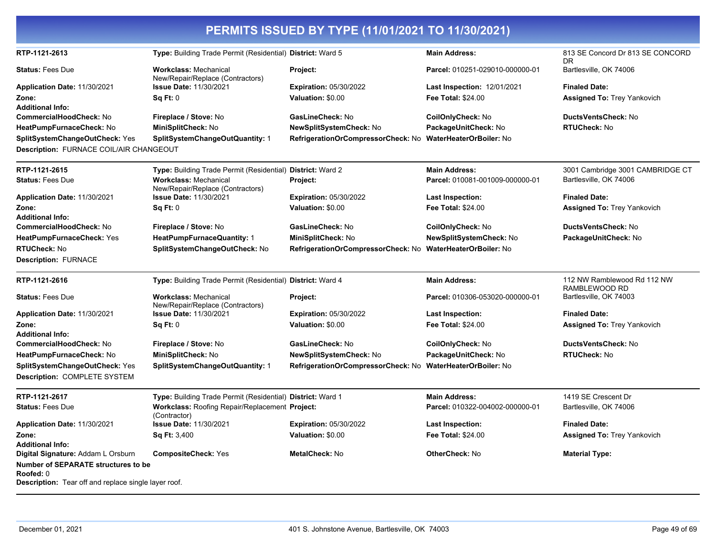|                                                           |                                                                  | PERMITS ISSUED BY TYPE (11/01/2021 TO 11/30/2021)          |                                    |                                              |
|-----------------------------------------------------------|------------------------------------------------------------------|------------------------------------------------------------|------------------------------------|----------------------------------------------|
| RTP-1121-2613                                             | Type: Building Trade Permit (Residential) District: Ward 5       |                                                            | <b>Main Address:</b>               | 813 SE Concord Dr 813 SE CONCORD<br>DR.      |
| <b>Status: Fees Due</b>                                   | <b>Workclass: Mechanical</b><br>New/Repair/Replace (Contractors) | Project:                                                   | Parcel: 010251-029010-000000-01    | Bartlesville, OK 74006                       |
| Application Date: 11/30/2021                              | Issue Date: 11/30/2021                                           | <b>Expiration: 05/30/2022</b>                              | <b>Last Inspection: 12/01/2021</b> | <b>Finaled Date:</b>                         |
| Zone:                                                     | Sq Ft: 0                                                         | Valuation: \$0.00                                          | Fee Total: \$24.00                 | <b>Assigned To: Trey Yankovich</b>           |
| <b>Additional Info:</b><br><b>CommercialHoodCheck: No</b> | Fireplace / Stove: No                                            | GasLineCheck: No                                           | CoilOnlyCheck: No                  | DuctsVentsCheck: No                          |
| HeatPumpFurnaceCheck: No                                  | MiniSplitCheck: No                                               | NewSplitSystemCheck: No                                    | PackageUnitCheck: No               | <b>RTUCheck: No</b>                          |
| SplitSystemChangeOutCheck: Yes                            | SplitSystemChangeOutQuantity: 1                                  | RefrigerationOrCompressorCheck: No WaterHeaterOrBoiler: No |                                    |                                              |
| Description: FURNACE COIL/AIR CHANGEOUT                   |                                                                  |                                                            |                                    |                                              |
| RTP-1121-2615                                             | Type: Building Trade Permit (Residential) District: Ward 2       |                                                            | <b>Main Address:</b>               | 3001 Cambridge 3001 CAMBRIDGE CT             |
| <b>Status: Fees Due</b>                                   | <b>Workclass: Mechanical</b><br>New/Repair/Replace (Contractors) | Project:                                                   | Parcel: 010081-001009-000000-01    | Bartlesville, OK 74006                       |
| Application Date: 11/30/2021                              | Issue Date: 11/30/2021                                           | <b>Expiration: 05/30/2022</b>                              | Last Inspection:                   | <b>Finaled Date:</b>                         |
| Zone:                                                     | Sq Ft: 0                                                         | Valuation: \$0.00                                          | <b>Fee Total: \$24.00</b>          | <b>Assigned To: Trey Yankovich</b>           |
| <b>Additional Info:</b>                                   |                                                                  |                                                            |                                    |                                              |
| <b>CommercialHoodCheck: No</b>                            | Fireplace / Stove: No                                            | GasLineCheck: No                                           | CoilOnlyCheck: No                  | DuctsVentsCheck: No                          |
| HeatPumpFurnaceCheck: Yes                                 | <b>HeatPumpFurnaceQuantity: 1</b>                                | MiniSplitCheck: No                                         | NewSplitSystemCheck: No            | PackageUnitCheck: No                         |
| <b>RTUCheck: No</b>                                       | SplitSystemChangeOutCheck: No                                    | RefrigerationOrCompressorCheck: No                         | <b>WaterHeaterOrBoiler: No</b>     |                                              |
| <b>Description: FURNACE</b>                               |                                                                  |                                                            |                                    |                                              |
| RTP-1121-2616                                             | Type: Building Trade Permit (Residential) District: Ward 4       |                                                            | <b>Main Address:</b>               | 112 NW Ramblewood Rd 112 NW<br>RAMBLEWOOD RD |
| <b>Status: Fees Due</b>                                   | <b>Workclass: Mechanical</b><br>New/Repair/Replace (Contractors) | Project:                                                   | Parcel: 010306-053020-000000-01    | Bartlesville, OK 74003                       |
| Application Date: 11/30/2021                              | <b>Issue Date: 11/30/2021</b>                                    | <b>Expiration: 05/30/2022</b>                              | <b>Last Inspection:</b>            | <b>Finaled Date:</b>                         |
| Zone:                                                     | Sq Ft: 0                                                         | Valuation: \$0.00                                          | <b>Fee Total: \$24.00</b>          | <b>Assigned To: Trey Yankovich</b>           |
| <b>Additional Info:</b>                                   |                                                                  |                                                            |                                    |                                              |
| CommercialHoodCheck: No                                   | Fireplace / Stove: No                                            | GasLineCheck: No                                           | CoilOnlyCheck: No                  | DuctsVentsCheck: No                          |
| HeatPumpFurnaceCheck: No                                  | MiniSplitCheck: No                                               | <b>NewSplitSystemCheck: No</b>                             | PackageUnitCheck: No               | <b>RTUCheck: No</b>                          |
| SplitSystemChangeOutCheck: Yes                            | SplitSystemChangeOutQuantity: 1                                  | RefrigerationOrCompressorCheck: No                         | <b>WaterHeaterOrBoiler: No</b>     |                                              |
| Description: COMPLETE SYSTEM                              |                                                                  |                                                            |                                    |                                              |
| RTP-1121-2617                                             | Type: Building Trade Permit (Residential) District: Ward 1       |                                                            | <b>Main Address:</b>               | 1419 SE Crescent Dr                          |
| <b>Status: Fees Due</b>                                   | Workclass: Roofing Repair/Replacement Project:<br>(Contractor)   |                                                            | Parcel: 010322-004002-000000-01    | Bartlesville, OK 74006                       |
| Application Date: 11/30/2021                              | <b>Issue Date: 11/30/2021</b>                                    | <b>Expiration: 05/30/2022</b>                              | <b>Last Inspection:</b>            | <b>Finaled Date:</b>                         |
| Zone:                                                     | <b>Sq Ft: 3,400</b>                                              | Valuation: \$0.00                                          | <b>Fee Total: \$24.00</b>          | <b>Assigned To: Trey Yankovich</b>           |
| <b>Additional Info:</b>                                   |                                                                  |                                                            |                                    |                                              |
| Digital Signature: Addam L Orsburn                        | <b>CompositeCheck: Yes</b>                                       | <b>MetalCheck: No</b>                                      | <b>OtherCheck: No</b>              | <b>Material Type:</b>                        |
| <b>Number of SEPARATE structures to be</b><br>Roofed: 0   |                                                                  |                                                            |                                    |                                              |

**Description:** Tear off and replace single layer roof.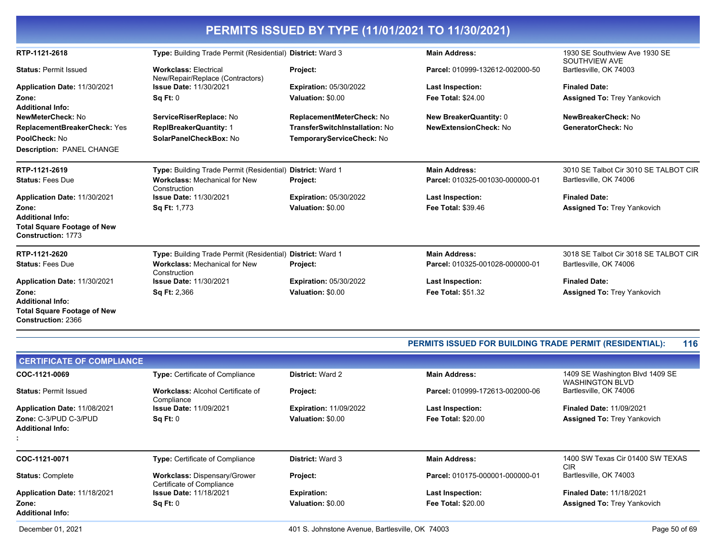|                                                                                     |                                                                  | PERMITS ISSUED BY TYPE (11/01/2021 TO 11/30/2021) |                                 |                                                |
|-------------------------------------------------------------------------------------|------------------------------------------------------------------|---------------------------------------------------|---------------------------------|------------------------------------------------|
| RTP-1121-2618                                                                       | Type: Building Trade Permit (Residential) District: Ward 3       |                                                   | <b>Main Address:</b>            | 1930 SE Southview Ave 1930 SE<br>SOUTHVIEW AVE |
| <b>Status: Permit Issued</b>                                                        | <b>Workclass: Electrical</b><br>New/Repair/Replace (Contractors) | Project:                                          | Parcel: 010999-132612-002000-50 | Bartlesville, OK 74003                         |
| Application Date: 11/30/2021                                                        | <b>Issue Date: 11/30/2021</b>                                    | <b>Expiration: 05/30/2022</b>                     | <b>Last Inspection:</b>         | <b>Finaled Date:</b>                           |
| Zone:<br><b>Additional Info:</b>                                                    | Sq Ft: 0                                                         | Valuation: \$0.00                                 | <b>Fee Total: \$24.00</b>       | <b>Assigned To: Trey Yankovich</b>             |
| NewMeterCheck: No                                                                   | ServiceRiserReplace: No                                          | ReplacementMeterCheck: No                         | <b>New BreakerQuantity: 0</b>   | NewBreakerCheck: No                            |
| ReplacementBreakerCheck: Yes                                                        | <b>ReplBreakerQuantity: 1</b>                                    | TransferSwitchInstallation: No                    | <b>NewExtensionCheck: No</b>    | GeneratorCheck: No                             |
| PoolCheck: No                                                                       | SolarPanelCheckBox: No                                           | TemporaryServiceCheck: No                         |                                 |                                                |
| <b>Description: PANEL CHANGE</b>                                                    |                                                                  |                                                   |                                 |                                                |
| RTP-1121-2619                                                                       | Type: Building Trade Permit (Residential)                        | <b>District: Ward 1</b>                           | <b>Main Address:</b>            | 3010 SE Talbot Cir 3010 SE TALBOT CIR          |
| <b>Status: Fees Due</b>                                                             | <b>Workclass: Mechanical for New</b><br>Construction             | <b>Project:</b>                                   | Parcel: 010325-001030-000000-01 | Bartlesville, OK 74006                         |
| Application Date: 11/30/2021                                                        | <b>Issue Date: 11/30/2021</b>                                    | Expiration: 05/30/2022                            | Last Inspection:                | <b>Finaled Date:</b>                           |
| Zone:                                                                               | Sq Ft: 1,773                                                     | Valuation: \$0.00                                 | <b>Fee Total: \$39.46</b>       | <b>Assigned To: Trey Yankovich</b>             |
| <b>Additional Info:</b>                                                             |                                                                  |                                                   |                                 |                                                |
| <b>Total Square Footage of New</b><br><b>Construction: 1773</b>                     |                                                                  |                                                   |                                 |                                                |
| RTP-1121-2620                                                                       | Type: Building Trade Permit (Residential)                        | District: Ward 1                                  | <b>Main Address:</b>            | 3018 SE Talbot Cir 3018 SE TALBOT CIR          |
| <b>Status: Fees Due</b>                                                             | <b>Workclass: Mechanical for New</b><br>Construction             | Project:                                          | Parcel: 010325-001028-000000-01 | Bartlesville, OK 74006                         |
| Application Date: 11/30/2021                                                        | <b>Issue Date: 11/30/2021</b>                                    | <b>Expiration: 05/30/2022</b>                     | <b>Last Inspection:</b>         | <b>Finaled Date:</b>                           |
| Zone:                                                                               | Sq Ft: 2,366                                                     | Valuation: \$0.00                                 | <b>Fee Total: \$51.32</b>       | <b>Assigned To: Trey Yankovich</b>             |
| <b>Additional Info:</b><br><b>Total Square Footage of New</b><br>Construction: 2366 |                                                                  |                                                   |                                 |                                                |

| <b>PERMITS ISSUED FOR BUILDING TRADE PERMIT (RESIDENTIAL):</b> | 116 |
|----------------------------------------------------------------|-----|
|----------------------------------------------------------------|-----|

| <b>Type:</b> Certificate of Compliance                           | <b>District: Ward 2</b>       | <b>Main Address:</b>            | 1409 SE Washington Blvd 1409 SE<br><b>WASHINGTON BLVD</b> |
|------------------------------------------------------------------|-------------------------------|---------------------------------|-----------------------------------------------------------|
| <b>Workclass: Alcohol Certificate of</b><br>Compliance           | <b>Project:</b>               | Parcel: 010999-172613-002000-06 | Bartlesville, OK 74006                                    |
| <b>Issue Date: 11/09/2021</b>                                    | <b>Expiration: 11/09/2022</b> | <b>Last Inspection:</b>         | <b>Finaled Date: 11/09/2021</b>                           |
| Sq Ft: 0                                                         | Valuation: \$0.00             | <b>Fee Total: \$20.00</b>       | <b>Assigned To: Trey Yankovich</b>                        |
|                                                                  |                               |                                 |                                                           |
| <b>Type:</b> Certificate of Compliance                           | <b>District: Ward 3</b>       | <b>Main Address:</b>            | 1400 SW Texas Cir 01400 SW TEXAS<br>CIR                   |
| <b>Workclass: Dispensary/Grower</b><br>Certificate of Compliance | <b>Project:</b>               | Parcel: 010175-000001-000000-01 | Bartlesville, OK 74003                                    |
| <b>Issue Date: 11/18/2021</b>                                    | <b>Expiration:</b>            | <b>Last Inspection:</b>         | <b>Finaled Date: 11/18/2021</b>                           |
| Sq Ft: 0                                                         | Valuation: \$0.00             | <b>Fee Total: \$20.00</b>       | <b>Assigned To: Trey Yankovich</b>                        |
|                                                                  |                               |                                 |                                                           |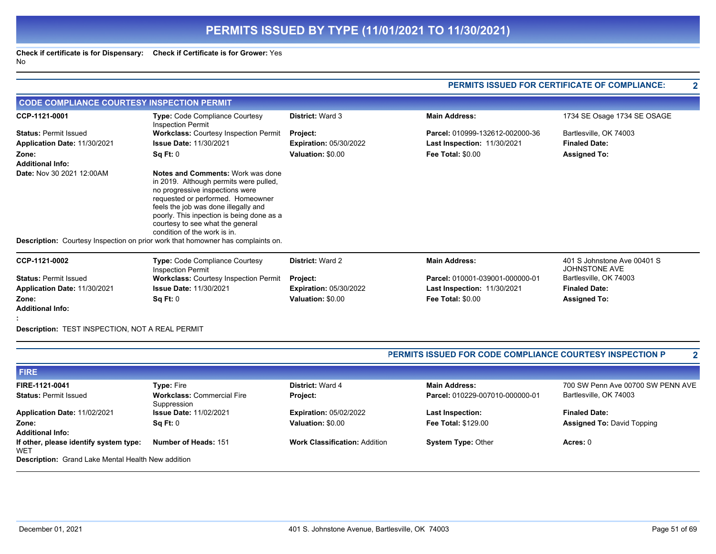**Check if certificate is for Dispensary: Check if Certificate is for Grower:** Yes No

|                                                                                                                   |                                                                                                                                                                                                                                                                                                                                                                                                 |                                      | PERMITS ISSUED FOR CERTIFICATE OF COMPLIANCE:            |                                              |  |
|-------------------------------------------------------------------------------------------------------------------|-------------------------------------------------------------------------------------------------------------------------------------------------------------------------------------------------------------------------------------------------------------------------------------------------------------------------------------------------------------------------------------------------|--------------------------------------|----------------------------------------------------------|----------------------------------------------|--|
| <b>CODE COMPLIANCE COURTESY INSPECTION PERMIT</b>                                                                 |                                                                                                                                                                                                                                                                                                                                                                                                 |                                      |                                                          |                                              |  |
| CCP-1121-0001                                                                                                     | Type: Code Compliance Courtesy<br><b>Inspection Permit</b>                                                                                                                                                                                                                                                                                                                                      | <b>District: Ward 3</b>              | <b>Main Address:</b>                                     | 1734 SE Osage 1734 SE OSAGE                  |  |
| <b>Status: Permit Issued</b>                                                                                      | <b>Workclass: Courtesy Inspection Permit</b>                                                                                                                                                                                                                                                                                                                                                    | Project:                             | Parcel: 010999-132612-002000-36                          | Bartlesville, OK 74003                       |  |
| Application Date: 11/30/2021                                                                                      | <b>Issue Date: 11/30/2021</b>                                                                                                                                                                                                                                                                                                                                                                   | <b>Expiration: 05/30/2022</b>        | Last Inspection: 11/30/2021                              | <b>Finaled Date:</b>                         |  |
| Zone:<br><b>Additional Info:</b>                                                                                  | Sq Ft: 0                                                                                                                                                                                                                                                                                                                                                                                        | Valuation: \$0.00                    | Fee Total: \$0.00                                        | <b>Assigned To:</b>                          |  |
| Date: Nov 30 2021 12:00AM                                                                                         | Notes and Comments: Work was done<br>in 2019. Although permits were pulled,<br>no progressive inspections were<br>requested or performed. Homeowner<br>feels the job was done illegally and<br>poorly. This inpection is being done as a<br>courtesy to see what the general<br>condition of the work is in.<br>Description: Courtesy Inspection on prior work that homowner has complaints on. |                                      |                                                          |                                              |  |
|                                                                                                                   |                                                                                                                                                                                                                                                                                                                                                                                                 |                                      |                                                          |                                              |  |
| CCP-1121-0002                                                                                                     | Type: Code Compliance Courtesy<br><b>Inspection Permit</b>                                                                                                                                                                                                                                                                                                                                      | <b>District: Ward 2</b>              | <b>Main Address:</b>                                     | 401 S Johnstone Ave 00401 S<br>JOHNSTONE AVE |  |
| <b>Status: Permit Issued</b>                                                                                      | <b>Workclass: Courtesy Inspection Permit</b>                                                                                                                                                                                                                                                                                                                                                    | Project:                             | Parcel: 010001-039001-000000-01                          | Bartlesville, OK 74003                       |  |
| Application Date: 11/30/2021                                                                                      | <b>Issue Date: 11/30/2021</b>                                                                                                                                                                                                                                                                                                                                                                   | <b>Expiration: 05/30/2022</b>        | Last Inspection: 11/30/2021                              | <b>Finaled Date:</b>                         |  |
| Zone:                                                                                                             | Sq Ft: 0                                                                                                                                                                                                                                                                                                                                                                                        | Valuation: \$0.00                    | <b>Fee Total: \$0.00</b>                                 | <b>Assigned To:</b>                          |  |
| <b>Additional Info:</b>                                                                                           |                                                                                                                                                                                                                                                                                                                                                                                                 |                                      |                                                          |                                              |  |
|                                                                                                                   |                                                                                                                                                                                                                                                                                                                                                                                                 |                                      |                                                          |                                              |  |
| Description: TEST INSPECTION, NOT A REAL PERMIT                                                                   |                                                                                                                                                                                                                                                                                                                                                                                                 |                                      |                                                          |                                              |  |
|                                                                                                                   |                                                                                                                                                                                                                                                                                                                                                                                                 |                                      | PERMITS ISSUED FOR CODE COMPLIANCE COURTESY INSPECTION P | $\mathbf{2}$                                 |  |
|                                                                                                                   |                                                                                                                                                                                                                                                                                                                                                                                                 |                                      |                                                          |                                              |  |
| <b>FIRE</b>                                                                                                       |                                                                                                                                                                                                                                                                                                                                                                                                 |                                      |                                                          |                                              |  |
| FIRE-1121-0041                                                                                                    | <b>Type: Fire</b>                                                                                                                                                                                                                                                                                                                                                                               | <b>District: Ward 4</b>              | <b>Main Address:</b>                                     | 700 SW Penn Ave 00700 SW PENN AVE            |  |
| <b>Status: Permit Issued</b>                                                                                      | <b>Workclass: Commercial Fire</b><br>Suppression                                                                                                                                                                                                                                                                                                                                                | Project:                             | Parcel: 010229-007010-000000-01                          | Bartlesville, OK 74003                       |  |
| Application Date: 11/02/2021                                                                                      | <b>Issue Date: 11/02/2021</b>                                                                                                                                                                                                                                                                                                                                                                   | <b>Expiration: 05/02/2022</b>        | <b>Last Inspection:</b>                                  | <b>Finaled Date:</b>                         |  |
| Zone:                                                                                                             | Sq Ft: 0                                                                                                                                                                                                                                                                                                                                                                                        | Valuation: \$0.00                    | Fee Total: \$129.00                                      | <b>Assigned To: David Topping</b>            |  |
| <b>Additional Info:</b>                                                                                           |                                                                                                                                                                                                                                                                                                                                                                                                 |                                      |                                                          |                                              |  |
| If other, please identify system type:<br><b>WET</b><br><b>Description:</b> Grand Lake Mental Health New addition | Number of Heads: 151                                                                                                                                                                                                                                                                                                                                                                            | <b>Work Classification: Addition</b> | <b>System Type: Other</b>                                | Acres: 0                                     |  |

**PERMITS ISSUED FOR CERTIFICATE OF COMPLIANCE: 2**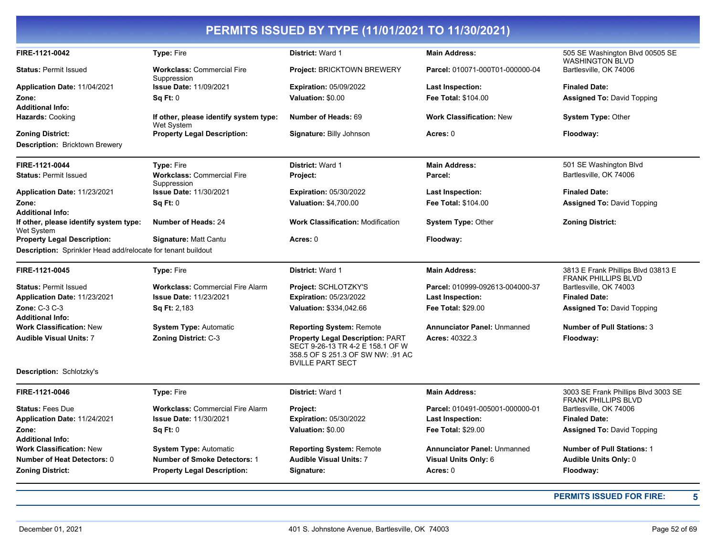| FIRE-1121-0042                                               | Type: Fire                                           | District: Ward 1                                                                                                                            | <b>Main Address:</b>               | 505 SE Washington Blvd 00505 SE<br><b>WASHINGTON BLVD</b>         |
|--------------------------------------------------------------|------------------------------------------------------|---------------------------------------------------------------------------------------------------------------------------------------------|------------------------------------|-------------------------------------------------------------------|
| <b>Status: Permit Issued</b>                                 | <b>Workclass: Commercial Fire</b><br>Suppression     | <b>Project: BRICKTOWN BREWERY</b>                                                                                                           | Parcel: 010071-000T01-000000-04    | Bartlesville, OK 74006                                            |
| <b>Application Date: 11/04/2021</b>                          | <b>Issue Date: 11/09/2021</b>                        | <b>Expiration: 05/09/2022</b>                                                                                                               | <b>Last Inspection:</b>            | <b>Finaled Date:</b>                                              |
| Zone:                                                        | Sq Ft: 0                                             | Valuation: \$0.00                                                                                                                           | <b>Fee Total: \$104.00</b>         | <b>Assigned To: David Topping</b>                                 |
| <b>Additional Info:</b>                                      |                                                      |                                                                                                                                             |                                    |                                                                   |
| Hazards: Cooking                                             | If other, please identify system type:<br>Wet System | Number of Heads: 69                                                                                                                         | <b>Work Classification: New</b>    | <b>System Type: Other</b>                                         |
| <b>Zoning District:</b>                                      | <b>Property Legal Description:</b>                   | Signature: Billy Johnson                                                                                                                    | Acres: 0                           | Floodway:                                                         |
| <b>Description: Bricktown Brewery</b>                        |                                                      |                                                                                                                                             |                                    |                                                                   |
| FIRE-1121-0044                                               | <b>Type: Fire</b>                                    | <b>District: Ward 1</b>                                                                                                                     | <b>Main Address:</b>               | 501 SE Washington Blvd                                            |
| <b>Status: Permit Issued</b>                                 | <b>Workclass: Commercial Fire</b><br>Suppression     | Project:                                                                                                                                    | Parcel:                            | Bartlesville, OK 74006                                            |
| Application Date: 11/23/2021                                 | <b>Issue Date: 11/30/2021</b>                        | <b>Expiration: 05/30/2022</b>                                                                                                               | <b>Last Inspection:</b>            | <b>Finaled Date:</b>                                              |
| Zone:                                                        | Sq Ft: 0                                             | <b>Valuation: \$4,700.00</b>                                                                                                                | Fee Total: \$104.00                | <b>Assigned To: David Topping</b>                                 |
| <b>Additional Info:</b>                                      |                                                      |                                                                                                                                             |                                    |                                                                   |
| If other, please identify system type:<br>Wet System         | <b>Number of Heads: 24</b>                           | <b>Work Classification: Modification</b>                                                                                                    | <b>System Type: Other</b>          | <b>Zoning District:</b>                                           |
| <b>Property Legal Description:</b>                           | Signature: Matt Cantu                                | Acres: 0                                                                                                                                    | Floodway:                          |                                                                   |
| Description: Sprinkler Head add/relocate for tenant buildout |                                                      |                                                                                                                                             |                                    |                                                                   |
| FIRE-1121-0045                                               | <b>Type: Fire</b>                                    | District: Ward 1                                                                                                                            | <b>Main Address:</b>               | 3813 E Frank Phillips Blvd 03813 E<br><b>FRANK PHILLIPS BLVD</b>  |
| <b>Status: Permit Issued</b>                                 | <b>Workclass: Commercial Fire Alarm</b>              | Project: SCHLOTZKY'S                                                                                                                        | Parcel: 010999-092613-004000-37    | Bartlesville, OK 74003                                            |
| <b>Application Date: 11/23/2021</b>                          | <b>Issue Date: 11/23/2021</b>                        | <b>Expiration: 05/23/2022</b>                                                                                                               | <b>Last Inspection:</b>            | <b>Finaled Date:</b>                                              |
| <b>Zone: C-3 C-3</b>                                         | <b>Sq Ft: 2,183</b>                                  | <b>Valuation: \$334,042.66</b>                                                                                                              | <b>Fee Total: \$29.00</b>          | <b>Assigned To: David Topping</b>                                 |
| <b>Additional Info:</b>                                      |                                                      |                                                                                                                                             |                                    |                                                                   |
| <b>Work Classification: New</b>                              | <b>System Type: Automatic</b>                        | <b>Reporting System: Remote</b>                                                                                                             | <b>Annunciator Panel: Unmanned</b> | <b>Number of Pull Stations: 3</b>                                 |
| <b>Audible Visual Units: 7</b>                               | <b>Zoning District: C-3</b>                          | <b>Property Legal Description: PART</b><br>SECT 9-26-13 TR 4-2 E 158.1 OF W<br>358.5 OF S 251.3 OF SW NW: .91 AC<br><b>BVILLE PART SECT</b> | <b>Acres: 40322.3</b>              | Floodway:                                                         |
| <b>Description: Schlotzky's</b>                              |                                                      |                                                                                                                                             |                                    |                                                                   |
| FIRE-1121-0046                                               | <b>Type: Fire</b>                                    | District: Ward 1                                                                                                                            | <b>Main Address:</b>               | 3003 SE Frank Phillips Blvd 3003 SE<br><b>FRANK PHILLIPS BLVD</b> |
| <b>Status: Fees Due</b>                                      | <b>Workclass: Commercial Fire Alarm</b>              | Project:                                                                                                                                    | Parcel: 010491-005001-000000-01    | Bartlesville, OK 74006                                            |
| Application Date: 11/24/2021                                 | <b>Issue Date: 11/30/2021</b>                        | <b>Expiration: 05/30/2022</b>                                                                                                               | <b>Last Inspection:</b>            | <b>Finaled Date:</b>                                              |
| Zone:                                                        | Sq Ft: 0                                             | Valuation: \$0.00                                                                                                                           | <b>Fee Total: \$29.00</b>          | <b>Assigned To: David Topping</b>                                 |
| <b>Additional Info:</b>                                      |                                                      |                                                                                                                                             |                                    |                                                                   |
| <b>Work Classification: New</b>                              | <b>System Type: Automatic</b>                        | <b>Reporting System: Remote</b>                                                                                                             | <b>Annunciator Panel: Unmanned</b> | <b>Number of Pull Stations: 1</b>                                 |
| <b>Number of Heat Detectors: 0</b>                           | <b>Number of Smoke Detectors: 1</b>                  | <b>Audible Visual Units: 7</b>                                                                                                              | Visual Units Only: 6               | <b>Audible Units Only: 0</b>                                      |
| <b>Zoning District:</b>                                      | <b>Property Legal Description:</b>                   | Signature:                                                                                                                                  | Acres: 0                           | Floodway:                                                         |
|                                                              |                                                      |                                                                                                                                             |                                    |                                                                   |

**PERMITS ISSUED FOR FIRE: 5**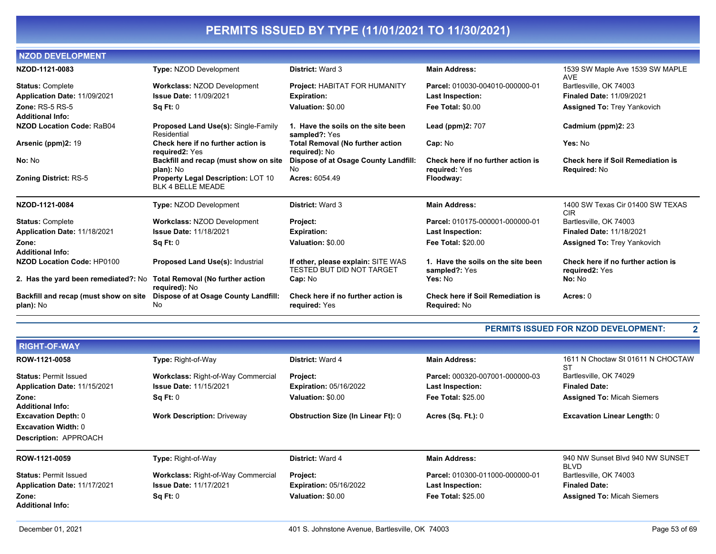| <b>NZOD DEVELOPMENT</b>                                               |                                                                       |                                                                 |                                                          |                                                                 |
|-----------------------------------------------------------------------|-----------------------------------------------------------------------|-----------------------------------------------------------------|----------------------------------------------------------|-----------------------------------------------------------------|
| NZOD-1121-0083                                                        | <b>Type: NZOD Development</b>                                         | <b>District: Ward 3</b>                                         | <b>Main Address:</b>                                     | 1539 SW Maple Ave 1539 SW MAPLE<br><b>AVE</b>                   |
| <b>Status: Complete</b>                                               | <b>Workclass: NZOD Development</b>                                    | Project: HABITAT FOR HUMANITY                                   | Parcel: 010030-004010-000000-01                          | Bartlesville, OK 74003                                          |
| Application Date: 11/09/2021                                          | <b>Issue Date: 11/09/2021</b>                                         | <b>Expiration:</b>                                              | <b>Last Inspection:</b>                                  | <b>Finaled Date: 11/09/2021</b>                                 |
| Zone: $RS-5RS-5$                                                      | SqFt:0                                                                | Valuation: \$0.00                                               | <b>Fee Total: \$0.00</b>                                 | <b>Assigned To: Trey Yankovich</b>                              |
| <b>Additional Info:</b>                                               |                                                                       |                                                                 |                                                          |                                                                 |
| NZOD Location Code: RaB04                                             | <b>Proposed Land Use(s): Single-Family</b><br>Residential             | 1. Have the soils on the site been<br>sampled?: Yes             | <b>Lead (ppm)2: 707</b>                                  | Cadmium (ppm)2: 23                                              |
| Arsenic (ppm)2: 19                                                    | Check here if no further action is<br>required2: Yes                  | <b>Total Removal (No further action</b><br>required): No        | Cap: No                                                  | Yes: No                                                         |
| No: No                                                                | Backfill and recap (must show on site<br>plan): No                    | Dispose of at Osage County Landfill:<br>No                      | Check here if no further action is<br>required: Yes      | <b>Check here if Soil Remediation is</b><br><b>Required: No</b> |
| <b>Zoning District: RS-5</b>                                          | <b>Property Legal Description: LOT 10</b><br><b>BLK 4 BELLE MEADE</b> | Acres: 6054.49                                                  | Floodway:                                                |                                                                 |
| NZOD-1121-0084                                                        | <b>Type: NZOD Development</b>                                         | <b>District: Ward 3</b>                                         | <b>Main Address:</b>                                     | 1400 SW Texas Cir 01400 SW TEXAS<br><b>CIR</b>                  |
| <b>Status: Complete</b>                                               | <b>Workclass: NZOD Development</b>                                    | Project:                                                        | Parcel: 010175-000001-000000-01                          | Bartlesville, OK 74003                                          |
| Application Date: 11/18/2021                                          | <b>Issue Date: 11/18/2021</b>                                         | <b>Expiration:</b>                                              | Last Inspection:                                         | <b>Finaled Date: 11/18/2021</b>                                 |
| Zone:                                                                 | Sq Ft: 0                                                              | Valuation: \$0.00                                               | <b>Fee Total: \$20.00</b>                                | <b>Assigned To: Trey Yankovich</b>                              |
| <b>Additional Info:</b>                                               |                                                                       |                                                                 |                                                          |                                                                 |
| <b>NZOD Location Code: HP0100</b>                                     | <b>Proposed Land Use(s): Industrial</b>                               | If other, please explain: SITE WAS<br>TESTED BUT DID NOT TARGET | 1. Have the soils on the site been<br>sampled?: Yes      | Check here if no further action is<br>required2: Yes            |
| 2. Has the yard been remediated?: No Total Removal (No further action | required): No                                                         | Cap: No                                                         | Yes: No                                                  | No: No                                                          |
| Backfill and recap (must show on site<br>plan): No                    | Dispose of at Osage County Landfill:<br>No                            | Check here if no further action is<br>required: Yes             | <b>Check here if Soil Remediation is</b><br>Required: No | Acres: 0                                                        |

#### **PERMITS ISSUED FOR NZOD DEVELOPMENT: 2**

| <b>RIGHT-OF-WAY</b>          |                                           |                                           |                                 |                                                 |
|------------------------------|-------------------------------------------|-------------------------------------------|---------------------------------|-------------------------------------------------|
| ROW-1121-0058                | Type: Right-of-Way                        | <b>District: Ward 4</b>                   | <b>Main Address:</b>            | 1611 N Choctaw St 01611 N CHOCTAW<br>ST         |
| <b>Status: Permit Issued</b> | <b>Workclass: Right-of-Way Commercial</b> | <b>Project:</b>                           | Parcel: 000320-007001-000000-03 | Bartlesville, OK 74029                          |
| Application Date: 11/15/2021 | <b>Issue Date: 11/15/2021</b>             | <b>Expiration: 05/16/2022</b>             | <b>Last Inspection:</b>         | <b>Finaled Date:</b>                            |
| Zone:                        | Sq Ft: 0                                  | Valuation: \$0.00                         | <b>Fee Total: \$25.00</b>       | <b>Assigned To: Micah Siemers</b>               |
| <b>Additional Info:</b>      |                                           |                                           |                                 |                                                 |
| <b>Excavation Depth: 0</b>   | <b>Work Description: Driveway</b>         | <b>Obstruction Size (In Linear Ft): 0</b> | <b>Acres (Sq. Ft.): 0</b>       | <b>Excavation Linear Length: 0</b>              |
| <b>Excavation Width: 0</b>   |                                           |                                           |                                 |                                                 |
| <b>Description: APPROACH</b> |                                           |                                           |                                 |                                                 |
| ROW-1121-0059                | Type: Right-of-Way                        | <b>District: Ward 4</b>                   | <b>Main Address:</b>            | 940 NW Sunset Blvd 940 NW SUNSET<br><b>BLVD</b> |
| <b>Status: Permit Issued</b> | <b>Workclass: Right-of-Way Commercial</b> | <b>Project:</b>                           | Parcel: 010300-011000-000000-01 | Bartlesville, OK 74003                          |
| Application Date: 11/17/2021 | <b>Issue Date: 11/17/2021</b>             | <b>Expiration: 05/16/2022</b>             | Last Inspection:                | <b>Finaled Date:</b>                            |
| Zone:                        | Sq Ft: 0                                  | Valuation: \$0.00                         | <b>Fee Total: \$25.00</b>       | <b>Assigned To: Micah Siemers</b>               |
| <b>Additional Info:</b>      |                                           |                                           |                                 |                                                 |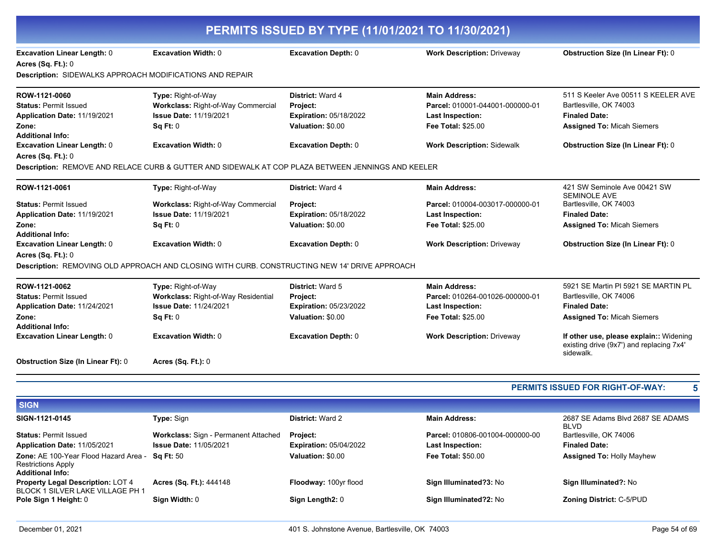|                                                                                                                                    | PERMITS ISSUED BY TYPE (11/01/2021 TO 11/30/2021)                                                                           |                                                                                                  |                                                                                                                 |                                                                                                                            |  |
|------------------------------------------------------------------------------------------------------------------------------------|-----------------------------------------------------------------------------------------------------------------------------|--------------------------------------------------------------------------------------------------|-----------------------------------------------------------------------------------------------------------------|----------------------------------------------------------------------------------------------------------------------------|--|
| <b>Excavation Linear Length: 0</b><br><b>Acres (Sq. Ft.): 0</b><br><b>Description: SIDEWALKS APPROACH MODIFICATIONS AND REPAIR</b> | Excavation Width: 0                                                                                                         | <b>Excavation Depth: 0</b>                                                                       | <b>Work Description: Driveway</b>                                                                               | <b>Obstruction Size (In Linear Ft): 0</b>                                                                                  |  |
|                                                                                                                                    |                                                                                                                             |                                                                                                  |                                                                                                                 |                                                                                                                            |  |
| ROW-1121-0060<br><b>Status: Permit Issued</b><br>Application Date: 11/19/2021<br>Zone:                                             | Type: Right-of-Way<br>Workclass: Right-of-Way Commercial<br><b>Issue Date: 11/19/2021</b><br>Sq Ft: 0                       | District: Ward 4<br>Project:<br>Expiration: 05/18/2022<br>Valuation: \$0.00                      | <b>Main Address:</b><br>Parcel: 010001-044001-000000-01<br>Last Inspection:<br><b>Fee Total: \$25.00</b>        | 511 S Keeler Ave 00511 S KEELER AVE<br>Bartlesville, OK 74003<br><b>Finaled Date:</b><br><b>Assigned To: Micah Siemers</b> |  |
| <b>Additional Info:</b><br><b>Excavation Linear Length: 0</b><br>Acres (Sq. Ft.): 0                                                | <b>Excavation Width: 0</b>                                                                                                  | <b>Excavation Depth: 0</b>                                                                       | <b>Work Description: Sidewalk</b>                                                                               | <b>Obstruction Size (In Linear Ft): 0</b>                                                                                  |  |
|                                                                                                                                    | Description: REMOVE AND RELACE CURB & GUTTER AND SIDEWALK AT COP PLAZA BETWEEN JENNINGS AND KEELER                          |                                                                                                  |                                                                                                                 |                                                                                                                            |  |
| ROW-1121-0061                                                                                                                      | Type: Right-of-Way                                                                                                          | District: Ward 4                                                                                 | <b>Main Address:</b>                                                                                            | 421 SW Seminole Ave 00421 SW<br><b>SEMINOLE AVE</b>                                                                        |  |
| <b>Status: Permit Issued</b><br>Application Date: 11/19/2021<br>Zone:                                                              | <b>Workclass: Right-of-Way Commercial</b><br><b>Issue Date: 11/19/2021</b><br>Sq Ft: 0                                      | Project:<br><b>Expiration: 05/18/2022</b><br>Valuation: \$0.00                                   | Parcel: 010004-003017-000000-01<br><b>Last Inspection:</b><br><b>Fee Total: \$25.00</b>                         | Bartlesville, OK 74003<br><b>Finaled Date:</b><br><b>Assigned To: Micah Siemers</b>                                        |  |
| <b>Additional Info:</b><br><b>Excavation Linear Length: 0</b><br><b>Acres (Sq. Ft.): 0</b>                                         | <b>Excavation Width: 0</b><br>Description: REMOVING OLD APPROACH AND CLOSING WITH CURB. CONSTRUCTING NEW 14' DRIVE APPROACH | <b>Excavation Depth: 0</b>                                                                       | <b>Work Description: Driveway</b>                                                                               | <b>Obstruction Size (In Linear Ft): 0</b>                                                                                  |  |
| ROW-1121-0062<br><b>Status: Permit Issued</b><br>Application Date: 11/24/2021<br>Zone:<br><b>Additional Info:</b>                  | Type: Right-of-Way<br>Workclass: Right-of-Way Residential<br>Issue Date: 11/24/2021<br>Sq Ft: 0                             | <b>District: Ward 5</b><br><b>Project:</b><br><b>Expiration: 05/23/2022</b><br>Valuation: \$0.00 | <b>Main Address:</b><br>Parcel: 010264-001026-000000-01<br><b>Last Inspection:</b><br><b>Fee Total: \$25.00</b> | 5921 SE Martin PI 5921 SE MARTIN PL<br>Bartlesville, OK 74006<br><b>Finaled Date:</b><br><b>Assigned To: Micah Siemers</b> |  |
| <b>Excavation Linear Length: 0</b>                                                                                                 | <b>Excavation Width: 0</b>                                                                                                  | <b>Excavation Depth: 0</b>                                                                       | <b>Work Description: Driveway</b>                                                                               | If other use, please explain:: Widening<br>existing drive (9x7') and replacing 7x4'<br>sidewalk.                           |  |
| <b>Obstruction Size (In Linear Ft): 0</b>                                                                                          | <b>Acres (Sq. Ft.): 0</b>                                                                                                   |                                                                                                  |                                                                                                                 |                                                                                                                            |  |
|                                                                                                                                    |                                                                                                                             |                                                                                                  |                                                                                                                 | PERMITS ISSUED FOR RIGHT-OF-WAY:<br>5                                                                                      |  |
| <b>SIGN</b>                                                                                                                        |                                                                                                                             |                                                                                                  |                                                                                                                 |                                                                                                                            |  |
| SIGN-1121-0145                                                                                                                     | Type: Sign                                                                                                                  | District: Ward 2                                                                                 | <b>Main Address:</b>                                                                                            | 2687 SE Adams Blvd 2687 SE ADAMS<br><b>BLVD</b>                                                                            |  |
| <b>Status: Permit Issued</b><br>Application Date: 11/05/2021                                                                       | Workclass: Sign - Permanent Attached<br><b>Issue Date: 11/05/2021</b>                                                       | Project:<br><b>Expiration: 05/04/2022</b>                                                        | Parcel: 010806-001004-000000-00<br>Last Inspection:                                                             | Bartlesville, OK 74006<br><b>Finaled Date:</b>                                                                             |  |
| Zone: AE 100-Year Flood Hazard Area -<br><b>Restrictions Apply</b><br><b>Additional Info:</b>                                      | <b>Sq Ft: 50</b>                                                                                                            | Valuation: \$0.00                                                                                | <b>Fee Total: \$50.00</b>                                                                                       | <b>Assigned To: Holly Mayhew</b>                                                                                           |  |
| <b>Property Legal Description: LOT 4</b>                                                                                           | <b>Acres (Sq. Ft.): 444148</b>                                                                                              | Floodway: 100yr flood                                                                            | Sign Illuminated?3: No                                                                                          | Sign Illuminated?: No                                                                                                      |  |

BLOCK 1 SILVER LAKE VILLAGE PH 1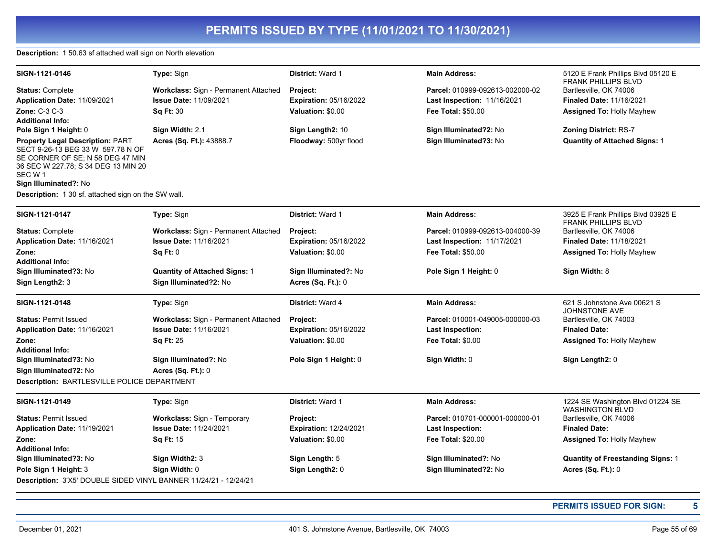#### **Description:** 1 50.63 sf attached wall sign on North elevation

| SIGN-1121-0146                                                                                                                                                                              | Type: Sign                                  | <b>District: Ward 1</b>       | <b>Main Address:</b>               | 5120 E Frank Phillips Blvd 05120 E<br><b>FRANK PHILLIPS BLVD</b> |
|---------------------------------------------------------------------------------------------------------------------------------------------------------------------------------------------|---------------------------------------------|-------------------------------|------------------------------------|------------------------------------------------------------------|
| <b>Status: Complete</b>                                                                                                                                                                     | Workclass: Sign - Permanent Attached        | Project:                      | Parcel: 010999-092613-002000-02    | Bartlesville, OK 74006                                           |
| <b>Application Date: 11/09/2021</b>                                                                                                                                                         | <b>Issue Date: 11/09/2021</b>               | <b>Expiration: 05/16/2022</b> | <b>Last Inspection: 11/16/2021</b> | <b>Finaled Date: 11/16/2021</b>                                  |
| <b>Zone: C-3 C-3</b>                                                                                                                                                                        | <b>Sq Ft: 30</b>                            | Valuation: \$0.00             | <b>Fee Total: \$50.00</b>          | <b>Assigned To: Holly Mayhew</b>                                 |
| <b>Additional Info:</b>                                                                                                                                                                     |                                             |                               |                                    |                                                                  |
| Pole Sign 1 Height: 0                                                                                                                                                                       | Sign Width: 2.1                             | Sign Length2: 10              | Sign Illuminated?2: No             | <b>Zoning District: RS-7</b>                                     |
| <b>Property Legal Description: PART</b><br>SECT 9-26-13 BEG 33 W 597.78 N OF<br>SE CORNER OF SE; N 58 DEG 47 MIN<br>36 SEC W 227.78; S 34 DEG 13 MIN 20<br>SEC W 1<br>Sign Illuminated?: No | Acres (Sq. Ft.): 43888.7                    | Floodway: 500yr flood         | Sign Illuminated?3: No             | <b>Quantity of Attached Signs: 1</b>                             |
| Description: 1 30 sf. attached sign on the SW wall.                                                                                                                                         |                                             |                               |                                    |                                                                  |
| SIGN-1121-0147                                                                                                                                                                              | Type: Sign                                  | District: Ward 1              | <b>Main Address:</b>               | 3925 E Frank Phillips Blvd 03925 E<br><b>FRANK PHILLIPS BLVD</b> |
| <b>Status: Complete</b>                                                                                                                                                                     | Workclass: Sign - Permanent Attached        | <b>Project:</b>               | Parcel: 010999-092613-004000-39    | Bartlesville, OK 74006                                           |
| Application Date: 11/16/2021                                                                                                                                                                | <b>Issue Date: 11/16/2021</b>               | <b>Expiration: 05/16/2022</b> | <b>Last Inspection: 11/17/2021</b> | <b>Finaled Date: 11/18/2021</b>                                  |
| Zone:<br><b>Additional Info:</b>                                                                                                                                                            | SqFt:0                                      | Valuation: \$0.00             | <b>Fee Total: \$50.00</b>          | <b>Assigned To: Holly Mayhew</b>                                 |
| Sign Illuminated?3: No                                                                                                                                                                      | <b>Quantity of Attached Signs: 1</b>        | Sign Illuminated?: No         | Pole Sign 1 Height: 0              | Sign Width: 8                                                    |
| Sign Length2: 3                                                                                                                                                                             | Sign Illuminated?2: No                      | <b>Acres (Sq. Ft.): 0</b>     |                                    |                                                                  |
| SIGN-1121-0148                                                                                                                                                                              | Type: Sign                                  | District: Ward 4              | <b>Main Address:</b>               | 621 S Johnstone Ave 00621 S<br><b>JOHNSTONE AVE</b>              |
| <b>Status: Permit Issued</b>                                                                                                                                                                | <b>Workclass: Sign - Permanent Attached</b> | Project:                      | Parcel: 010001-049005-000000-03    | Bartlesville, OK 74003                                           |
| Application Date: 11/16/2021                                                                                                                                                                | <b>Issue Date: 11/16/2021</b>               | <b>Expiration: 05/16/2022</b> | Last Inspection:                   | <b>Finaled Date:</b>                                             |
| Zone:<br><b>Additional Info:</b>                                                                                                                                                            | <b>Sq Ft: 25</b>                            | Valuation: \$0.00             | <b>Fee Total: \$0.00</b>           | <b>Assigned To: Holly Mayhew</b>                                 |
| Sign Illuminated?3: No<br>Sign Illuminated?2: No                                                                                                                                            | Sign Illuminated?: No<br>Acres (Sq. Ft.): 0 | Pole Sign 1 Height: 0         | Sign Width: 0                      | Sign Length2: 0                                                  |
| Description: BARTLESVILLE POLICE DEPARTMENT                                                                                                                                                 |                                             |                               |                                    |                                                                  |
| SIGN-1121-0149                                                                                                                                                                              | Type: Sign                                  | District: Ward 1              | <b>Main Address:</b>               | 1224 SE Washington Blvd 01224 SE<br><b>WASHINGTON BLVD</b>       |
| <b>Status: Permit Issued</b>                                                                                                                                                                | Workclass: Sign - Temporary                 | Project:                      | Parcel: 010701-000001-000000-01    | Bartlesville, OK 74006                                           |
| Application Date: 11/19/2021                                                                                                                                                                | <b>Issue Date: 11/24/2021</b>               | <b>Expiration: 12/24/2021</b> | <b>Last Inspection:</b>            | <b>Finaled Date:</b>                                             |
| Zone:                                                                                                                                                                                       | <b>Sq Ft: 15</b>                            | Valuation: \$0.00             | <b>Fee Total: \$20.00</b>          | <b>Assigned To: Holly Mayhew</b>                                 |
| <b>Additional Info:</b>                                                                                                                                                                     |                                             |                               |                                    |                                                                  |
| Sign Illuminated?3: No                                                                                                                                                                      | Sign Width2: 3                              | Sign Length: 5                | Sign Illuminated?: No              | <b>Quantity of Freestanding Signs: 1</b>                         |
| Pole Sign 1 Height: 3                                                                                                                                                                       | Sign Width: 0                               | Sign Length2: 0               | Sign Illuminated?2: No             | Acres (Sq. Ft.): 0                                               |
| Description: 3'X5' DOUBLE SIDED VINYL BANNER 11/24/21 - 12/24/21                                                                                                                            |                                             |                               |                                    |                                                                  |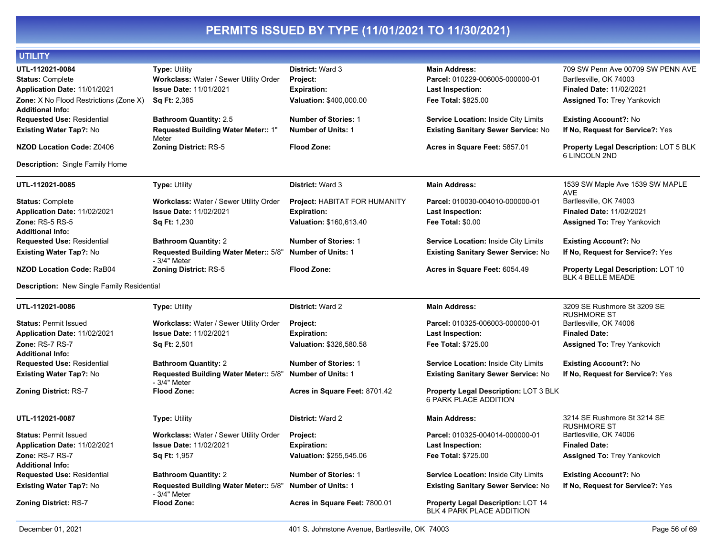| UTILITY                                                                                                              |                                                                                                                 |                                                                                      |                                                                                                           |                                                                                                                                      |
|----------------------------------------------------------------------------------------------------------------------|-----------------------------------------------------------------------------------------------------------------|--------------------------------------------------------------------------------------|-----------------------------------------------------------------------------------------------------------|--------------------------------------------------------------------------------------------------------------------------------------|
| UTL-112021-0084<br><b>Status: Complete</b><br>Application Date: 11/01/2021<br>Zone: X No Flood Restrictions (Zone X) | Type: Utility<br>Workclass: Water / Sewer Utility Order<br><b>Issue Date: 11/01/2021</b><br><b>Sq Ft: 2,385</b> | District: Ward 3<br><b>Project:</b><br><b>Expiration:</b><br>Valuation: \$400,000.00 | <b>Main Address:</b><br>Parcel: 010229-006005-000000-01<br><b>Last Inspection:</b><br>Fee Total: \$825.00 | 709 SW Penn Ave 00709 SW PENN AVE<br>Bartlesville, OK 74003<br><b>Finaled Date: 11/02/2021</b><br><b>Assigned To: Trey Yankovich</b> |
| <b>Additional Info:</b><br><b>Requested Use: Residential</b>                                                         | <b>Bathroom Quantity: 2.5</b>                                                                                   | <b>Number of Stories: 1</b>                                                          | Service Location: Inside City Limits                                                                      | <b>Existing Account?: No</b>                                                                                                         |
| <b>Existing Water Tap?: No</b>                                                                                       | Requested Building Water Meter:: 1"<br>Meter                                                                    | <b>Number of Units: 1</b>                                                            | <b>Existing Sanitary Sewer Service: No</b>                                                                | If No, Request for Service?: Yes                                                                                                     |
| <b>NZOD Location Code: Z0406</b>                                                                                     | <b>Zoning District: RS-5</b>                                                                                    | <b>Flood Zone:</b>                                                                   | Acres in Square Feet: 5857.01                                                                             | <b>Property Legal Description: LOT 5 BLK</b><br>6 LINCOLN 2ND                                                                        |
| <b>Description:</b> Single Family Home                                                                               |                                                                                                                 |                                                                                      |                                                                                                           |                                                                                                                                      |
| UTL-112021-0085                                                                                                      | <b>Type: Utility</b>                                                                                            | District: Ward 3                                                                     | <b>Main Address:</b>                                                                                      | 1539 SW Maple Ave 1539 SW MAPLE<br>AVE                                                                                               |
| <b>Status: Complete</b><br>Application Date: 11/02/2021<br><b>Zone: RS-5 RS-5</b>                                    | Workclass: Water / Sewer Utility Order<br><b>Issue Date: 11/02/2021</b><br><b>Sq Ft: 1,230</b>                  | Project: HABITAT FOR HUMANITY<br><b>Expiration:</b><br>Valuation: \$160,613.40       | Parcel: 010030-004010-000000-01<br>Last Inspection:<br><b>Fee Total: \$0.00</b>                           | Bartlesville, OK 74003<br>Finaled Date: 11/02/2021<br><b>Assigned To: Trey Yankovich</b>                                             |
| Additional Info:<br><b>Requested Use: Residential</b>                                                                | <b>Bathroom Quantity: 2</b>                                                                                     | <b>Number of Stories: 1</b>                                                          | Service Location: Inside City Limits                                                                      | <b>Existing Account?: No</b>                                                                                                         |
| <b>Existing Water Tap?: No</b>                                                                                       | Requested Building Water Meter:: 5/8"                                                                           | <b>Number of Units: 1</b>                                                            | <b>Existing Sanitary Sewer Service: No</b>                                                                | If No, Request for Service?: Yes                                                                                                     |
| <b>NZOD Location Code: RaB04</b>                                                                                     | - 3/4" Meter<br>Zoning District: RS-5                                                                           | <b>Flood Zone:</b>                                                                   | Acres in Square Feet: 6054.49                                                                             | <b>Property Legal Description: LOT 10</b><br><b>BLK 4 BELLE MEADE</b>                                                                |
| Description: New Single Family Residential                                                                           |                                                                                                                 |                                                                                      |                                                                                                           |                                                                                                                                      |
| UTL-112021-0086                                                                                                      | <b>Type: Utility</b>                                                                                            | District: Ward 2                                                                     | <b>Main Address:</b>                                                                                      | 3209 SE Rushmore St 3209 SE<br><b>RUSHMORE ST</b>                                                                                    |
| <b>Status: Permit Issued</b>                                                                                         | Workclass: Water / Sewer Utility Order                                                                          | Project:                                                                             | Parcel: 010325-006003-000000-01                                                                           | Bartlesville, OK 74006                                                                                                               |
| Application Date: 11/02/2021                                                                                         | <b>Issue Date: 11/02/2021</b>                                                                                   | <b>Expiration:</b>                                                                   | <b>Last Inspection:</b>                                                                                   | <b>Finaled Date:</b>                                                                                                                 |
| Zone: RS-7 RS-7<br><b>Additional Info:</b>                                                                           | Sq Ft: 2,501                                                                                                    | Valuation: \$326,580.58                                                              | Fee Total: \$725.00                                                                                       | Assigned To: Trey Yankovich                                                                                                          |
| <b>Requested Use: Residential</b>                                                                                    | <b>Bathroom Quantity: 2</b>                                                                                     | <b>Number of Stories: 1</b>                                                          | Service Location: Inside City Limits                                                                      | <b>Existing Account?: No</b>                                                                                                         |
| Existing Water Tap?: No                                                                                              | Requested Building Water Meter:: 5/8"<br>- 3/4" Meter                                                           | <b>Number of Units: 1</b>                                                            | <b>Existing Sanitary Sewer Service: No</b>                                                                | If No, Request for Service?: Yes                                                                                                     |
| <b>Zoning District: RS-7</b>                                                                                         | <b>Flood Zone:</b>                                                                                              | Acres in Square Feet: 8701.42                                                        | Property Legal Description: LOT 3 BLK<br>6 PARK PLACE ADDITION                                            |                                                                                                                                      |
| UTL-112021-0087                                                                                                      | <b>Type: Utility</b>                                                                                            | District: Ward 2                                                                     | <b>Main Address:</b>                                                                                      | 3214 SE Rushmore St 3214 SE<br><b>RUSHMORE ST</b>                                                                                    |
| <b>Status: Permit Issued</b><br>Application Date: 11/02/2021<br>Zone: RS-7 RS-7                                      | Workclass: Water / Sewer Utility Order<br>Issue Date: 11/02/2021<br><b>Sq Ft: 1,957</b>                         | Project:<br><b>Expiration:</b><br>Valuation: \$255,545.06                            | Parcel: 010325-004014-000000-01<br><b>Last Inspection:</b><br>Fee Total: \$725.00                         | Bartlesville, OK 74006<br><b>Finaled Date:</b><br><b>Assigned To: Trey Yankovich</b>                                                 |
| <b>Additional Info:</b>                                                                                              | <b>Bathroom Quantity: 2</b>                                                                                     | <b>Number of Stories: 1</b>                                                          |                                                                                                           |                                                                                                                                      |
| <b>Requested Use: Residential</b><br><b>Existing Water Tap?: No</b>                                                  | Requested Building Water Meter:: 5/8"                                                                           | <b>Number of Units: 1</b>                                                            | Service Location: Inside City Limits<br><b>Existing Sanitary Sewer Service: No</b>                        | <b>Existing Account?: No</b><br>If No, Request for Service?: Yes                                                                     |
| <b>Zoning District: RS-7</b>                                                                                         | - 3/4" Meter<br><b>Flood Zone:</b>                                                                              | Acres in Square Feet: 7800.01                                                        | Property Legal Description: LOT 14<br>BLK 4 PARK PLACE ADDITION                                           |                                                                                                                                      |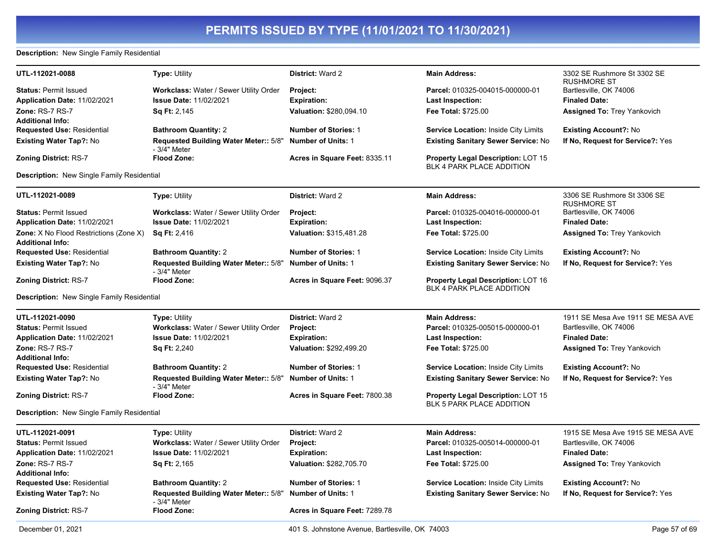#### **Description:** New Single Family Residential

| UTL-112021-0088                                                   | <b>Type: Utility</b>                                   | <b>District: Ward 2</b>       | <b>Main Address:</b>                                                          | 3302 SE Rushmore St 3302 SE<br><b>RUSHMORE ST</b> |
|-------------------------------------------------------------------|--------------------------------------------------------|-------------------------------|-------------------------------------------------------------------------------|---------------------------------------------------|
| <b>Status: Permit Issued</b>                                      | Workclass: Water / Sewer Utility Order                 | Project:                      | Parcel: 010325-004015-000000-01                                               | Bartlesville, OK 74006                            |
| Application Date: 11/02/2021                                      | <b>Issue Date: 11/02/2021</b>                          | <b>Expiration:</b>            | <b>Last Inspection:</b>                                                       | <b>Finaled Date:</b>                              |
| Zone: RS-7 RS-7                                                   | <b>Sq Ft: 2,145</b>                                    | Valuation: \$280,094.10       | <b>Fee Total: \$725.00</b>                                                    | <b>Assigned To: Trey Yankovich</b>                |
| <b>Additional Info:</b>                                           |                                                        |                               |                                                                               |                                                   |
| <b>Requested Use: Residential</b>                                 | <b>Bathroom Quantity: 2</b>                            | <b>Number of Stories: 1</b>   | <b>Service Location: Inside City Limits</b>                                   | <b>Existing Account?: No</b>                      |
| <b>Existing Water Tap?: No</b>                                    | Requested Building Water Meter:: 5/8"<br>- 3/4" Meter  | <b>Number of Units: 1</b>     | <b>Existing Sanitary Sewer Service: No</b>                                    | If No, Request for Service?: Yes                  |
| Zoning District: RS-7                                             | <b>Flood Zone:</b>                                     | Acres in Square Feet: 8335.11 | <b>Property Legal Description: LOT 15</b><br><b>BLK 4 PARK PLACE ADDITION</b> |                                                   |
| <b>Description:</b> New Single Family Residential                 |                                                        |                               |                                                                               |                                                   |
| UTL-112021-0089                                                   | <b>Type: Utility</b>                                   | District: Ward 2              | <b>Main Address:</b>                                                          | 3306 SE Rushmore St 3306 SE<br><b>RUSHMORE ST</b> |
| <b>Status: Permit Issued</b>                                      | Workclass: Water / Sewer Utility Order                 | Project:                      | Parcel: 010325-004016-000000-01                                               | Bartlesville, OK 74006                            |
| Application Date: 11/02/2021                                      | Issue Date: 11/02/2021                                 | <b>Expiration:</b>            | Last Inspection:                                                              | <b>Finaled Date:</b>                              |
| Zone: X No Flood Restrictions (Zone X)<br><b>Additional Info:</b> | Sq Ft: 2,416                                           | Valuation: \$315,481.28       | <b>Fee Total: \$725.00</b>                                                    | <b>Assigned To: Trey Yankovich</b>                |
| <b>Requested Use: Residential</b>                                 | <b>Bathroom Quantity: 2</b>                            | <b>Number of Stories: 1</b>   | <b>Service Location: Inside City Limits</b>                                   | <b>Existing Account?: No</b>                      |
| <b>Existing Water Tap?: No</b>                                    | Requested Building Water Meter:: 5/8"<br>- 3/4" Meter  | <b>Number of Units: 1</b>     | <b>Existing Sanitary Sewer Service: No</b>                                    | If No, Request for Service?: Yes                  |
| <b>Zoning District: RS-7</b>                                      | <b>Flood Zone:</b>                                     | Acres in Square Feet: 9096.37 | <b>Property Legal Description: LOT 16</b><br><b>BLK 4 PARK PLACE ADDITION</b> |                                                   |
| <b>Description:</b> New Single Family Residential                 |                                                        |                               |                                                                               |                                                   |
| UTL-112021-0090                                                   | <b>Type: Utility</b>                                   | District: Ward 2              | <b>Main Address:</b>                                                          | 1911 SE Mesa Ave 1911 SE MESA AVE                 |
| <b>Status: Permit Issued</b>                                      | Workclass: Water / Sewer Utility Order                 | Project:                      | Parcel: 010325-005015-000000-01                                               | Bartlesville, OK 74006                            |
| Application Date: 11/02/2021                                      | <b>Issue Date: 11/02/2021</b>                          | <b>Expiration:</b>            | <b>Last Inspection:</b>                                                       | <b>Finaled Date:</b>                              |
| Zone: RS-7 RS-7                                                   | Sq Ft: 2,240                                           | Valuation: \$292,499.20       | Fee Total: \$725.00                                                           | <b>Assigned To: Trey Yankovich</b>                |
| <b>Additional Info:</b>                                           |                                                        |                               |                                                                               |                                                   |
| <b>Requested Use: Residential</b>                                 | <b>Bathroom Quantity: 2</b>                            | <b>Number of Stories: 1</b>   | Service Location: Inside City Limits                                          | <b>Existing Account?: No</b>                      |
| <b>Existing Water Tap?: No</b>                                    | Requested Building Water Meter:: 5/8"<br>- 3/4" Meter  | <b>Number of Units: 1</b>     | <b>Existing Sanitary Sewer Service: No</b>                                    | If No, Request for Service?: Yes                  |
| Zoning District: RS-7                                             | <b>Flood Zone:</b>                                     | Acres in Square Feet: 7800.38 | <b>Property Legal Description: LOT 15</b><br>BLK 5 PARK PLACE ADDITION        |                                                   |
| Description: New Single Family Residential                        |                                                        |                               |                                                                               |                                                   |
| UTL-112021-0091                                                   | <b>Type: Utility</b>                                   | District: Ward 2              | <b>Main Address:</b>                                                          | 1915 SE Mesa Ave 1915 SE MESA AVE                 |
| <b>Status: Permit Issued</b>                                      | Workclass: Water / Sewer Utility Order                 | Project:                      | Parcel: 010325-005014-000000-01                                               | Bartlesville, OK 74006                            |
| <b>Application Date: 11/02/2021</b>                               | <b>Issue Date: 11/02/2021</b>                          | <b>Expiration:</b>            | Last Inspection:                                                              | <b>Finaled Date:</b>                              |
| Zone: RS-7 RS-7<br><b>Additional Info:</b>                        | <b>Sq Ft: 2,165</b>                                    | Valuation: \$282,705.70       | <b>Fee Total: \$725.00</b>                                                    | <b>Assigned To: Trey Yankovich</b>                |
| Requested Use: Residential                                        | <b>Bathroom Quantity: 2</b>                            | <b>Number of Stories: 1</b>   | Service Location: Inside City Limits                                          | <b>Existing Account?: No</b>                      |
| <b>Existing Water Tap?: No</b>                                    | Requested Building Water Meter:: 5/8"<br>$-3/4"$ Meter | <b>Number of Units: 1</b>     | <b>Existing Sanitary Sewer Service: No</b>                                    | If No, Request for Service?: Yes                  |
| <b>Zoning District: RS-7</b>                                      | <b>Flood Zone:</b>                                     | Acres in Square Feet: 7289.78 |                                                                               |                                                   |
|                                                                   |                                                        |                               |                                                                               |                                                   |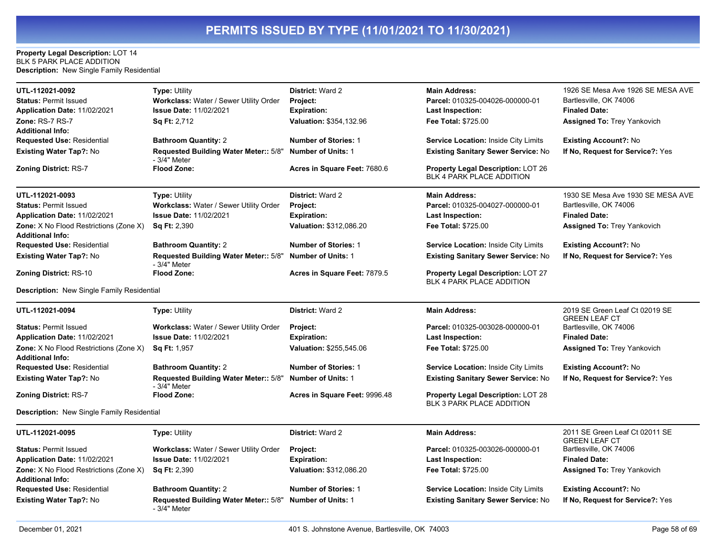#### **Property Legal Description:** LOT 14 BLK 5 PARK PLACE ADDITION **Description:** New Single Family Residential

| UTL-112021-0092<br><b>Status: Permit Issued</b><br>Application Date: 11/02/2021<br>Zone: RS-7 RS-7<br><b>Additional Info:</b><br><b>Requested Use: Residential</b><br><b>Existing Water Tap?: No</b><br><b>Zoning District: RS-7</b> | <b>Type: Utility</b><br><b>Workclass: Water / Sewer Utility Order</b><br><b>Issue Date: 11/02/2021</b><br>Sq Ft: 2,712<br><b>Bathroom Quantity: 2</b><br>Requested Building Water Meter:: 5/8"<br>- 3/4" Meter<br><b>Flood Zone:</b> | <b>District: Ward 2</b><br>Project:<br><b>Expiration:</b><br>Valuation: \$354,132.96<br><b>Number of Stories: 1</b><br><b>Number of Units: 1</b><br>Acres in Square Feet: 7680.6 | <b>Main Address:</b><br>Parcel: 010325-004026-000000-01<br>Last Inspection:<br><b>Fee Total: \$725.00</b><br><b>Service Location: Inside City Limits</b><br><b>Existing Sanitary Sewer Service: No</b><br><b>Property Legal Description: LOT 26</b><br><b>BLK 4 PARK PLACE ADDITION</b> | 1926 SE Mesa Ave 1926 SE MESA AVE<br>Bartlesville, OK 74006<br><b>Finaled Date:</b><br><b>Assigned To: Trey Yankovich</b><br><b>Existing Account?: No</b><br>If No, Request for Service?: Yes |
|--------------------------------------------------------------------------------------------------------------------------------------------------------------------------------------------------------------------------------------|--------------------------------------------------------------------------------------------------------------------------------------------------------------------------------------------------------------------------------------|----------------------------------------------------------------------------------------------------------------------------------------------------------------------------------|-----------------------------------------------------------------------------------------------------------------------------------------------------------------------------------------------------------------------------------------------------------------------------------------|-----------------------------------------------------------------------------------------------------------------------------------------------------------------------------------------------|
| UTL-112021-0093                                                                                                                                                                                                                      | <b>Type: Utility</b>                                                                                                                                                                                                                 | District: Ward 2                                                                                                                                                                 | <b>Main Address:</b>                                                                                                                                                                                                                                                                    | 1930 SE Mesa Ave 1930 SE MESA AVE                                                                                                                                                             |
| <b>Status: Permit Issued</b>                                                                                                                                                                                                         | Workclass: Water / Sewer Utility Order                                                                                                                                                                                               | <b>Project:</b>                                                                                                                                                                  | Parcel: 010325-004027-000000-01                                                                                                                                                                                                                                                         | Bartlesville, OK 74006                                                                                                                                                                        |
| Application Date: 11/02/2021                                                                                                                                                                                                         | <b>Issue Date: 11/02/2021</b>                                                                                                                                                                                                        | <b>Expiration:</b>                                                                                                                                                               | Last Inspection:                                                                                                                                                                                                                                                                        | <b>Finaled Date:</b>                                                                                                                                                                          |
| Zone: X No Flood Restrictions (Zone X)<br><b>Additional Info:</b>                                                                                                                                                                    | <b>Sq Ft: 2,390</b>                                                                                                                                                                                                                  | Valuation: \$312,086.20                                                                                                                                                          | Fee Total: \$725.00                                                                                                                                                                                                                                                                     | <b>Assigned To: Trey Yankovich</b>                                                                                                                                                            |
| <b>Requested Use: Residential</b>                                                                                                                                                                                                    | <b>Bathroom Quantity: 2</b>                                                                                                                                                                                                          | <b>Number of Stories: 1</b>                                                                                                                                                      | <b>Service Location: Inside City Limits</b>                                                                                                                                                                                                                                             | <b>Existing Account?: No</b>                                                                                                                                                                  |
| <b>Existing Water Tap?: No</b>                                                                                                                                                                                                       | Requested Building Water Meter:: 5/8"<br>- 3/4" Meter                                                                                                                                                                                | <b>Number of Units: 1</b>                                                                                                                                                        | <b>Existing Sanitary Sewer Service: No</b>                                                                                                                                                                                                                                              | If No, Request for Service?: Yes                                                                                                                                                              |
| <b>Zoning District: RS-10</b>                                                                                                                                                                                                        | <b>Flood Zone:</b>                                                                                                                                                                                                                   | Acres in Square Feet: 7879.5                                                                                                                                                     | <b>Property Legal Description: LOT 27</b><br>BLK 4 PARK PLACE ADDITION                                                                                                                                                                                                                  |                                                                                                                                                                                               |
| Description: New Single Family Residential                                                                                                                                                                                           |                                                                                                                                                                                                                                      |                                                                                                                                                                                  |                                                                                                                                                                                                                                                                                         |                                                                                                                                                                                               |
| UTL-112021-0094                                                                                                                                                                                                                      | <b>Type: Utility</b>                                                                                                                                                                                                                 | District: Ward 2                                                                                                                                                                 | <b>Main Address:</b>                                                                                                                                                                                                                                                                    | 2019 SE Green Leaf Ct 02019 SE<br><b>GREEN LEAF CT</b>                                                                                                                                        |
| <b>Status: Permit Issued</b>                                                                                                                                                                                                         | <b>Workclass: Water / Sewer Utility Order</b>                                                                                                                                                                                        | <b>Project:</b>                                                                                                                                                                  | Parcel: 010325-003028-000000-01                                                                                                                                                                                                                                                         | Bartlesville, OK 74006                                                                                                                                                                        |
| Application Date: 11/02/2021                                                                                                                                                                                                         | <b>Issue Date: 11/02/2021</b>                                                                                                                                                                                                        | <b>Expiration:</b>                                                                                                                                                               | Last Inspection:                                                                                                                                                                                                                                                                        | <b>Finaled Date:</b>                                                                                                                                                                          |
| <b>Zone:</b> X No Flood Restrictions (Zone X)<br><b>Additional Info:</b>                                                                                                                                                             | <b>Sq Ft: 1,957</b>                                                                                                                                                                                                                  | Valuation: \$255,545.06                                                                                                                                                          | <b>Fee Total: \$725.00</b>                                                                                                                                                                                                                                                              | <b>Assigned To: Trey Yankovich</b>                                                                                                                                                            |
| <b>Requested Use: Residential</b>                                                                                                                                                                                                    | <b>Bathroom Quantity: 2</b>                                                                                                                                                                                                          | <b>Number of Stories: 1</b>                                                                                                                                                      | Service Location: Inside City Limits                                                                                                                                                                                                                                                    | <b>Existing Account?: No</b>                                                                                                                                                                  |
| <b>Existing Water Tap?: No</b>                                                                                                                                                                                                       | Requested Building Water Meter:: 5/8"<br>- 3/4" Meter                                                                                                                                                                                | <b>Number of Units: 1</b>                                                                                                                                                        | <b>Existing Sanitary Sewer Service: No</b>                                                                                                                                                                                                                                              | If No, Request for Service?: Yes                                                                                                                                                              |
| <b>Zoning District: RS-7</b>                                                                                                                                                                                                         | <b>Flood Zone:</b>                                                                                                                                                                                                                   | Acres in Square Feet: 9996.48                                                                                                                                                    | <b>Property Legal Description: LOT 28</b><br><b>BLK 3 PARK PLACE ADDITION</b>                                                                                                                                                                                                           |                                                                                                                                                                                               |
| Description: New Single Family Residential                                                                                                                                                                                           |                                                                                                                                                                                                                                      |                                                                                                                                                                                  |                                                                                                                                                                                                                                                                                         |                                                                                                                                                                                               |
| UTL-112021-0095                                                                                                                                                                                                                      | Type: Utility                                                                                                                                                                                                                        | District: Ward 2                                                                                                                                                                 | <b>Main Address:</b>                                                                                                                                                                                                                                                                    | 2011 SE Green Leaf Ct 02011 SE<br><b>GREEN LEAF CT</b>                                                                                                                                        |
| <b>Status: Permit Issued</b>                                                                                                                                                                                                         | Workclass: Water / Sewer Utility Order                                                                                                                                                                                               | Project:                                                                                                                                                                         | Parcel: 010325-003026-000000-01                                                                                                                                                                                                                                                         | Bartlesville, OK 74006                                                                                                                                                                        |
| Application Date: 11/02/2021                                                                                                                                                                                                         | <b>Issue Date: 11/02/2021</b>                                                                                                                                                                                                        | <b>Expiration:</b>                                                                                                                                                               | Last Inspection:                                                                                                                                                                                                                                                                        | <b>Finaled Date:</b>                                                                                                                                                                          |
| <b>Zone:</b> X No Flood Restrictions (Zone X)<br><b>Additional Info:</b>                                                                                                                                                             | <b>Sq Ft: 2,390</b>                                                                                                                                                                                                                  | Valuation: \$312,086.20                                                                                                                                                          | <b>Fee Total: \$725.00</b>                                                                                                                                                                                                                                                              | <b>Assigned To: Trey Yankovich</b>                                                                                                                                                            |
| Requested Use: Residential                                                                                                                                                                                                           | <b>Bathroom Quantity: 2</b>                                                                                                                                                                                                          | <b>Number of Stories: 1</b>                                                                                                                                                      | Service Location: Inside City Limits                                                                                                                                                                                                                                                    | <b>Existing Account?: No</b>                                                                                                                                                                  |
| Existing Water Tap?: No                                                                                                                                                                                                              | Requested Building Water Meter:: 5/8"<br>- 3/4" Meter                                                                                                                                                                                | <b>Number of Units: 1</b>                                                                                                                                                        | Existing Sanitary Sewer Service: No                                                                                                                                                                                                                                                     | If No, Request for Service?: Yes                                                                                                                                                              |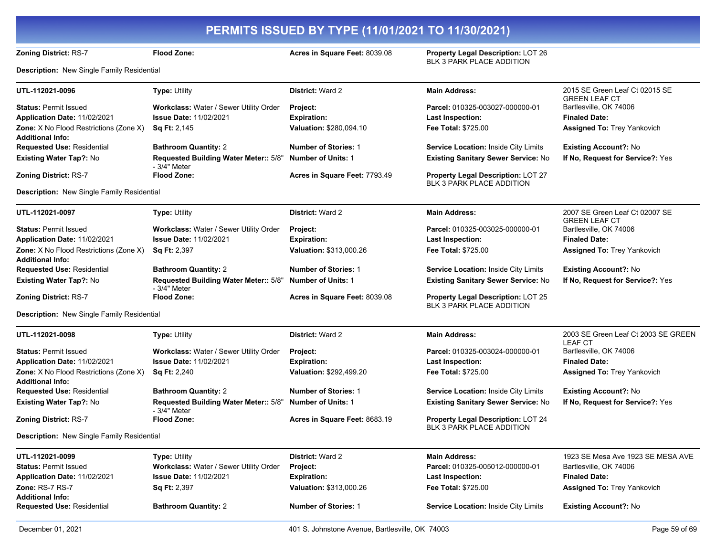|                                                                   |                                                       | PERMITS ISSUED BY TYPE (11/01/2021 TO 11/30/2021) |                                                                        |                                                        |
|-------------------------------------------------------------------|-------------------------------------------------------|---------------------------------------------------|------------------------------------------------------------------------|--------------------------------------------------------|
| Zoning District: RS-7                                             | <b>Flood Zone:</b>                                    | Acres in Square Feet: 8039.08                     | Property Legal Description: LOT 26<br><b>BLK 3 PARK PLACE ADDITION</b> |                                                        |
| Description: New Single Family Residential                        |                                                       |                                                   |                                                                        |                                                        |
| UTL-112021-0096                                                   | <b>Type: Utility</b>                                  | District: Ward 2                                  | <b>Main Address:</b>                                                   | 2015 SE Green Leaf Ct 02015 SE<br><b>GREEN LEAF CT</b> |
| <b>Status: Permit Issued</b>                                      | Workclass: Water / Sewer Utility Order                | Project:                                          | Parcel: 010325-003027-000000-01                                        | Bartlesville, OK 74006                                 |
| Application Date: 11/02/2021                                      | <b>Issue Date: 11/02/2021</b>                         | <b>Expiration:</b>                                | <b>Last Inspection:</b>                                                | <b>Finaled Date:</b>                                   |
| Zone: X No Flood Restrictions (Zone X)                            | Sq Ft: 2,145                                          | Valuation: \$280,094.10                           | Fee Total: \$725.00                                                    | Assigned To: Trey Yankovich                            |
| <b>Additional Info:</b>                                           |                                                       |                                                   |                                                                        |                                                        |
| <b>Requested Use: Residential</b>                                 | <b>Bathroom Quantity: 2</b>                           | <b>Number of Stories: 1</b>                       | Service Location: Inside City Limits                                   | <b>Existing Account?: No</b>                           |
| Existing Water Tap?: No                                           | Requested Building Water Meter:: 5/8"<br>- 3/4" Meter | <b>Number of Units: 1</b>                         | <b>Existing Sanitary Sewer Service: No</b>                             | If No, Request for Service?: Yes                       |
| Zoning District: RS-7                                             | <b>Flood Zone:</b>                                    | Acres in Square Feet: 7793.49                     | Property Legal Description: LOT 27<br><b>BLK 3 PARK PLACE ADDITION</b> |                                                        |
| Description: New Single Family Residential                        |                                                       |                                                   |                                                                        |                                                        |
| UTL-112021-0097                                                   | <b>Type: Utility</b>                                  | <b>District: Ward 2</b>                           | <b>Main Address:</b>                                                   | 2007 SE Green Leaf Ct 02007 SE<br><b>GREEN LEAF CT</b> |
| <b>Status: Permit Issued</b>                                      | Workclass: Water / Sewer Utility Order                | Project:                                          | Parcel: 010325-003025-000000-01                                        | Bartlesville, OK 74006                                 |
| Application Date: 11/02/2021                                      | <b>Issue Date: 11/02/2021</b>                         | <b>Expiration:</b>                                | <b>Last Inspection:</b>                                                | <b>Finaled Date:</b>                                   |
| Zone: X No Flood Restrictions (Zone X)<br>Additional Info:        | <b>Sq Ft: 2,397</b>                                   | Valuation: \$313,000.26                           | Fee Total: \$725.00                                                    | Assigned To: Trey Yankovich                            |
| <b>Requested Use: Residential</b>                                 | <b>Bathroom Quantity: 2</b>                           | <b>Number of Stories: 1</b>                       | Service Location: Inside City Limits                                   | <b>Existing Account?: No</b>                           |
| <b>Existing Water Tap?: No</b>                                    | Requested Building Water Meter:: 5/8"<br>- 3/4" Meter | <b>Number of Units: 1</b>                         | <b>Existing Sanitary Sewer Service: No</b>                             | If No. Request for Service?: Yes                       |
| Zoning District: RS-7                                             | <b>Flood Zone:</b>                                    | Acres in Square Feet: 8039.08                     | Property Legal Description: LOT 25<br><b>BLK 3 PARK PLACE ADDITION</b> |                                                        |
| Description: New Single Family Residential                        |                                                       |                                                   |                                                                        |                                                        |
| UTL-112021-0098                                                   | Type: Utility                                         | District: Ward 2                                  | <b>Main Address:</b>                                                   | 2003 SE Green Leaf Ct 2003 SE GREEN<br><b>LEAF CT</b>  |
| <b>Status: Permit Issued</b>                                      | Workclass: Water / Sewer Utility Order                | Project:                                          | Parcel: 010325-003024-000000-01                                        | Bartlesville, OK 74006                                 |
| Application Date: 11/02/2021                                      | <b>Issue Date: 11/02/2021</b>                         | <b>Expiration:</b>                                | <b>Last Inspection:</b>                                                | <b>Finaled Date:</b>                                   |
| Zone: X No Flood Restrictions (Zone X)<br><b>Additional Info:</b> | <b>Sq Ft: 2,240</b>                                   | Valuation: \$292,499.20                           | Fee Total: \$725.00                                                    | Assigned To: Trey Yankovich                            |
| <b>Requested Use: Residential</b>                                 | <b>Bathroom Quantity: 2</b>                           | <b>Number of Stories: 1</b>                       | Service Location: Inside City Limits                                   | <b>Existing Account?: No</b>                           |
| Existing Water Tap?: No                                           | Requested Building Water Meter:: 5/8"<br>- 3/4" Meter | <b>Number of Units: 1</b>                         | <b>Existing Sanitary Sewer Service: No</b>                             | If No. Request for Service?: Yes                       |
| Zoning District: RS-7                                             | <b>Flood Zone:</b>                                    | Acres in Square Feet: 8683.19                     | Property Legal Description: LOT 24<br>BLK 3 PARK PLACE ADDITION        |                                                        |
| Description: New Single Family Residential                        |                                                       |                                                   |                                                                        |                                                        |
| UTL-112021-0099                                                   | Type: Utility                                         | <b>District: Ward 2</b>                           | <b>Main Address:</b>                                                   | 1923 SE Mesa Ave 1923 SE MESA AVE                      |
| <b>Status: Permit Issued</b>                                      | Workclass: Water / Sewer Utility Order                | Project:                                          | Parcel: 010325-005012-000000-01                                        | Bartlesville, OK 74006                                 |
| Application Date: 11/02/2021                                      | <b>Issue Date: 11/02/2021</b>                         | <b>Expiration:</b>                                | Last Inspection:                                                       | <b>Finaled Date:</b>                                   |
| <b>Zone: RS-7 RS-7</b><br>Additional Info:                        | <b>Sq Ft: 2,397</b>                                   | Valuation: \$313,000.26                           | Fee Total: \$725.00                                                    | <b>Assigned To: Trey Yankovich</b>                     |
| <b>Requested Use: Residential</b>                                 | <b>Bathroom Quantity: 2</b>                           | <b>Number of Stories: 1</b>                       | Service Location: Inside City Limits                                   | <b>Existing Account?: No</b>                           |
|                                                                   |                                                       |                                                   |                                                                        |                                                        |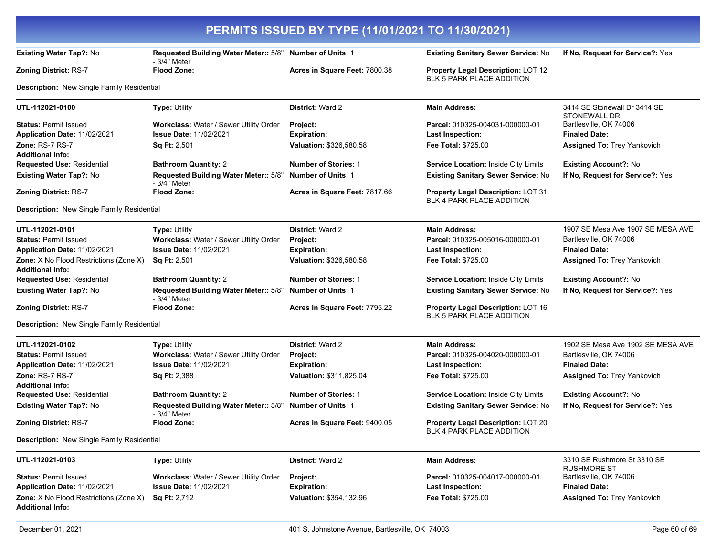| PERMITS ISSUED BY TYPE (11/01/2021 TO 11/30/2021)                 |                                                                          |                               |                                                                        |                                                   |
|-------------------------------------------------------------------|--------------------------------------------------------------------------|-------------------------------|------------------------------------------------------------------------|---------------------------------------------------|
| Existing Water Tap?: No                                           | Requested Building Water Meter:: 5/8" Number of Units: 1<br>- 3/4" Meter |                               | Existing Sanitary Sewer Service: No                                    | If No, Request for Service?: Yes                  |
| <b>Zoning District: RS-7</b>                                      | <b>Flood Zone:</b>                                                       | Acres in Square Feet: 7800.38 | Property Legal Description: LOT 12<br><b>BLK 5 PARK PLACE ADDITION</b> |                                                   |
| Description: New Single Family Residential                        |                                                                          |                               |                                                                        |                                                   |
| UTL-112021-0100                                                   | <b>Type: Utility</b>                                                     | <b>District: Ward 2</b>       | <b>Main Address:</b>                                                   | 3414 SE Stonewall Dr 3414 SE<br>STONEWALL DR      |
| <b>Status: Permit Issued</b>                                      | Workclass: Water / Sewer Utility Order                                   | Project:                      | Parcel: 010325-004031-000000-01                                        | Bartlesville, OK 74006                            |
| Application Date: 11/02/2021                                      | <b>Issue Date: 11/02/2021</b>                                            | <b>Expiration:</b>            | <b>Last Inspection:</b>                                                | <b>Finaled Date:</b>                              |
| Zone: RS-7 RS-7                                                   | <b>Sq Ft: 2,501</b>                                                      | Valuation: \$326,580.58       | Fee Total: \$725.00                                                    | <b>Assigned To: Trey Yankovich</b>                |
| <b>Additional Info:</b>                                           |                                                                          |                               |                                                                        |                                                   |
| <b>Requested Use: Residential</b>                                 | <b>Bathroom Quantity: 2</b>                                              | <b>Number of Stories: 1</b>   | Service Location: Inside City Limits                                   | <b>Existing Account?: No</b>                      |
| Existing Water Tap?: No                                           | Requested Building Water Meter:: 5/8"<br>- 3/4" Meter                    | <b>Number of Units: 1</b>     | Existing Sanitary Sewer Service: No                                    | If No, Request for Service?: Yes                  |
| Zoning District: RS-7                                             | <b>Flood Zone:</b>                                                       | Acres in Square Feet: 7817.66 | Property Legal Description: LOT 31<br>BLK 4 PARK PLACE ADDITION        |                                                   |
| Description: New Single Family Residential                        |                                                                          |                               |                                                                        |                                                   |
| UTL-112021-0101                                                   | <b>Type: Utility</b>                                                     | <b>District: Ward 2</b>       | <b>Main Address:</b>                                                   | 1907 SE Mesa Ave 1907 SE MESA AVE                 |
| <b>Status: Permit Issued</b>                                      | Workclass: Water / Sewer Utility Order                                   | Project:                      | Parcel: 010325-005016-000000-01                                        | Bartlesville, OK 74006                            |
| Application Date: 11/02/2021                                      | <b>Issue Date: 11/02/2021</b>                                            | <b>Expiration:</b>            | <b>Last Inspection:</b>                                                | <b>Finaled Date:</b>                              |
| Zone: X No Flood Restrictions (Zone X)<br><b>Additional Info:</b> | Sq Ft: 2,501                                                             | Valuation: \$326,580.58       | <b>Fee Total: \$725.00</b>                                             | <b>Assigned To: Trey Yankovich</b>                |
| <b>Requested Use: Residential</b>                                 | <b>Bathroom Quantity: 2</b>                                              | <b>Number of Stories: 1</b>   | Service Location: Inside City Limits                                   | <b>Existing Account?: No</b>                      |
| Existing Water Tap?: No                                           | Requested Building Water Meter:: 5/8"<br>- 3/4" Meter                    | <b>Number of Units: 1</b>     | Existing Sanitary Sewer Service: No                                    | If No, Request for Service?: Yes                  |
| <b>Zoning District: RS-7</b>                                      | <b>Flood Zone:</b>                                                       | Acres in Square Feet: 7795.22 | Property Legal Description: LOT 16<br><b>BLK 5 PARK PLACE ADDITION</b> |                                                   |
| Description: New Single Family Residential                        |                                                                          |                               |                                                                        |                                                   |
| UTL-112021-0102                                                   | Type: Utility                                                            | <b>District: Ward 2</b>       | <b>Main Address:</b>                                                   | 1902 SE Mesa Ave 1902 SE MESA AVE                 |
| <b>Status: Permit Issued</b>                                      | Workclass: Water / Sewer Utility Order                                   | Project:                      | Parcel: 010325-004020-000000-01                                        | Bartlesville, OK 74006                            |
| Application Date: 11/02/2021                                      | <b>Issue Date: 11/02/2021</b>                                            | <b>Expiration:</b>            | <b>Last Inspection:</b>                                                | <b>Finaled Date:</b>                              |
| <b>Zone: RS-7 RS-7</b>                                            | <b>Sq Ft: 2,388</b>                                                      | Valuation: \$311,825.04       | <b>Fee Total: \$725.00</b>                                             | <b>Assigned To: Trey Yankovich</b>                |
| <b>Additional Info:</b>                                           |                                                                          |                               |                                                                        |                                                   |
| <b>Requested Use: Residential</b>                                 | <b>Bathroom Quantity: 2</b>                                              | <b>Number of Stories: 1</b>   | Service Location: Inside City Limits                                   | <b>Existing Account?: No</b>                      |
| <b>Existing Water Tap?: No</b>                                    | Requested Building Water Meter:: 5/8"<br>- 3/4" Meter                    | <b>Number of Units: 1</b>     | Existing Sanitary Sewer Service: No                                    | If No, Request for Service?: Yes                  |
| <b>Zoning District: RS-7</b>                                      | <b>Flood Zone:</b>                                                       | Acres in Square Feet: 9400.05 | <b>Property Legal Description: LOT 20</b><br>BLK 4 PARK PLACE ADDITION |                                                   |
| <b>Description:</b> New Single Family Residential                 |                                                                          |                               |                                                                        |                                                   |
| UTL-112021-0103                                                   | Type: Utility                                                            | District: Ward 2              | <b>Main Address:</b>                                                   | 3310 SE Rushmore St 3310 SE<br><b>RUSHMORE ST</b> |
| <b>Status: Permit Issued</b>                                      | Workclass: Water / Sewer Utility Order                                   | Project:                      | Parcel: 010325-004017-000000-01                                        | Bartlesville, OK 74006                            |
| Application Date: 11/02/2021                                      | <b>Issue Date: 11/02/2021</b>                                            | <b>Expiration:</b>            | <b>Last Inspection:</b>                                                | <b>Finaled Date:</b>                              |
| Zone: X No Flood Restrictions (Zone X)<br><b>Additional Info:</b> | <b>Sq Ft: 2,712</b>                                                      | Valuation: \$354,132.96       | Fee Total: \$725.00                                                    | <b>Assigned To: Trey Yankovich</b>                |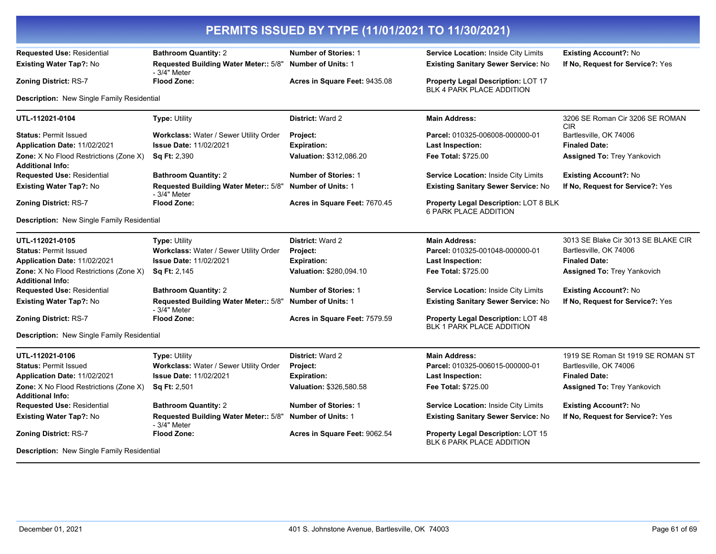| PERMITS ISSUED BY TYPE (11/01/2021 TO 11/30/2021)                        |                                                        |                               |                                                                               |                                               |  |
|--------------------------------------------------------------------------|--------------------------------------------------------|-------------------------------|-------------------------------------------------------------------------------|-----------------------------------------------|--|
| <b>Requested Use: Residential</b>                                        | <b>Bathroom Quantity: 2</b>                            | <b>Number of Stories: 1</b>   | Service Location: Inside City Limits                                          | <b>Existing Account?: No</b>                  |  |
| <b>Existing Water Tap?: No</b>                                           | Requested Building Water Meter:: 5/8"                  | <b>Number of Units: 1</b>     | <b>Existing Sanitary Sewer Service: No</b>                                    | If No. Request for Service?: Yes              |  |
| <b>Zoning District: RS-7</b>                                             | - 3/4" Meter<br><b>Flood Zone:</b>                     | Acres in Square Feet: 9435.08 | <b>Property Legal Description: LOT 17</b><br><b>BLK 4 PARK PLACE ADDITION</b> |                                               |  |
| <b>Description:</b> New Single Family Residential                        |                                                        |                               |                                                                               |                                               |  |
| UTL-112021-0104                                                          | <b>Type: Utility</b>                                   | <b>District: Ward 2</b>       | <b>Main Address:</b>                                                          | 3206 SE Roman Cir 3206 SE ROMAN<br><b>CIR</b> |  |
| <b>Status: Permit Issued</b>                                             | Workclass: Water / Sewer Utility Order                 | Project:                      | Parcel: 010325-006008-000000-01                                               | Bartlesville, OK 74006                        |  |
| Application Date: 11/02/2021                                             | <b>Issue Date: 11/02/2021</b>                          | <b>Expiration:</b>            | <b>Last Inspection:</b>                                                       | <b>Finaled Date:</b>                          |  |
| Zone: X No Flood Restrictions (Zone X)<br><b>Additional Info:</b>        | <b>Sq Ft: 2,390</b>                                    | Valuation: \$312,086.20       | Fee Total: \$725.00                                                           | <b>Assigned To: Trey Yankovich</b>            |  |
| <b>Requested Use: Residential</b>                                        | <b>Bathroom Quantity: 2</b>                            | <b>Number of Stories: 1</b>   | Service Location: Inside City Limits                                          | <b>Existing Account?: No</b>                  |  |
| <b>Existing Water Tap?: No</b>                                           | Requested Building Water Meter:: 5/8"<br>$-3/4"$ Meter | <b>Number of Units: 1</b>     | Existing Sanitary Sewer Service: No                                           | If No. Request for Service?: Yes              |  |
| <b>Zoning District: RS-7</b>                                             | <b>Flood Zone:</b>                                     | Acres in Square Feet: 7670.45 | Property Legal Description: LOT 8 BLK<br><b>6 PARK PLACE ADDITION</b>         |                                               |  |
| <b>Description:</b> New Single Family Residential                        |                                                        |                               |                                                                               |                                               |  |
| UTL-112021-0105                                                          | <b>Type: Utility</b>                                   | <b>District: Ward 2</b>       | <b>Main Address:</b>                                                          | 3013 SE Blake Cir 3013 SE BLAKE CIR           |  |
| <b>Status: Permit Issued</b>                                             | Workclass: Water / Sewer Utility Order                 | Project:                      | Parcel: 010325-001048-000000-01                                               | Bartlesville, OK 74006                        |  |
| Application Date: 11/02/2021                                             | <b>Issue Date: 11/02/2021</b>                          | <b>Expiration:</b>            | Last Inspection:                                                              | <b>Finaled Date:</b>                          |  |
| Zone: X No Flood Restrictions (Zone X)<br><b>Additional Info:</b>        | <b>Sq Ft: 2,145</b>                                    | Valuation: \$280,094.10       | Fee Total: \$725.00                                                           | <b>Assigned To: Trey Yankovich</b>            |  |
| <b>Requested Use: Residential</b>                                        | <b>Bathroom Quantity: 2</b>                            | <b>Number of Stories: 1</b>   | Service Location: Inside City Limits                                          | <b>Existing Account?: No</b>                  |  |
| <b>Existing Water Tap?: No</b>                                           | Requested Building Water Meter:: 5/8"<br>- 3/4" Meter  | <b>Number of Units: 1</b>     | Existing Sanitary Sewer Service: No                                           | If No. Request for Service?: Yes              |  |
| <b>Zoning District: RS-7</b>                                             | <b>Flood Zone:</b>                                     | Acres in Square Feet: 7579.59 | <b>Property Legal Description: LOT 48</b><br><b>BLK 1 PARK PLACE ADDITION</b> |                                               |  |
| Description: New Single Family Residential                               |                                                        |                               |                                                                               |                                               |  |
| UTL-112021-0106                                                          | <b>Type: Utility</b>                                   | <b>District: Ward 2</b>       | <b>Main Address:</b>                                                          | 1919 SE Roman St 1919 SE ROMAN ST             |  |
| <b>Status: Permit Issued</b>                                             | Workclass: Water / Sewer Utility Order                 | <b>Project:</b>               | Parcel: 010325-006015-000000-01                                               | Bartlesville, OK 74006                        |  |
| Application Date: 11/02/2021                                             | <b>Issue Date: 11/02/2021</b>                          | <b>Expiration:</b>            | Last Inspection:                                                              | <b>Finaled Date:</b>                          |  |
| <b>Zone:</b> X No Flood Restrictions (Zone X)<br><b>Additional Info:</b> | <b>Sq Ft: 2,501</b>                                    | Valuation: \$326,580.58       | <b>Fee Total: \$725.00</b>                                                    | <b>Assigned To: Trey Yankovich</b>            |  |
| <b>Requested Use: Residential</b>                                        | <b>Bathroom Quantity: 2</b>                            | <b>Number of Stories: 1</b>   | <b>Service Location: Inside City Limits</b>                                   | <b>Existing Account?: No</b>                  |  |
| <b>Existing Water Tap?: No</b>                                           | Requested Building Water Meter:: 5/8"<br>- 3/4" Meter  | <b>Number of Units: 1</b>     | Existing Sanitary Sewer Service: No                                           | If No, Request for Service?: Yes              |  |
| <b>Zoning District: RS-7</b>                                             | <b>Flood Zone:</b>                                     | Acres in Square Feet: 9062.54 | Property Legal Description: LOT 15<br><b>BLK 6 PARK PLACE ADDITION</b>        |                                               |  |
| Description: New Single Family Residential                               |                                                        |                               |                                                                               |                                               |  |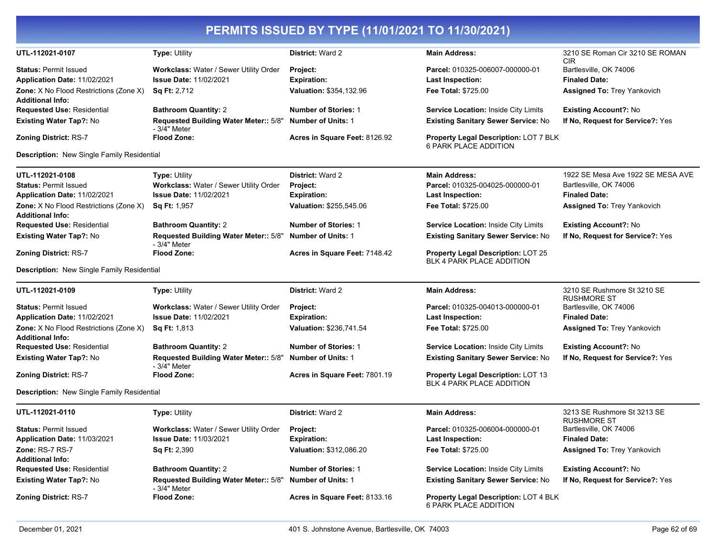| PERMITS ISSUED BY TYPE (11/01/2021 TO 11/30/2021)                 |                                                                         |                                |                                                                              |                                                   |
|-------------------------------------------------------------------|-------------------------------------------------------------------------|--------------------------------|------------------------------------------------------------------------------|---------------------------------------------------|
| UTL-112021-0107                                                   | Type: Utility                                                           | <b>District: Ward 2</b>        | <b>Main Address:</b>                                                         | 3210 SE Roman Cir 3210 SE ROMAN<br><b>CIR</b>     |
| <b>Status: Permit Issued</b><br>Application Date: 11/02/2021      | Workclass: Water / Sewer Utility Order<br><b>Issue Date: 11/02/2021</b> | Project:<br><b>Expiration:</b> | Parcel: 010325-006007-000000-01<br><b>Last Inspection:</b>                   | Bartlesville, OK 74006<br><b>Finaled Date:</b>    |
| Zone: X No Flood Restrictions (Zone X)                            | Sq Ft: 2,712                                                            | Valuation: \$354,132.96        | <b>Fee Total: \$725.00</b>                                                   | <b>Assigned To: Trey Yankovich</b>                |
| <b>Additional Info:</b>                                           |                                                                         |                                |                                                                              |                                                   |
| <b>Requested Use: Residential</b>                                 | <b>Bathroom Quantity: 2</b>                                             | <b>Number of Stories: 1</b>    | Service Location: Inside City Limits                                         | <b>Existing Account?: No</b>                      |
| Existing Water Tap?: No                                           | Requested Building Water Meter:: 5/8"<br>- 3/4" Meter                   | <b>Number of Units: 1</b>      | <b>Existing Sanitary Sewer Service: No</b>                                   | If No, Request for Service?: Yes                  |
| <b>Zoning District: RS-7</b>                                      | <b>Flood Zone:</b>                                                      | Acres in Square Feet: 8126.92  | <b>Property Legal Description: LOT 7 BLK</b><br><b>6 PARK PLACE ADDITION</b> |                                                   |
| Description: New Single Family Residential                        |                                                                         |                                |                                                                              |                                                   |
| UTL-112021-0108                                                   | Type: Utility                                                           | <b>District: Ward 2</b>        | <b>Main Address:</b>                                                         | 1922 SE Mesa Ave 1922 SE MESA AVE                 |
| <b>Status: Permit Issued</b>                                      | Workclass: Water / Sewer Utility Order                                  | Project:                       | Parcel: 010325-004025-000000-01                                              | Bartlesville, OK 74006                            |
| <b>Application Date: 11/02/2021</b>                               | <b>Issue Date: 11/02/2021</b>                                           | <b>Expiration:</b>             | <b>Last Inspection:</b>                                                      | <b>Finaled Date:</b>                              |
| Zone: X No Flood Restrictions (Zone X)<br><b>Additional Info:</b> | Sq Ft: 1,957                                                            | Valuation: \$255,545.06        | <b>Fee Total: \$725.00</b>                                                   | <b>Assigned To: Trey Yankovich</b>                |
| <b>Requested Use: Residential</b>                                 | <b>Bathroom Quantity: 2</b>                                             | <b>Number of Stories: 1</b>    | Service Location: Inside City Limits                                         | <b>Existing Account?: No</b>                      |
| Existing Water Tap?: No                                           | Requested Building Water Meter:: 5/8"<br>- 3/4" Meter                   | <b>Number of Units: 1</b>      | <b>Existing Sanitary Sewer Service: No</b>                                   | If No, Request for Service?: Yes                  |
| <b>Zoning District: RS-7</b>                                      | Flood Zone:                                                             | Acres in Square Feet: 7148.42  | Property Legal Description: LOT 25<br><b>BLK 4 PARK PLACE ADDITION</b>       |                                                   |
| Description: New Single Family Residential                        |                                                                         |                                |                                                                              |                                                   |
| UTL-112021-0109                                                   | Type: Utility                                                           | <b>District: Ward 2</b>        | <b>Main Address:</b>                                                         | 3210 SE Rushmore St 3210 SE<br><b>RUSHMORE ST</b> |
| <b>Status: Permit Issued</b>                                      | Workclass: Water / Sewer Utility Order                                  | Project:                       | Parcel: 010325-004013-000000-01                                              | Bartlesville, OK 74006                            |
| Application Date: 11/02/2021                                      | <b>Issue Date: 11/02/2021</b>                                           | <b>Expiration:</b>             | <b>Last Inspection:</b>                                                      | <b>Finaled Date:</b>                              |
| Zone: X No Flood Restrictions (Zone X)<br><b>Additional Info:</b> | <b>Sq Ft: 1,813</b>                                                     | Valuation: \$236,741.54        | Fee Total: \$725.00                                                          | <b>Assigned To: Trey Yankovich</b>                |
| Requested Use: Residential                                        | <b>Bathroom Quantity: 2</b>                                             | <b>Number of Stories: 1</b>    | Service Location: Inside City Limits                                         | <b>Existing Account?: No</b>                      |
| Existing Water Tap?: No                                           | Requested Building Water Meter:: 5/8"                                   | <b>Number of Units: 1</b>      | Existing Sanitary Sewer Service: No                                          | If No, Request for Service?: Yes                  |
| <b>Zoning District: RS-7</b>                                      | - 3/4" Meter<br>Flood Zone:                                             | Acres in Square Feet: 7801.19  | Property Legal Description: LOT 13                                           |                                                   |
| Description: New Single Family Residential                        |                                                                         |                                | <b>BLK 4 PARK PLACE ADDITION</b>                                             |                                                   |
| UTL-112021-0110                                                   | Type: Utility                                                           | <b>District: Ward 2</b>        | <b>Main Address:</b>                                                         | 3213 SE Rushmore St 3213 SE                       |
| <b>Status: Permit Issued</b>                                      | Workclass: Water / Sewer Utility Order                                  | Project:                       | Parcel: 010325-006004-000000-01                                              | <b>RUSHMORE ST</b><br>Bartlesville, OK 74006      |
| <b>Application Date: 11/03/2021</b>                               | <b>Issue Date: 11/03/2021</b>                                           | <b>Expiration:</b>             | Last Inspection:                                                             | <b>Finaled Date:</b>                              |
| Zone: RS-7 RS-7                                                   | <b>Sq Ft: 2,390</b>                                                     | <b>Valuation: \$312,086.20</b> | Fee Total: \$725.00                                                          | <b>Assigned To: Trey Yankovich</b>                |
| <b>Additional Info:</b>                                           |                                                                         |                                |                                                                              |                                                   |
| <b>Requested Use: Residential</b>                                 | <b>Bathroom Quantity: 2</b>                                             | <b>Number of Stories: 1</b>    | Service Location: Inside City Limits                                         | <b>Existing Account?: No</b>                      |
| <b>Existing Water Tap?: No</b>                                    | Requested Building Water Meter:: 5/8"<br>- 3/4" Meter                   | <b>Number of Units: 1</b>      | <b>Existing Sanitary Sewer Service: No</b>                                   | If No. Request for Service?: Yes                  |
| <b>Zoning District: RS-7</b>                                      | Flood Zone:                                                             | Acres in Square Feet: 8133.16  | <b>Property Legal Description: LOT 4 BLK</b><br>6 PARK PLACE ADDITION        |                                                   |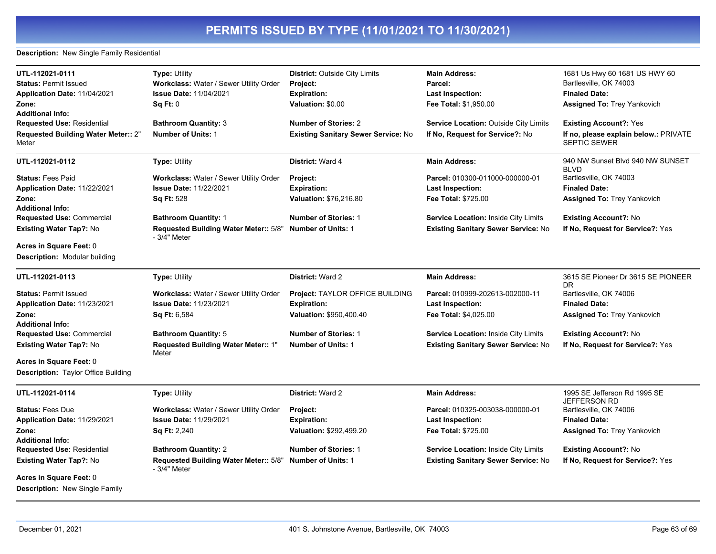**Description:** New Single Family Residential

| UTL-112021-0111<br><b>Status: Permit Issued</b><br>Application Date: 11/04/2021<br>Zone:<br><b>Additional Info:</b><br><b>Requested Use: Residential</b><br>Requested Building Water Meter:: 2"<br>Meter | <b>Type: Utility</b><br>Workclass: Water / Sewer Utility Order<br><b>Issue Date: 11/04/2021</b><br>Sq Ft: 0<br><b>Bathroom Quantity: 3</b><br><b>Number of Units: 1</b> | <b>District: Outside City Limits</b><br>Project:<br><b>Expiration:</b><br>Valuation: \$0.00<br><b>Number of Stories: 2</b><br><b>Existing Sanitary Sewer Service: No</b> | <b>Main Address:</b><br>Parcel:<br><b>Last Inspection:</b><br>Fee Total: \$1,950.00<br>Service Location: Outside City Limits<br>If No, Request for Service?: No    | 1681 Us Hwy 60 1681 US HWY 60<br>Bartlesville, OK 74003<br><b>Finaled Date:</b><br><b>Assigned To: Trey Yankovich</b><br><b>Existing Account?: Yes</b><br>If no, please explain below.: PRIVATE<br><b>SEPTIC SEWER</b> |
|----------------------------------------------------------------------------------------------------------------------------------------------------------------------------------------------------------|-------------------------------------------------------------------------------------------------------------------------------------------------------------------------|--------------------------------------------------------------------------------------------------------------------------------------------------------------------------|--------------------------------------------------------------------------------------------------------------------------------------------------------------------|------------------------------------------------------------------------------------------------------------------------------------------------------------------------------------------------------------------------|
| UTL-112021-0112                                                                                                                                                                                          | <b>Type: Utility</b>                                                                                                                                                    | <b>District: Ward 4</b>                                                                                                                                                  | <b>Main Address:</b>                                                                                                                                               | 940 NW Sunset Blvd 940 NW SUNSET<br><b>BLVD</b>                                                                                                                                                                        |
| <b>Status: Fees Paid</b><br>Application Date: 11/22/2021<br>Zone:<br><b>Additional Info:</b>                                                                                                             | Workclass: Water / Sewer Utility Order<br><b>Issue Date: 11/22/2021</b><br><b>Sq Ft: 528</b>                                                                            | Project:<br><b>Expiration:</b><br>Valuation: \$76,216.80                                                                                                                 | Parcel: 010300-011000-000000-01<br>Last Inspection:<br><b>Fee Total: \$725.00</b>                                                                                  | Bartlesville, OK 74003<br><b>Finaled Date:</b><br><b>Assigned To: Trey Yankovich</b>                                                                                                                                   |
| <b>Requested Use: Commercial</b><br>Existing Water Tap?: No<br><b>Acres in Square Feet: 0</b>                                                                                                            | <b>Bathroom Quantity: 1</b><br>Requested Building Water Meter:: 5/8"<br>- 3/4" Meter                                                                                    | <b>Number of Stories: 1</b><br><b>Number of Units: 1</b>                                                                                                                 | <b>Service Location: Inside City Limits</b><br>Existing Sanitary Sewer Service: No                                                                                 | <b>Existing Account?: No</b><br>If No, Request for Service?: Yes                                                                                                                                                       |
| <b>Description: Modular building</b>                                                                                                                                                                     |                                                                                                                                                                         |                                                                                                                                                                          |                                                                                                                                                                    |                                                                                                                                                                                                                        |
| UTL-112021-0113                                                                                                                                                                                          | <b>Type: Utility</b>                                                                                                                                                    | <b>District: Ward 2</b>                                                                                                                                                  | <b>Main Address:</b>                                                                                                                                               | 3615 SE Pioneer Dr 3615 SE PIONEER<br>DR.                                                                                                                                                                              |
| <b>Status: Permit Issued</b><br>Application Date: 11/23/2021<br>Zone:<br><b>Additional Info:</b><br><b>Requested Use: Commercial</b><br>Existing Water Tap?: No                                          | Workclass: Water / Sewer Utility Order<br><b>Issue Date: 11/23/2021</b><br>Sq Ft: 6,584<br><b>Bathroom Quantity: 5</b><br>Requested Building Water Meter:: 1"           | Project: TAYLOR OFFICE BUILDING<br><b>Expiration:</b><br>Valuation: \$950,400.40<br><b>Number of Stories: 1</b><br><b>Number of Units: 1</b>                             | Parcel: 010999-202613-002000-11<br>Last Inspection:<br>Fee Total: \$4,025.00<br><b>Service Location: Inside City Limits</b><br>Existing Sanitary Sewer Service: No | Bartlesville, OK 74006<br><b>Finaled Date:</b><br><b>Assigned To: Trey Yankovich</b><br><b>Existing Account?: No</b><br>If No, Request for Service?: Yes                                                               |
| <b>Acres in Square Feet: 0</b><br><b>Description:</b> Taylor Office Building                                                                                                                             | Meter                                                                                                                                                                   |                                                                                                                                                                          |                                                                                                                                                                    |                                                                                                                                                                                                                        |
| UTL-112021-0114                                                                                                                                                                                          | <b>Type: Utility</b>                                                                                                                                                    | <b>District: Ward 2</b>                                                                                                                                                  | <b>Main Address:</b>                                                                                                                                               | 1995 SE Jefferson Rd 1995 SE                                                                                                                                                                                           |
| <b>Status: Fees Due</b><br>Application Date: 11/29/2021<br>Zone:                                                                                                                                         | Workclass: Water / Sewer Utility Order<br><b>Issue Date: 11/29/2021</b><br><b>Sq Ft: 2,240</b>                                                                          | Project:<br><b>Expiration:</b><br>Valuation: \$292,499.20                                                                                                                | Parcel: 010325-003038-000000-01<br>Last Inspection:<br><b>Fee Total: \$725.00</b>                                                                                  | JEFFERSON RD<br>Bartlesville, OK 74006<br><b>Finaled Date:</b><br><b>Assigned To: Trey Yankovich</b>                                                                                                                   |
| <b>Additional Info:</b><br>Requested Use: Residential<br>Existing Water Tap?: No<br><b>Acres in Square Feet: 0</b><br>Description: New Single Family                                                     | <b>Bathroom Quantity: 2</b><br>Requested Building Water Meter:: 5/8"<br>- 3/4" Meter                                                                                    | <b>Number of Stories: 1</b><br><b>Number of Units: 1</b>                                                                                                                 | <b>Service Location: Inside City Limits</b><br><b>Existing Sanitary Sewer Service: No</b>                                                                          | <b>Existing Account?: No</b><br>If No, Request for Service?: Yes                                                                                                                                                       |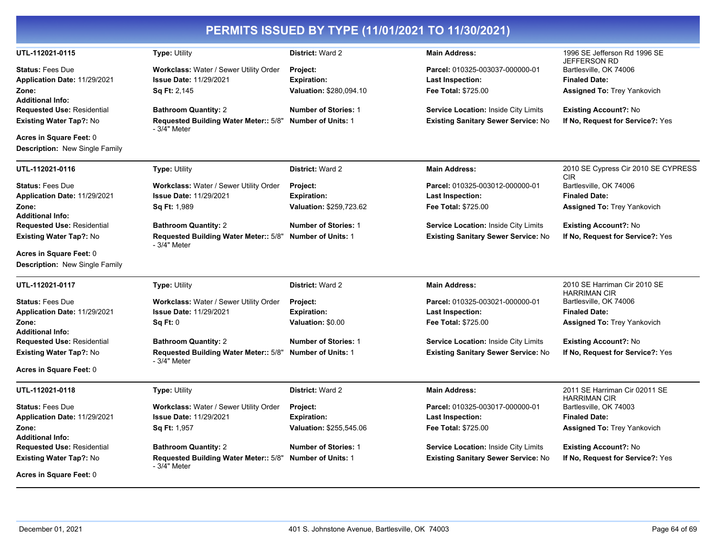|                                                                     |                                                                                      | PERMITS ISSUED BY TYPE (11/01/2021 TO 11/30/2021)        |                                                                                    |                                                                  |
|---------------------------------------------------------------------|--------------------------------------------------------------------------------------|----------------------------------------------------------|------------------------------------------------------------------------------------|------------------------------------------------------------------|
| UTL-112021-0115                                                     | Type: Utility                                                                        | District: Ward 2                                         | <b>Main Address:</b>                                                               | 1996 SE Jefferson Rd 1996 SE<br><b>JEFFERSON RD</b>              |
| <b>Status: Fees Due</b>                                             | Workclass: Water / Sewer Utility Order<br><b>Issue Date: 11/29/2021</b>              | <b>Project:</b>                                          | Parcel: 010325-003037-000000-01                                                    | Bartlesville, OK 74006<br><b>Finaled Date:</b>                   |
| Application Date: 11/29/2021<br>Zone:                               | Sq Ft: 2,145                                                                         | <b>Expiration:</b><br>Valuation: \$280,094.10            | <b>Last Inspection:</b><br>Fee Total: \$725.00                                     | <b>Assigned To: Trey Yankovich</b>                               |
| <b>Additional Info:</b>                                             |                                                                                      |                                                          |                                                                                    |                                                                  |
| <b>Requested Use: Residential</b><br><b>Existing Water Tap?: No</b> | <b>Bathroom Quantity: 2</b><br>Requested Building Water Meter:: 5/8"<br>- 3/4" Meter | <b>Number of Stories: 1</b><br><b>Number of Units: 1</b> | Service Location: Inside City Limits<br><b>Existing Sanitary Sewer Service: No</b> | <b>Existing Account?: No</b><br>If No, Request for Service?: Yes |
| Acres in Square Feet: 0<br><b>Description:</b> New Single Family    |                                                                                      |                                                          |                                                                                    |                                                                  |
| UTL-112021-0116                                                     | <b>Type: Utility</b>                                                                 | District: Ward 2                                         | <b>Main Address:</b>                                                               | 2010 SE Cypress Cir 2010 SE CYPRESS<br><b>CIR</b>                |
| <b>Status: Fees Due</b>                                             | Workclass: Water / Sewer Utility Order                                               | Project:                                                 | Parcel: 010325-003012-000000-01                                                    | Bartlesville, OK 74006                                           |
| Application Date: 11/29/2021                                        | <b>Issue Date: 11/29/2021</b>                                                        | <b>Expiration:</b>                                       | <b>Last Inspection:</b>                                                            | <b>Finaled Date:</b>                                             |
| Zone:<br><b>Additional Info:</b>                                    | <b>Sq Ft: 1,989</b>                                                                  | Valuation: \$259,723.62                                  | Fee Total: \$725.00                                                                | <b>Assigned To: Trey Yankovich</b>                               |
| <b>Requested Use: Residential</b>                                   | <b>Bathroom Quantity: 2</b>                                                          | <b>Number of Stories: 1</b>                              | Service Location: Inside City Limits                                               | <b>Existing Account?: No</b>                                     |
| <b>Existing Water Tap?: No</b>                                      | Requested Building Water Meter:: 5/8"<br>- 3/4" Meter                                | <b>Number of Units: 1</b>                                | <b>Existing Sanitary Sewer Service: No</b>                                         | If No, Request for Service?: Yes                                 |
| Acres in Square Feet: 0                                             |                                                                                      |                                                          |                                                                                    |                                                                  |
| <b>Description: New Single Family</b>                               |                                                                                      |                                                          |                                                                                    |                                                                  |
| UTL-112021-0117                                                     | <b>Type: Utility</b>                                                                 | District: Ward 2                                         | <b>Main Address:</b>                                                               | 2010 SE Harriman Cir 2010 SE<br><b>HARRIMAN CIR</b>              |
| <b>Status: Fees Due</b>                                             | Workclass: Water / Sewer Utility Order                                               | Project:                                                 | Parcel: 010325-003021-000000-01                                                    | Bartlesville, OK 74006                                           |
| Application Date: 11/29/2021                                        | <b>Issue Date: 11/29/2021</b>                                                        | <b>Expiration:</b>                                       | <b>Last Inspection:</b>                                                            | <b>Finaled Date:</b>                                             |
| Zone:<br><b>Additional Info:</b>                                    | Sq Ft: 0                                                                             | <b>Valuation: \$0.00</b>                                 | <b>Fee Total: \$725.00</b>                                                         | <b>Assigned To: Trey Yankovich</b>                               |
| <b>Requested Use: Residential</b>                                   | <b>Bathroom Quantity: 2</b>                                                          | <b>Number of Stories: 1</b>                              | Service Location: Inside City Limits                                               | <b>Existing Account?: No</b>                                     |
| Existing Water Tap?: No                                             | Requested Building Water Meter:: 5/8"<br>- 3/4" Meter                                | <b>Number of Units: 1</b>                                | <b>Existing Sanitary Sewer Service: No</b>                                         | If No, Request for Service?: Yes                                 |
| Acres in Square Feet: 0                                             |                                                                                      |                                                          |                                                                                    |                                                                  |
| UTL-112021-0118                                                     | <b>Type: Utility</b>                                                                 | District: Ward 2                                         | <b>Main Address:</b>                                                               | 2011 SE Harriman Cir 02011 SE<br><b>HARRIMAN CIR</b>             |
| <b>Status: Fees Due</b>                                             | Workclass: Water / Sewer Utility Order                                               | Project:                                                 | Parcel: 010325-003017-000000-01                                                    | Bartlesville, OK 74003                                           |
| Application Date: 11/29/2021                                        | <b>Issue Date: 11/29/2021</b>                                                        | <b>Expiration:</b>                                       | <b>Last Inspection:</b>                                                            | <b>Finaled Date:</b>                                             |
| Zone:<br><b>Additional Info:</b>                                    | <b>Sq Ft: 1,957</b>                                                                  | Valuation: \$255,545.06                                  | Fee Total: \$725.00                                                                | <b>Assigned To: Trey Yankovich</b>                               |
| <b>Requested Use: Residential</b>                                   | <b>Bathroom Quantity: 2</b>                                                          | <b>Number of Stories: 1</b>                              | Service Location: Inside City Limits                                               | <b>Existing Account?: No</b>                                     |
| <b>Existing Water Tap?: No</b>                                      | Requested Building Water Meter:: 5/8"                                                | <b>Number of Units: 1</b>                                | <b>Existing Sanitary Sewer Service: No</b>                                         | If No, Request for Service?: Yes                                 |
| Acres in Square Feet: 0                                             | - 3/4" Meter                                                                         |                                                          |                                                                                    |                                                                  |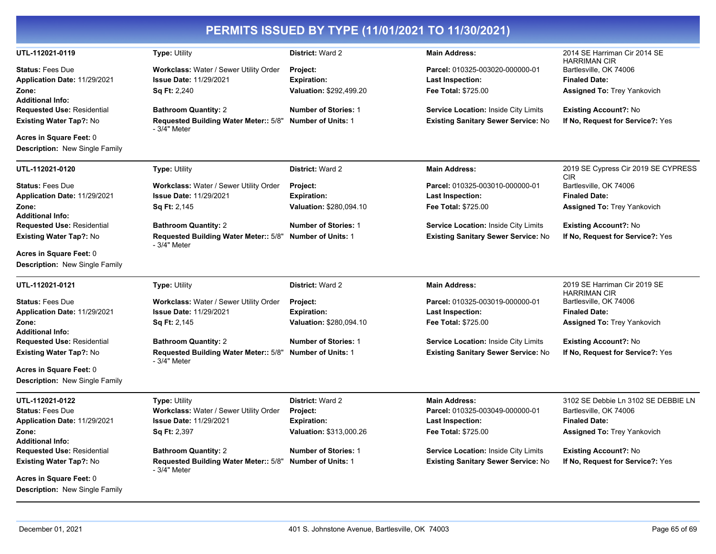|                                                              |                                                              | PERMITS ISSUED BY TYPE (11/01/2021 TO 11/30/2021) |                                             |                                                     |
|--------------------------------------------------------------|--------------------------------------------------------------|---------------------------------------------------|---------------------------------------------|-----------------------------------------------------|
| UTL-112021-0119                                              | Type: Utility                                                | District: Ward 2                                  | <b>Main Address:</b>                        | 2014 SE Harriman Cir 2014 SE<br><b>HARRIMAN CIR</b> |
| <b>Status: Fees Due</b>                                      | Workclass: Water / Sewer Utility Order                       | <b>Project:</b>                                   | Parcel: 010325-003020-000000-01             | Bartlesville, OK 74006                              |
| Application Date: 11/29/2021                                 | <b>Issue Date: 11/29/2021</b>                                | <b>Expiration:</b>                                | Last Inspection:                            | <b>Finaled Date:</b>                                |
| Zone:                                                        | Sq Ft: 2,240                                                 | Valuation: \$292,499.20                           | Fee Total: \$725.00                         | <b>Assigned To: Trey Yankovich</b>                  |
| <b>Additional Info:</b>                                      |                                                              |                                                   |                                             |                                                     |
| <b>Requested Use: Residential</b>                            | <b>Bathroom Quantity: 2</b>                                  | <b>Number of Stories: 1</b>                       | <b>Service Location: Inside City Limits</b> | <b>Existing Account?: No</b>                        |
| <b>Existing Water Tap?: No</b>                               | <b>Requested Building Water Meter:: 5/8"</b><br>- 3/4" Meter | <b>Number of Units: 1</b>                         | <b>Existing Sanitary Sewer Service: No</b>  | If No, Request for Service?: Yes                    |
| Acres in Square Feet: 0                                      |                                                              |                                                   |                                             |                                                     |
| <b>Description:</b> New Single Family                        |                                                              |                                                   |                                             |                                                     |
| UTL-112021-0120                                              | <b>Type: Utility</b>                                         | District: Ward 2                                  | <b>Main Address:</b>                        | 2019 SE Cypress Cir 2019 SE CYPRESS<br><b>CIR</b>   |
| <b>Status: Fees Due</b>                                      | <b>Workclass: Water / Sewer Utility Order</b>                | Project:                                          | Parcel: 010325-003010-000000-01             | Bartlesville, OK 74006                              |
| Application Date: 11/29/2021                                 | <b>Issue Date: 11/29/2021</b>                                | <b>Expiration:</b>                                | Last Inspection:                            | <b>Finaled Date:</b>                                |
| Zone:                                                        | <b>Sq Ft: 2,145</b>                                          | Valuation: \$280,094.10                           | Fee Total: \$725.00                         | <b>Assigned To: Trey Yankovich</b>                  |
| <b>Additional Info:</b>                                      |                                                              |                                                   |                                             |                                                     |
| <b>Requested Use: Residential</b>                            | <b>Bathroom Quantity: 2</b>                                  | <b>Number of Stories: 1</b>                       | <b>Service Location: Inside City Limits</b> | <b>Existing Account?: No</b>                        |
| <b>Existing Water Tap?: No</b>                               | Requested Building Water Meter:: 5/8"<br>- 3/4" Meter        | <b>Number of Units: 1</b>                         | <b>Existing Sanitary Sewer Service: No</b>  | If No, Request for Service?: Yes                    |
| Acres in Square Feet: 0                                      |                                                              |                                                   |                                             |                                                     |
| <b>Description: New Single Family</b>                        |                                                              |                                                   |                                             |                                                     |
| UTL-112021-0121                                              | <b>Type: Utility</b>                                         | District: Ward 2                                  | <b>Main Address:</b>                        | 2019 SE Harriman Cir 2019 SE<br><b>HARRIMAN CIR</b> |
| <b>Status: Fees Due</b>                                      | Workclass: Water / Sewer Utility Order                       | Project:                                          | Parcel: 010325-003019-000000-01             | Bartlesville, OK 74006                              |
| Application Date: 11/29/2021                                 | <b>Issue Date: 11/29/2021</b>                                | <b>Expiration:</b>                                | Last Inspection:                            | <b>Finaled Date:</b>                                |
| Zone:                                                        | <b>Sq Ft: 2,145</b>                                          | Valuation: \$280,094.10                           | Fee Total: \$725.00                         | <b>Assigned To: Trey Yankovich</b>                  |
| <b>Additional Info:</b>                                      |                                                              |                                                   |                                             |                                                     |
| <b>Requested Use: Residential</b>                            | <b>Bathroom Quantity: 2</b>                                  | <b>Number of Stories: 1</b>                       | <b>Service Location: Inside City Limits</b> | <b>Existing Account?: No</b>                        |
| <b>Existing Water Tap?: No</b>                               | Requested Building Water Meter:: 5/8"<br>- 3/4" Meter        | <b>Number of Units: 1</b>                         | <b>Existing Sanitary Sewer Service: No</b>  | If No, Request for Service?: Yes                    |
| Acres in Square Feet: 0                                      |                                                              |                                                   |                                             |                                                     |
| <b>Description: New Single Family</b>                        |                                                              |                                                   |                                             |                                                     |
| UTL-112021-0122                                              | <b>Type: Utility</b>                                         | District: Ward 2                                  | <b>Main Address:</b>                        | 3102 SE Debbie Ln 3102 SE DEBBIE LN                 |
| <b>Status: Fees Due</b>                                      | Workclass: Water / Sewer Utility Order                       | Project:                                          | Parcel: 010325-003049-000000-01             | Bartlesville, OK 74006                              |
| Application Date: 11/29/2021                                 | <b>Issue Date: 11/29/2021</b>                                | <b>Expiration:</b>                                | Last Inspection:                            | <b>Finaled Date:</b>                                |
| Zone:                                                        | Sq Ft: 2,397                                                 | Valuation: \$313,000.26                           | Fee Total: \$725.00                         | <b>Assigned To: Trey Yankovich</b>                  |
| <b>Additional Info:</b><br><b>Requested Use: Residential</b> | <b>Bathroom Quantity: 2</b>                                  | <b>Number of Stories: 1</b>                       | <b>Service Location: Inside City Limits</b> | <b>Existing Account?: No</b>                        |
| <b>Existing Water Tap?: No</b>                               | Requested Building Water Meter:: 5/8"                        | <b>Number of Units: 1</b>                         | <b>Existing Sanitary Sewer Service: No</b>  | If No, Request for Service?: Yes                    |
|                                                              | - 3/4" Meter                                                 |                                                   |                                             |                                                     |
| Acres in Square Feet: 0                                      |                                                              |                                                   |                                             |                                                     |
| <b>Description:</b> New Single Family                        |                                                              |                                                   |                                             |                                                     |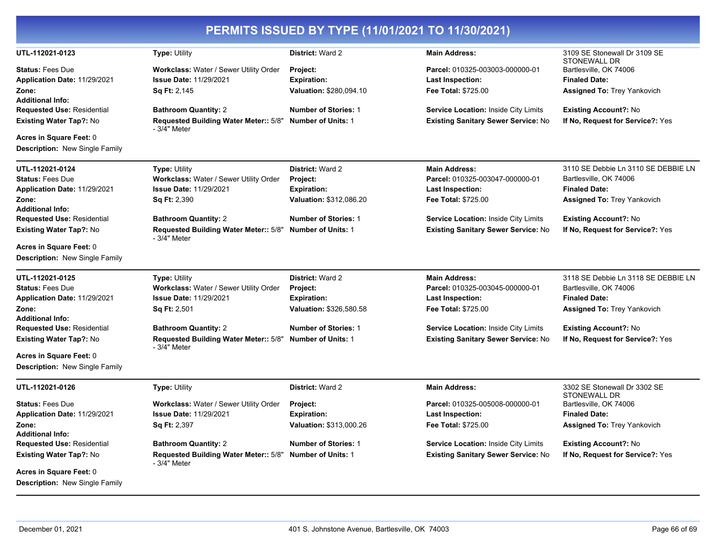|                                                                  |                                                                          |                             | PERMITS ISSUED BY TYPE (11/01/2021 TO 11/30/2021) |                                                     |
|------------------------------------------------------------------|--------------------------------------------------------------------------|-----------------------------|---------------------------------------------------|-----------------------------------------------------|
| UTL-112021-0123                                                  | <b>Type: Utility</b>                                                     | District: Ward 2            | <b>Main Address:</b>                              | 3109 SE Stonewall Dr 3109 SE<br><b>STONEWALL DR</b> |
| <b>Status: Fees Due</b>                                          | <b>Workclass: Water / Sewer Utility Order</b>                            | <b>Project:</b>             | Parcel: 010325-003003-000000-01                   | Bartlesville, OK 74006                              |
| Application Date: 11/29/2021                                     | <b>Issue Date: 11/29/2021</b>                                            | <b>Expiration:</b>          | <b>Last Inspection:</b>                           | <b>Finaled Date:</b>                                |
| Zone:<br><b>Additional Info:</b>                                 | Sq Ft: 2,145                                                             | Valuation: \$280,094.10     | Fee Total: \$725.00                               | <b>Assigned To: Trey Yankovich</b>                  |
| <b>Requested Use: Residential</b>                                | <b>Bathroom Quantity: 2</b>                                              | <b>Number of Stories: 1</b> | <b>Service Location: Inside City Limits</b>       | <b>Existing Account?: No</b>                        |
| <b>Existing Water Tap?: No</b>                                   | Requested Building Water Meter:: 5/8"<br>- 3/4" Meter                    | <b>Number of Units: 1</b>   | <b>Existing Sanitary Sewer Service: No</b>        | If No, Request for Service?: Yes                    |
| Acres in Square Feet: 0                                          |                                                                          |                             |                                                   |                                                     |
| <b>Description: New Single Family</b>                            |                                                                          |                             |                                                   |                                                     |
| UTL-112021-0124                                                  | <b>Type: Utility</b>                                                     | District: Ward 2            | <b>Main Address:</b>                              | 3110 SE Debbie Ln 3110 SE DEBBIE LN                 |
| <b>Status: Fees Due</b>                                          | Workclass: Water / Sewer Utility Order                                   | <b>Project:</b>             | Parcel: 010325-003047-000000-01                   | Bartlesville, OK 74006                              |
| Application Date: 11/29/2021                                     | <b>Issue Date: 11/29/2021</b>                                            | <b>Expiration:</b>          | Last Inspection:                                  | <b>Finaled Date:</b>                                |
| Zone:                                                            | <b>Sq Ft: 2,390</b>                                                      | Valuation: \$312,086.20     | Fee Total: \$725.00                               | <b>Assigned To: Trey Yankovich</b>                  |
| <b>Additional Info:</b><br><b>Requested Use: Residential</b>     | <b>Bathroom Quantity: 2</b>                                              | <b>Number of Stories: 1</b> | <b>Service Location: Inside City Limits</b>       | <b>Existing Account?: No</b>                        |
| <b>Existing Water Tap?: No</b>                                   | Requested Building Water Meter:: 5/8"<br>- 3/4" Meter                    | <b>Number of Units: 1</b>   | <b>Existing Sanitary Sewer Service: No</b>        | If No, Request for Service?: Yes                    |
| Acres in Square Feet: 0                                          |                                                                          |                             |                                                   |                                                     |
| <b>Description: New Single Family</b>                            |                                                                          |                             |                                                   |                                                     |
| UTL-112021-0125                                                  | <b>Type: Utility</b>                                                     | District: Ward 2            | <b>Main Address:</b>                              | 3118 SE Debbie Ln 3118 SE DEBBIE LN                 |
| <b>Status: Fees Due</b>                                          | Workclass: Water / Sewer Utility Order                                   | Project:                    | Parcel: 010325-003045-000000-01                   | Bartlesville, OK 74006                              |
| Application Date: 11/29/2021                                     | <b>Issue Date: 11/29/2021</b>                                            | <b>Expiration:</b>          | <b>Last Inspection:</b>                           | <b>Finaled Date:</b>                                |
| Zone:                                                            | <b>Sq Ft: 2,501</b>                                                      | Valuation: \$326,580.58     | Fee Total: \$725.00                               | <b>Assigned To: Trey Yankovich</b>                  |
| <b>Additional Info:</b>                                          |                                                                          |                             |                                                   |                                                     |
| <b>Requested Use: Residential</b>                                | <b>Bathroom Quantity: 2</b>                                              | <b>Number of Stories: 1</b> | <b>Service Location: Inside City Limits</b>       | <b>Existing Account?: No</b>                        |
| <b>Existing Water Tap?: No</b>                                   | Requested Building Water Meter:: 5/8" Number of Units: 1<br>- 3/4" Meter |                             | <b>Existing Sanitary Sewer Service: No</b>        | If No, Request for Service?: Yes                    |
| Acres in Square Feet: 0<br><b>Description: New Single Family</b> |                                                                          |                             |                                                   |                                                     |
| UTL-112021-0126                                                  | <b>Type: Utility</b>                                                     | District: Ward 2            | <b>Main Address:</b>                              | 3302 SE Stonewall Dr 3302 SE                        |
| <b>Status: Fees Due</b>                                          | Workclass: Water / Sewer Utility Order                                   | <b>Project:</b>             | Parcel: 010325-005008-000000-01                   | <b>STONEWALL DR</b><br>Bartlesville, OK 74006       |
| Application Date: 11/29/2021                                     | <b>Issue Date: 11/29/2021</b>                                            | <b>Expiration:</b>          | <b>Last Inspection:</b>                           | <b>Finaled Date:</b>                                |
| Zone:                                                            | Sq Ft: 2,397                                                             | Valuation: \$313,000.26     | Fee Total: \$725.00                               | <b>Assigned To: Trey Yankovich</b>                  |
| <b>Additional Info:</b>                                          |                                                                          |                             |                                                   |                                                     |
| <b>Requested Use: Residential</b>                                | <b>Bathroom Quantity: 2</b>                                              | <b>Number of Stories: 1</b> | <b>Service Location: Inside City Limits</b>       | <b>Existing Account?: No</b>                        |
| <b>Existing Water Tap?: No</b>                                   | Requested Building Water Meter:: 5/8"<br>- 3/4" Meter                    | <b>Number of Units: 1</b>   | <b>Existing Sanitary Sewer Service: No</b>        | If No, Request for Service?: Yes                    |
| Acres in Square Feet: 0<br><b>Description: New Single Family</b> |                                                                          |                             |                                                   |                                                     |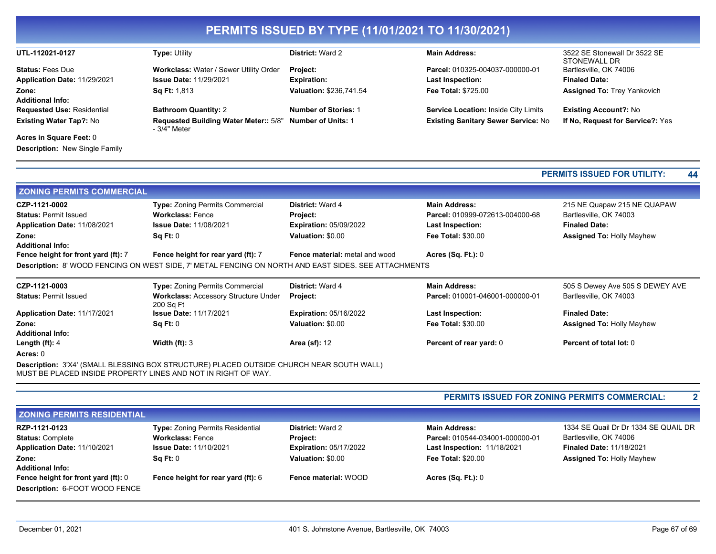|                                     |                                                                                                                                                           | PERMITS ISSUED BY TYPE (11/01/2021 TO 11/30/2021) |                                            |                                                                     |
|-------------------------------------|-----------------------------------------------------------------------------------------------------------------------------------------------------------|---------------------------------------------------|--------------------------------------------|---------------------------------------------------------------------|
| UTL-112021-0127                     | <b>Type: Utility</b>                                                                                                                                      | District: Ward 2                                  | <b>Main Address:</b>                       | 3522 SE Stonewall Dr 3522 SE<br>STONEWALL DR                        |
| <b>Status: Fees Due</b>             | Workclass: Water / Sewer Utility Order                                                                                                                    | Project:                                          | Parcel: 010325-004037-000000-01            | Bartlesville, OK 74006                                              |
| Application Date: 11/29/2021        | <b>Issue Date: 11/29/2021</b>                                                                                                                             | <b>Expiration:</b>                                | <b>Last Inspection:</b>                    | <b>Finaled Date:</b>                                                |
| Zone:                               | Sq Ft: 1,813                                                                                                                                              | Valuation: \$236,741.54                           | Fee Total: \$725.00                        | <b>Assigned To: Trey Yankovich</b>                                  |
| <b>Additional Info:</b>             |                                                                                                                                                           |                                                   |                                            |                                                                     |
| <b>Requested Use: Residential</b>   | <b>Bathroom Quantity: 2</b>                                                                                                                               | <b>Number of Stories: 1</b>                       | Service Location: Inside City Limits       | <b>Existing Account?: No</b>                                        |
| Existing Water Tap?: No             | Requested Building Water Meter:: 5/8"<br>- 3/4" Meter                                                                                                     | <b>Number of Units: 1</b>                         | <b>Existing Sanitary Sewer Service: No</b> | If No, Request for Service?: Yes                                    |
| Acres in Square Feet: 0             |                                                                                                                                                           |                                                   |                                            |                                                                     |
| Description: New Single Family      |                                                                                                                                                           |                                                   |                                            |                                                                     |
|                                     |                                                                                                                                                           |                                                   |                                            | <b>PERMITS ISSUED FOR UTILITY:</b><br>44                            |
| <b>ZONING PERMITS COMMERCIAL</b>    |                                                                                                                                                           |                                                   |                                            |                                                                     |
| CZP-1121-0002                       | <b>Type: Zoning Permits Commercial</b>                                                                                                                    | <b>District: Ward 4</b>                           | <b>Main Address:</b>                       | 215 NE Quapaw 215 NE QUAPAW                                         |
| <b>Status: Permit Issued</b>        | <b>Workclass: Fence</b>                                                                                                                                   | Project:                                          | Parcel: 010999-072613-004000-68            | Bartlesville, OK 74003                                              |
| Application Date: 11/08/2021        | <b>Issue Date: 11/08/2021</b>                                                                                                                             | <b>Expiration: 05/09/2022</b>                     | <b>Last Inspection:</b>                    | <b>Finaled Date:</b>                                                |
| Zone:<br><b>Additional Info:</b>    | Sq Ft: 0                                                                                                                                                  | Valuation: \$0.00                                 | Fee Total: \$30.00                         | <b>Assigned To: Holly Mayhew</b>                                    |
| Fence height for front yard (ft): 7 | Fence height for rear yard (ft): 7                                                                                                                        | <b>Fence material: metal and wood</b>             | <b>Acres (Sq. Ft.): 0</b>                  |                                                                     |
|                                     | Description: 8' WOOD FENCING ON WEST SIDE, 7' METAL FENCING ON NORTH AND EAST SIDES. SEE ATTACHMENTS                                                      |                                                   |                                            |                                                                     |
| CZP-1121-0003                       | Type: Zoning Permits Commercial                                                                                                                           | District: Ward 4                                  | <b>Main Address:</b>                       | 505 S Dewey Ave 505 S DEWEY AVE                                     |
| <b>Status: Permit Issued</b>        | Workclass: Accessory Structure Under<br>200 Sq Ft                                                                                                         | Project:                                          | Parcel: 010001-046001-000000-01            | Bartlesville, OK 74003                                              |
| Application Date: 11/17/2021        | <b>Issue Date: 11/17/2021</b>                                                                                                                             | <b>Expiration: 05/16/2022</b>                     | <b>Last Inspection:</b>                    | <b>Finaled Date:</b>                                                |
| Zone:                               | Sq Ft: 0                                                                                                                                                  | Valuation: \$0.00                                 | Fee Total: \$30.00                         | <b>Assigned To: Holly Mayhew</b>                                    |
| <b>Additional Info:</b>             |                                                                                                                                                           |                                                   |                                            |                                                                     |
| Length (ft): 4                      | Width $(ft)$ : 3                                                                                                                                          | <b>Area (sf): 12</b>                              | Percent of rear yard: 0                    | Percent of total lot: 0                                             |
| Acres: 0                            |                                                                                                                                                           |                                                   |                                            |                                                                     |
|                                     | Description: 3'X4' (SMALL BLESSING BOX STRUCTURE) PLACED OUTSIDE CHURCH NEAR SOUTH WALL)<br>MUST BE PLACED INSIDE PROPERTY LINES AND NOT IN RIGHT OF WAY. |                                                   |                                            |                                                                     |
|                                     |                                                                                                                                                           |                                                   |                                            | <b>PERMITS ISSUED FOR ZONING PERMITS COMMERCIAL:</b><br>$\mathbf 2$ |

| <b>ZONING PERMITS RESIDENTIAL</b>                                            |                                                                                              |                                                                             |                                                                                               |                                                                                                   |  |
|------------------------------------------------------------------------------|----------------------------------------------------------------------------------------------|-----------------------------------------------------------------------------|-----------------------------------------------------------------------------------------------|---------------------------------------------------------------------------------------------------|--|
| RZP-1121-0123<br><b>Status: Complete</b><br>Application Date: 11/10/2021     | Type: Zoning Permits Residential<br><b>Workclass: Fence</b><br><b>Issue Date: 11/10/2021</b> | <b>District: Ward 2</b><br><b>Project:</b><br><b>Expiration: 05/17/2022</b> | <b>Main Address:</b><br>Parcel: 010544-034001-000000-01<br><b>Last Inspection: 11/18/2021</b> | 1334 SE Quail Dr Dr 1334 SE QUAIL DR<br>Bartlesville, OK 74006<br><b>Finaled Date: 11/18/2021</b> |  |
| Zone:<br><b>Additional Info:</b>                                             | Sa Ft: 0                                                                                     | Valuation: \$0.00                                                           | <b>Fee Total: \$20.00</b>                                                                     | <b>Assigned To: Holly Mayhew</b>                                                                  |  |
| Fence height for front yard (ft): 0<br><b>Description: 6-FOOT WOOD FENCE</b> | <b>Fence height for rear yard (ft): 6</b>                                                    | Fence material: WOOD                                                        | Acres $(Sq. Ft.): 0$                                                                          |                                                                                                   |  |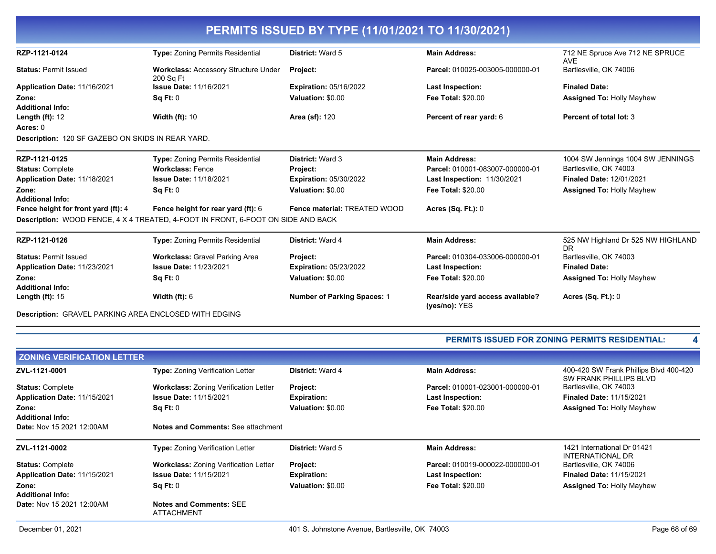| PERMITS ISSUED BY TYPE (11/01/2021 TO 11/30/2021)            |                                                                                  |                                    |                                                   |                                               |
|--------------------------------------------------------------|----------------------------------------------------------------------------------|------------------------------------|---------------------------------------------------|-----------------------------------------------|
| RZP-1121-0124                                                | <b>Type: Zoning Permits Residential</b>                                          | District: Ward 5                   | <b>Main Address:</b>                              | 712 NE Spruce Ave 712 NE SPRUCE<br><b>AVE</b> |
| <b>Status: Permit Issued</b>                                 | <b>Workclass: Accessory Structure Under</b><br>200 Sq Ft                         | Project:                           | Parcel: 010025-003005-000000-01                   | Bartlesville, OK 74006                        |
| Application Date: 11/16/2021                                 | <b>Issue Date: 11/16/2021</b>                                                    | <b>Expiration: 05/16/2022</b>      | <b>Last Inspection:</b>                           | <b>Finaled Date:</b>                          |
| Zone:<br><b>Additional Info:</b>                             | SqFt:0                                                                           | Valuation: \$0.00                  | <b>Fee Total: \$20.00</b>                         | <b>Assigned To: Holly Mayhew</b>              |
| Length $(ft)$ : 12                                           | <b>Width (ft): 10</b>                                                            | <b>Area (sf): 120</b>              | Percent of rear yard: 6                           | Percent of total lot: 3                       |
| Acres: 0                                                     |                                                                                  |                                    |                                                   |                                               |
| Description: 120 SF GAZEBO ON SKIDS IN REAR YARD.            |                                                                                  |                                    |                                                   |                                               |
| RZP-1121-0125                                                | <b>Type:</b> Zoning Permits Residential                                          | District: Ward 3                   | <b>Main Address:</b>                              | 1004 SW Jennings 1004 SW JENNINGS             |
| <b>Status: Complete</b>                                      | <b>Workclass: Fence</b>                                                          | Project:                           | Parcel: 010001-083007-000000-01                   | Bartlesville, OK 74003                        |
| Application Date: 11/18/2021                                 | <b>Issue Date: 11/18/2021</b>                                                    | <b>Expiration: 05/30/2022</b>      | Last Inspection: 11/30/2021                       | <b>Finaled Date: 12/01/2021</b>               |
| Zone:<br><b>Additional Info:</b>                             | Sq Ft: 0                                                                         | Valuation: \$0.00                  | <b>Fee Total: \$20.00</b>                         | <b>Assigned To: Holly Mayhew</b>              |
| Fence height for front yard (ft): 4                          | Fence height for rear yard (ft): 6                                               | Fence material: TREATED WOOD       | <b>Acres (Sq. Ft.): 0</b>                         |                                               |
|                                                              | Description: WOOD FENCE, 4 X 4 TREATED, 4-FOOT IN FRONT, 6-FOOT ON SIDE AND BACK |                                    |                                                   |                                               |
| RZP-1121-0126                                                | <b>Type:</b> Zoning Permits Residential                                          | <b>District: Ward 4</b>            | <b>Main Address:</b>                              | 525 NW Highland Dr 525 NW HIGHLAND<br>DR.     |
| <b>Status: Permit Issued</b>                                 | <b>Workclass: Gravel Parking Area</b>                                            | Project:                           | Parcel: 010304-033006-000000-01                   | Bartlesville, OK 74003                        |
| Application Date: 11/23/2021                                 | <b>Issue Date: 11/23/2021</b>                                                    | <b>Expiration: 05/23/2022</b>      | <b>Last Inspection:</b>                           | <b>Finaled Date:</b>                          |
| Zone:<br><b>Additional Info:</b>                             | Sq Ft: 0                                                                         | Valuation: \$0.00                  | <b>Fee Total: \$20.00</b>                         | <b>Assigned To: Holly Mayhew</b>              |
| Length $(ft)$ : 15                                           | Width $(ft)$ : 6                                                                 | <b>Number of Parking Spaces: 1</b> | Rear/side vard access available?<br>(yes/no): YES | <b>Acres (Sq. Ft.): 0</b>                     |
| <b>Description: GRAVEL PARKING AREA ENCLOSED WITH EDGING</b> |                                                                                  |                                    |                                                   |                                               |

#### **PERMITS ISSUED FOR ZONING PERMITS RESIDENTIAL: 4**

| <b>ZONING VERIFICATION LETTER</b> |                                                     |                         |                                 |                                                                         |  |
|-----------------------------------|-----------------------------------------------------|-------------------------|---------------------------------|-------------------------------------------------------------------------|--|
| ZVL-1121-0001                     | <b>Type: Zoning Verification Letter</b>             | <b>District: Ward 4</b> | <b>Main Address:</b>            | 400-420 SW Frank Phillips Blvd 400-420<br><b>SW FRANK PHILLIPS BLVD</b> |  |
| <b>Status: Complete</b>           | <b>Workclass: Zoning Verification Letter</b>        | Project:                | Parcel: 010001-023001-000000-01 | Bartlesville, OK 74003                                                  |  |
| Application Date: 11/15/2021      | <b>Issue Date: 11/15/2021</b>                       | <b>Expiration:</b>      | <b>Last Inspection:</b>         | <b>Finaled Date: 11/15/2021</b>                                         |  |
| Zone:                             | Sq Ft: 0                                            | Valuation: \$0.00       | <b>Fee Total: \$20.00</b>       | <b>Assigned To: Holly Mayhew</b>                                        |  |
| <b>Additional Info:</b>           |                                                     |                         |                                 |                                                                         |  |
| <b>Date: Nov 15 2021 12:00AM</b>  | Notes and Comments: See attachment                  |                         |                                 |                                                                         |  |
| ZVL-1121-0002                     | <b>Type: Zoning Verification Letter</b>             | <b>District: Ward 5</b> | <b>Main Address:</b>            | 1421 International Dr 01421<br>INTERNATIONAL DR                         |  |
| <b>Status: Complete</b>           | <b>Workclass: Zoning Verification Letter</b>        | <b>Project:</b>         | Parcel: 010019-000022-000000-01 | Bartlesville, OK 74006                                                  |  |
| Application Date: 11/15/2021      | <b>Issue Date: 11/15/2021</b>                       | <b>Expiration:</b>      | <b>Last Inspection:</b>         | <b>Finaled Date: 11/15/2021</b>                                         |  |
| Zone:                             | Sq Ft: 0                                            | Valuation: \$0.00       | <b>Fee Total: \$20.00</b>       | <b>Assigned To: Holly Mayhew</b>                                        |  |
| <b>Additional Info:</b>           |                                                     |                         |                                 |                                                                         |  |
| Date: Nov 15 2021 12:00AM         | <b>Notes and Comments: SEE</b><br><b>ATTACHMENT</b> |                         |                                 |                                                                         |  |